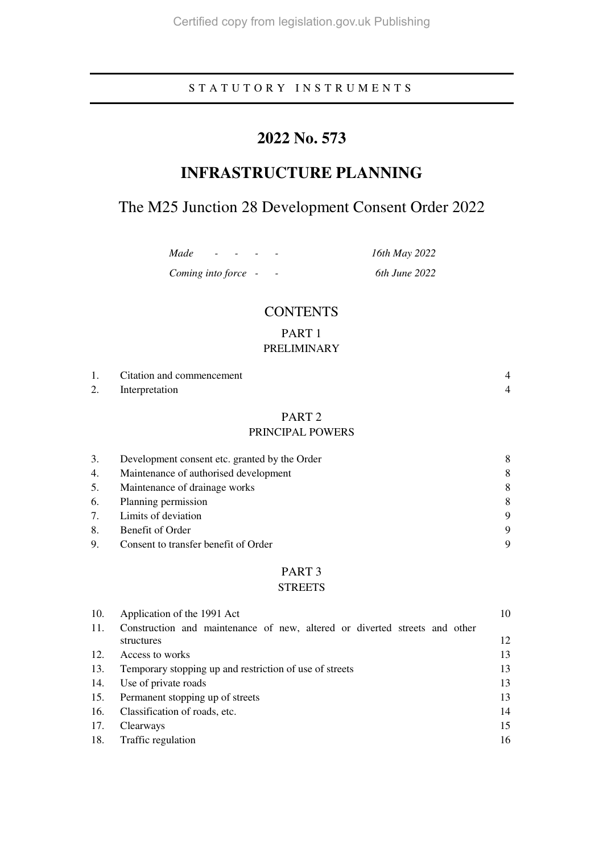## S T A T U T O R Y I N S T R U M E N T S

# **2022 No. 573**

# **INFRASTRUCTURE PLANNING**

# The M25 Junction 28 Development Consent Order 2022

*Made - - - - 16th May 2022* 

*Coming into force - - 6th June 2022* 

**CONTENTS** 

## PART 1 PRELIMINARY

| Citation and commencement |  |
|---------------------------|--|
| 2. Interpretation         |  |

## PART 2

## PRINCIPAL POWERS

| 3. | Development consent etc. granted by the Order |   |
|----|-----------------------------------------------|---|
| 4. | Maintenance of authorised development         | 8 |
| 5. | Maintenance of drainage works                 | 8 |
| 6. | Planning permission                           | 8 |
| 7. | Limits of deviation                           | 9 |
| 8. | Benefit of Order                              | 9 |
| 9. | Consent to transfer benefit of Order          | Q |

## PART 3

## **STREETS**

| 10. | Application of the 1991 Act                                                              | 10 |
|-----|------------------------------------------------------------------------------------------|----|
| 11. | Construction and maintenance of new, altered or diverted streets and other<br>structures | 12 |
| 12. | Access to works                                                                          | 13 |
| 13. | Temporary stopping up and restriction of use of streets                                  | 13 |
| 14. | Use of private roads                                                                     | 13 |
| 15. | Permanent stopping up of streets                                                         | 13 |
| 16. | Classification of roads, etc.                                                            | 14 |
| 17. | Clearways                                                                                | 15 |
| 18. | Traffic regulation                                                                       | 16 |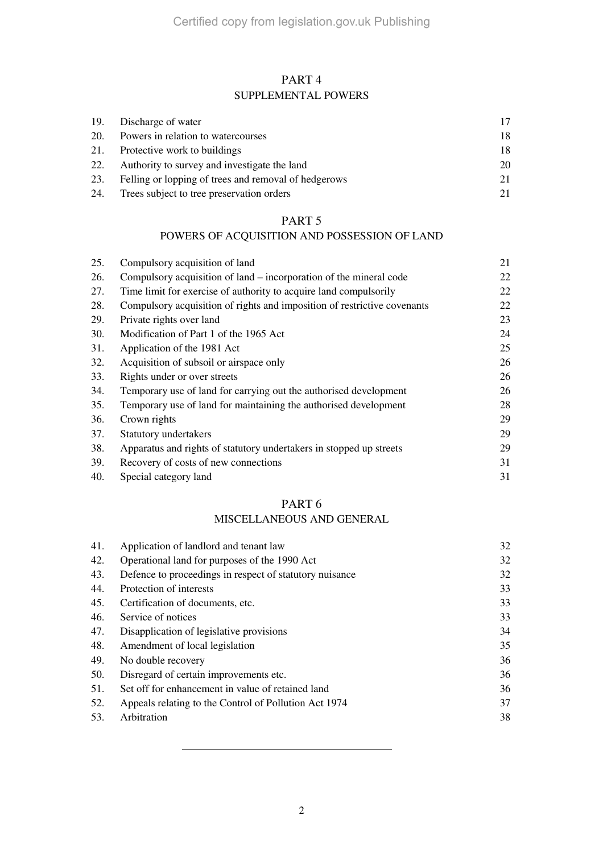## PART 4 SUPPLEMENTAL POWERS

|     | 19. Discharge of water                               | 17  |
|-----|------------------------------------------------------|-----|
| 20. | Powers in relation to watercourses                   | 18. |
| 21. | Protective work to buildings                         | 18  |
| 22. | Authority to survey and investigate the land         | 20  |
| 23. | Felling or lopping of trees and removal of hedgerows | 21  |
| 24. | Trees subject to tree preservation orders            | 21  |

## PART 5

## POWERS OF ACQUISITION AND POSSESSION OF LAND

| 25. | Compulsory acquisition of land                                           | 21 |
|-----|--------------------------------------------------------------------------|----|
| 26. | Compulsory acquisition of land – incorporation of the mineral code       | 22 |
| 27. | Time limit for exercise of authority to acquire land compulsorily        | 22 |
| 28. | Compulsory acquisition of rights and imposition of restrictive covenants | 22 |
| 29. | Private rights over land                                                 | 23 |
| 30. | Modification of Part 1 of the 1965 Act                                   | 24 |
| 31. | Application of the 1981 Act                                              | 25 |
| 32. | Acquisition of subsoil or airspace only                                  | 26 |
| 33. | Rights under or over streets                                             | 26 |
| 34. | Temporary use of land for carrying out the authorised development        | 26 |
| 35. | Temporary use of land for maintaining the authorised development         | 28 |
| 36. | Crown rights                                                             | 29 |
| 37. | Statutory undertakers                                                    | 29 |
| 38. | Apparatus and rights of statutory undertakers in stopped up streets      | 29 |
| 39. | Recovery of costs of new connections                                     | 31 |
| 40. | Special category land                                                    | 31 |

## PART 6

## MISCELLANEOUS AND GENERAL

| 41. | Application of landlord and tenant law                  | 32 |
|-----|---------------------------------------------------------|----|
| 42. | Operational land for purposes of the 1990 Act           | 32 |
| 43. | Defence to proceedings in respect of statutory nuisance | 32 |
| 44. | Protection of interests                                 | 33 |
| 45. | Certification of documents, etc.                        | 33 |
| 46. | Service of notices                                      | 33 |
| 47. | Disapplication of legislative provisions                | 34 |
| 48. | Amendment of local legislation                          | 35 |
| 49. | No double recovery                                      | 36 |
| 50. | Disregard of certain improvements etc.                  | 36 |
| 51. | Set off for enhancement in value of retained land       | 36 |
| 52. | Appeals relating to the Control of Pollution Act 1974   | 37 |
| 53. | Arbitration                                             | 38 |
|     |                                                         |    |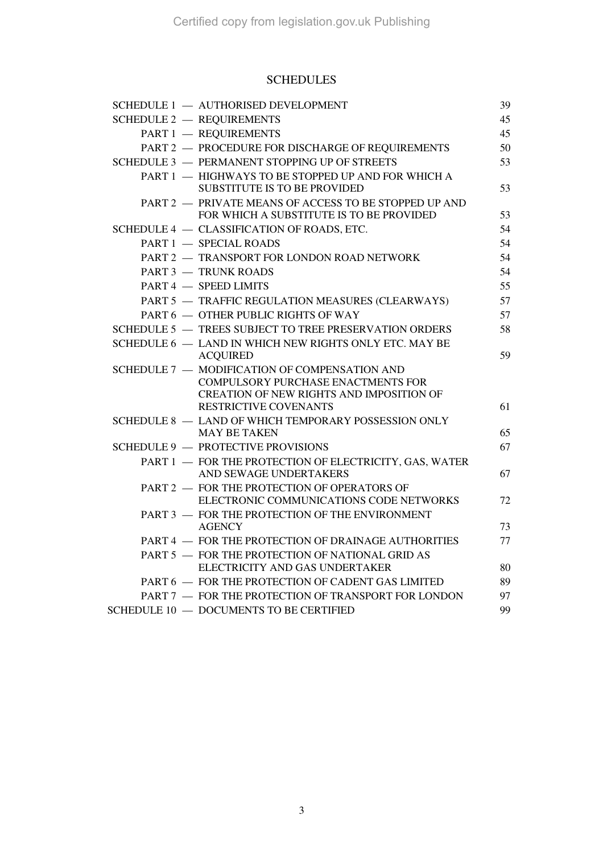## SCHEDULES

| SCHEDULE 1 - AUTHORISED DEVELOPMENT                                                                                                                      | 39 |
|----------------------------------------------------------------------------------------------------------------------------------------------------------|----|
| <b>SCHEDULE 2 - REQUIREMENTS</b>                                                                                                                         | 45 |
| PART 1 - REQUIREMENTS                                                                                                                                    | 45 |
| PART 2 - PROCEDURE FOR DISCHARGE OF REQUIREMENTS                                                                                                         | 50 |
| SCHEDULE 3 - PERMANENT STOPPING UP OF STREETS                                                                                                            | 53 |
| PART 1 - HIGHWAYS TO BE STOPPED UP AND FOR WHICH A<br>SUBSTITUTE IS TO BE PROVIDED                                                                       | 53 |
| PART 2 - PRIVATE MEANS OF ACCESS TO BE STOPPED UP AND<br>FOR WHICH A SUBSTITUTE IS TO BE PROVIDED                                                        | 53 |
| SCHEDULE 4 - CLASSIFICATION OF ROADS, ETC.                                                                                                               | 54 |
| PART 1 - SPECIAL ROADS                                                                                                                                   | 54 |
| PART 2 - TRANSPORT FOR LONDON ROAD NETWORK                                                                                                               | 54 |
| <b>PART 3 - TRUNK ROADS</b>                                                                                                                              | 54 |
| PART 4 - SPEED LIMITS                                                                                                                                    | 55 |
| PART 5 - TRAFFIC REGULATION MEASURES (CLEARWAYS)                                                                                                         | 57 |
| PART 6 - OTHER PUBLIC RIGHTS OF WAY                                                                                                                      | 57 |
| SCHEDULE 5 - TREES SUBJECT TO TREE PRESERVATION ORDERS                                                                                                   | 58 |
| SCHEDULE 6 - LAND IN WHICH NEW RIGHTS ONLY ETC. MAY BE<br><b>ACQUIRED</b>                                                                                | 59 |
| SCHEDULE 7 - MODIFICATION OF COMPENSATION AND<br>COMPULSORY PURCHASE ENACTMENTS FOR<br>CREATION OF NEW RIGHTS AND IMPOSITION OF<br>RESTRICTIVE COVENANTS | 61 |
| SCHEDULE 8 - LAND OF WHICH TEMPORARY POSSESSION ONLY                                                                                                     |    |
| <b>MAY BE TAKEN</b>                                                                                                                                      | 65 |
| <b>SCHEDULE 9 - PROTECTIVE PROVISIONS</b>                                                                                                                | 67 |
| PART 1 - FOR THE PROTECTION OF ELECTRICITY, GAS, WATER<br>AND SEWAGE UNDERTAKERS                                                                         | 67 |
| PART 2 - FOR THE PROTECTION OF OPERATORS OF<br>ELECTRONIC COMMUNICATIONS CODE NETWORKS                                                                   | 72 |
| PART 3 - FOR THE PROTECTION OF THE ENVIRONMENT<br><b>AGENCY</b>                                                                                          | 73 |
| PART 4 - FOR THE PROTECTION OF DRAINAGE AUTHORITIES                                                                                                      | 77 |
| PART 5 - FOR THE PROTECTION OF NATIONAL GRID AS                                                                                                          |    |
| ELECTRICITY AND GAS UNDERTAKER                                                                                                                           | 80 |
| PART 6 - FOR THE PROTECTION OF CADENT GAS LIMITED                                                                                                        | 89 |
| PART 7 - FOR THE PROTECTION OF TRANSPORT FOR LONDON                                                                                                      | 97 |
| <b>SCHEDULE 10 - DOCUMENTS TO BE CERTIFIED</b>                                                                                                           | 99 |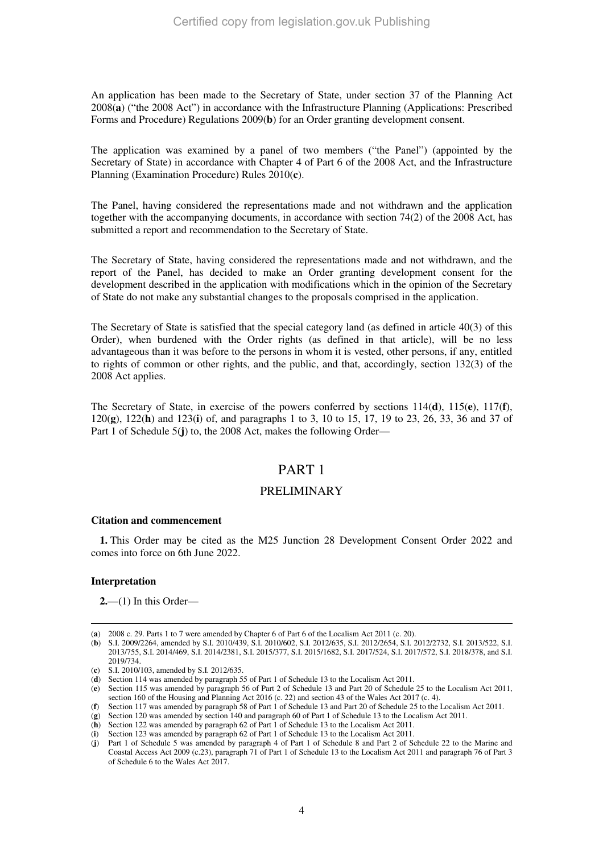An application has been made to the Secretary of State, under section 37 of the Planning Act 2008(**a**) ("the 2008 Act") in accordance with the Infrastructure Planning (Applications: Prescribed Forms and Procedure) Regulations 2009(**b**) for an Order granting development consent.

The application was examined by a panel of two members ("the Panel") (appointed by the Secretary of State) in accordance with Chapter 4 of Part 6 of the 2008 Act, and the Infrastructure Planning (Examination Procedure) Rules 2010(**c**).

The Panel, having considered the representations made and not withdrawn and the application together with the accompanying documents, in accordance with section 74(2) of the 2008 Act, has submitted a report and recommendation to the Secretary of State.

The Secretary of State, having considered the representations made and not withdrawn, and the report of the Panel, has decided to make an Order granting development consent for the development described in the application with modifications which in the opinion of the Secretary of State do not make any substantial changes to the proposals comprised in the application.

The Secretary of State is satisfied that the special category land (as defined in article 40(3) of this Order), when burdened with the Order rights (as defined in that article), will be no less advantageous than it was before to the persons in whom it is vested, other persons, if any, entitled to rights of common or other rights, and the public, and that, accordingly, section 132(3) of the 2008 Act applies.

The Secretary of State, in exercise of the powers conferred by sections 114(**d**), 115(**e**), 117(**f**), 120(**g**), 122(**h**) and 123(**i**) of, and paragraphs 1 to 3, 10 to 15, 17, 19 to 23, 26, 33, 36 and 37 of Part 1 of Schedule 5(**j**) to, the 2008 Act, makes the following Order—

## PART 1

## PRELIMINARY

### **Citation and commencement**

**1.** This Order may be cited as the M25 Junction 28 Development Consent Order 2022 and comes into force on 6th June 2022.

### **Interpretation**

**2.**—(1) In this Order—

<sup>-</sup>(**a**) 2008 c. 29. Parts 1 to 7 were amended by Chapter 6 of Part 6 of the Localism Act 2011 (c. 20).

<sup>(</sup>**b**) S.I. 2009/2264, amended by S.I. 2010/439, S.I. 2010/602, S.I. 2012/635, S.I. 2012/2654, S.I. 2012/2732, S.I. 2013/522, S.I. 2013/755, S.I. 2014/469, S.I. 2014/2381, S.I. 2015/377, S.I. 2015/1682, S.I. 2017/524, S.I. 2017/572, S.I. 2018/378, and S.I. 2019/734.

<sup>(</sup>**c**) S.I. 2010/103, amended by S.I. 2012/635.

<sup>(</sup>**d**) Section 114 was amended by paragraph 55 of Part 1 of Schedule 13 to the Localism Act 2011.

<sup>(</sup>**e**) Section 115 was amended by paragraph 56 of Part 2 of Schedule 13 and Part 20 of Schedule 25 to the Localism Act 2011, section 160 of the Housing and Planning Act 2016 (c. 22) and section 43 of the Wales Act 2017 (c. 4).

<sup>(</sup>**f**) Section 117 was amended by paragraph 58 of Part 1 of Schedule 13 and Part 20 of Schedule 25 to the Localism Act 2011.

<sup>(</sup>**g**) Section 120 was amended by section 140 and paragraph 60 of Part 1 of Schedule 13 to the Localism Act 2011.

<sup>(</sup>**h**) Section 122 was amended by paragraph 62 of Part 1 of Schedule 13 to the Localism Act 2011.

<sup>(</sup>**i**) Section 123 was amended by paragraph 62 of Part 1 of Schedule 13 to the Localism Act 2011.

<sup>(</sup>**j**) Part 1 of Schedule 5 was amended by paragraph 4 of Part 1 of Schedule 8 and Part 2 of Schedule 22 to the Marine and Coastal Access Act 2009 (c.23), paragraph 71 of Part 1 of Schedule 13 to the Localism Act 2011 and paragraph 76 of Part 3 of Schedule 6 to the Wales Act 2017.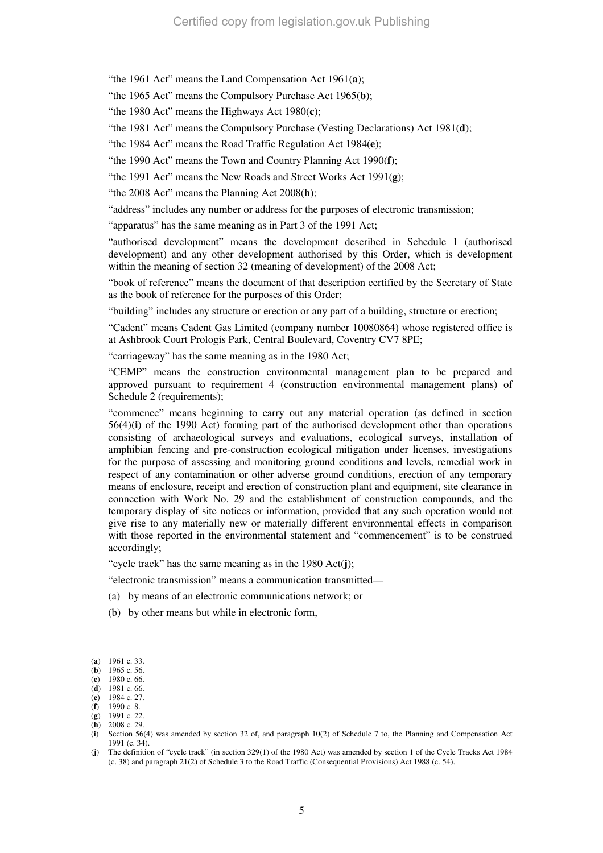"the 1961 Act" means the Land Compensation Act 1961(**a**);

"the 1965 Act" means the Compulsory Purchase Act 1965(**b**);

"the 1980 Act" means the Highways Act 1980(**c**);

"the 1981 Act" means the Compulsory Purchase (Vesting Declarations) Act 1981(**d**);

"the 1984 Act" means the Road Traffic Regulation Act 1984(**e**);

"the 1990 Act" means the Town and Country Planning Act 1990(**f**);

"the 1991 Act" means the New Roads and Street Works Act 1991(**g**);

"the 2008 Act" means the Planning Act 2008(**h**);

"address" includes any number or address for the purposes of electronic transmission;

"apparatus" has the same meaning as in Part 3 of the 1991 Act;

"authorised development" means the development described in Schedule 1 (authorised development) and any other development authorised by this Order, which is development within the meaning of section 32 (meaning of development) of the 2008 Act;

"book of reference" means the document of that description certified by the Secretary of State as the book of reference for the purposes of this Order;

"building" includes any structure or erection or any part of a building, structure or erection;

"Cadent" means Cadent Gas Limited (company number 10080864) whose registered office is at Ashbrook Court Prologis Park, Central Boulevard, Coventry CV7 8PE;

"carriageway" has the same meaning as in the 1980 Act;

"CEMP" means the construction environmental management plan to be prepared and approved pursuant to requirement 4 (construction environmental management plans) of Schedule 2 (requirements);

"commence" means beginning to carry out any material operation (as defined in section 56(4)(**i**) of the 1990 Act) forming part of the authorised development other than operations consisting of archaeological surveys and evaluations, ecological surveys, installation of amphibian fencing and pre-construction ecological mitigation under licenses, investigations for the purpose of assessing and monitoring ground conditions and levels, remedial work in respect of any contamination or other adverse ground conditions, erection of any temporary means of enclosure, receipt and erection of construction plant and equipment, site clearance in connection with Work No. 29 and the establishment of construction compounds, and the temporary display of site notices or information, provided that any such operation would not give rise to any materially new or materially different environmental effects in comparison with those reported in the environmental statement and "commencement" is to be construed accordingly;

"cycle track" has the same meaning as in the 1980 Act(**j**);

"electronic transmission" means a communication transmitted—

- (a) by means of an electronic communications network; or
- (b) by other means but while in electronic form,

<sup>(</sup>**a**) 1961 c. 33.

<sup>(</sup>**b**) 1965 c. 56. (**c**) 1980 c. 66.

<sup>(</sup>**d**) 1981 c. 66.

<sup>(</sup>**e**) 1984 c. 27.

<sup>(</sup>**f**) 1990 c. 8.

<sup>(</sup>**g**) 1991 c. 22. (**h**) 2008 c. 29.

<sup>(</sup>**i**) Section 56(4) was amended by section 32 of, and paragraph 10(2) of Schedule 7 to, the Planning and Compensation Act 1991 (c. 34).

<sup>(</sup>**j**) The definition of "cycle track" (in section 329(1) of the 1980 Act) was amended by section 1 of the Cycle Tracks Act 1984 (c. 38) and paragraph 21(2) of Schedule 3 to the Road Traffic (Consequential Provisions) Act 1988 (c. 54).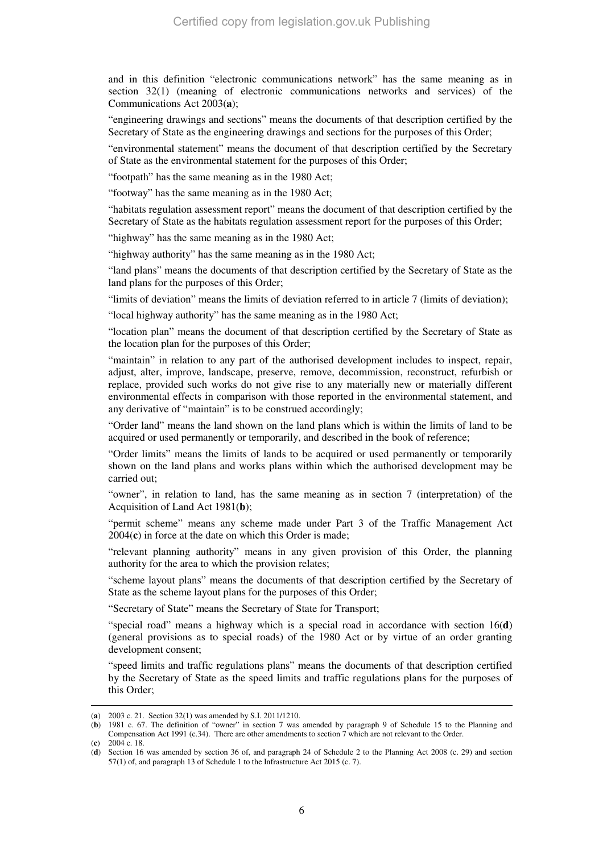and in this definition "electronic communications network" has the same meaning as in section 32(1) (meaning of electronic communications networks and services) of the Communications Act 2003(**a**);

"engineering drawings and sections" means the documents of that description certified by the Secretary of State as the engineering drawings and sections for the purposes of this Order;

"environmental statement" means the document of that description certified by the Secretary of State as the environmental statement for the purposes of this Order;

"footpath" has the same meaning as in the 1980 Act;

"footway" has the same meaning as in the 1980 Act;

"habitats regulation assessment report" means the document of that description certified by the Secretary of State as the habitats regulation assessment report for the purposes of this Order;

"highway" has the same meaning as in the 1980 Act;

"highway authority" has the same meaning as in the 1980 Act;

"land plans" means the documents of that description certified by the Secretary of State as the land plans for the purposes of this Order;

"limits of deviation" means the limits of deviation referred to in article 7 (limits of deviation);

"local highway authority" has the same meaning as in the 1980 Act;

"location plan" means the document of that description certified by the Secretary of State as the location plan for the purposes of this Order;

"maintain" in relation to any part of the authorised development includes to inspect, repair, adjust, alter, improve, landscape, preserve, remove, decommission, reconstruct, refurbish or replace, provided such works do not give rise to any materially new or materially different environmental effects in comparison with those reported in the environmental statement, and any derivative of "maintain" is to be construed accordingly;

"Order land" means the land shown on the land plans which is within the limits of land to be acquired or used permanently or temporarily, and described in the book of reference;

"Order limits" means the limits of lands to be acquired or used permanently or temporarily shown on the land plans and works plans within which the authorised development may be carried out;

"owner", in relation to land, has the same meaning as in section 7 (interpretation) of the Acquisition of Land Act 1981(**b**);

"permit scheme" means any scheme made under Part 3 of the Traffic Management Act 2004(**c**) in force at the date on which this Order is made;

"relevant planning authority" means in any given provision of this Order, the planning authority for the area to which the provision relates;

"scheme layout plans" means the documents of that description certified by the Secretary of State as the scheme layout plans for the purposes of this Order;

"Secretary of State" means the Secretary of State for Transport;

"special road" means a highway which is a special road in accordance with section 16(**d**) (general provisions as to special roads) of the 1980 Act or by virtue of an order granting development consent;

"speed limits and traffic regulations plans" means the documents of that description certified by the Secretary of State as the speed limits and traffic regulations plans for the purposes of this Order;

<sup>(</sup>**a**) 2003 c. 21. Section 32(1) was amended by S.I. 2011/1210.

<sup>(</sup>**b**) 1981 c. 67. The definition of "owner" in section 7 was amended by paragraph 9 of Schedule 15 to the Planning and Compensation Act 1991 (c.34). There are other amendments to section 7 which are not relevant to the Order. (**c**) 2004 c. 18.

<sup>(</sup>**d**) Section 16 was amended by section 36 of, and paragraph 24 of Schedule 2 to the Planning Act 2008 (c. 29) and section 57(1) of, and paragraph 13 of Schedule 1 to the Infrastructure Act 2015 (c. 7).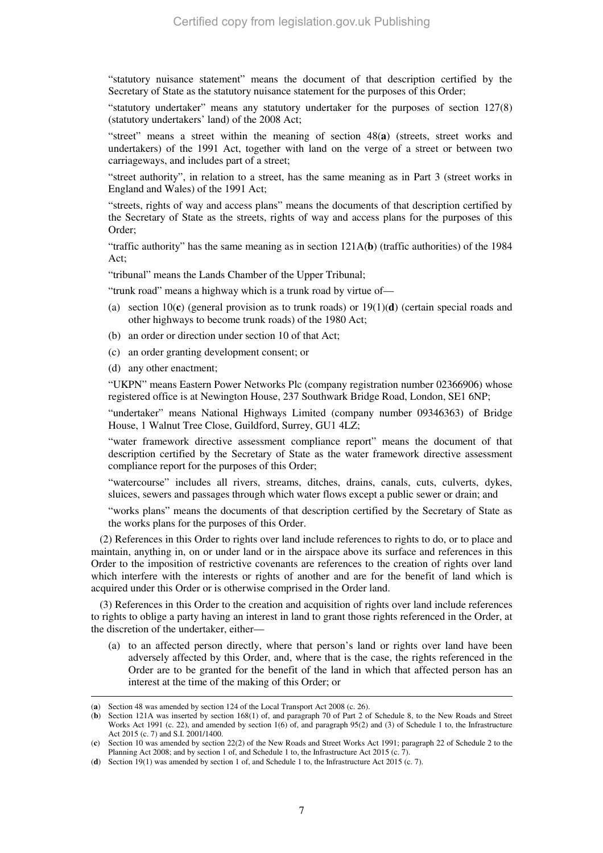"statutory nuisance statement" means the document of that description certified by the Secretary of State as the statutory nuisance statement for the purposes of this Order;

"statutory undertaker" means any statutory undertaker for the purposes of section 127(8) (statutory undertakers' land) of the 2008 Act;

"street" means a street within the meaning of section 48(**a**) (streets, street works and undertakers) of the 1991 Act, together with land on the verge of a street or between two carriageways, and includes part of a street;

"street authority", in relation to a street, has the same meaning as in Part 3 (street works in England and Wales) of the 1991 Act;

"streets, rights of way and access plans" means the documents of that description certified by the Secretary of State as the streets, rights of way and access plans for the purposes of this Order;

"traffic authority" has the same meaning as in section 121A(**b**) (traffic authorities) of the 1984 Act;

"tribunal" means the Lands Chamber of the Upper Tribunal;

"trunk road" means a highway which is a trunk road by virtue of—

- (a) section 10(**c**) (general provision as to trunk roads) or 19(1)(**d**) (certain special roads and other highways to become trunk roads) of the 1980 Act;
- (b) an order or direction under section 10 of that Act;
- (c) an order granting development consent; or
- (d) any other enactment;

-

"UKPN" means Eastern Power Networks Plc (company registration number 02366906) whose registered office is at Newington House, 237 Southwark Bridge Road, London, SE1 6NP;

"undertaker" means National Highways Limited (company number 09346363) of Bridge House, 1 Walnut Tree Close, Guildford, Surrey, GU1 4LZ;

"water framework directive assessment compliance report" means the document of that description certified by the Secretary of State as the water framework directive assessment compliance report for the purposes of this Order;

"watercourse" includes all rivers, streams, ditches, drains, canals, cuts, culverts, dykes, sluices, sewers and passages through which water flows except a public sewer or drain; and

"works plans" means the documents of that description certified by the Secretary of State as the works plans for the purposes of this Order.

(2) References in this Order to rights over land include references to rights to do, or to place and maintain, anything in, on or under land or in the airspace above its surface and references in this Order to the imposition of restrictive covenants are references to the creation of rights over land which interfere with the interests or rights of another and are for the benefit of land which is acquired under this Order or is otherwise comprised in the Order land.

(3) References in this Order to the creation and acquisition of rights over land include references to rights to oblige a party having an interest in land to grant those rights referenced in the Order, at the discretion of the undertaker, either—

(a) to an affected person directly, where that person's land or rights over land have been adversely affected by this Order, and, where that is the case, the rights referenced in the Order are to be granted for the benefit of the land in which that affected person has an interest at the time of the making of this Order; or

<sup>(</sup>**a**) Section 48 was amended by section 124 of the Local Transport Act 2008 (c. 26).

<sup>(</sup>**b**) Section 121A was inserted by section 168(1) of, and paragraph 70 of Part 2 of Schedule 8, to the New Roads and Street Works Act 1991 (c. 22), and amended by section 1(6) of, and paragraph 95(2) and (3) of Schedule 1 to, the Infrastructure Act 2015 (c. 7) and S.I. 2001/1400.

<sup>(</sup>**c**) Section 10 was amended by section 22(2) of the New Roads and Street Works Act 1991; paragraph 22 of Schedule 2 to the Planning Act 2008; and by section 1 of, and Schedule 1 to, the Infrastructure Act 2015 (c. 7).

<sup>(</sup>**d**) Section 19(1) was amended by section 1 of, and Schedule 1 to, the Infrastructure Act 2015 (c. 7).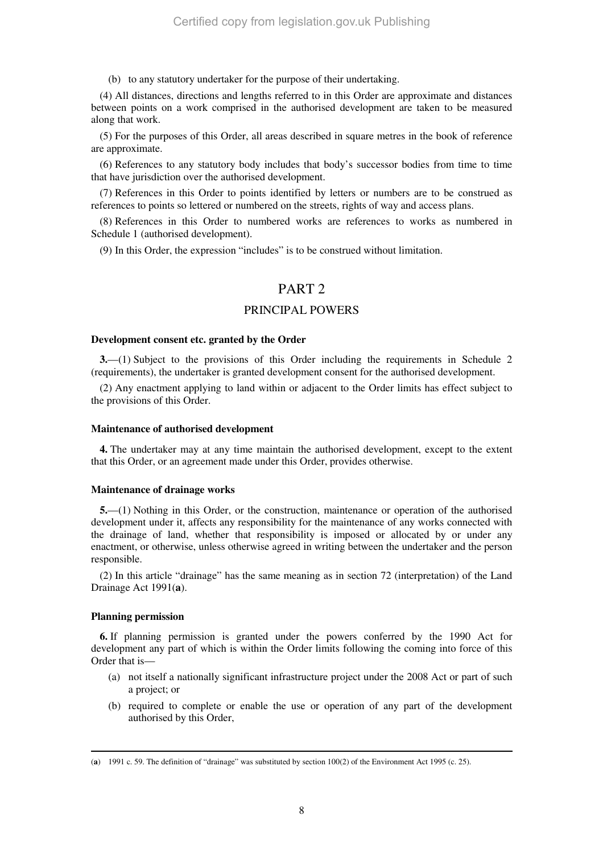(b) to any statutory undertaker for the purpose of their undertaking.

(4) All distances, directions and lengths referred to in this Order are approximate and distances between points on a work comprised in the authorised development are taken to be measured along that work.

(5) For the purposes of this Order, all areas described in square metres in the book of reference are approximate.

(6) References to any statutory body includes that body's successor bodies from time to time that have jurisdiction over the authorised development.

(7) References in this Order to points identified by letters or numbers are to be construed as references to points so lettered or numbered on the streets, rights of way and access plans.

(8) References in this Order to numbered works are references to works as numbered in Schedule 1 (authorised development).

(9) In this Order, the expression "includes" is to be construed without limitation.

## PART<sub>2</sub>

## PRINCIPAL POWERS

## **Development consent etc. granted by the Order**

**3.**—(1) Subject to the provisions of this Order including the requirements in Schedule 2 (requirements), the undertaker is granted development consent for the authorised development.

(2) Any enactment applying to land within or adjacent to the Order limits has effect subject to the provisions of this Order.

#### **Maintenance of authorised development**

**4.** The undertaker may at any time maintain the authorised development, except to the extent that this Order, or an agreement made under this Order, provides otherwise.

#### **Maintenance of drainage works**

**5.**—(1) Nothing in this Order, or the construction, maintenance or operation of the authorised development under it, affects any responsibility for the maintenance of any works connected with the drainage of land, whether that responsibility is imposed or allocated by or under any enactment, or otherwise, unless otherwise agreed in writing between the undertaker and the person responsible.

(2) In this article "drainage" has the same meaning as in section 72 (interpretation) of the Land Drainage Act 1991(**a**).

#### **Planning permission**

-

**6.** If planning permission is granted under the powers conferred by the 1990 Act for development any part of which is within the Order limits following the coming into force of this Order that is—

- (a) not itself a nationally significant infrastructure project under the 2008 Act or part of such a project; or
- (b) required to complete or enable the use or operation of any part of the development authorised by this Order,

<sup>(</sup>**a**) 1991 c. 59. The definition of "drainage" was substituted by section 100(2) of the Environment Act 1995 (c. 25).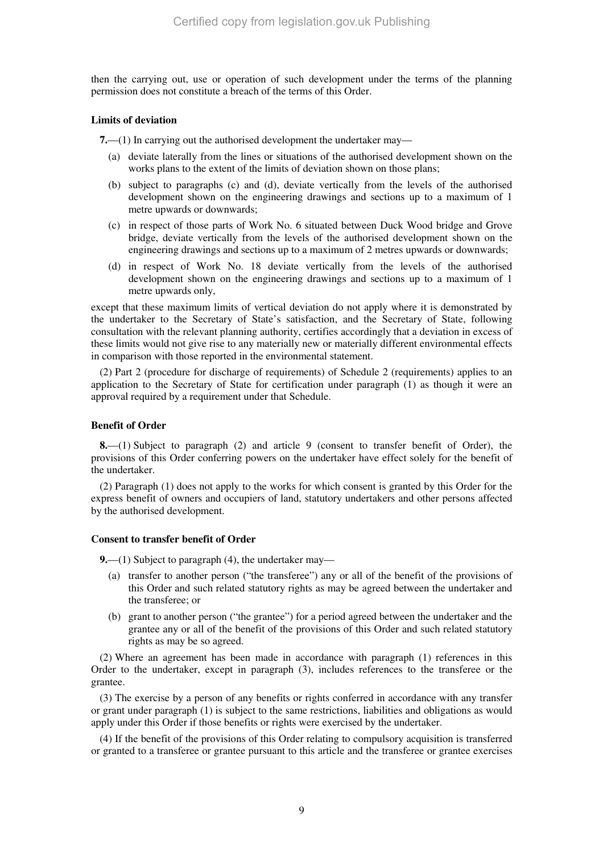then the carrying out, use or operation of such development under the terms of the planning permission does not constitute a breach of the terms of this Order.

#### **Limits of deviation**

**7.**—(1) In carrying out the authorised development the undertaker may—

- (a) deviate laterally from the lines or situations of the authorised development shown on the works plans to the extent of the limits of deviation shown on those plans;
- (b) subject to paragraphs (c) and (d), deviate vertically from the levels of the authorised development shown on the engineering drawings and sections up to a maximum of 1 metre upwards or downwards;
- (c) in respect of those parts of Work No. 6 situated between Duck Wood bridge and Grove bridge, deviate vertically from the levels of the authorised development shown on the engineering drawings and sections up to a maximum of 2 metres upwards or downwards;
- (d) in respect of Work No. 18 deviate vertically from the levels of the authorised development shown on the engineering drawings and sections up to a maximum of 1 metre upwards only,

except that these maximum limits of vertical deviation do not apply where it is demonstrated by the undertaker to the Secretary of State's satisfaction, and the Secretary of State, following consultation with the relevant planning authority, certifies accordingly that a deviation in excess of these limits would not give rise to any materially new or materially different environmental effects in comparison with those reported in the environmental statement.

(2) Part 2 (procedure for discharge of requirements) of Schedule 2 (requirements) applies to an application to the Secretary of State for certification under paragraph (1) as though it were an approval required by a requirement under that Schedule.

## **Benefit of Order**

**8.**—(1) Subject to paragraph (2) and article 9 (consent to transfer benefit of Order), the provisions of this Order conferring powers on the undertaker have effect solely for the benefit of the undertaker.

(2) Paragraph (1) does not apply to the works for which consent is granted by this Order for the express benefit of owners and occupiers of land, statutory undertakers and other persons affected by the authorised development.

### **Consent to transfer benefit of Order**

**9.**—(1) Subject to paragraph (4), the undertaker may—

- (a) transfer to another person ("the transferee") any or all of the benefit of the provisions of this Order and such related statutory rights as may be agreed between the undertaker and the transferee; or
- (b) grant to another person ("the grantee") for a period agreed between the undertaker and the grantee any or all of the benefit of the provisions of this Order and such related statutory rights as may be so agreed.

(2) Where an agreement has been made in accordance with paragraph (1) references in this Order to the undertaker, except in paragraph (3), includes references to the transferee or the grantee.

(3) The exercise by a person of any benefits or rights conferred in accordance with any transfer or grant under paragraph (1) is subject to the same restrictions, liabilities and obligations as would apply under this Order if those benefits or rights were exercised by the undertaker.

(4) If the benefit of the provisions of this Order relating to compulsory acquisition is transferred or granted to a transferee or grantee pursuant to this article and the transferee or grantee exercises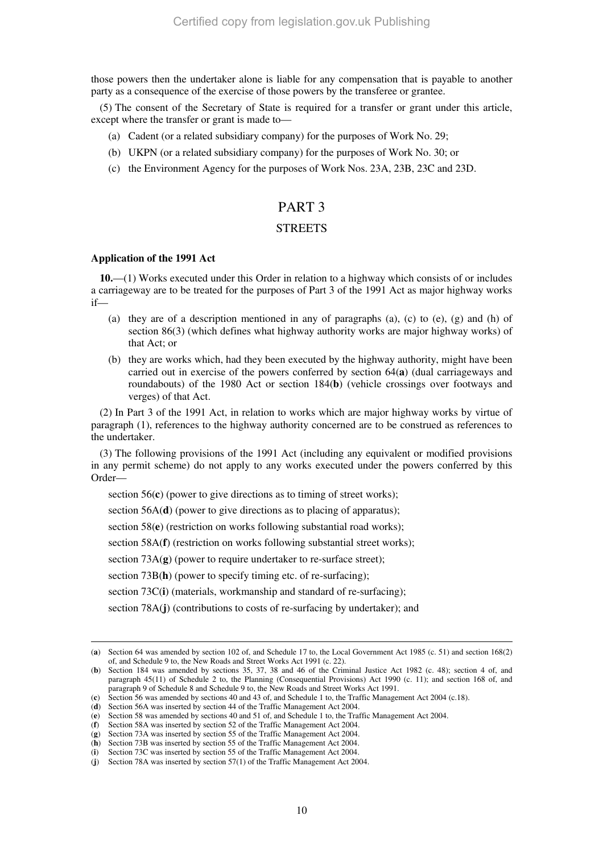those powers then the undertaker alone is liable for any compensation that is payable to another party as a consequence of the exercise of those powers by the transferee or grantee.

(5) The consent of the Secretary of State is required for a transfer or grant under this article, except where the transfer or grant is made to—

- (a) Cadent (or a related subsidiary company) for the purposes of Work No. 29;
- (b) UKPN (or a related subsidiary company) for the purposes of Work No. 30; or
- (c) the Environment Agency for the purposes of Work Nos. 23A, 23B, 23C and 23D.

## PART 3

## **STREETS**

### **Application of the 1991 Act**

-

**10.**—(1) Works executed under this Order in relation to a highway which consists of or includes a carriageway are to be treated for the purposes of Part 3 of the 1991 Act as major highway works if—

- (a) they are of a description mentioned in any of paragraphs (a), (c) to (e), (g) and (h) of section 86(3) (which defines what highway authority works are major highway works) of that Act; or
- (b) they are works which, had they been executed by the highway authority, might have been carried out in exercise of the powers conferred by section 64(**a**) (dual carriageways and roundabouts) of the 1980 Act or section 184(**b**) (vehicle crossings over footways and verges) of that Act.

(2) In Part 3 of the 1991 Act, in relation to works which are major highway works by virtue of paragraph (1), references to the highway authority concerned are to be construed as references to the undertaker.

(3) The following provisions of the 1991 Act (including any equivalent or modified provisions in any permit scheme) do not apply to any works executed under the powers conferred by this Order—

section 56(**c**) (power to give directions as to timing of street works);

section 56A(**d**) (power to give directions as to placing of apparatus);

section 58(**e**) (restriction on works following substantial road works);

section 58A(**f**) (restriction on works following substantial street works);

section 73A(**g**) (power to require undertaker to re-surface street);

section 73B(h) (power to specify timing etc. of re-surfacing);

section 73C(**i**) (materials, workmanship and standard of re-surfacing);

section 78A(**j**) (contributions to costs of re-surfacing by undertaker); and

<sup>(</sup>**a**) Section 64 was amended by section 102 of, and Schedule 17 to, the Local Government Act 1985 (c. 51) and section 168(2) of, and Schedule 9 to, the New Roads and Street Works Act 1991 (c. 22).

<sup>(</sup>**b**) Section 184 was amended by sections 35, 37, 38 and 46 of the Criminal Justice Act 1982 (c. 48); section 4 of, and paragraph 45(11) of Schedule 2 to, the Planning (Consequential Provisions) Act 1990 (c. 11); and section 168 of, and paragraph 9 of Schedule 8 and Schedule 9 to, the New Roads and Street Works Act 1991.

<sup>(</sup>**c**) Section 56 was amended by sections 40 and 43 of, and Schedule 1 to, the Traffic Management Act 2004 (c.18).

<sup>(</sup>**d**) Section 56A was inserted by section 44 of the Traffic Management Act 2004.

<sup>(</sup>**e**) Section 58 was amended by sections 40 and 51 of, and Schedule 1 to, the Traffic Management Act 2004.

<sup>(</sup>**f**) Section 58A was inserted by section 52 of the Traffic Management Act 2004.

<sup>(</sup>**g**) Section 73A was inserted by section 55 of the Traffic Management Act 2004.

<sup>(</sup>**h**) Section 73B was inserted by section 55 of the Traffic Management Act 2004. (**i**) Section 73C was inserted by section 55 of the Traffic Management Act 2004.

<sup>(</sup>**j**) Section 78A was inserted by section 57(1) of the Traffic Management Act 2004.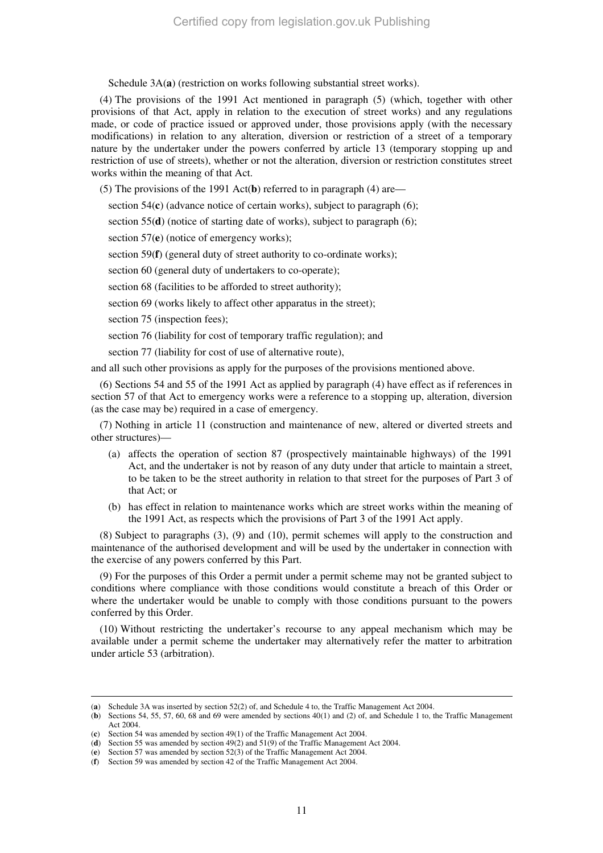Schedule 3A(a) (restriction on works following substantial street works).

(4) The provisions of the 1991 Act mentioned in paragraph (5) (which, together with other provisions of that Act, apply in relation to the execution of street works) and any regulations made, or code of practice issued or approved under, those provisions apply (with the necessary modifications) in relation to any alteration, diversion or restriction of a street of a temporary nature by the undertaker under the powers conferred by article 13 (temporary stopping up and restriction of use of streets), whether or not the alteration, diversion or restriction constitutes street works within the meaning of that Act.

(5) The provisions of the 1991 Act(**b**) referred to in paragraph (4) are—

section 54(**c**) (advance notice of certain works), subject to paragraph (6);

section 55(**d**) (notice of starting date of works), subject to paragraph (6);

section 57(**e**) (notice of emergency works);

section 59(**f**) (general duty of street authority to co-ordinate works);

section 60 (general duty of undertakers to co-operate);

section 68 (facilities to be afforded to street authority);

section 69 (works likely to affect other apparatus in the street);

section 75 (inspection fees);

section 76 (liability for cost of temporary traffic regulation); and

section 77 (liability for cost of use of alternative route),

and all such other provisions as apply for the purposes of the provisions mentioned above.

(6) Sections 54 and 55 of the 1991 Act as applied by paragraph (4) have effect as if references in section 57 of that Act to emergency works were a reference to a stopping up, alteration, diversion (as the case may be) required in a case of emergency.

(7) Nothing in article 11 (construction and maintenance of new, altered or diverted streets and other structures)—

- (a) affects the operation of section 87 (prospectively maintainable highways) of the 1991 Act, and the undertaker is not by reason of any duty under that article to maintain a street, to be taken to be the street authority in relation to that street for the purposes of Part 3 of that Act; or
- (b) has effect in relation to maintenance works which are street works within the meaning of the 1991 Act, as respects which the provisions of Part 3 of the 1991 Act apply.

(8) Subject to paragraphs (3), (9) and (10), permit schemes will apply to the construction and maintenance of the authorised development and will be used by the undertaker in connection with the exercise of any powers conferred by this Part.

(9) For the purposes of this Order a permit under a permit scheme may not be granted subject to conditions where compliance with those conditions would constitute a breach of this Order or where the undertaker would be unable to comply with those conditions pursuant to the powers conferred by this Order.

(10) Without restricting the undertaker's recourse to any appeal mechanism which may be available under a permit scheme the undertaker may alternatively refer the matter to arbitration under article 53 (arbitration).

<sup>(</sup>**a**) Schedule 3A was inserted by section 52(2) of, and Schedule 4 to, the Traffic Management Act 2004.

<sup>(</sup>**b**) Sections 54, 55, 57, 60, 68 and 69 were amended by sections 40(1) and (2) of, and Schedule 1 to, the Traffic Management Act 2004.

<sup>(</sup>**c**) Section 54 was amended by section 49(1) of the Traffic Management Act 2004.

<sup>(</sup>**d**) Section 55 was amended by section 49(2) and 51(9) of the Traffic Management Act 2004.

<sup>(</sup>**e**) Section 57 was amended by section 52(3) of the Traffic Management Act 2004.

<sup>(</sup>**f**) Section 59 was amended by section 42 of the Traffic Management Act 2004.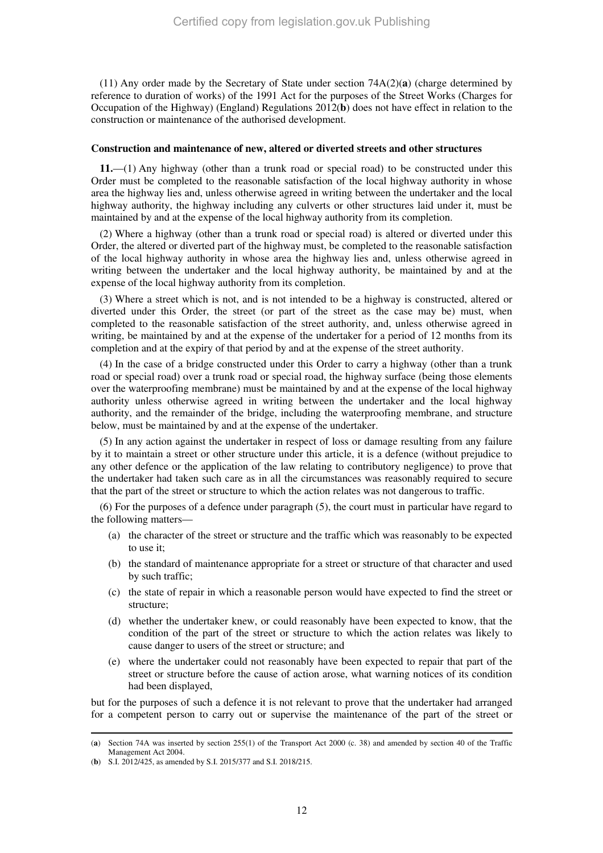(11) Any order made by the Secretary of State under section 74A(2)(**a**) (charge determined by reference to duration of works) of the 1991 Act for the purposes of the Street Works (Charges for Occupation of the Highway) (England) Regulations 2012(**b**) does not have effect in relation to the construction or maintenance of the authorised development.

#### **Construction and maintenance of new, altered or diverted streets and other structures**

**11.**—(1) Any highway (other than a trunk road or special road) to be constructed under this Order must be completed to the reasonable satisfaction of the local highway authority in whose area the highway lies and, unless otherwise agreed in writing between the undertaker and the local highway authority, the highway including any culverts or other structures laid under it, must be maintained by and at the expense of the local highway authority from its completion.

(2) Where a highway (other than a trunk road or special road) is altered or diverted under this Order, the altered or diverted part of the highway must, be completed to the reasonable satisfaction of the local highway authority in whose area the highway lies and, unless otherwise agreed in writing between the undertaker and the local highway authority, be maintained by and at the expense of the local highway authority from its completion.

(3) Where a street which is not, and is not intended to be a highway is constructed, altered or diverted under this Order, the street (or part of the street as the case may be) must, when completed to the reasonable satisfaction of the street authority, and, unless otherwise agreed in writing, be maintained by and at the expense of the undertaker for a period of 12 months from its completion and at the expiry of that period by and at the expense of the street authority.

(4) In the case of a bridge constructed under this Order to carry a highway (other than a trunk road or special road) over a trunk road or special road, the highway surface (being those elements over the waterproofing membrane) must be maintained by and at the expense of the local highway authority unless otherwise agreed in writing between the undertaker and the local highway authority, and the remainder of the bridge, including the waterproofing membrane, and structure below, must be maintained by and at the expense of the undertaker.

(5) In any action against the undertaker in respect of loss or damage resulting from any failure by it to maintain a street or other structure under this article, it is a defence (without prejudice to any other defence or the application of the law relating to contributory negligence) to prove that the undertaker had taken such care as in all the circumstances was reasonably required to secure that the part of the street or structure to which the action relates was not dangerous to traffic.

(6) For the purposes of a defence under paragraph (5), the court must in particular have regard to the following matters—

- (a) the character of the street or structure and the traffic which was reasonably to be expected to use it;
- (b) the standard of maintenance appropriate for a street or structure of that character and used by such traffic;
- (c) the state of repair in which a reasonable person would have expected to find the street or structure;
- (d) whether the undertaker knew, or could reasonably have been expected to know, that the condition of the part of the street or structure to which the action relates was likely to cause danger to users of the street or structure; and
- (e) where the undertaker could not reasonably have been expected to repair that part of the street or structure before the cause of action arose, what warning notices of its condition had been displayed,

but for the purposes of such a defence it is not relevant to prove that the undertaker had arranged for a competent person to carry out or supervise the maintenance of the part of the street or

<sup>(</sup>**a**) Section 74A was inserted by section 255(1) of the Transport Act 2000 (c. 38) and amended by section 40 of the Traffic Management Act 2004.

<sup>(</sup>**b**) S.I. 2012/425, as amended by S.I. 2015/377 and S.I. 2018/215.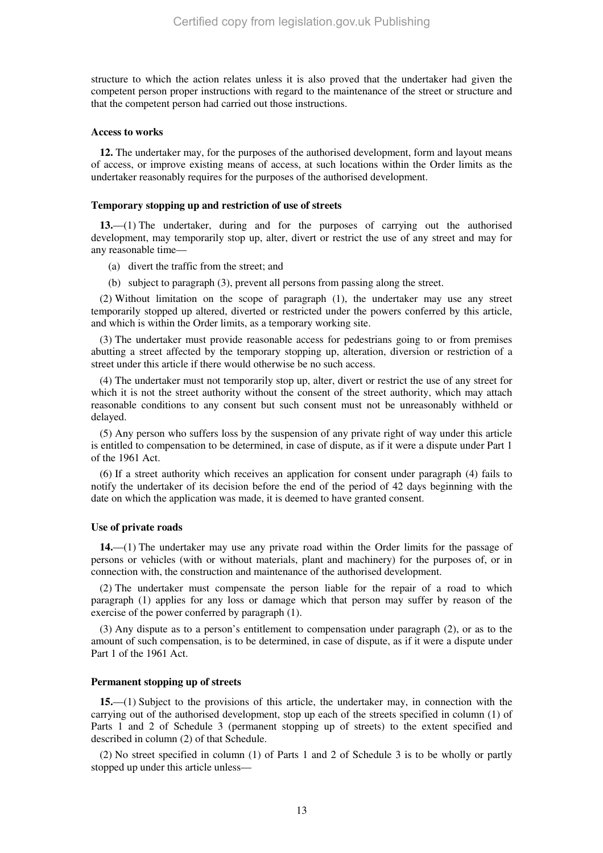structure to which the action relates unless it is also proved that the undertaker had given the competent person proper instructions with regard to the maintenance of the street or structure and that the competent person had carried out those instructions.

#### **Access to works**

**12.** The undertaker may, for the purposes of the authorised development, form and layout means of access, or improve existing means of access, at such locations within the Order limits as the undertaker reasonably requires for the purposes of the authorised development.

#### **Temporary stopping up and restriction of use of streets**

**13.**—(1) The undertaker, during and for the purposes of carrying out the authorised development, may temporarily stop up, alter, divert or restrict the use of any street and may for any reasonable time—

- (a) divert the traffic from the street; and
- (b) subject to paragraph (3), prevent all persons from passing along the street.

(2) Without limitation on the scope of paragraph (1), the undertaker may use any street temporarily stopped up altered, diverted or restricted under the powers conferred by this article, and which is within the Order limits, as a temporary working site.

(3) The undertaker must provide reasonable access for pedestrians going to or from premises abutting a street affected by the temporary stopping up, alteration, diversion or restriction of a street under this article if there would otherwise be no such access.

(4) The undertaker must not temporarily stop up, alter, divert or restrict the use of any street for which it is not the street authority without the consent of the street authority, which may attach reasonable conditions to any consent but such consent must not be unreasonably withheld or delayed.

(5) Any person who suffers loss by the suspension of any private right of way under this article is entitled to compensation to be determined, in case of dispute, as if it were a dispute under Part 1 of the 1961 Act.

(6) If a street authority which receives an application for consent under paragraph (4) fails to notify the undertaker of its decision before the end of the period of 42 days beginning with the date on which the application was made, it is deemed to have granted consent.

#### **Use of private roads**

**14.**—(1) The undertaker may use any private road within the Order limits for the passage of persons or vehicles (with or without materials, plant and machinery) for the purposes of, or in connection with, the construction and maintenance of the authorised development.

(2) The undertaker must compensate the person liable for the repair of a road to which paragraph (1) applies for any loss or damage which that person may suffer by reason of the exercise of the power conferred by paragraph (1).

(3) Any dispute as to a person's entitlement to compensation under paragraph (2), or as to the amount of such compensation, is to be determined, in case of dispute, as if it were a dispute under Part 1 of the 1961 Act.

#### **Permanent stopping up of streets**

**15.**—(1) Subject to the provisions of this article, the undertaker may, in connection with the carrying out of the authorised development, stop up each of the streets specified in column (1) of Parts 1 and 2 of Schedule 3 (permanent stopping up of streets) to the extent specified and described in column (2) of that Schedule.

(2) No street specified in column (1) of Parts 1 and 2 of Schedule 3 is to be wholly or partly stopped up under this article unless—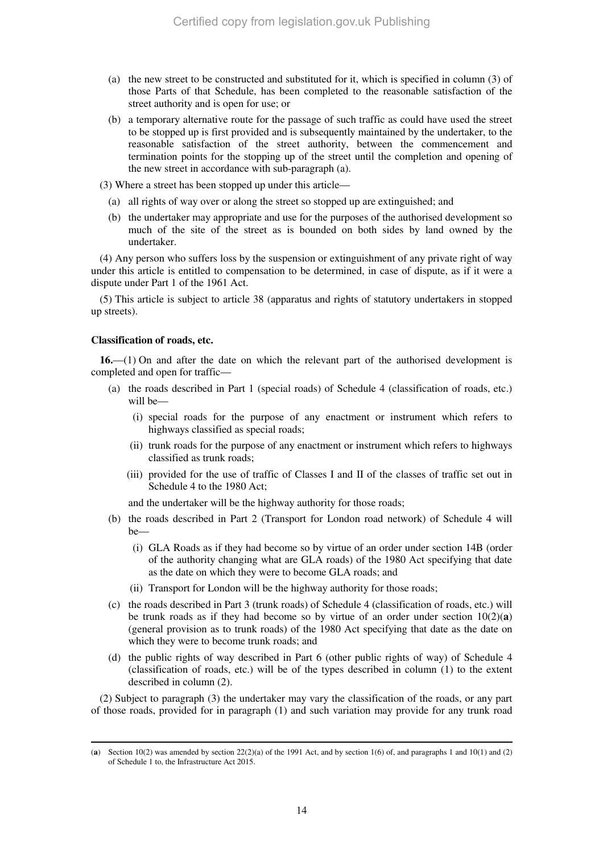- (a) the new street to be constructed and substituted for it, which is specified in column (3) of those Parts of that Schedule, has been completed to the reasonable satisfaction of the street authority and is open for use; or
- (b) a temporary alternative route for the passage of such traffic as could have used the street to be stopped up is first provided and is subsequently maintained by the undertaker, to the reasonable satisfaction of the street authority, between the commencement and termination points for the stopping up of the street until the completion and opening of the new street in accordance with sub-paragraph (a).

(3) Where a street has been stopped up under this article—

- (a) all rights of way over or along the street so stopped up are extinguished; and
- (b) the undertaker may appropriate and use for the purposes of the authorised development so much of the site of the street as is bounded on both sides by land owned by the undertaker.

(4) Any person who suffers loss by the suspension or extinguishment of any private right of way under this article is entitled to compensation to be determined, in case of dispute, as if it were a dispute under Part 1 of the 1961 Act.

(5) This article is subject to article 38 (apparatus and rights of statutory undertakers in stopped up streets).

## **Classification of roads, etc.**

-

**16.**—(1) On and after the date on which the relevant part of the authorised development is completed and open for traffic—

- (a) the roads described in Part 1 (special roads) of Schedule 4 (classification of roads, etc.) will be—
	- (i) special roads for the purpose of any enactment or instrument which refers to highways classified as special roads;
	- (ii) trunk roads for the purpose of any enactment or instrument which refers to highways classified as trunk roads;
	- (iii) provided for the use of traffic of Classes I and II of the classes of traffic set out in Schedule 4 to the 1980 Act;

and the undertaker will be the highway authority for those roads;

- (b) the roads described in Part 2 (Transport for London road network) of Schedule 4 will be—
	- (i) GLA Roads as if they had become so by virtue of an order under section 14B (order of the authority changing what are GLA roads) of the 1980 Act specifying that date as the date on which they were to become GLA roads; and
	- (ii) Transport for London will be the highway authority for those roads;
- (c) the roads described in Part 3 (trunk roads) of Schedule 4 (classification of roads, etc.) will be trunk roads as if they had become so by virtue of an order under section  $10(2)(a)$ (general provision as to trunk roads) of the 1980 Act specifying that date as the date on which they were to become trunk roads; and
- (d) the public rights of way described in Part 6 (other public rights of way) of Schedule 4 (classification of roads, etc.) will be of the types described in column (1) to the extent described in column (2).

(2) Subject to paragraph (3) the undertaker may vary the classification of the roads, or any part of those roads, provided for in paragraph (1) and such variation may provide for any trunk road

<sup>(</sup>**a**) Section 10(2) was amended by section  $22(2)(a)$  of the 1991 Act, and by section 1(6) of, and paragraphs 1 and 10(1) and (2) of Schedule 1 to, the Infrastructure Act 2015.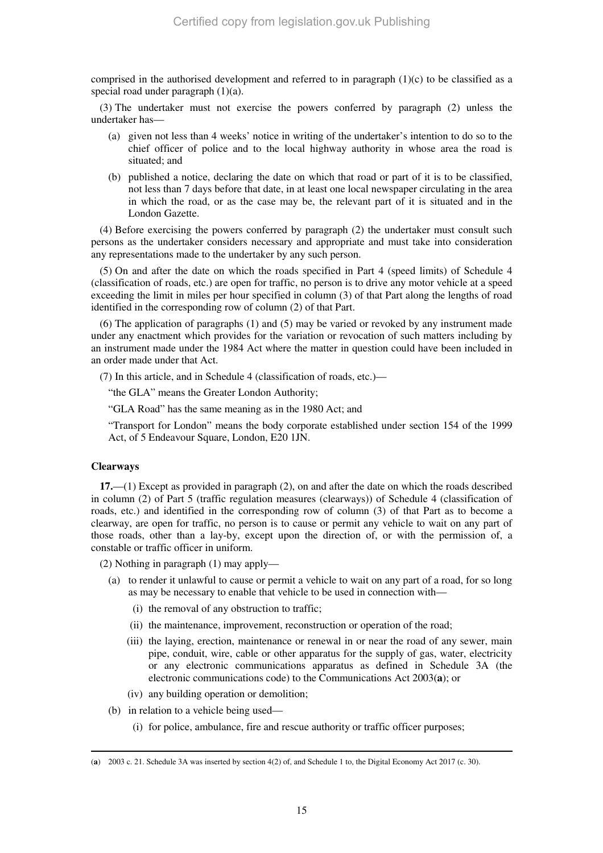comprised in the authorised development and referred to in paragraph  $(1)(c)$  to be classified as a special road under paragraph  $(1)(a)$ .

(3) The undertaker must not exercise the powers conferred by paragraph (2) unless the undertaker has—

- (a) given not less than 4 weeks' notice in writing of the undertaker's intention to do so to the chief officer of police and to the local highway authority in whose area the road is situated; and
- (b) published a notice, declaring the date on which that road or part of it is to be classified, not less than 7 days before that date, in at least one local newspaper circulating in the area in which the road, or as the case may be, the relevant part of it is situated and in the London Gazette.

(4) Before exercising the powers conferred by paragraph (2) the undertaker must consult such persons as the undertaker considers necessary and appropriate and must take into consideration any representations made to the undertaker by any such person.

(5) On and after the date on which the roads specified in Part 4 (speed limits) of Schedule 4 (classification of roads, etc.) are open for traffic, no person is to drive any motor vehicle at a speed exceeding the limit in miles per hour specified in column (3) of that Part along the lengths of road identified in the corresponding row of column (2) of that Part.

(6) The application of paragraphs (1) and (5) may be varied or revoked by any instrument made under any enactment which provides for the variation or revocation of such matters including by an instrument made under the 1984 Act where the matter in question could have been included in an order made under that Act.

(7) In this article, and in Schedule 4 (classification of roads, etc.)—

"the GLA" means the Greater London Authority;

"GLA Road" has the same meaning as in the 1980 Act; and

"Transport for London" means the body corporate established under section 154 of the 1999 Act, of 5 Endeavour Square, London, E20 1JN.

### **Clearways**

-

**17.**—(1) Except as provided in paragraph (2), on and after the date on which the roads described in column (2) of Part 5 (traffic regulation measures (clearways)) of Schedule 4 (classification of roads, etc.) and identified in the corresponding row of column (3) of that Part as to become a clearway, are open for traffic, no person is to cause or permit any vehicle to wait on any part of those roads, other than a lay-by, except upon the direction of, or with the permission of, a constable or traffic officer in uniform.

(2) Nothing in paragraph (1) may apply—

- (a) to render it unlawful to cause or permit a vehicle to wait on any part of a road, for so long as may be necessary to enable that vehicle to be used in connection with—
	- (i) the removal of any obstruction to traffic;
	- (ii) the maintenance, improvement, reconstruction or operation of the road;
	- (iii) the laying, erection, maintenance or renewal in or near the road of any sewer, main pipe, conduit, wire, cable or other apparatus for the supply of gas, water, electricity or any electronic communications apparatus as defined in Schedule 3A (the electronic communications code) to the Communications Act 2003(**a**); or
	- (iv) any building operation or demolition;
- (b) in relation to a vehicle being used—
	- (i) for police, ambulance, fire and rescue authority or traffic officer purposes;

<sup>(</sup>**a**) 2003 c. 21. Schedule 3A was inserted by section 4(2) of, and Schedule 1 to, the Digital Economy Act 2017 (c. 30).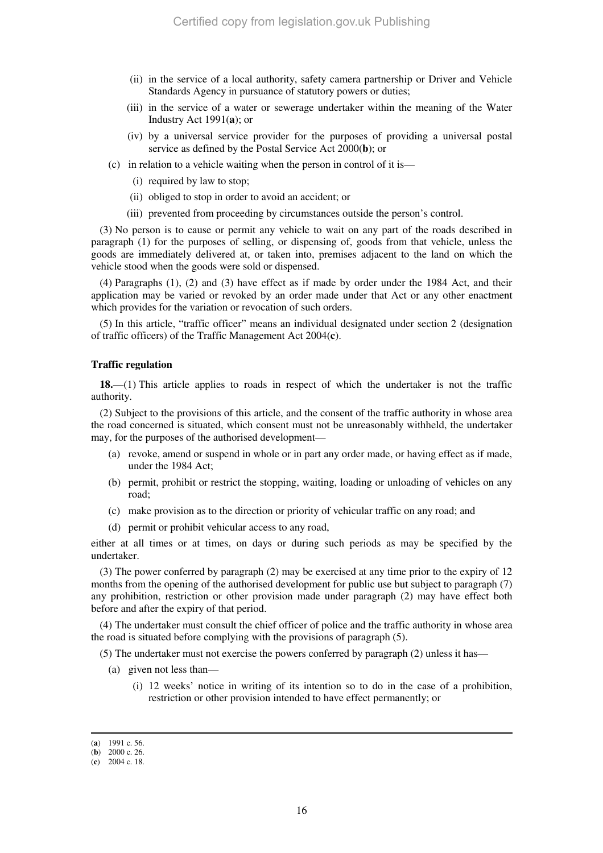- (ii) in the service of a local authority, safety camera partnership or Driver and Vehicle Standards Agency in pursuance of statutory powers or duties;
- (iii) in the service of a water or sewerage undertaker within the meaning of the Water Industry Act 1991(**a**); or
- (iv) by a universal service provider for the purposes of providing a universal postal service as defined by the Postal Service Act 2000(**b**); or
- (c) in relation to a vehicle waiting when the person in control of it is—
	- (i) required by law to stop;
	- (ii) obliged to stop in order to avoid an accident; or
	- (iii) prevented from proceeding by circumstances outside the person's control.

(3) No person is to cause or permit any vehicle to wait on any part of the roads described in paragraph (1) for the purposes of selling, or dispensing of, goods from that vehicle, unless the goods are immediately delivered at, or taken into, premises adjacent to the land on which the vehicle stood when the goods were sold or dispensed.

(4) Paragraphs (1), (2) and (3) have effect as if made by order under the 1984 Act, and their application may be varied or revoked by an order made under that Act or any other enactment which provides for the variation or revocation of such orders.

(5) In this article, "traffic officer" means an individual designated under section 2 (designation of traffic officers) of the Traffic Management Act 2004(**c**).

#### **Traffic regulation**

**18.**—(1) This article applies to roads in respect of which the undertaker is not the traffic authority.

(2) Subject to the provisions of this article, and the consent of the traffic authority in whose area the road concerned is situated, which consent must not be unreasonably withheld, the undertaker may, for the purposes of the authorised development—

- (a) revoke, amend or suspend in whole or in part any order made, or having effect as if made, under the 1984 Act;
- (b) permit, prohibit or restrict the stopping, waiting, loading or unloading of vehicles on any road;
- (c) make provision as to the direction or priority of vehicular traffic on any road; and
- (d) permit or prohibit vehicular access to any road,

either at all times or at times, on days or during such periods as may be specified by the undertaker.

(3) The power conferred by paragraph (2) may be exercised at any time prior to the expiry of 12 months from the opening of the authorised development for public use but subject to paragraph (7) any prohibition, restriction or other provision made under paragraph (2) may have effect both before and after the expiry of that period.

(4) The undertaker must consult the chief officer of police and the traffic authority in whose area the road is situated before complying with the provisions of paragraph (5).

(5) The undertaker must not exercise the powers conferred by paragraph (2) unless it has—

- (a) given not less than—
	- (i) 12 weeks' notice in writing of its intention so to do in the case of a prohibition, restriction or other provision intended to have effect permanently; or

<sup>(</sup>**a**) 1991 c. 56.

<sup>(</sup>**b**) 2000 c. 26.

<sup>(</sup>**c**) 2004 c. 18.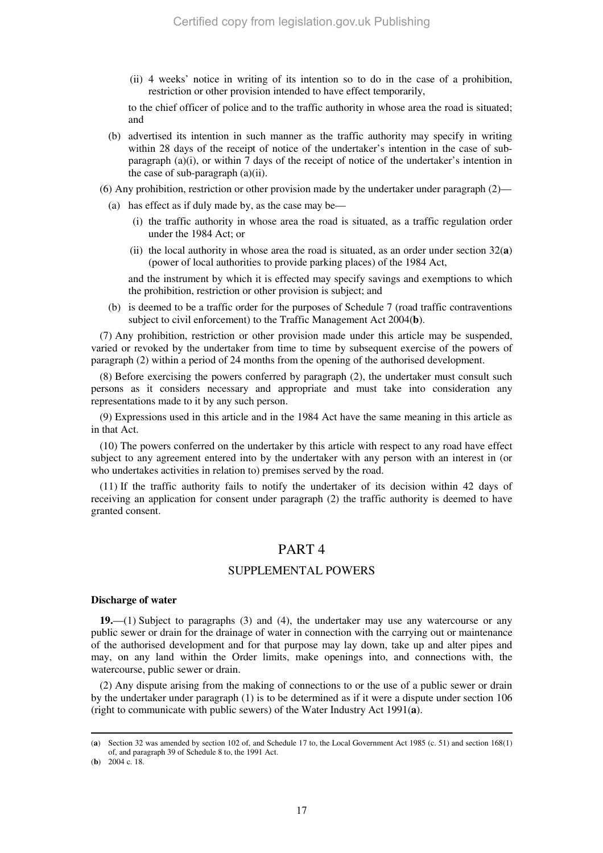(ii) 4 weeks' notice in writing of its intention so to do in the case of a prohibition, restriction or other provision intended to have effect temporarily,

to the chief officer of police and to the traffic authority in whose area the road is situated; and

- (b) advertised its intention in such manner as the traffic authority may specify in writing within 28 days of the receipt of notice of the undertaker's intention in the case of subparagraph (a)(i), or within  $\overline{7}$  days of the receipt of notice of the undertaker's intention in the case of sub-paragraph (a)(ii).
- (6) Any prohibition, restriction or other provision made by the undertaker under paragraph (2)—
	- (a) has effect as if duly made by, as the case may be—
		- (i) the traffic authority in whose area the road is situated, as a traffic regulation order under the 1984 Act; or
		- (ii) the local authority in whose area the road is situated, as an order under section  $32(a)$ (power of local authorities to provide parking places) of the 1984 Act,

and the instrument by which it is effected may specify savings and exemptions to which the prohibition, restriction or other provision is subject; and

(b) is deemed to be a traffic order for the purposes of Schedule 7 (road traffic contraventions subject to civil enforcement) to the Traffic Management Act 2004(**b**).

(7) Any prohibition, restriction or other provision made under this article may be suspended, varied or revoked by the undertaker from time to time by subsequent exercise of the powers of paragraph (2) within a period of 24 months from the opening of the authorised development.

(8) Before exercising the powers conferred by paragraph (2), the undertaker must consult such persons as it considers necessary and appropriate and must take into consideration any representations made to it by any such person.

(9) Expressions used in this article and in the 1984 Act have the same meaning in this article as in that Act.

(10) The powers conferred on the undertaker by this article with respect to any road have effect subject to any agreement entered into by the undertaker with any person with an interest in (or who undertakes activities in relation to) premises served by the road.

(11) If the traffic authority fails to notify the undertaker of its decision within 42 days of receiving an application for consent under paragraph (2) the traffic authority is deemed to have granted consent.

## PART 4

## SUPPLEMENTAL POWERS

#### **Discharge of water**

**19.**—(1) Subject to paragraphs (3) and (4), the undertaker may use any watercourse or any public sewer or drain for the drainage of water in connection with the carrying out or maintenance of the authorised development and for that purpose may lay down, take up and alter pipes and may, on any land within the Order limits, make openings into, and connections with, the watercourse, public sewer or drain.

(2) Any dispute arising from the making of connections to or the use of a public sewer or drain by the undertaker under paragraph (1) is to be determined as if it were a dispute under section 106 (right to communicate with public sewers) of the Water Industry Act 1991(**a**).

<sup>(</sup>**a**) Section 32 was amended by section 102 of, and Schedule 17 to, the Local Government Act 1985 (c. 51) and section 168(1) of, and paragraph 39 of Schedule 8 to, the 1991 Act.

<sup>(</sup>**b**) 2004 c. 18.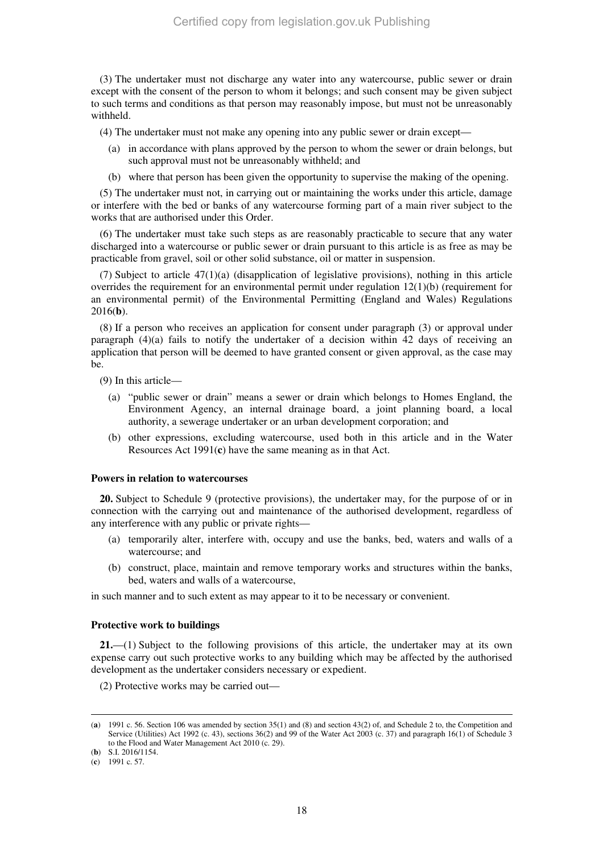(3) The undertaker must not discharge any water into any watercourse, public sewer or drain except with the consent of the person to whom it belongs; and such consent may be given subject to such terms and conditions as that person may reasonably impose, but must not be unreasonably withheld.

(4) The undertaker must not make any opening into any public sewer or drain except—

- (a) in accordance with plans approved by the person to whom the sewer or drain belongs, but such approval must not be unreasonably withheld; and
- (b) where that person has been given the opportunity to supervise the making of the opening.

(5) The undertaker must not, in carrying out or maintaining the works under this article, damage or interfere with the bed or banks of any watercourse forming part of a main river subject to the works that are authorised under this Order.

(6) The undertaker must take such steps as are reasonably practicable to secure that any water discharged into a watercourse or public sewer or drain pursuant to this article is as free as may be practicable from gravel, soil or other solid substance, oil or matter in suspension.

(7) Subject to article 47(1)(a) (disapplication of legislative provisions), nothing in this article overrides the requirement for an environmental permit under regulation  $12(1)(b)$  (requirement for an environmental permit) of the Environmental Permitting (England and Wales) Regulations 2016(**b**).

(8) If a person who receives an application for consent under paragraph (3) or approval under paragraph  $(4)(a)$  fails to notify the undertaker of a decision within 42 days of receiving an application that person will be deemed to have granted consent or given approval, as the case may be.

(9) In this article—

- (a) "public sewer or drain" means a sewer or drain which belongs to Homes England, the Environment Agency, an internal drainage board, a joint planning board, a local authority, a sewerage undertaker or an urban development corporation; and
- (b) other expressions, excluding watercourse, used both in this article and in the Water Resources Act 1991(**c**) have the same meaning as in that Act.

#### **Powers in relation to watercourses**

**20.** Subject to Schedule 9 (protective provisions), the undertaker may, for the purpose of or in connection with the carrying out and maintenance of the authorised development, regardless of any interference with any public or private rights—

- (a) temporarily alter, interfere with, occupy and use the banks, bed, waters and walls of a watercourse; and
- (b) construct, place, maintain and remove temporary works and structures within the banks, bed, waters and walls of a watercourse,

in such manner and to such extent as may appear to it to be necessary or convenient.

#### **Protective work to buildings**

**21.**—(1) Subject to the following provisions of this article, the undertaker may at its own expense carry out such protective works to any building which may be affected by the authorised development as the undertaker considers necessary or expedient.

(2) Protective works may be carried out—

(**b**) S.I. 2016/1154.

<sup>(</sup>**a**) 1991 c. 56. Section 106 was amended by section 35(1) and (8) and section 43(2) of, and Schedule 2 to, the Competition and Service (Utilities) Act 1992 (c. 43), sections 36(2) and 99 of the Water Act 2003 (c. 37) and paragraph 16(1) of Schedule 3 to the Flood and Water Management Act 2010 (c. 29).

<sup>(</sup>**c**) 1991 c. 57.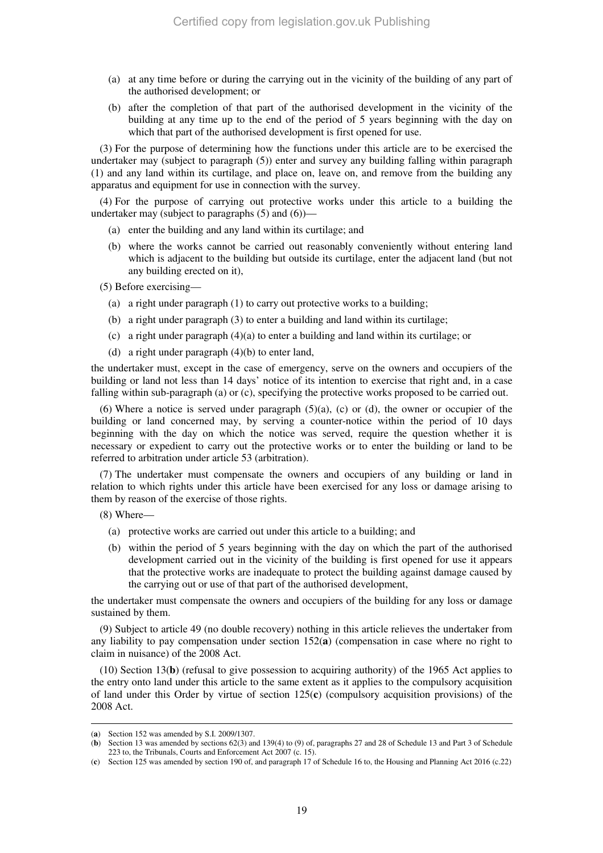- (a) at any time before or during the carrying out in the vicinity of the building of any part of the authorised development; or
- (b) after the completion of that part of the authorised development in the vicinity of the building at any time up to the end of the period of 5 years beginning with the day on which that part of the authorised development is first opened for use.

(3) For the purpose of determining how the functions under this article are to be exercised the undertaker may (subject to paragraph (5)) enter and survey any building falling within paragraph (1) and any land within its curtilage, and place on, leave on, and remove from the building any apparatus and equipment for use in connection with the survey.

(4) For the purpose of carrying out protective works under this article to a building the undertaker may (subject to paragraphs (5) and (6))—

- (a) enter the building and any land within its curtilage; and
- (b) where the works cannot be carried out reasonably conveniently without entering land which is adjacent to the building but outside its curtilage, enter the adjacent land (but not any building erected on it),

(5) Before exercising—

- (a) a right under paragraph (1) to carry out protective works to a building;
- (b) a right under paragraph (3) to enter a building and land within its curtilage;
- (c) a right under paragraph (4)(a) to enter a building and land within its curtilage; or
- (d) a right under paragraph (4)(b) to enter land,

the undertaker must, except in the case of emergency, serve on the owners and occupiers of the building or land not less than 14 days' notice of its intention to exercise that right and, in a case falling within sub-paragraph (a) or (c), specifying the protective works proposed to be carried out.

(6) Where a notice is served under paragraph  $(5)(a)$ , (c) or (d), the owner or occupier of the building or land concerned may, by serving a counter-notice within the period of 10 days beginning with the day on which the notice was served, require the question whether it is necessary or expedient to carry out the protective works or to enter the building or land to be referred to arbitration under article 53 (arbitration).

(7) The undertaker must compensate the owners and occupiers of any building or land in relation to which rights under this article have been exercised for any loss or damage arising to them by reason of the exercise of those rights.

(8) Where—

-

- (a) protective works are carried out under this article to a building; and
- (b) within the period of 5 years beginning with the day on which the part of the authorised development carried out in the vicinity of the building is first opened for use it appears that the protective works are inadequate to protect the building against damage caused by the carrying out or use of that part of the authorised development,

the undertaker must compensate the owners and occupiers of the building for any loss or damage sustained by them.

(9) Subject to article 49 (no double recovery) nothing in this article relieves the undertaker from any liability to pay compensation under section 152(**a**) (compensation in case where no right to claim in nuisance) of the 2008 Act.

(10) Section 13(**b**) (refusal to give possession to acquiring authority) of the 1965 Act applies to the entry onto land under this article to the same extent as it applies to the compulsory acquisition of land under this Order by virtue of section 125(**c**) (compulsory acquisition provisions) of the 2008 Act.

<sup>(</sup>**a**) Section 152 was amended by S.I. 2009/1307.

<sup>(</sup>**b**) Section 13 was amended by sections 62(3) and 139(4) to (9) of, paragraphs 27 and 28 of Schedule 13 and Part 3 of Schedule 223 to, the Tribunals, Courts and Enforcement Act 2007 (c. 15).

<sup>(</sup>**c**) Section 125 was amended by section 190 of, and paragraph 17 of Schedule 16 to, the Housing and Planning Act 2016 (c.22)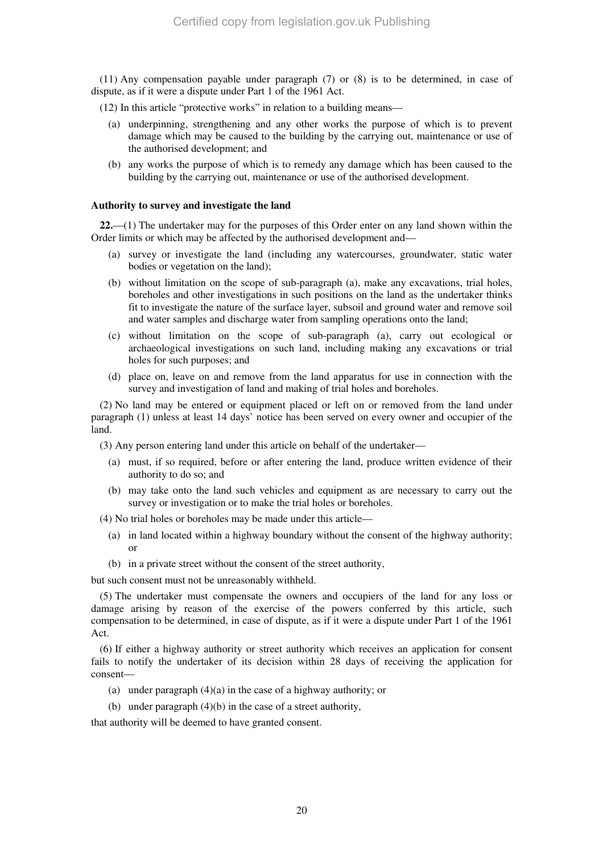(11) Any compensation payable under paragraph (7) or (8) is to be determined, in case of dispute, as if it were a dispute under Part 1 of the 1961 Act.

(12) In this article "protective works" in relation to a building means—

- (a) underpinning, strengthening and any other works the purpose of which is to prevent damage which may be caused to the building by the carrying out, maintenance or use of the authorised development; and
- (b) any works the purpose of which is to remedy any damage which has been caused to the building by the carrying out, maintenance or use of the authorised development.

## **Authority to survey and investigate the land**

**22.**—(1) The undertaker may for the purposes of this Order enter on any land shown within the Order limits or which may be affected by the authorised development and—

- (a) survey or investigate the land (including any watercourses, groundwater, static water bodies or vegetation on the land);
- (b) without limitation on the scope of sub-paragraph (a), make any excavations, trial holes, boreholes and other investigations in such positions on the land as the undertaker thinks fit to investigate the nature of the surface layer, subsoil and ground water and remove soil and water samples and discharge water from sampling operations onto the land;
- (c) without limitation on the scope of sub-paragraph (a), carry out ecological or archaeological investigations on such land, including making any excavations or trial holes for such purposes; and
- (d) place on, leave on and remove from the land apparatus for use in connection with the survey and investigation of land and making of trial holes and boreholes.

(2) No land may be entered or equipment placed or left on or removed from the land under paragraph (1) unless at least 14 days' notice has been served on every owner and occupier of the land.

(3) Any person entering land under this article on behalf of the undertaker—

- (a) must, if so required, before or after entering the land, produce written evidence of their authority to do so; and
- (b) may take onto the land such vehicles and equipment as are necessary to carry out the survey or investigation or to make the trial holes or boreholes.

(4) No trial holes or boreholes may be made under this article—

- (a) in land located within a highway boundary without the consent of the highway authority; or
- (b) in a private street without the consent of the street authority,

but such consent must not be unreasonably withheld.

(5) The undertaker must compensate the owners and occupiers of the land for any loss or damage arising by reason of the exercise of the powers conferred by this article, such compensation to be determined, in case of dispute, as if it were a dispute under Part 1 of the 1961 Act.

(6) If either a highway authority or street authority which receives an application for consent fails to notify the undertaker of its decision within 28 days of receiving the application for consent—

- (a) under paragraph (4)(a) in the case of a highway authority; or
- (b) under paragraph (4)(b) in the case of a street authority,

that authority will be deemed to have granted consent.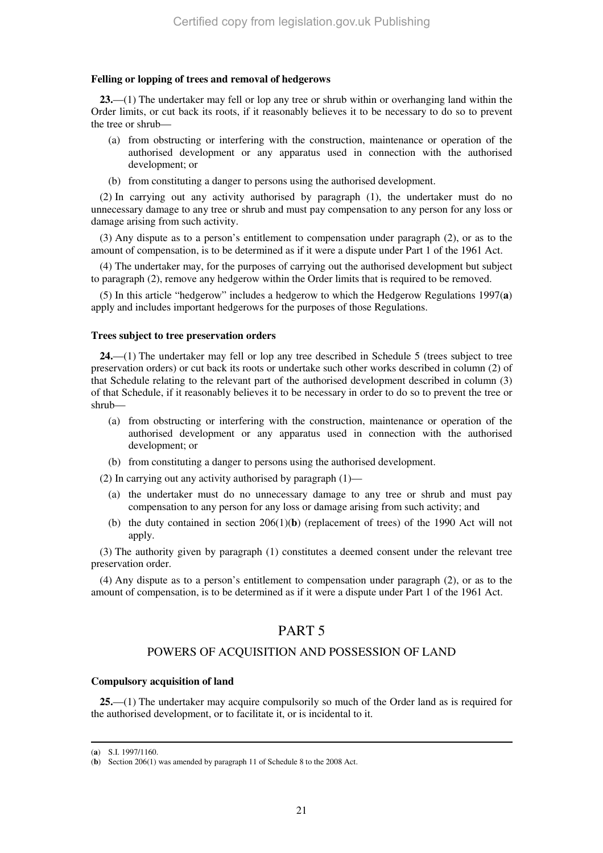### **Felling or lopping of trees and removal of hedgerows**

**23.**—(1) The undertaker may fell or lop any tree or shrub within or overhanging land within the Order limits, or cut back its roots, if it reasonably believes it to be necessary to do so to prevent the tree or shrub—

- (a) from obstructing or interfering with the construction, maintenance or operation of the authorised development or any apparatus used in connection with the authorised development; or
- (b) from constituting a danger to persons using the authorised development.

(2) In carrying out any activity authorised by paragraph (1), the undertaker must do no unnecessary damage to any tree or shrub and must pay compensation to any person for any loss or damage arising from such activity.

(3) Any dispute as to a person's entitlement to compensation under paragraph (2), or as to the amount of compensation, is to be determined as if it were a dispute under Part 1 of the 1961 Act.

(4) The undertaker may, for the purposes of carrying out the authorised development but subject to paragraph (2), remove any hedgerow within the Order limits that is required to be removed.

(5) In this article "hedgerow" includes a hedgerow to which the Hedgerow Regulations 1997(**a**) apply and includes important hedgerows for the purposes of those Regulations.

#### **Trees subject to tree preservation orders**

**24.**—(1) The undertaker may fell or lop any tree described in Schedule 5 (trees subject to tree preservation orders) or cut back its roots or undertake such other works described in column (2) of that Schedule relating to the relevant part of the authorised development described in column (3) of that Schedule, if it reasonably believes it to be necessary in order to do so to prevent the tree or shrub—

- (a) from obstructing or interfering with the construction, maintenance or operation of the authorised development or any apparatus used in connection with the authorised development; or
- (b) from constituting a danger to persons using the authorised development.

(2) In carrying out any activity authorised by paragraph (1)—

- (a) the undertaker must do no unnecessary damage to any tree or shrub and must pay compensation to any person for any loss or damage arising from such activity; and
- (b) the duty contained in section 206(1)(**b**) (replacement of trees) of the 1990 Act will not apply.

(3) The authority given by paragraph (1) constitutes a deemed consent under the relevant tree preservation order.

(4) Any dispute as to a person's entitlement to compensation under paragraph (2), or as to the amount of compensation, is to be determined as if it were a dispute under Part 1 of the 1961 Act.

## PART 5

## POWERS OF ACQUISITION AND POSSESSION OF LAND

#### **Compulsory acquisition of land**

**25.**—(1) The undertaker may acquire compulsorily so much of the Order land as is required for the authorised development, or to facilitate it, or is incidental to it.

<sup>(</sup>**a**) S.I. 1997/1160.

<sup>(</sup>**b**) Section 206(1) was amended by paragraph 11 of Schedule 8 to the 2008 Act.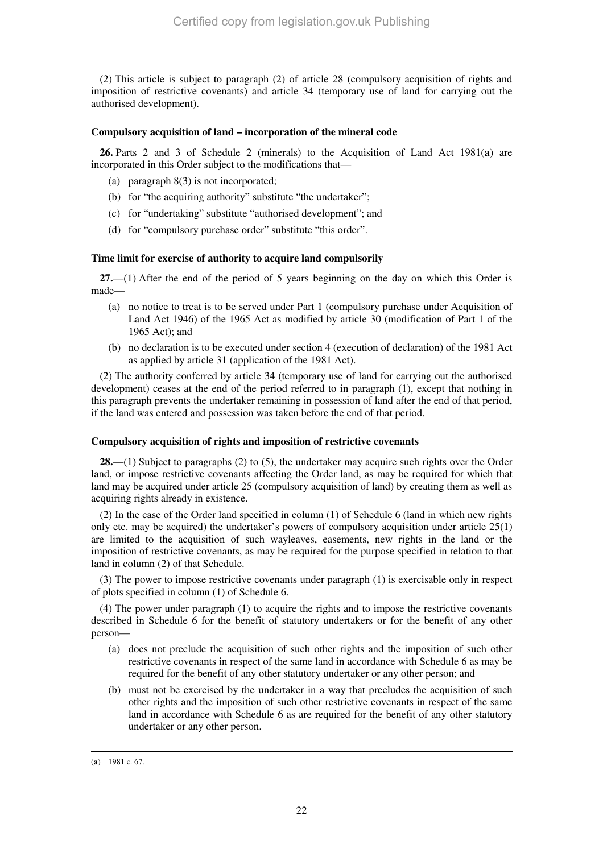(2) This article is subject to paragraph (2) of article 28 (compulsory acquisition of rights and imposition of restrictive covenants) and article 34 (temporary use of land for carrying out the authorised development).

## **Compulsory acquisition of land – incorporation of the mineral code**

**26.** Parts 2 and 3 of Schedule 2 (minerals) to the Acquisition of Land Act 1981(**a**) are incorporated in this Order subject to the modifications that—

- (a) paragraph 8(3) is not incorporated;
- (b) for "the acquiring authority" substitute "the undertaker";
- (c) for "undertaking" substitute "authorised development"; and
- (d) for "compulsory purchase order" substitute "this order".

## **Time limit for exercise of authority to acquire land compulsorily**

**27.**—(1) After the end of the period of 5 years beginning on the day on which this Order is made—

- (a) no notice to treat is to be served under Part 1 (compulsory purchase under Acquisition of Land Act 1946) of the 1965 Act as modified by article 30 (modification of Part 1 of the 1965 Act); and
- (b) no declaration is to be executed under section 4 (execution of declaration) of the 1981 Act as applied by article 31 (application of the 1981 Act).

(2) The authority conferred by article 34 (temporary use of land for carrying out the authorised development) ceases at the end of the period referred to in paragraph (1), except that nothing in this paragraph prevents the undertaker remaining in possession of land after the end of that period, if the land was entered and possession was taken before the end of that period.

### **Compulsory acquisition of rights and imposition of restrictive covenants**

**28.**—(1) Subject to paragraphs (2) to (5), the undertaker may acquire such rights over the Order land, or impose restrictive covenants affecting the Order land, as may be required for which that land may be acquired under article 25 (compulsory acquisition of land) by creating them as well as acquiring rights already in existence.

(2) In the case of the Order land specified in column (1) of Schedule 6 (land in which new rights only etc. may be acquired) the undertaker's powers of compulsory acquisition under article  $25(1)$ are limited to the acquisition of such wayleaves, easements, new rights in the land or the imposition of restrictive covenants, as may be required for the purpose specified in relation to that land in column (2) of that Schedule.

(3) The power to impose restrictive covenants under paragraph (1) is exercisable only in respect of plots specified in column (1) of Schedule 6.

(4) The power under paragraph (1) to acquire the rights and to impose the restrictive covenants described in Schedule 6 for the benefit of statutory undertakers or for the benefit of any other person—

- (a) does not preclude the acquisition of such other rights and the imposition of such other restrictive covenants in respect of the same land in accordance with Schedule 6 as may be required for the benefit of any other statutory undertaker or any other person; and
- (b) must not be exercised by the undertaker in a way that precludes the acquisition of such other rights and the imposition of such other restrictive covenants in respect of the same land in accordance with Schedule 6 as are required for the benefit of any other statutory undertaker or any other person.

<sup>-</sup>(**a**) 1981 c. 67.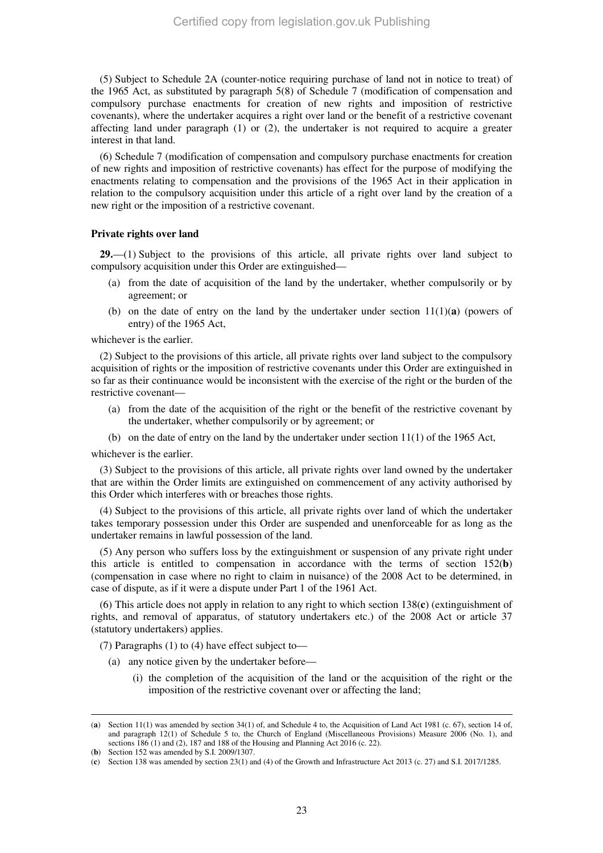(5) Subject to Schedule 2A (counter-notice requiring purchase of land not in notice to treat) of the 1965 Act, as substituted by paragraph 5(8) of Schedule 7 (modification of compensation and compulsory purchase enactments for creation of new rights and imposition of restrictive covenants), where the undertaker acquires a right over land or the benefit of a restrictive covenant affecting land under paragraph (1) or (2), the undertaker is not required to acquire a greater interest in that land.

(6) Schedule 7 (modification of compensation and compulsory purchase enactments for creation of new rights and imposition of restrictive covenants) has effect for the purpose of modifying the enactments relating to compensation and the provisions of the 1965 Act in their application in relation to the compulsory acquisition under this article of a right over land by the creation of a new right or the imposition of a restrictive covenant.

#### **Private rights over land**

**29.**—(1) Subject to the provisions of this article, all private rights over land subject to compulsory acquisition under this Order are extinguished—

- (a) from the date of acquisition of the land by the undertaker, whether compulsorily or by agreement; or
- (b) on the date of entry on the land by the undertaker under section  $11(1)(a)$  (powers of entry) of the 1965 Act,

whichever is the earlier.

(2) Subject to the provisions of this article, all private rights over land subject to the compulsory acquisition of rights or the imposition of restrictive covenants under this Order are extinguished in so far as their continuance would be inconsistent with the exercise of the right or the burden of the restrictive covenant—

- (a) from the date of the acquisition of the right or the benefit of the restrictive covenant by the undertaker, whether compulsorily or by agreement; or
- (b) on the date of entry on the land by the undertaker under section 11(1) of the 1965 Act,

whichever is the earlier.

(3) Subject to the provisions of this article, all private rights over land owned by the undertaker that are within the Order limits are extinguished on commencement of any activity authorised by this Order which interferes with or breaches those rights.

(4) Subject to the provisions of this article, all private rights over land of which the undertaker takes temporary possession under this Order are suspended and unenforceable for as long as the undertaker remains in lawful possession of the land.

(5) Any person who suffers loss by the extinguishment or suspension of any private right under this article is entitled to compensation in accordance with the terms of section 152(**b**) (compensation in case where no right to claim in nuisance) of the 2008 Act to be determined, in case of dispute, as if it were a dispute under Part 1 of the 1961 Act.

(6) This article does not apply in relation to any right to which section 138(**c**) (extinguishment of rights, and removal of apparatus, of statutory undertakers etc.) of the 2008 Act or article 37 (statutory undertakers) applies.

(7) Paragraphs (1) to (4) have effect subject to—

- (a) any notice given by the undertaker before—
	- (i) the completion of the acquisition of the land or the acquisition of the right or the imposition of the restrictive covenant over or affecting the land;

<sup>(</sup>**a**) Section 11(1) was amended by section 34(1) of, and Schedule 4 to, the Acquisition of Land Act 1981 (c. 67), section 14 of, and paragraph 12(1) of Schedule 5 to, the Church of England (Miscellaneous Provisions) Measure 2006 (No. 1), and sections 186 (1) and (2), 187 and 188 of the Housing and Planning Act 2016 (c. 22).

<sup>(</sup>**b**) Section 152 was amended by S.I. 2009/1307.

<sup>(</sup>**c**) Section 138 was amended by section 23(1) and (4) of the Growth and Infrastructure Act 2013 (c. 27) and S.I. 2017/1285.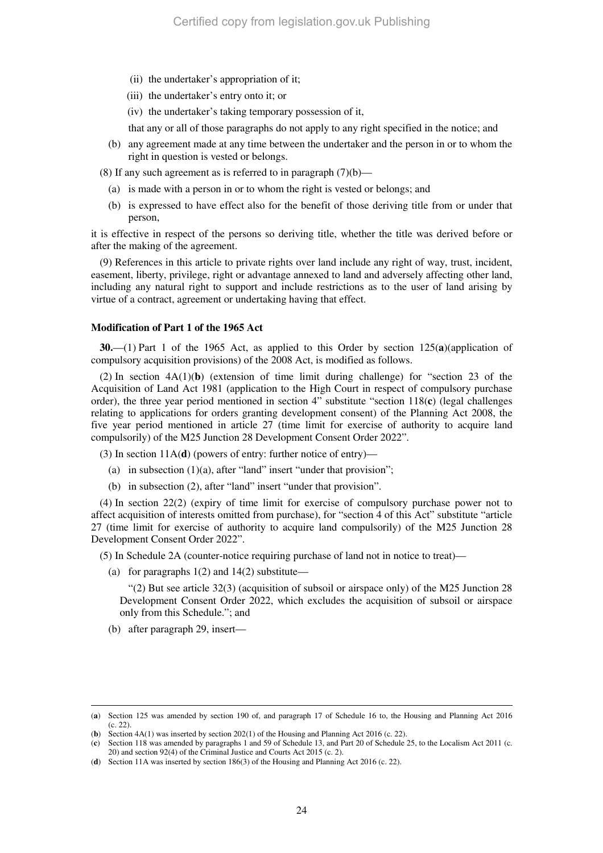- (ii) the undertaker's appropriation of it;
- (iii) the undertaker's entry onto it; or
- (iv) the undertaker's taking temporary possession of it,

that any or all of those paragraphs do not apply to any right specified in the notice; and

- (b) any agreement made at any time between the undertaker and the person in or to whom the right in question is vested or belongs.
- (8) If any such agreement as is referred to in paragraph  $(7)(b)$ 
	- (a) is made with a person in or to whom the right is vested or belongs; and
	- (b) is expressed to have effect also for the benefit of those deriving title from or under that person,

it is effective in respect of the persons so deriving title, whether the title was derived before or after the making of the agreement.

(9) References in this article to private rights over land include any right of way, trust, incident, easement, liberty, privilege, right or advantage annexed to land and adversely affecting other land, including any natural right to support and include restrictions as to the user of land arising by virtue of a contract, agreement or undertaking having that effect.

## **Modification of Part 1 of the 1965 Act**

**30.**—(1) Part 1 of the 1965 Act, as applied to this Order by section 125(**a**)(application of compulsory acquisition provisions) of the 2008 Act, is modified as follows.

(2) In section 4A(1)(**b**) (extension of time limit during challenge) for "section 23 of the Acquisition of Land Act 1981 (application to the High Court in respect of compulsory purchase order), the three year period mentioned in section 4" substitute "section 118(**c**) (legal challenges relating to applications for orders granting development consent) of the Planning Act 2008, the five year period mentioned in article 27 (time limit for exercise of authority to acquire land compulsorily) of the M25 Junction 28 Development Consent Order 2022".

(3) In section  $11A(d)$  (powers of entry: further notice of entry)-

- (a) in subsection  $(1)(a)$ , after "land" insert "under that provision";
- (b) in subsection (2), after "land" insert "under that provision".

(4) In section 22(2) (expiry of time limit for exercise of compulsory purchase power not to affect acquisition of interests omitted from purchase), for "section 4 of this Act" substitute "article 27 (time limit for exercise of authority to acquire land compulsorily) of the M25 Junction 28 Development Consent Order 2022".

(5) In Schedule 2A (counter-notice requiring purchase of land not in notice to treat)—

(a) for paragraphs  $1(2)$  and  $14(2)$  substitute—

"(2) But see article 32(3) (acquisition of subsoil or airspace only) of the M25 Junction 28 Development Consent Order 2022, which excludes the acquisition of subsoil or airspace only from this Schedule."; and

(b) after paragraph 29, insert—

<sup>(</sup>**a**) Section 125 was amended by section 190 of, and paragraph 17 of Schedule 16 to, the Housing and Planning Act 2016 (c. 22).

<sup>(</sup>**b**) Section 4A(1) was inserted by section 202(1) of the Housing and Planning Act 2016 (c. 22).

<sup>(</sup>**c**) Section 118 was amended by paragraphs 1 and 59 of Schedule 13, and Part 20 of Schedule 25, to the Localism Act 2011 (c. 20) and section 92(4) of the Criminal Justice and Courts Act 2015 (c. 2).

<sup>(</sup>**d**) Section 11A was inserted by section 186(3) of the Housing and Planning Act 2016 (c. 22).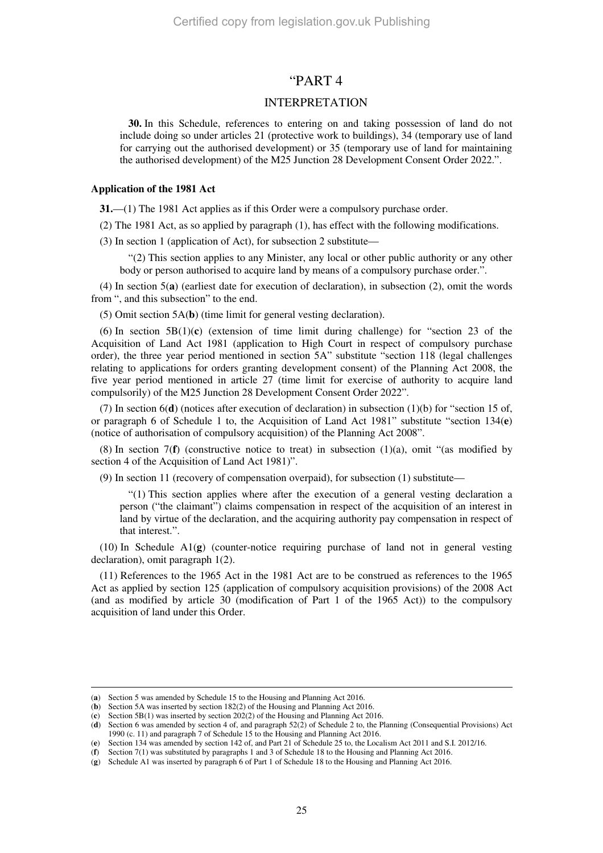## "PART 4

## INTERPRETATION

**30.** In this Schedule, references to entering on and taking possession of land do not include doing so under articles 21 (protective work to buildings), 34 (temporary use of land for carrying out the authorised development) or 35 (temporary use of land for maintaining the authorised development) of the M25 Junction 28 Development Consent Order 2022.".

#### **Application of the 1981 Act**

**31.**—(1) The 1981 Act applies as if this Order were a compulsory purchase order.

(2) The 1981 Act, as so applied by paragraph (1), has effect with the following modifications.

(3) In section 1 (application of Act), for subsection 2 substitute—

"(2) This section applies to any Minister, any local or other public authority or any other body or person authorised to acquire land by means of a compulsory purchase order.".

(4) In section 5(**a**) (earliest date for execution of declaration), in subsection (2), omit the words from ", and this subsection" to the end.

(5) Omit section 5A(**b**) (time limit for general vesting declaration).

(6) In section 5B(1)(**c**) (extension of time limit during challenge) for "section 23 of the Acquisition of Land Act 1981 (application to High Court in respect of compulsory purchase order), the three year period mentioned in section 5A" substitute "section 118 (legal challenges relating to applications for orders granting development consent) of the Planning Act 2008, the five year period mentioned in article 27 (time limit for exercise of authority to acquire land compulsorily) of the M25 Junction 28 Development Consent Order 2022".

(7) In section 6(**d**) (notices after execution of declaration) in subsection (1)(b) for "section 15 of, or paragraph 6 of Schedule 1 to, the Acquisition of Land Act 1981" substitute "section 134(**e**) (notice of authorisation of compulsory acquisition) of the Planning Act 2008".

(8) In section 7(**f**) (constructive notice to treat) in subsection (1)(a), omit "(as modified by section 4 of the Acquisition of Land Act 1981)".

(9) In section 11 (recovery of compensation overpaid), for subsection (1) substitute—

"(1) This section applies where after the execution of a general vesting declaration a person ("the claimant") claims compensation in respect of the acquisition of an interest in land by virtue of the declaration, and the acquiring authority pay compensation in respect of that interest.".

(10) In Schedule A1(**g**) (counter-notice requiring purchase of land not in general vesting declaration), omit paragraph 1(2).

(11) References to the 1965 Act in the 1981 Act are to be construed as references to the 1965 Act as applied by section 125 (application of compulsory acquisition provisions) of the 2008 Act (and as modified by article 30 (modification of Part 1 of the 1965 Act)) to the compulsory acquisition of land under this Order.

<sup>(</sup>**a**) Section 5 was amended by Schedule 15 to the Housing and Planning Act 2016.

<sup>(</sup>**b**) Section 5A was inserted by section 182(2) of the Housing and Planning Act 2016.

<sup>(</sup>**c**) Section 5B(1) was inserted by section 202(2) of the Housing and Planning Act 2016.

<sup>(</sup>**d**) Section 6 was amended by section 4 of, and paragraph 52(2) of Schedule 2 to, the Planning (Consequential Provisions) Act 1990 (c. 11) and paragraph 7 of Schedule 15 to the Housing and Planning Act 2016.

<sup>(</sup>**e**) Section 134 was amended by section 142 of, and Part 21 of Schedule 25 to, the Localism Act 2011 and S.I. 2012/16.

<sup>(</sup>**f**) Section 7(1) was substituted by paragraphs 1 and 3 of Schedule 18 to the Housing and Planning Act 2016.

<sup>(</sup>**g**) Schedule A1 was inserted by paragraph 6 of Part 1 of Schedule 18 to the Housing and Planning Act 2016.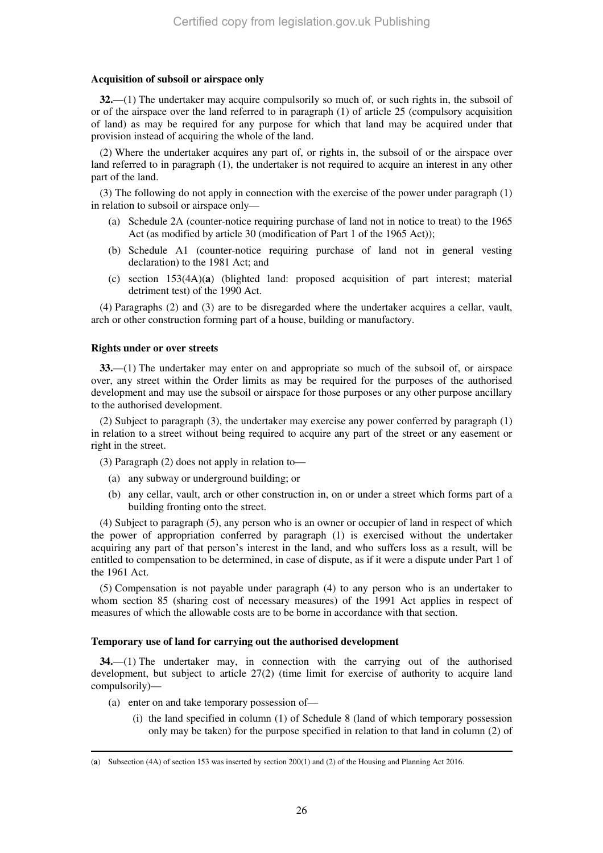### **Acquisition of subsoil or airspace only**

**32.**—(1) The undertaker may acquire compulsorily so much of, or such rights in, the subsoil of or of the airspace over the land referred to in paragraph (1) of article 25 (compulsory acquisition of land) as may be required for any purpose for which that land may be acquired under that provision instead of acquiring the whole of the land.

(2) Where the undertaker acquires any part of, or rights in, the subsoil of or the airspace over land referred to in paragraph (1), the undertaker is not required to acquire an interest in any other part of the land.

(3) The following do not apply in connection with the exercise of the power under paragraph (1) in relation to subsoil or airspace only—

- (a) Schedule 2A (counter-notice requiring purchase of land not in notice to treat) to the 1965 Act (as modified by article 30 (modification of Part 1 of the 1965 Act));
- (b) Schedule A1 (counter-notice requiring purchase of land not in general vesting declaration) to the 1981 Act; and
- (c) section 153(4A)(**a**) (blighted land: proposed acquisition of part interest; material detriment test) of the 1990 Act.

(4) Paragraphs (2) and (3) are to be disregarded where the undertaker acquires a cellar, vault, arch or other construction forming part of a house, building or manufactory.

## **Rights under or over streets**

**33.**—(1) The undertaker may enter on and appropriate so much of the subsoil of, or airspace over, any street within the Order limits as may be required for the purposes of the authorised development and may use the subsoil or airspace for those purposes or any other purpose ancillary to the authorised development.

(2) Subject to paragraph (3), the undertaker may exercise any power conferred by paragraph (1) in relation to a street without being required to acquire any part of the street or any easement or right in the street.

(3) Paragraph (2) does not apply in relation to—

- (a) any subway or underground building; or
- (b) any cellar, vault, arch or other construction in, on or under a street which forms part of a building fronting onto the street.

(4) Subject to paragraph (5), any person who is an owner or occupier of land in respect of which the power of appropriation conferred by paragraph (1) is exercised without the undertaker acquiring any part of that person's interest in the land, and who suffers loss as a result, will be entitled to compensation to be determined, in case of dispute, as if it were a dispute under Part 1 of the 1961 Act.

(5) Compensation is not payable under paragraph (4) to any person who is an undertaker to whom section 85 (sharing cost of necessary measures) of the 1991 Act applies in respect of measures of which the allowable costs are to be borne in accordance with that section.

### **Temporary use of land for carrying out the authorised development**

**34.**—(1) The undertaker may, in connection with the carrying out of the authorised development, but subject to article 27(2) (time limit for exercise of authority to acquire land compulsorily)—

- (a) enter on and take temporary possession of—
	- (i) the land specified in column (1) of Schedule 8 (land of which temporary possession only may be taken) for the purpose specified in relation to that land in column (2) of

<sup>-</sup>(**a**) Subsection (4A) of section 153 was inserted by section 200(1) and (2) of the Housing and Planning Act 2016.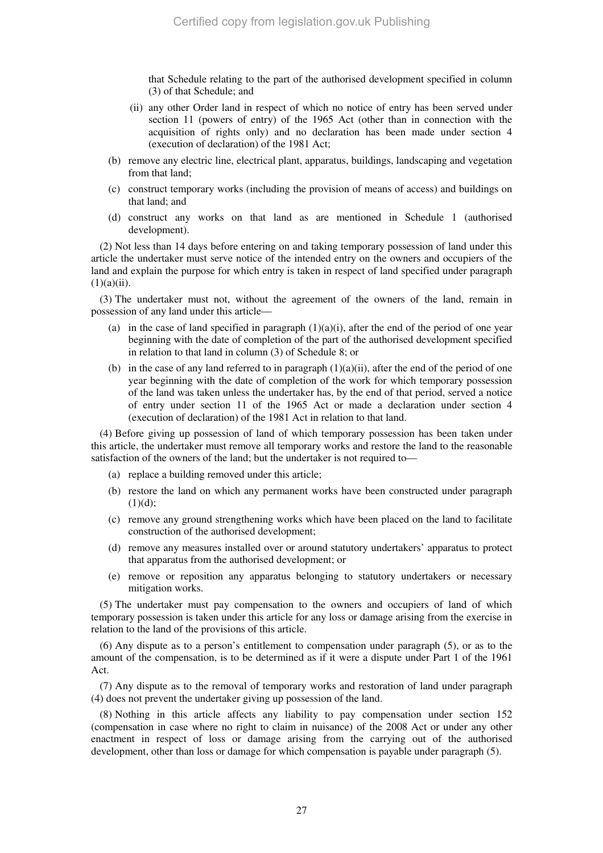that Schedule relating to the part of the authorised development specified in column (3) of that Schedule; and

- (ii) any other Order land in respect of which no notice of entry has been served under section 11 (powers of entry) of the 1965 Act (other than in connection with the acquisition of rights only) and no declaration has been made under section 4 (execution of declaration) of the 1981 Act;
- (b) remove any electric line, electrical plant, apparatus, buildings, landscaping and vegetation from that land;
- (c) construct temporary works (including the provision of means of access) and buildings on that land; and
- (d) construct any works on that land as are mentioned in Schedule 1 (authorised development).

(2) Not less than 14 days before entering on and taking temporary possession of land under this article the undertaker must serve notice of the intended entry on the owners and occupiers of the land and explain the purpose for which entry is taken in respect of land specified under paragraph  $(1)(a)(ii)$ .

(3) The undertaker must not, without the agreement of the owners of the land, remain in possession of any land under this article—

- (a) in the case of land specified in paragraph  $(1)(a)(i)$ , after the end of the period of one year beginning with the date of completion of the part of the authorised development specified in relation to that land in column (3) of Schedule 8; or
- (b) in the case of any land referred to in paragraph  $(1)(a)(ii)$ , after the end of the period of one year beginning with the date of completion of the work for which temporary possession of the land was taken unless the undertaker has, by the end of that period, served a notice of entry under section 11 of the 1965 Act or made a declaration under section 4 (execution of declaration) of the 1981 Act in relation to that land.

(4) Before giving up possession of land of which temporary possession has been taken under this article, the undertaker must remove all temporary works and restore the land to the reasonable satisfaction of the owners of the land; but the undertaker is not required to—

- (a) replace a building removed under this article;
- (b) restore the land on which any permanent works have been constructed under paragraph  $(1)(d);$
- (c) remove any ground strengthening works which have been placed on the land to facilitate construction of the authorised development;
- (d) remove any measures installed over or around statutory undertakers' apparatus to protect that apparatus from the authorised development; or
- (e) remove or reposition any apparatus belonging to statutory undertakers or necessary mitigation works.

(5) The undertaker must pay compensation to the owners and occupiers of land of which temporary possession is taken under this article for any loss or damage arising from the exercise in relation to the land of the provisions of this article.

(6) Any dispute as to a person's entitlement to compensation under paragraph (5), or as to the amount of the compensation, is to be determined as if it were a dispute under Part 1 of the 1961 Act.

(7) Any dispute as to the removal of temporary works and restoration of land under paragraph (4) does not prevent the undertaker giving up possession of the land.

(8) Nothing in this article affects any liability to pay compensation under section 152 (compensation in case where no right to claim in nuisance) of the 2008 Act or under any other enactment in respect of loss or damage arising from the carrying out of the authorised development, other than loss or damage for which compensation is payable under paragraph (5).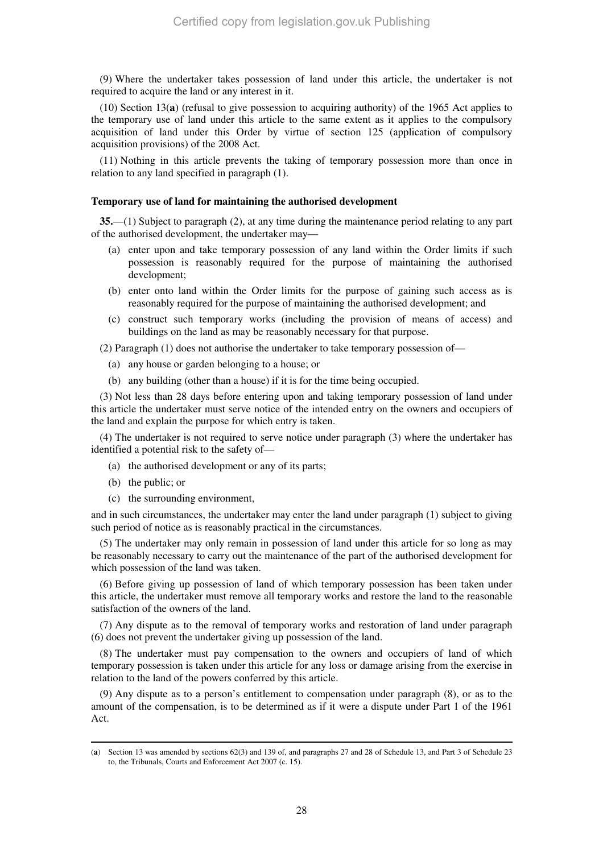(9) Where the undertaker takes possession of land under this article, the undertaker is not required to acquire the land or any interest in it.

(10) Section 13(**a**) (refusal to give possession to acquiring authority) of the 1965 Act applies to the temporary use of land under this article to the same extent as it applies to the compulsory acquisition of land under this Order by virtue of section 125 (application of compulsory acquisition provisions) of the 2008 Act.

(11) Nothing in this article prevents the taking of temporary possession more than once in relation to any land specified in paragraph (1).

#### **Temporary use of land for maintaining the authorised development**

**35.**—(1) Subject to paragraph (2), at any time during the maintenance period relating to any part of the authorised development, the undertaker may—

- (a) enter upon and take temporary possession of any land within the Order limits if such possession is reasonably required for the purpose of maintaining the authorised development;
- (b) enter onto land within the Order limits for the purpose of gaining such access as is reasonably required for the purpose of maintaining the authorised development; and
- (c) construct such temporary works (including the provision of means of access) and buildings on the land as may be reasonably necessary for that purpose.

(2) Paragraph (1) does not authorise the undertaker to take temporary possession of—

- (a) any house or garden belonging to a house; or
- (b) any building (other than a house) if it is for the time being occupied.

(3) Not less than 28 days before entering upon and taking temporary possession of land under this article the undertaker must serve notice of the intended entry on the owners and occupiers of the land and explain the purpose for which entry is taken.

(4) The undertaker is not required to serve notice under paragraph (3) where the undertaker has identified a potential risk to the safety of—

- (a) the authorised development or any of its parts;
- (b) the public; or

-

(c) the surrounding environment,

and in such circumstances, the undertaker may enter the land under paragraph (1) subject to giving such period of notice as is reasonably practical in the circumstances.

(5) The undertaker may only remain in possession of land under this article for so long as may be reasonably necessary to carry out the maintenance of the part of the authorised development for which possession of the land was taken.

(6) Before giving up possession of land of which temporary possession has been taken under this article, the undertaker must remove all temporary works and restore the land to the reasonable satisfaction of the owners of the land.

(7) Any dispute as to the removal of temporary works and restoration of land under paragraph (6) does not prevent the undertaker giving up possession of the land.

(8) The undertaker must pay compensation to the owners and occupiers of land of which temporary possession is taken under this article for any loss or damage arising from the exercise in relation to the land of the powers conferred by this article.

(9) Any dispute as to a person's entitlement to compensation under paragraph (8), or as to the amount of the compensation, is to be determined as if it were a dispute under Part 1 of the 1961 Act.

<sup>(</sup>**a**) Section 13 was amended by sections 62(3) and 139 of, and paragraphs 27 and 28 of Schedule 13, and Part 3 of Schedule 23 to, the Tribunals, Courts and Enforcement Act 2007 (c. 15).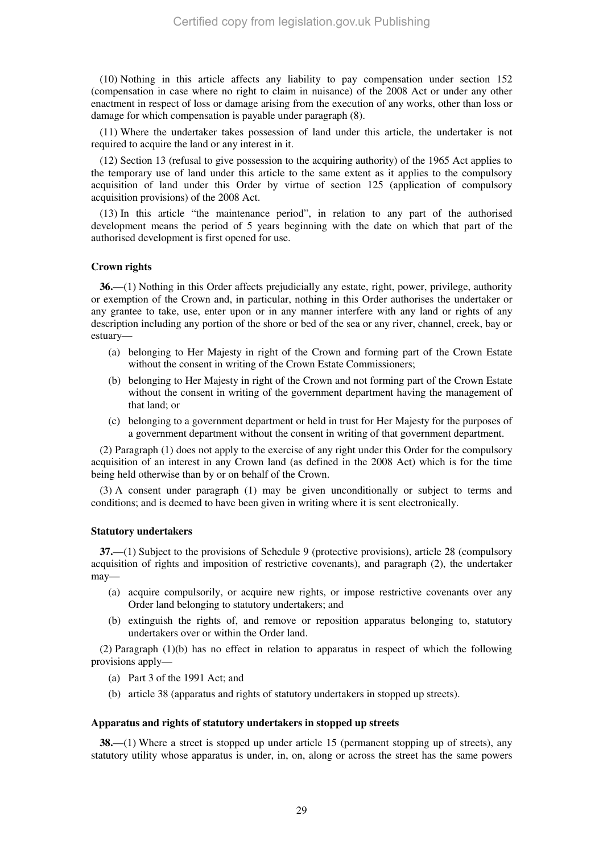(10) Nothing in this article affects any liability to pay compensation under section 152 (compensation in case where no right to claim in nuisance) of the 2008 Act or under any other enactment in respect of loss or damage arising from the execution of any works, other than loss or damage for which compensation is payable under paragraph (8).

(11) Where the undertaker takes possession of land under this article, the undertaker is not required to acquire the land or any interest in it.

(12) Section 13 (refusal to give possession to the acquiring authority) of the 1965 Act applies to the temporary use of land under this article to the same extent as it applies to the compulsory acquisition of land under this Order by virtue of section 125 (application of compulsory acquisition provisions) of the 2008 Act.

(13) In this article "the maintenance period", in relation to any part of the authorised development means the period of 5 years beginning with the date on which that part of the authorised development is first opened for use.

### **Crown rights**

**36.**—(1) Nothing in this Order affects prejudicially any estate, right, power, privilege, authority or exemption of the Crown and, in particular, nothing in this Order authorises the undertaker or any grantee to take, use, enter upon or in any manner interfere with any land or rights of any description including any portion of the shore or bed of the sea or any river, channel, creek, bay or estuary—

- (a) belonging to Her Majesty in right of the Crown and forming part of the Crown Estate without the consent in writing of the Crown Estate Commissioners;
- (b) belonging to Her Majesty in right of the Crown and not forming part of the Crown Estate without the consent in writing of the government department having the management of that land; or
- (c) belonging to a government department or held in trust for Her Majesty for the purposes of a government department without the consent in writing of that government department.

(2) Paragraph (1) does not apply to the exercise of any right under this Order for the compulsory acquisition of an interest in any Crown land (as defined in the 2008 Act) which is for the time being held otherwise than by or on behalf of the Crown.

(3) A consent under paragraph (1) may be given unconditionally or subject to terms and conditions; and is deemed to have been given in writing where it is sent electronically.

#### **Statutory undertakers**

**37.**—(1) Subject to the provisions of Schedule 9 (protective provisions), article 28 (compulsory acquisition of rights and imposition of restrictive covenants), and paragraph (2), the undertaker may—

- (a) acquire compulsorily, or acquire new rights, or impose restrictive covenants over any Order land belonging to statutory undertakers; and
- (b) extinguish the rights of, and remove or reposition apparatus belonging to, statutory undertakers over or within the Order land.

(2) Paragraph (1)(b) has no effect in relation to apparatus in respect of which the following provisions apply—

- (a) Part 3 of the 1991 Act; and
- (b) article 38 (apparatus and rights of statutory undertakers in stopped up streets).

#### **Apparatus and rights of statutory undertakers in stopped up streets**

**38.**—(1) Where a street is stopped up under article 15 (permanent stopping up of streets), any statutory utility whose apparatus is under, in, on, along or across the street has the same powers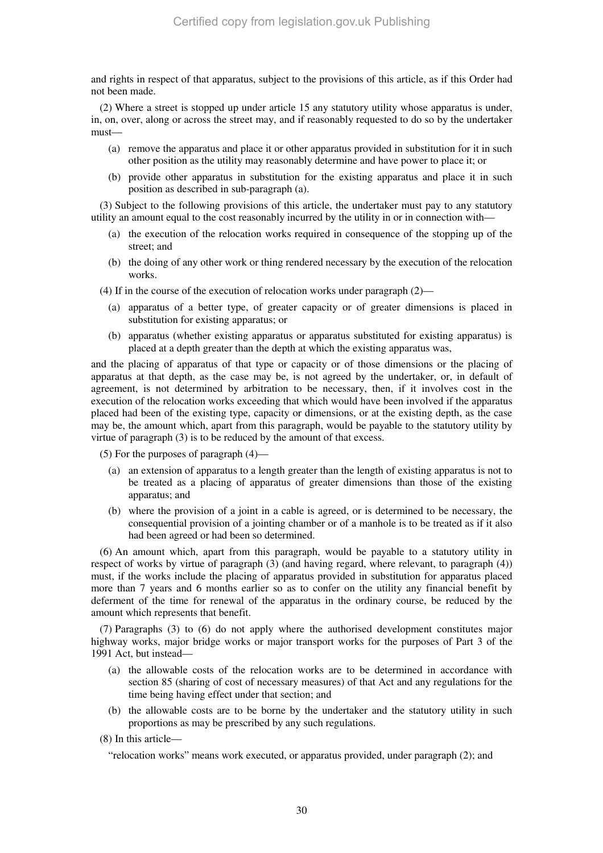and rights in respect of that apparatus, subject to the provisions of this article, as if this Order had not been made.

(2) Where a street is stopped up under article 15 any statutory utility whose apparatus is under, in, on, over, along or across the street may, and if reasonably requested to do so by the undertaker must—

- (a) remove the apparatus and place it or other apparatus provided in substitution for it in such other position as the utility may reasonably determine and have power to place it; or
- (b) provide other apparatus in substitution for the existing apparatus and place it in such position as described in sub-paragraph (a).

(3) Subject to the following provisions of this article, the undertaker must pay to any statutory utility an amount equal to the cost reasonably incurred by the utility in or in connection with—

- (a) the execution of the relocation works required in consequence of the stopping up of the street; and
- (b) the doing of any other work or thing rendered necessary by the execution of the relocation works.

(4) If in the course of the execution of relocation works under paragraph (2)—

- (a) apparatus of a better type, of greater capacity or of greater dimensions is placed in substitution for existing apparatus; or
- (b) apparatus (whether existing apparatus or apparatus substituted for existing apparatus) is placed at a depth greater than the depth at which the existing apparatus was,

and the placing of apparatus of that type or capacity or of those dimensions or the placing of apparatus at that depth, as the case may be, is not agreed by the undertaker, or, in default of agreement, is not determined by arbitration to be necessary, then, if it involves cost in the execution of the relocation works exceeding that which would have been involved if the apparatus placed had been of the existing type, capacity or dimensions, or at the existing depth, as the case may be, the amount which, apart from this paragraph, would be payable to the statutory utility by virtue of paragraph (3) is to be reduced by the amount of that excess.

(5) For the purposes of paragraph (4)—

- (a) an extension of apparatus to a length greater than the length of existing apparatus is not to be treated as a placing of apparatus of greater dimensions than those of the existing apparatus; and
- (b) where the provision of a joint in a cable is agreed, or is determined to be necessary, the consequential provision of a jointing chamber or of a manhole is to be treated as if it also had been agreed or had been so determined.

(6) An amount which, apart from this paragraph, would be payable to a statutory utility in respect of works by virtue of paragraph (3) (and having regard, where relevant, to paragraph (4)) must, if the works include the placing of apparatus provided in substitution for apparatus placed more than 7 years and 6 months earlier so as to confer on the utility any financial benefit by deferment of the time for renewal of the apparatus in the ordinary course, be reduced by the amount which represents that benefit.

(7) Paragraphs (3) to (6) do not apply where the authorised development constitutes major highway works, major bridge works or major transport works for the purposes of Part 3 of the 1991 Act, but instead—

- (a) the allowable costs of the relocation works are to be determined in accordance with section 85 (sharing of cost of necessary measures) of that Act and any regulations for the time being having effect under that section; and
- (b) the allowable costs are to be borne by the undertaker and the statutory utility in such proportions as may be prescribed by any such regulations.
- (8) In this article—

"relocation works" means work executed, or apparatus provided, under paragraph (2); and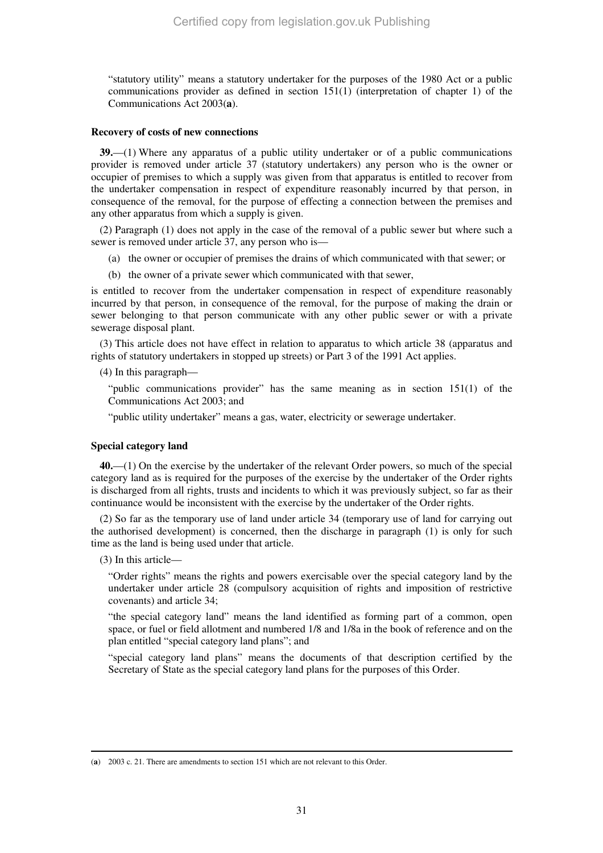"statutory utility" means a statutory undertaker for the purposes of the 1980 Act or a public communications provider as defined in section 151(1) (interpretation of chapter 1) of the Communications Act 2003(**a**).

#### **Recovery of costs of new connections**

**39.**—(1) Where any apparatus of a public utility undertaker or of a public communications provider is removed under article 37 (statutory undertakers) any person who is the owner or occupier of premises to which a supply was given from that apparatus is entitled to recover from the undertaker compensation in respect of expenditure reasonably incurred by that person, in consequence of the removal, for the purpose of effecting a connection between the premises and any other apparatus from which a supply is given.

(2) Paragraph (1) does not apply in the case of the removal of a public sewer but where such a sewer is removed under article 37, any person who is—

- (a) the owner or occupier of premises the drains of which communicated with that sewer; or
- (b) the owner of a private sewer which communicated with that sewer,

is entitled to recover from the undertaker compensation in respect of expenditure reasonably incurred by that person, in consequence of the removal, for the purpose of making the drain or sewer belonging to that person communicate with any other public sewer or with a private sewerage disposal plant.

(3) This article does not have effect in relation to apparatus to which article 38 (apparatus and rights of statutory undertakers in stopped up streets) or Part 3 of the 1991 Act applies.

(4) In this paragraph—

"public communications provider" has the same meaning as in section 151(1) of the Communications Act 2003; and

"public utility undertaker" means a gas, water, electricity or sewerage undertaker.

### **Special category land**

**40.**—(1) On the exercise by the undertaker of the relevant Order powers, so much of the special category land as is required for the purposes of the exercise by the undertaker of the Order rights is discharged from all rights, trusts and incidents to which it was previously subject, so far as their continuance would be inconsistent with the exercise by the undertaker of the Order rights.

(2) So far as the temporary use of land under article 34 (temporary use of land for carrying out the authorised development) is concerned, then the discharge in paragraph (1) is only for such time as the land is being used under that article.

(3) In this article—

-

"Order rights" means the rights and powers exercisable over the special category land by the undertaker under article 28 (compulsory acquisition of rights and imposition of restrictive covenants) and article 34;

"the special category land" means the land identified as forming part of a common, open space, or fuel or field allotment and numbered 1/8 and 1/8a in the book of reference and on the plan entitled "special category land plans"; and

"special category land plans" means the documents of that description certified by the Secretary of State as the special category land plans for the purposes of this Order.

<sup>(</sup>**a**) 2003 c. 21. There are amendments to section 151 which are not relevant to this Order.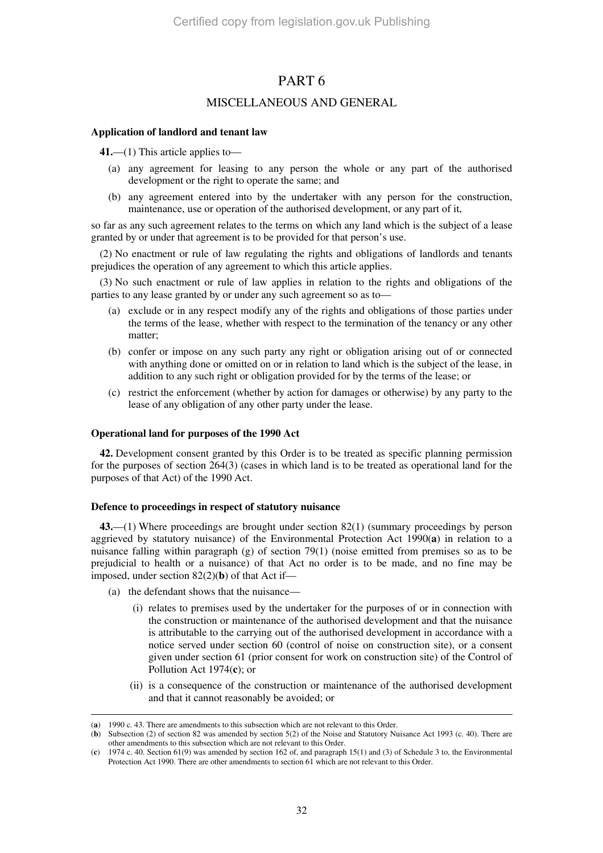## PART 6

## MISCELLANEOUS AND GENERAL

## **Application of landlord and tenant law**

**41.**—(1) This article applies to—

- (a) any agreement for leasing to any person the whole or any part of the authorised development or the right to operate the same; and
- (b) any agreement entered into by the undertaker with any person for the construction, maintenance, use or operation of the authorised development, or any part of it,

so far as any such agreement relates to the terms on which any land which is the subject of a lease granted by or under that agreement is to be provided for that person's use.

(2) No enactment or rule of law regulating the rights and obligations of landlords and tenants prejudices the operation of any agreement to which this article applies.

(3) No such enactment or rule of law applies in relation to the rights and obligations of the parties to any lease granted by or under any such agreement so as to—

- (a) exclude or in any respect modify any of the rights and obligations of those parties under the terms of the lease, whether with respect to the termination of the tenancy or any other matter;
- (b) confer or impose on any such party any right or obligation arising out of or connected with anything done or omitted on or in relation to land which is the subject of the lease, in addition to any such right or obligation provided for by the terms of the lease; or
- (c) restrict the enforcement (whether by action for damages or otherwise) by any party to the lease of any obligation of any other party under the lease.

### **Operational land for purposes of the 1990 Act**

**42.** Development consent granted by this Order is to be treated as specific planning permission for the purposes of section 264(3) (cases in which land is to be treated as operational land for the purposes of that Act) of the 1990 Act.

### **Defence to proceedings in respect of statutory nuisance**

**43.**—(1) Where proceedings are brought under section 82(1) (summary proceedings by person aggrieved by statutory nuisance) of the Environmental Protection Act 1990(**a**) in relation to a nuisance falling within paragraph (g) of section 79(1) (noise emitted from premises so as to be prejudicial to health or a nuisance) of that Act no order is to be made, and no fine may be imposed, under section 82(2)(**b**) of that Act if—

- (a) the defendant shows that the nuisance—
	- (i) relates to premises used by the undertaker for the purposes of or in connection with the construction or maintenance of the authorised development and that the nuisance is attributable to the carrying out of the authorised development in accordance with a notice served under section 60 (control of noise on construction site), or a consent given under section 61 (prior consent for work on construction site) of the Control of Pollution Act 1974(**c**); or
	- (ii) is a consequence of the construction or maintenance of the authorised development and that it cannot reasonably be avoided; or

<sup>-</sup>(**a**) 1990 c. 43. There are amendments to this subsection which are not relevant to this Order.

<sup>(</sup>**b**) Subsection (2) of section 82 was amended by section 5(2) of the Noise and Statutory Nuisance Act 1993 (c. 40). There are other amendments to this subsection which are not relevant to this Order.

<sup>(</sup>**c**) 1974 c. 40. Section 61(9) was amended by section 162 of, and paragraph 15(1) and (3) of Schedule 3 to, the Environmental Protection Act 1990. There are other amendments to section 61 which are not relevant to this Order.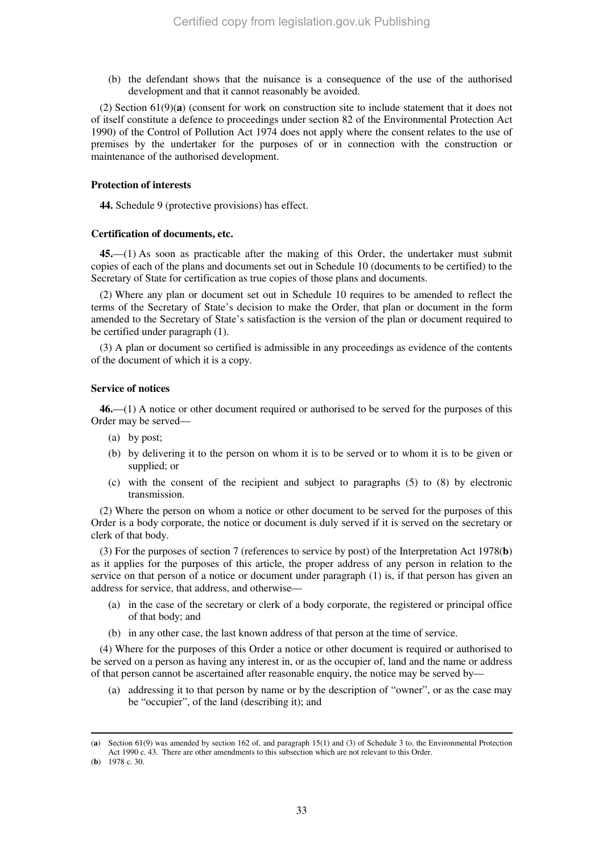(b) the defendant shows that the nuisance is a consequence of the use of the authorised development and that it cannot reasonably be avoided.

(2) Section 61(9)(**a**) (consent for work on construction site to include statement that it does not of itself constitute a defence to proceedings under section 82 of the Environmental Protection Act 1990) of the Control of Pollution Act 1974 does not apply where the consent relates to the use of premises by the undertaker for the purposes of or in connection with the construction or maintenance of the authorised development.

#### **Protection of interests**

**44.** Schedule 9 (protective provisions) has effect.

#### **Certification of documents, etc.**

**45.**—(1) As soon as practicable after the making of this Order, the undertaker must submit copies of each of the plans and documents set out in Schedule 10 (documents to be certified) to the Secretary of State for certification as true copies of those plans and documents.

(2) Where any plan or document set out in Schedule 10 requires to be amended to reflect the terms of the Secretary of State's decision to make the Order, that plan or document in the form amended to the Secretary of State's satisfaction is the version of the plan or document required to be certified under paragraph (1).

(3) A plan or document so certified is admissible in any proceedings as evidence of the contents of the document of which it is a copy.

#### **Service of notices**

**46.**—(1) A notice or other document required or authorised to be served for the purposes of this Order may be served—

- (a) by post;
- (b) by delivering it to the person on whom it is to be served or to whom it is to be given or supplied; or
- (c) with the consent of the recipient and subject to paragraphs (5) to (8) by electronic transmission.

(2) Where the person on whom a notice or other document to be served for the purposes of this Order is a body corporate, the notice or document is duly served if it is served on the secretary or clerk of that body.

(3) For the purposes of section 7 (references to service by post) of the Interpretation Act 1978(**b**) as it applies for the purposes of this article, the proper address of any person in relation to the service on that person of a notice or document under paragraph (1) is, if that person has given an address for service, that address, and otherwise—

- (a) in the case of the secretary or clerk of a body corporate, the registered or principal office of that body; and
- (b) in any other case, the last known address of that person at the time of service.

(4) Where for the purposes of this Order a notice or other document is required or authorised to be served on a person as having any interest in, or as the occupier of, land and the name or address of that person cannot be ascertained after reasonable enquiry, the notice may be served by—

(a) addressing it to that person by name or by the description of "owner", or as the case may be "occupier", of the land (describing it); and

<sup>(</sup>**a**) Section 61(9) was amended by section 162 of, and paragraph 15(1) and (3) of Schedule 3 to, the Environmental Protection Act 1990 c. 43. There are other amendments to this subsection which are not relevant to this Order.

<sup>(</sup>**b**) 1978 c. 30.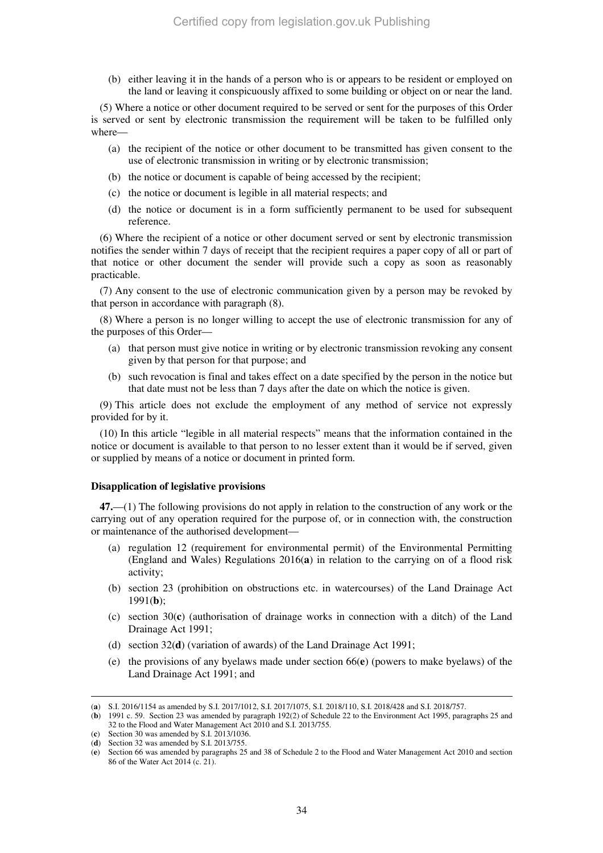(b) either leaving it in the hands of a person who is or appears to be resident or employed on the land or leaving it conspicuously affixed to some building or object on or near the land.

(5) Where a notice or other document required to be served or sent for the purposes of this Order is served or sent by electronic transmission the requirement will be taken to be fulfilled only where—

- (a) the recipient of the notice or other document to be transmitted has given consent to the use of electronic transmission in writing or by electronic transmission;
- (b) the notice or document is capable of being accessed by the recipient;
- (c) the notice or document is legible in all material respects; and
- (d) the notice or document is in a form sufficiently permanent to be used for subsequent reference.

(6) Where the recipient of a notice or other document served or sent by electronic transmission notifies the sender within 7 days of receipt that the recipient requires a paper copy of all or part of that notice or other document the sender will provide such a copy as soon as reasonably practicable.

(7) Any consent to the use of electronic communication given by a person may be revoked by that person in accordance with paragraph (8).

(8) Where a person is no longer willing to accept the use of electronic transmission for any of the purposes of this Order—

- (a) that person must give notice in writing or by electronic transmission revoking any consent given by that person for that purpose; and
- (b) such revocation is final and takes effect on a date specified by the person in the notice but that date must not be less than 7 days after the date on which the notice is given.

(9) This article does not exclude the employment of any method of service not expressly provided for by it.

(10) In this article "legible in all material respects" means that the information contained in the notice or document is available to that person to no lesser extent than it would be if served, given or supplied by means of a notice or document in printed form.

#### **Disapplication of legislative provisions**

**47.**—(1) The following provisions do not apply in relation to the construction of any work or the carrying out of any operation required for the purpose of, or in connection with, the construction or maintenance of the authorised development—

- (a) regulation 12 (requirement for environmental permit) of the Environmental Permitting (England and Wales) Regulations 2016(**a**) in relation to the carrying on of a flood risk activity;
- (b) section 23 (prohibition on obstructions etc. in watercourses) of the Land Drainage Act 1991(**b**);
- (c) section 30(**c**) (authorisation of drainage works in connection with a ditch) of the Land Drainage Act 1991;
- (d) section 32(**d**) (variation of awards) of the Land Drainage Act 1991;
- (e) the provisions of any byelaws made under section 66(**e**) (powers to make byelaws) of the Land Drainage Act 1991; and

<sup>-</sup>(**a**) S.I. 2016/1154 as amended by S.I. 2017/1012, S.I. 2017/1075, S.I. 2018/110, S.I. 2018/428 and S.I. 2018/757.

<sup>(</sup>**b**) 1991 c. 59. Section 23 was amended by paragraph 192(2) of Schedule 22 to the Environment Act 1995, paragraphs 25 and 32 to the Flood and Water Management Act 2010 and S.I. 2013/755.

<sup>(</sup>**c**) Section 30 was amended by S.I. 2013/1036.

<sup>(</sup>**d**) Section 32 was amended by S.I. 2013/755.

<sup>(</sup>**e**) Section 66 was amended by paragraphs 25 and 38 of Schedule 2 to the Flood and Water Management Act 2010 and section 86 of the Water Act 2014 (c. 21).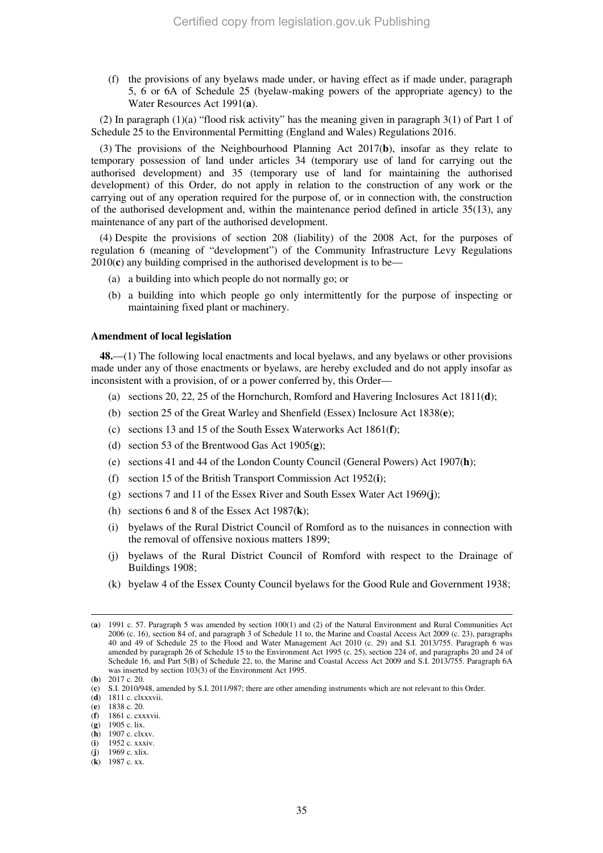(f) the provisions of any byelaws made under, or having effect as if made under, paragraph 5, 6 or 6A of Schedule 25 (byelaw-making powers of the appropriate agency) to the Water Resources Act 1991(**a**).

(2) In paragraph  $(1)(a)$  "flood risk activity" has the meaning given in paragraph  $3(1)$  of Part 1 of Schedule 25 to the Environmental Permitting (England and Wales) Regulations 2016.

(3) The provisions of the Neighbourhood Planning Act 2017(**b**), insofar as they relate to temporary possession of land under articles 34 (temporary use of land for carrying out the authorised development) and 35 (temporary use of land for maintaining the authorised development) of this Order, do not apply in relation to the construction of any work or the carrying out of any operation required for the purpose of, or in connection with, the construction of the authorised development and, within the maintenance period defined in article 35(13), any maintenance of any part of the authorised development.

(4) Despite the provisions of section 208 (liability) of the 2008 Act, for the purposes of regulation 6 (meaning of "development") of the Community Infrastructure Levy Regulations 2010(**c**) any building comprised in the authorised development is to be—

- (a) a building into which people do not normally go; or
- (b) a building into which people go only intermittently for the purpose of inspecting or maintaining fixed plant or machinery.

#### **Amendment of local legislation**

**48.**—(1) The following local enactments and local byelaws, and any byelaws or other provisions made under any of those enactments or byelaws, are hereby excluded and do not apply insofar as inconsistent with a provision, of or a power conferred by, this Order—

- (a) sections 20, 22, 25 of the Hornchurch, Romford and Havering Inclosures Act 1811(**d**);
- (b) section 25 of the Great Warley and Shenfield (Essex) Inclosure Act 1838(**e**);
- (c) sections 13 and 15 of the South Essex Waterworks Act 1861(**f**);
- (d) section 53 of the Brentwood Gas Act 1905(**g**);
- (e) sections 41 and 44 of the London County Council (General Powers) Act 1907(**h**);
- (f) section 15 of the British Transport Commission Act 1952(**i**);
- (g) sections 7 and 11 of the Essex River and South Essex Water Act 1969(**j**);
- (h) sections 6 and 8 of the Essex Act 1987(**k**);
- (i) byelaws of the Rural District Council of Romford as to the nuisances in connection with the removal of offensive noxious matters 1899;
- (j) byelaws of the Rural District Council of Romford with respect to the Drainage of Buildings 1908;
- (k) byelaw 4 of the Essex County Council byelaws for the Good Rule and Government 1938;

<sup>(</sup>**a**) 1991 c. 57. Paragraph 5 was amended by section 100(1) and (2) of the Natural Environment and Rural Communities Act 2006 (c. 16), section 84 of, and paragraph 3 of Schedule 11 to, the Marine and Coastal Access Act 2009 (c. 23), paragraphs 40 and 49 of Schedule 25 to the Flood and Water Management Act 2010 (c. 29) and S.I. 2013/755. Paragraph 6 was amended by paragraph 26 of Schedule 15 to the Environment Act 1995 (c. 25), section 224 of, and paragraphs 20 and 24 of Schedule 16, and Part 5(B) of Schedule 22, to, the Marine and Coastal Access Act 2009 and S.I. 2013/755. Paragraph 6A was inserted by section 103(3) of the Environment Act 1995. (**b**) 2017 c. 20.

<sup>(</sup>**c**) S.I. 2010/948, amended by S.I. 2011/987; there are other amending instruments which are not relevant to this Order.

<sup>(</sup>**d**) 1811 c. clxxxvii.

<sup>(</sup>**e**) 1838 c. 20.

<sup>(</sup>**f**) 1861 c. cxxxvii.

<sup>(</sup>**g**) 1905 c. lix.

<sup>(</sup>**h**) 1907 c. clxxv. (**i**) 1952 c. xxxiv.

<sup>(</sup>**j**) 1969 c. xlix.

<sup>(</sup>**k**) 1987 c. xx.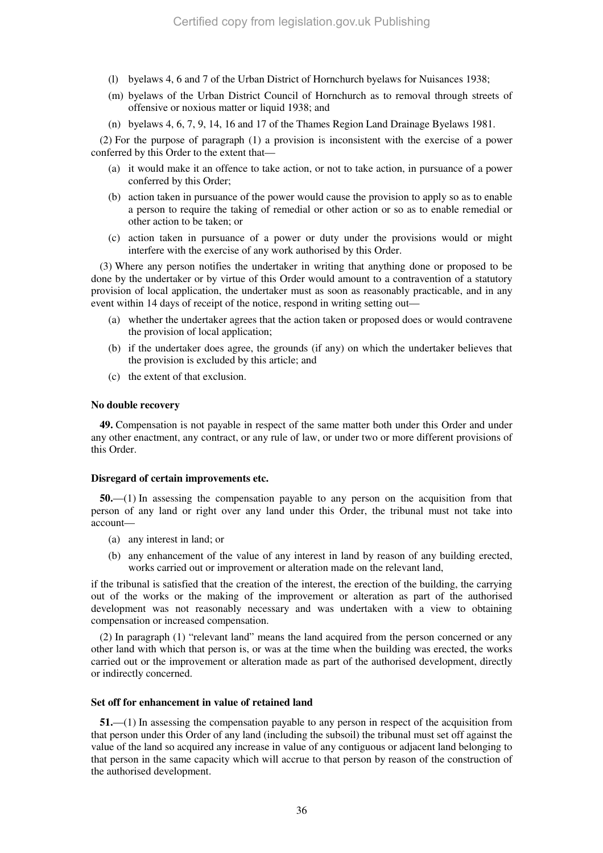- (l) byelaws 4, 6 and 7 of the Urban District of Hornchurch byelaws for Nuisances 1938;
- (m) byelaws of the Urban District Council of Hornchurch as to removal through streets of offensive or noxious matter or liquid 1938; and
- (n) byelaws 4, 6, 7, 9, 14, 16 and 17 of the Thames Region Land Drainage Byelaws 1981.

(2) For the purpose of paragraph (1) a provision is inconsistent with the exercise of a power conferred by this Order to the extent that—

- (a) it would make it an offence to take action, or not to take action, in pursuance of a power conferred by this Order;
- (b) action taken in pursuance of the power would cause the provision to apply so as to enable a person to require the taking of remedial or other action or so as to enable remedial or other action to be taken; or
- (c) action taken in pursuance of a power or duty under the provisions would or might interfere with the exercise of any work authorised by this Order.

(3) Where any person notifies the undertaker in writing that anything done or proposed to be done by the undertaker or by virtue of this Order would amount to a contravention of a statutory provision of local application, the undertaker must as soon as reasonably practicable, and in any event within 14 days of receipt of the notice, respond in writing setting out—

- (a) whether the undertaker agrees that the action taken or proposed does or would contravene the provision of local application;
- (b) if the undertaker does agree, the grounds (if any) on which the undertaker believes that the provision is excluded by this article; and
- (c) the extent of that exclusion.

#### **No double recovery**

**49.** Compensation is not payable in respect of the same matter both under this Order and under any other enactment, any contract, or any rule of law, or under two or more different provisions of this Order.

#### **Disregard of certain improvements etc.**

**50.**—(1) In assessing the compensation payable to any person on the acquisition from that person of any land or right over any land under this Order, the tribunal must not take into account—

- (a) any interest in land; or
- (b) any enhancement of the value of any interest in land by reason of any building erected, works carried out or improvement or alteration made on the relevant land,

if the tribunal is satisfied that the creation of the interest, the erection of the building, the carrying out of the works or the making of the improvement or alteration as part of the authorised development was not reasonably necessary and was undertaken with a view to obtaining compensation or increased compensation.

(2) In paragraph (1) "relevant land" means the land acquired from the person concerned or any other land with which that person is, or was at the time when the building was erected, the works carried out or the improvement or alteration made as part of the authorised development, directly or indirectly concerned.

#### **Set off for enhancement in value of retained land**

**51.**—(1) In assessing the compensation payable to any person in respect of the acquisition from that person under this Order of any land (including the subsoil) the tribunal must set off against the value of the land so acquired any increase in value of any contiguous or adjacent land belonging to that person in the same capacity which will accrue to that person by reason of the construction of the authorised development.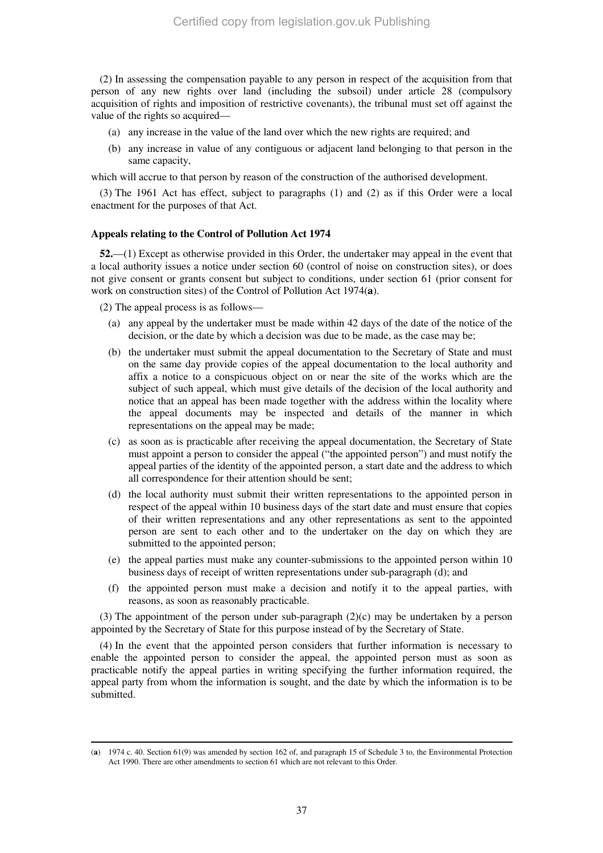(2) In assessing the compensation payable to any person in respect of the acquisition from that person of any new rights over land (including the subsoil) under article 28 (compulsory acquisition of rights and imposition of restrictive covenants), the tribunal must set off against the value of the rights so acquired—

- (a) any increase in the value of the land over which the new rights are required; and
- (b) any increase in value of any contiguous or adjacent land belonging to that person in the same capacity,

which will accrue to that person by reason of the construction of the authorised development.

(3) The 1961 Act has effect, subject to paragraphs (1) and (2) as if this Order were a local enactment for the purposes of that Act.

#### **Appeals relating to the Control of Pollution Act 1974**

**52.**—(1) Except as otherwise provided in this Order, the undertaker may appeal in the event that a local authority issues a notice under section 60 (control of noise on construction sites), or does not give consent or grants consent but subject to conditions, under section 61 (prior consent for work on construction sites) of the Control of Pollution Act 1974(**a**).

(2) The appeal process is as follows—

- (a) any appeal by the undertaker must be made within 42 days of the date of the notice of the decision, or the date by which a decision was due to be made, as the case may be;
- (b) the undertaker must submit the appeal documentation to the Secretary of State and must on the same day provide copies of the appeal documentation to the local authority and affix a notice to a conspicuous object on or near the site of the works which are the subject of such appeal, which must give details of the decision of the local authority and notice that an appeal has been made together with the address within the locality where the appeal documents may be inspected and details of the manner in which representations on the appeal may be made;
- (c) as soon as is practicable after receiving the appeal documentation, the Secretary of State must appoint a person to consider the appeal ("the appointed person") and must notify the appeal parties of the identity of the appointed person, a start date and the address to which all correspondence for their attention should be sent;
- (d) the local authority must submit their written representations to the appointed person in respect of the appeal within 10 business days of the start date and must ensure that copies of their written representations and any other representations as sent to the appointed person are sent to each other and to the undertaker on the day on which they are submitted to the appointed person;
- (e) the appeal parties must make any counter-submissions to the appointed person within 10 business days of receipt of written representations under sub-paragraph (d); and
- (f) the appointed person must make a decision and notify it to the appeal parties, with reasons, as soon as reasonably practicable.

(3) The appointment of the person under sub-paragraph  $(2)(c)$  may be undertaken by a person appointed by the Secretary of State for this purpose instead of by the Secretary of State.

(4) In the event that the appointed person considers that further information is necessary to enable the appointed person to consider the appeal, the appointed person must as soon as practicable notify the appeal parties in writing specifying the further information required, the appeal party from whom the information is sought, and the date by which the information is to be submitted.

<sup>-</sup>(**a**) 1974 c. 40. Section 61(9) was amended by section 162 of, and paragraph 15 of Schedule 3 to, the Environmental Protection Act 1990. There are other amendments to section 61 which are not relevant to this Order.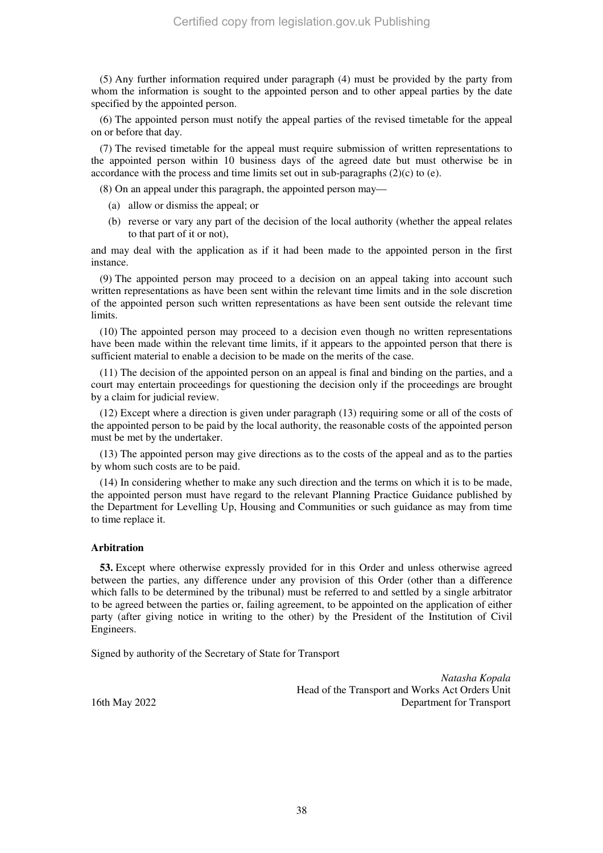(5) Any further information required under paragraph (4) must be provided by the party from whom the information is sought to the appointed person and to other appeal parties by the date specified by the appointed person.

(6) The appointed person must notify the appeal parties of the revised timetable for the appeal on or before that day.

(7) The revised timetable for the appeal must require submission of written representations to the appointed person within 10 business days of the agreed date but must otherwise be in accordance with the process and time limits set out in sub-paragraphs  $(2)(c)$  to  $(e)$ .

(8) On an appeal under this paragraph, the appointed person may—

- (a) allow or dismiss the appeal; or
- (b) reverse or vary any part of the decision of the local authority (whether the appeal relates to that part of it or not),

and may deal with the application as if it had been made to the appointed person in the first instance.

(9) The appointed person may proceed to a decision on an appeal taking into account such written representations as have been sent within the relevant time limits and in the sole discretion of the appointed person such written representations as have been sent outside the relevant time limits.

(10) The appointed person may proceed to a decision even though no written representations have been made within the relevant time limits, if it appears to the appointed person that there is sufficient material to enable a decision to be made on the merits of the case.

(11) The decision of the appointed person on an appeal is final and binding on the parties, and a court may entertain proceedings for questioning the decision only if the proceedings are brought by a claim for judicial review.

(12) Except where a direction is given under paragraph (13) requiring some or all of the costs of the appointed person to be paid by the local authority, the reasonable costs of the appointed person must be met by the undertaker.

(13) The appointed person may give directions as to the costs of the appeal and as to the parties by whom such costs are to be paid.

(14) In considering whether to make any such direction and the terms on which it is to be made, the appointed person must have regard to the relevant Planning Practice Guidance published by the Department for Levelling Up, Housing and Communities or such guidance as may from time to time replace it.

#### **Arbitration**

**53.** Except where otherwise expressly provided for in this Order and unless otherwise agreed between the parties, any difference under any provision of this Order (other than a difference which falls to be determined by the tribunal) must be referred to and settled by a single arbitrator to be agreed between the parties or, failing agreement, to be appointed on the application of either party (after giving notice in writing to the other) by the President of the Institution of Civil Engineers.

Signed by authority of the Secretary of State for Transport

*Natasha Kopala*  Head of the Transport and Works Act Orders Unit 16th May 2022 Department for Transport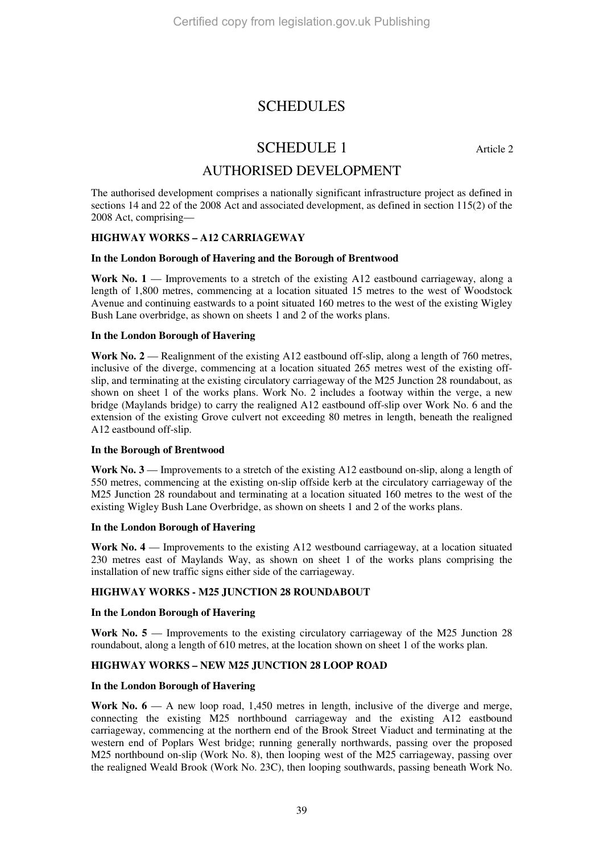### SCHEDULES

## SCHEDULE 1 Article 2

### AUTHORISED DEVELOPMENT

The authorised development comprises a nationally significant infrastructure project as defined in sections 14 and 22 of the 2008 Act and associated development, as defined in section 115(2) of the 2008 Act, comprising—

#### **HIGHWAY WORKS – A12 CARRIAGEWAY**

#### **In the London Borough of Havering and the Borough of Brentwood**

**Work No. 1** — Improvements to a stretch of the existing A12 eastbound carriageway, along a length of 1,800 metres, commencing at a location situated 15 metres to the west of Woodstock Avenue and continuing eastwards to a point situated 160 metres to the west of the existing Wigley Bush Lane overbridge, as shown on sheets 1 and 2 of the works plans.

#### **In the London Borough of Havering**

**Work No. 2** — Realignment of the existing A12 eastbound off-slip, along a length of 760 metres, inclusive of the diverge, commencing at a location situated 265 metres west of the existing offslip, and terminating at the existing circulatory carriageway of the M25 Junction 28 roundabout, as shown on sheet 1 of the works plans. Work No. 2 includes a footway within the verge, a new bridge (Maylands bridge) to carry the realigned A12 eastbound off-slip over Work No. 6 and the extension of the existing Grove culvert not exceeding 80 metres in length, beneath the realigned A12 eastbound off-slip.

#### **In the Borough of Brentwood**

**Work No. 3** — Improvements to a stretch of the existing A12 eastbound on-slip, along a length of 550 metres, commencing at the existing on-slip offside kerb at the circulatory carriageway of the M25 Junction 28 roundabout and terminating at a location situated 160 metres to the west of the existing Wigley Bush Lane Overbridge, as shown on sheets 1 and 2 of the works plans.

#### **In the London Borough of Havering**

**Work No. 4** — Improvements to the existing A12 westbound carriageway, at a location situated 230 metres east of Maylands Way, as shown on sheet 1 of the works plans comprising the installation of new traffic signs either side of the carriageway.

#### **HIGHWAY WORKS - M25 JUNCTION 28 ROUNDABOUT**

#### **In the London Borough of Havering**

**Work No. 5** — Improvements to the existing circulatory carriageway of the M25 Junction 28 roundabout, along a length of 610 metres, at the location shown on sheet 1 of the works plan.

#### **HIGHWAY WORKS – NEW M25 JUNCTION 28 LOOP ROAD**

#### **In the London Borough of Havering**

Work No.  $6 - A$  new loop road, 1,450 metres in length, inclusive of the diverge and merge, connecting the existing M25 northbound carriageway and the existing A12 eastbound carriageway, commencing at the northern end of the Brook Street Viaduct and terminating at the western end of Poplars West bridge; running generally northwards, passing over the proposed M25 northbound on-slip (Work No. 8), then looping west of the M25 carriageway, passing over the realigned Weald Brook (Work No. 23C), then looping southwards, passing beneath Work No.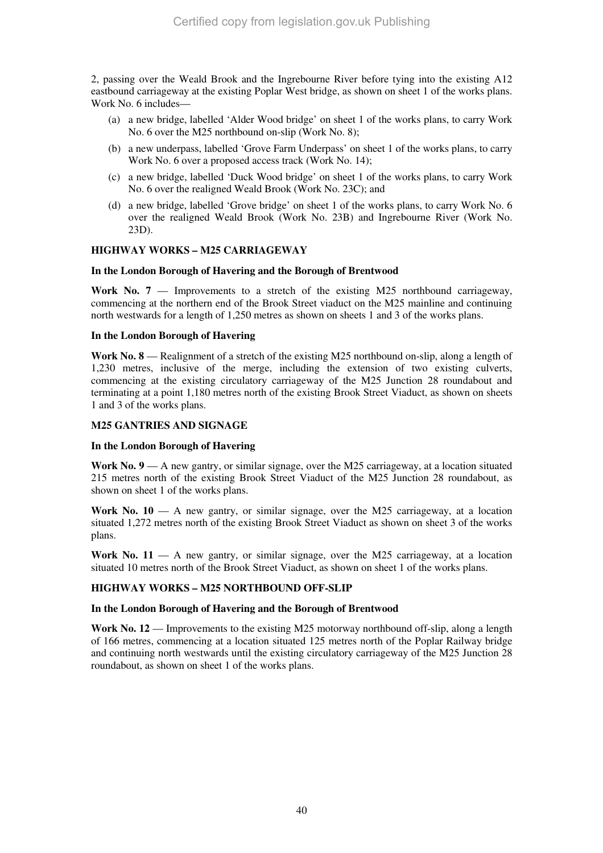2, passing over the Weald Brook and the Ingrebourne River before tying into the existing A12 eastbound carriageway at the existing Poplar West bridge, as shown on sheet 1 of the works plans. Work No. 6 includes—

- (a) a new bridge, labelled 'Alder Wood bridge' on sheet 1 of the works plans, to carry Work No. 6 over the M25 northbound on-slip (Work No. 8);
- (b) a new underpass, labelled 'Grove Farm Underpass' on sheet 1 of the works plans, to carry Work No. 6 over a proposed access track (Work No. 14);
- (c) a new bridge, labelled 'Duck Wood bridge' on sheet 1 of the works plans, to carry Work No. 6 over the realigned Weald Brook (Work No. 23C); and
- (d) a new bridge, labelled 'Grove bridge' on sheet 1 of the works plans, to carry Work No. 6 over the realigned Weald Brook (Work No. 23B) and Ingrebourne River (Work No. 23D).

#### **HIGHWAY WORKS – M25 CARRIAGEWAY**

#### **In the London Borough of Havering and the Borough of Brentwood**

**Work No. 7** — Improvements to a stretch of the existing M25 northbound carriageway, commencing at the northern end of the Brook Street viaduct on the M25 mainline and continuing north westwards for a length of 1,250 metres as shown on sheets 1 and 3 of the works plans.

#### **In the London Borough of Havering**

**Work No. 8** — Realignment of a stretch of the existing M25 northbound on-slip, along a length of 1,230 metres, inclusive of the merge, including the extension of two existing culverts, commencing at the existing circulatory carriageway of the M25 Junction 28 roundabout and terminating at a point 1,180 metres north of the existing Brook Street Viaduct, as shown on sheets 1 and 3 of the works plans.

#### **M25 GANTRIES AND SIGNAGE**

#### **In the London Borough of Havering**

**Work No. 9** — A new gantry, or similar signage, over the M25 carriageway, at a location situated 215 metres north of the existing Brook Street Viaduct of the M25 Junction 28 roundabout, as shown on sheet 1 of the works plans.

**Work No. 10** — A new gantry, or similar signage, over the M25 carriageway, at a location situated 1,272 metres north of the existing Brook Street Viaduct as shown on sheet 3 of the works plans.

**Work No. 11** — A new gantry, or similar signage, over the M25 carriageway, at a location situated 10 metres north of the Brook Street Viaduct, as shown on sheet 1 of the works plans.

#### **HIGHWAY WORKS – M25 NORTHBOUND OFF-SLIP**

#### **In the London Borough of Havering and the Borough of Brentwood**

**Work No. 12** — Improvements to the existing M25 motorway northbound off-slip, along a length of 166 metres, commencing at a location situated 125 metres north of the Poplar Railway bridge and continuing north westwards until the existing circulatory carriageway of the M25 Junction 28 roundabout, as shown on sheet 1 of the works plans.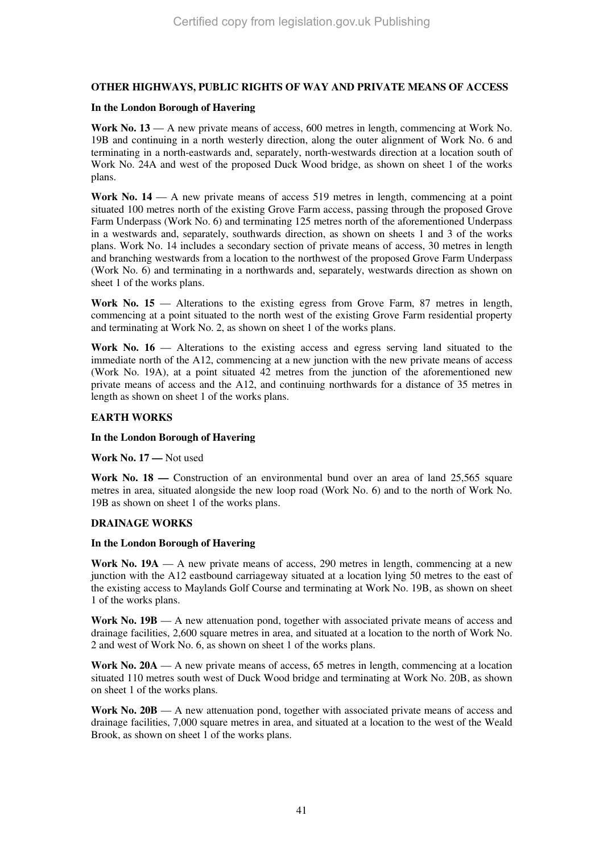#### **OTHER HIGHWAYS, PUBLIC RIGHTS OF WAY AND PRIVATE MEANS OF ACCESS**

#### **In the London Borough of Havering**

**Work No. 13** — A new private means of access, 600 metres in length, commencing at Work No. 19B and continuing in a north westerly direction, along the outer alignment of Work No. 6 and terminating in a north-eastwards and, separately, north-westwards direction at a location south of Work No. 24A and west of the proposed Duck Wood bridge, as shown on sheet 1 of the works plans.

**Work No. 14** — A new private means of access 519 metres in length, commencing at a point situated 100 metres north of the existing Grove Farm access, passing through the proposed Grove Farm Underpass (Work No. 6) and terminating 125 metres north of the aforementioned Underpass in a westwards and, separately, southwards direction, as shown on sheets 1 and 3 of the works plans. Work No. 14 includes a secondary section of private means of access, 30 metres in length and branching westwards from a location to the northwest of the proposed Grove Farm Underpass (Work No. 6) and terminating in a northwards and, separately, westwards direction as shown on sheet 1 of the works plans.

**Work No. 15** — Alterations to the existing egress from Grove Farm, 87 metres in length, commencing at a point situated to the north west of the existing Grove Farm residential property and terminating at Work No. 2, as shown on sheet 1 of the works plans.

**Work No. 16** — Alterations to the existing access and egress serving land situated to the immediate north of the A12, commencing at a new junction with the new private means of access (Work No. 19A), at a point situated 42 metres from the junction of the aforementioned new private means of access and the A12, and continuing northwards for a distance of 35 metres in length as shown on sheet 1 of the works plans.

#### **EARTH WORKS**

#### **In the London Borough of Havering**

**Work No. 17 —** Not used

**Work No. 18** — Construction of an environmental bund over an area of land 25,565 square metres in area, situated alongside the new loop road (Work No. 6) and to the north of Work No. 19B as shown on sheet 1 of the works plans.

#### **DRAINAGE WORKS**

#### **In the London Borough of Havering**

**Work No. 19A** — A new private means of access, 290 metres in length, commencing at a new junction with the A12 eastbound carriageway situated at a location lying 50 metres to the east of the existing access to Maylands Golf Course and terminating at Work No. 19B, as shown on sheet 1 of the works plans.

**Work No. 19B** — A new attenuation pond, together with associated private means of access and drainage facilities, 2,600 square metres in area, and situated at a location to the north of Work No. 2 and west of Work No. 6, as shown on sheet 1 of the works plans.

**Work No. 20A** — A new private means of access, 65 metres in length, commencing at a location situated 110 metres south west of Duck Wood bridge and terminating at Work No. 20B, as shown on sheet 1 of the works plans.

**Work No. 20B** — A new attenuation pond, together with associated private means of access and drainage facilities, 7,000 square metres in area, and situated at a location to the west of the Weald Brook, as shown on sheet 1 of the works plans.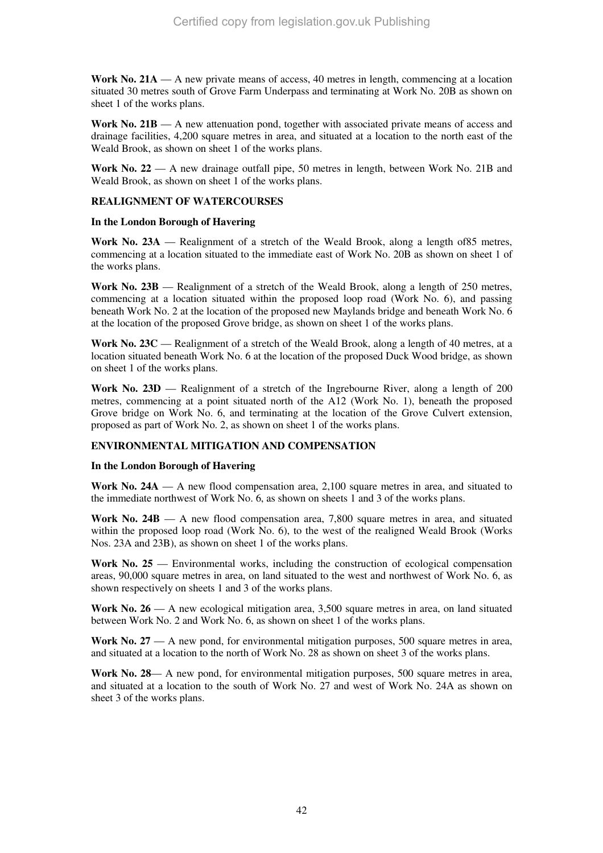**Work No. 21A** — A new private means of access, 40 metres in length, commencing at a location situated 30 metres south of Grove Farm Underpass and terminating at Work No. 20B as shown on sheet 1 of the works plans.

**Work No. 21B** — A new attenuation pond, together with associated private means of access and drainage facilities, 4,200 square metres in area, and situated at a location to the north east of the Weald Brook, as shown on sheet 1 of the works plans.

**Work No. 22** — A new drainage outfall pipe, 50 metres in length, between Work No. 21B and Weald Brook, as shown on sheet 1 of the works plans.

#### **REALIGNMENT OF WATERCOURSES**

#### **In the London Borough of Havering**

**Work No. 23A** — Realignment of a stretch of the Weald Brook, along a length of85 metres, commencing at a location situated to the immediate east of Work No. 20B as shown on sheet 1 of the works plans.

**Work No. 23B** — Realignment of a stretch of the Weald Brook, along a length of 250 metres, commencing at a location situated within the proposed loop road (Work No. 6), and passing beneath Work No. 2 at the location of the proposed new Maylands bridge and beneath Work No. 6 at the location of the proposed Grove bridge, as shown on sheet 1 of the works plans.

**Work No. 23C** — Realignment of a stretch of the Weald Brook, along a length of 40 metres, at a location situated beneath Work No. 6 at the location of the proposed Duck Wood bridge, as shown on sheet 1 of the works plans.

**Work No. 23D** — Realignment of a stretch of the Ingrebourne River, along a length of 200 metres, commencing at a point situated north of the A12 (Work No. 1), beneath the proposed Grove bridge on Work No. 6, and terminating at the location of the Grove Culvert extension, proposed as part of Work No. 2, as shown on sheet 1 of the works plans.

#### **ENVIRONMENTAL MITIGATION AND COMPENSATION**

#### **In the London Borough of Havering**

**Work No. 24A** — A new flood compensation area, 2,100 square metres in area, and situated to the immediate northwest of Work No. 6, as shown on sheets 1 and 3 of the works plans.

**Work No. 24B** — A new flood compensation area, 7,800 square metres in area, and situated within the proposed loop road (Work No. 6), to the west of the realigned Weald Brook (Works Nos. 23A and 23B), as shown on sheet 1 of the works plans.

**Work No. 25** — Environmental works, including the construction of ecological compensation areas, 90,000 square metres in area, on land situated to the west and northwest of Work No. 6, as shown respectively on sheets 1 and 3 of the works plans.

**Work No. 26** — A new ecological mitigation area, 3,500 square metres in area, on land situated between Work No. 2 and Work No. 6, as shown on sheet 1 of the works plans.

Work No. 27 — A new pond, for environmental mitigation purposes, 500 square metres in area, and situated at a location to the north of Work No. 28 as shown on sheet 3 of the works plans.

Work No. 28— A new pond, for environmental mitigation purposes, 500 square metres in area, and situated at a location to the south of Work No. 27 and west of Work No. 24A as shown on sheet 3 of the works plans.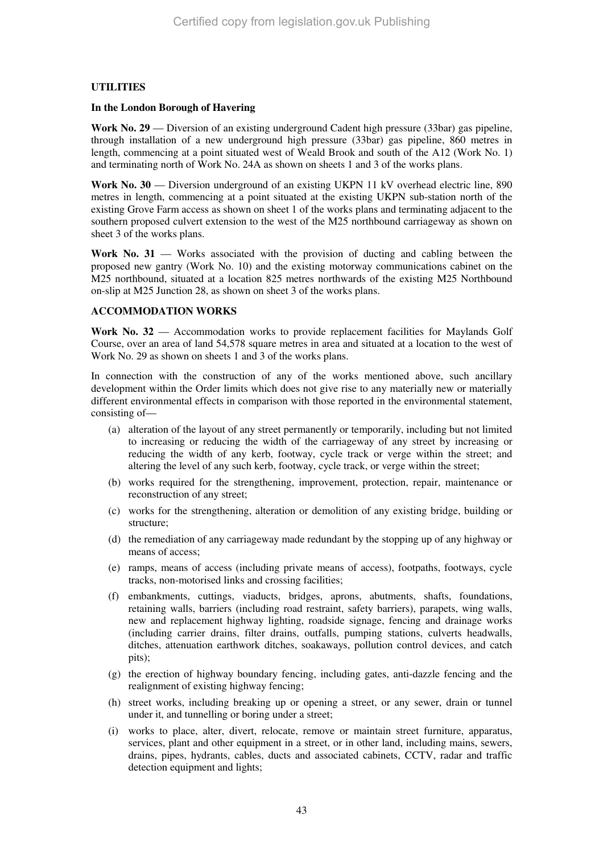#### **UTILITIES**

#### **In the London Borough of Havering**

**Work No. 29** — Diversion of an existing underground Cadent high pressure (33bar) gas pipeline, through installation of a new underground high pressure (33bar) gas pipeline, 860 metres in length, commencing at a point situated west of Weald Brook and south of the A12 (Work No. 1) and terminating north of Work No. 24A as shown on sheets 1 and 3 of the works plans.

**Work No. 30** — Diversion underground of an existing UKPN 11 kV overhead electric line, 890 metres in length, commencing at a point situated at the existing UKPN sub-station north of the existing Grove Farm access as shown on sheet 1 of the works plans and terminating adjacent to the southern proposed culvert extension to the west of the M25 northbound carriageway as shown on sheet 3 of the works plans.

**Work No. 31** — Works associated with the provision of ducting and cabling between the proposed new gantry (Work No. 10) and the existing motorway communications cabinet on the M25 northbound, situated at a location 825 metres northwards of the existing M25 Northbound on-slip at M25 Junction 28, as shown on sheet 3 of the works plans.

#### **ACCOMMODATION WORKS**

**Work No. 32** — Accommodation works to provide replacement facilities for Maylands Golf Course, over an area of land 54,578 square metres in area and situated at a location to the west of Work No. 29 as shown on sheets 1 and 3 of the works plans.

In connection with the construction of any of the works mentioned above, such ancillary development within the Order limits which does not give rise to any materially new or materially different environmental effects in comparison with those reported in the environmental statement, consisting of—

- (a) alteration of the layout of any street permanently or temporarily, including but not limited to increasing or reducing the width of the carriageway of any street by increasing or reducing the width of any kerb, footway, cycle track or verge within the street; and altering the level of any such kerb, footway, cycle track, or verge within the street;
- (b) works required for the strengthening, improvement, protection, repair, maintenance or reconstruction of any street;
- (c) works for the strengthening, alteration or demolition of any existing bridge, building or structure;
- (d) the remediation of any carriageway made redundant by the stopping up of any highway or means of access;
- (e) ramps, means of access (including private means of access), footpaths, footways, cycle tracks, non-motorised links and crossing facilities;
- (f) embankments, cuttings, viaducts, bridges, aprons, abutments, shafts, foundations, retaining walls, barriers (including road restraint, safety barriers), parapets, wing walls, new and replacement highway lighting, roadside signage, fencing and drainage works (including carrier drains, filter drains, outfalls, pumping stations, culverts headwalls, ditches, attenuation earthwork ditches, soakaways, pollution control devices, and catch pits);
- (g) the erection of highway boundary fencing, including gates, anti-dazzle fencing and the realignment of existing highway fencing;
- (h) street works, including breaking up or opening a street, or any sewer, drain or tunnel under it, and tunnelling or boring under a street;
- (i) works to place, alter, divert, relocate, remove or maintain street furniture, apparatus, services, plant and other equipment in a street, or in other land, including mains, sewers, drains, pipes, hydrants, cables, ducts and associated cabinets, CCTV, radar and traffic detection equipment and lights;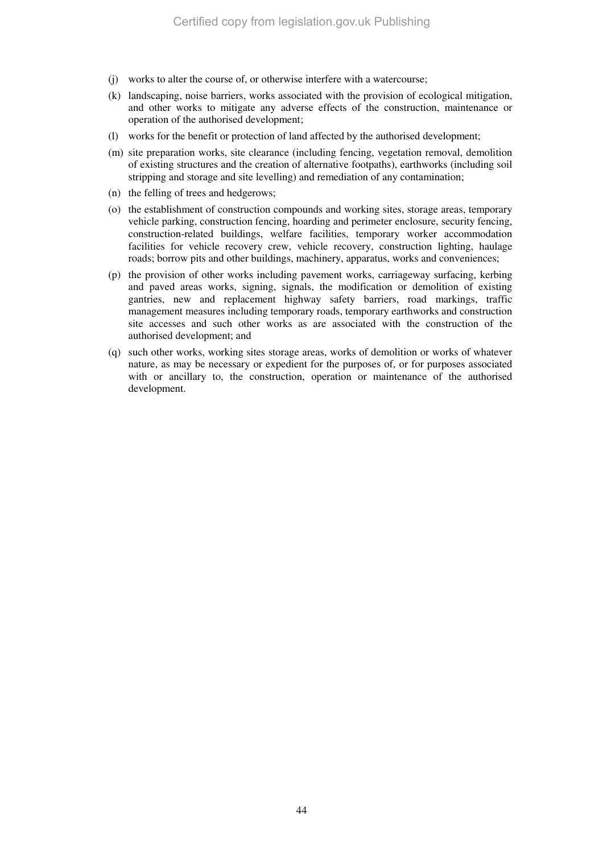- (j) works to alter the course of, or otherwise interfere with a watercourse;
- (k) landscaping, noise barriers, works associated with the provision of ecological mitigation, and other works to mitigate any adverse effects of the construction, maintenance or operation of the authorised development;
- (l) works for the benefit or protection of land affected by the authorised development;
- (m) site preparation works, site clearance (including fencing, vegetation removal, demolition of existing structures and the creation of alternative footpaths), earthworks (including soil stripping and storage and site levelling) and remediation of any contamination;
- (n) the felling of trees and hedgerows;
- (o) the establishment of construction compounds and working sites, storage areas, temporary vehicle parking, construction fencing, hoarding and perimeter enclosure, security fencing, construction-related buildings, welfare facilities, temporary worker accommodation facilities for vehicle recovery crew, vehicle recovery, construction lighting, haulage roads; borrow pits and other buildings, machinery, apparatus, works and conveniences;
- (p) the provision of other works including pavement works, carriageway surfacing, kerbing and paved areas works, signing, signals, the modification or demolition of existing gantries, new and replacement highway safety barriers, road markings, traffic management measures including temporary roads, temporary earthworks and construction site accesses and such other works as are associated with the construction of the authorised development; and
- (q) such other works, working sites storage areas, works of demolition or works of whatever nature, as may be necessary or expedient for the purposes of, or for purposes associated with or ancillary to, the construction, operation or maintenance of the authorised development.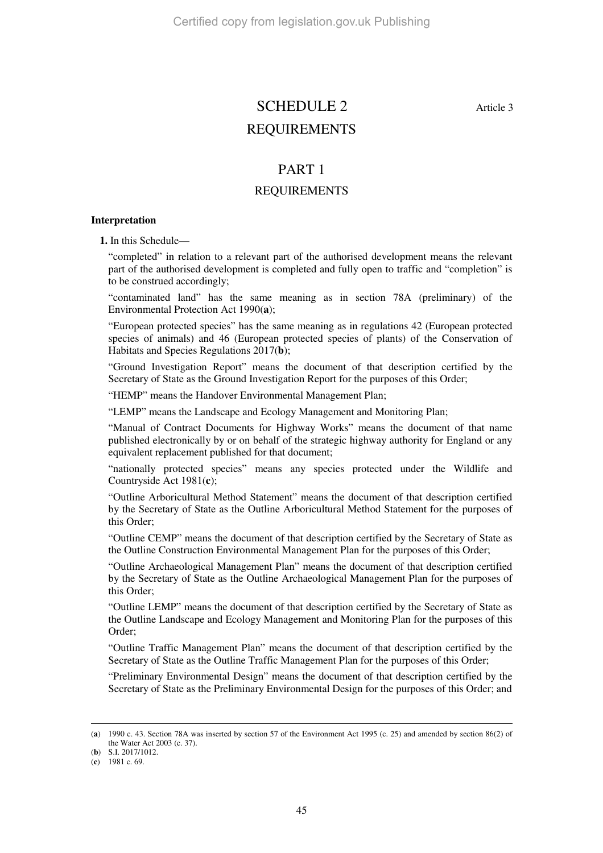# SCHEDULE 2 Article 3 REQUIREMENTS

### PART 1

### REQUIREMENTS

#### **Interpretation**

**1.** In this Schedule—

"completed" in relation to a relevant part of the authorised development means the relevant part of the authorised development is completed and fully open to traffic and "completion" is to be construed accordingly;

"contaminated land" has the same meaning as in section 78A (preliminary) of the Environmental Protection Act 1990(**a**);

"European protected species" has the same meaning as in regulations 42 (European protected species of animals) and 46 (European protected species of plants) of the Conservation of Habitats and Species Regulations 2017(**b**);

"Ground Investigation Report" means the document of that description certified by the Secretary of State as the Ground Investigation Report for the purposes of this Order;

"HEMP" means the Handover Environmental Management Plan;

"LEMP" means the Landscape and Ecology Management and Monitoring Plan;

"Manual of Contract Documents for Highway Works" means the document of that name published electronically by or on behalf of the strategic highway authority for England or any equivalent replacement published for that document;

"nationally protected species" means any species protected under the Wildlife and Countryside Act 1981(**c**);

"Outline Arboricultural Method Statement" means the document of that description certified by the Secretary of State as the Outline Arboricultural Method Statement for the purposes of this Order;

"Outline CEMP" means the document of that description certified by the Secretary of State as the Outline Construction Environmental Management Plan for the purposes of this Order;

"Outline Archaeological Management Plan" means the document of that description certified by the Secretary of State as the Outline Archaeological Management Plan for the purposes of this Order;

"Outline LEMP" means the document of that description certified by the Secretary of State as the Outline Landscape and Ecology Management and Monitoring Plan for the purposes of this Order;

"Outline Traffic Management Plan" means the document of that description certified by the Secretary of State as the Outline Traffic Management Plan for the purposes of this Order;

"Preliminary Environmental Design" means the document of that description certified by the Secretary of State as the Preliminary Environmental Design for the purposes of this Order; and

-

<sup>(</sup>**a**) 1990 c. 43. Section 78A was inserted by section 57 of the Environment Act 1995 (c. 25) and amended by section 86(2) of the Water Act 2003 (c. 37).

<sup>(</sup>**b**) S.I. 2017/1012.

<sup>(</sup>**c**) 1981 c. 69.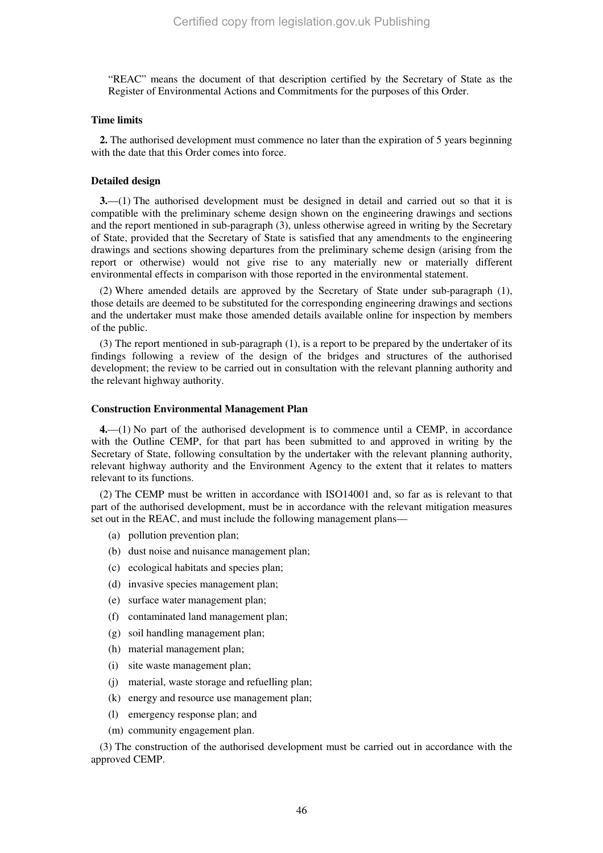"REAC" means the document of that description certified by the Secretary of State as the Register of Environmental Actions and Commitments for the purposes of this Order.

#### **Time limits**

**2.** The authorised development must commence no later than the expiration of 5 years beginning with the date that this Order comes into force.

#### **Detailed design**

**3.**—(1) The authorised development must be designed in detail and carried out so that it is compatible with the preliminary scheme design shown on the engineering drawings and sections and the report mentioned in sub-paragraph (3), unless otherwise agreed in writing by the Secretary of State, provided that the Secretary of State is satisfied that any amendments to the engineering drawings and sections showing departures from the preliminary scheme design (arising from the report or otherwise) would not give rise to any materially new or materially different environmental effects in comparison with those reported in the environmental statement.

(2) Where amended details are approved by the Secretary of State under sub-paragraph (1), those details are deemed to be substituted for the corresponding engineering drawings and sections and the undertaker must make those amended details available online for inspection by members of the public.

(3) The report mentioned in sub-paragraph (1), is a report to be prepared by the undertaker of its findings following a review of the design of the bridges and structures of the authorised development; the review to be carried out in consultation with the relevant planning authority and the relevant highway authority.

#### **Construction Environmental Management Plan**

**4.**—(1) No part of the authorised development is to commence until a CEMP, in accordance with the Outline CEMP, for that part has been submitted to and approved in writing by the Secretary of State, following consultation by the undertaker with the relevant planning authority, relevant highway authority and the Environment Agency to the extent that it relates to matters relevant to its functions.

(2) The CEMP must be written in accordance with ISO14001 and, so far as is relevant to that part of the authorised development, must be in accordance with the relevant mitigation measures set out in the REAC, and must include the following management plans—

- (a) pollution prevention plan;
- (b) dust noise and nuisance management plan;
- (c) ecological habitats and species plan;
- (d) invasive species management plan;
- (e) surface water management plan;
- (f) contaminated land management plan;
- (g) soil handling management plan;
- (h) material management plan;
- (i) site waste management plan;
- (j) material, waste storage and refuelling plan;
- (k) energy and resource use management plan;
- (l) emergency response plan; and
- (m) community engagement plan.

(3) The construction of the authorised development must be carried out in accordance with the approved CEMP.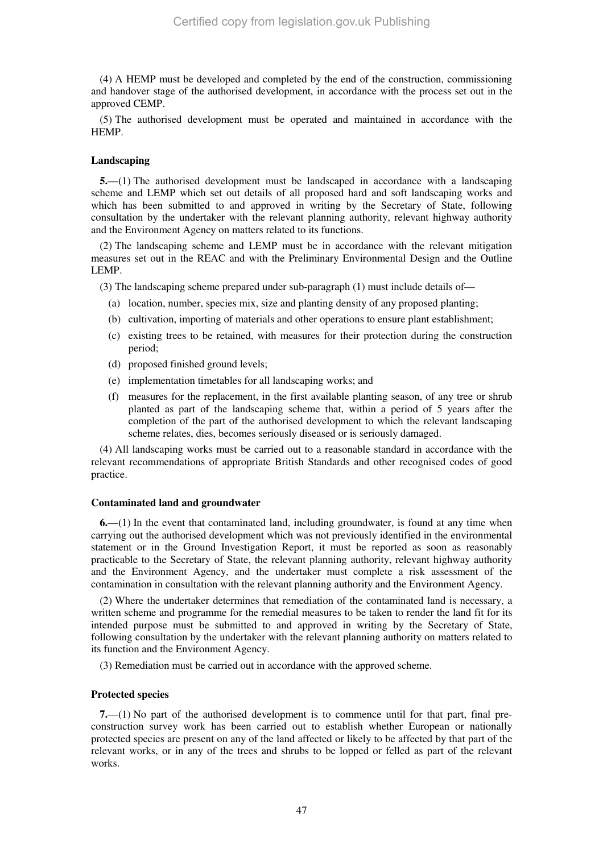(4) A HEMP must be developed and completed by the end of the construction, commissioning and handover stage of the authorised development, in accordance with the process set out in the approved CEMP.

(5) The authorised development must be operated and maintained in accordance with the **HEMP** 

#### **Landscaping**

**5.**—(1) The authorised development must be landscaped in accordance with a landscaping scheme and LEMP which set out details of all proposed hard and soft landscaping works and which has been submitted to and approved in writing by the Secretary of State, following consultation by the undertaker with the relevant planning authority, relevant highway authority and the Environment Agency on matters related to its functions.

(2) The landscaping scheme and LEMP must be in accordance with the relevant mitigation measures set out in the REAC and with the Preliminary Environmental Design and the Outline LEMP.

(3) The landscaping scheme prepared under sub-paragraph (1) must include details of—

- (a) location, number, species mix, size and planting density of any proposed planting;
- (b) cultivation, importing of materials and other operations to ensure plant establishment;
- (c) existing trees to be retained, with measures for their protection during the construction period;
- (d) proposed finished ground levels;
- (e) implementation timetables for all landscaping works; and
- (f) measures for the replacement, in the first available planting season, of any tree or shrub planted as part of the landscaping scheme that, within a period of 5 years after the completion of the part of the authorised development to which the relevant landscaping scheme relates, dies, becomes seriously diseased or is seriously damaged.

(4) All landscaping works must be carried out to a reasonable standard in accordance with the relevant recommendations of appropriate British Standards and other recognised codes of good practice.

#### **Contaminated land and groundwater**

**6.**—(1) In the event that contaminated land, including groundwater, is found at any time when carrying out the authorised development which was not previously identified in the environmental statement or in the Ground Investigation Report, it must be reported as soon as reasonably practicable to the Secretary of State, the relevant planning authority, relevant highway authority and the Environment Agency, and the undertaker must complete a risk assessment of the contamination in consultation with the relevant planning authority and the Environment Agency.

(2) Where the undertaker determines that remediation of the contaminated land is necessary, a written scheme and programme for the remedial measures to be taken to render the land fit for its intended purpose must be submitted to and approved in writing by the Secretary of State, following consultation by the undertaker with the relevant planning authority on matters related to its function and the Environment Agency.

(3) Remediation must be carried out in accordance with the approved scheme.

#### **Protected species**

**7.**—(1) No part of the authorised development is to commence until for that part, final preconstruction survey work has been carried out to establish whether European or nationally protected species are present on any of the land affected or likely to be affected by that part of the relevant works, or in any of the trees and shrubs to be lopped or felled as part of the relevant works.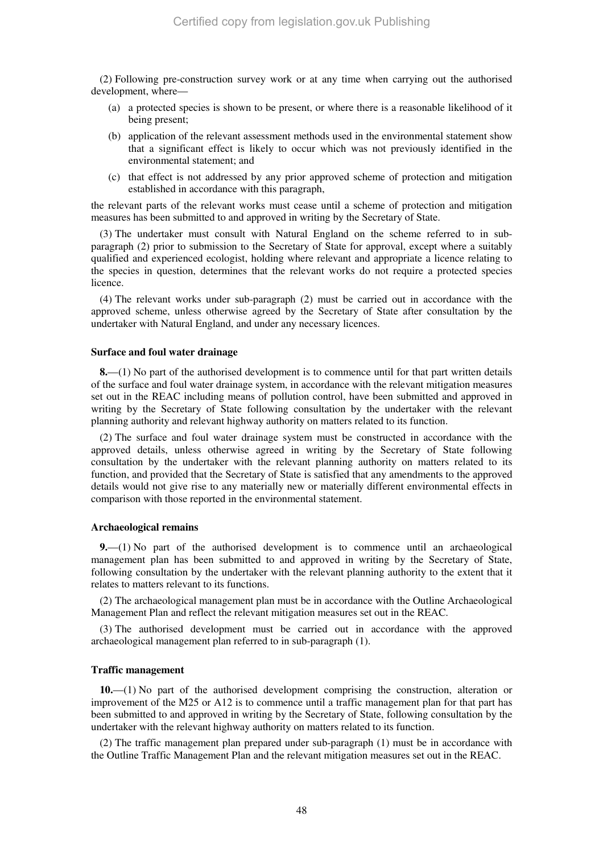(2) Following pre-construction survey work or at any time when carrying out the authorised development, where—

- (a) a protected species is shown to be present, or where there is a reasonable likelihood of it being present:
- (b) application of the relevant assessment methods used in the environmental statement show that a significant effect is likely to occur which was not previously identified in the environmental statement; and
- (c) that effect is not addressed by any prior approved scheme of protection and mitigation established in accordance with this paragraph,

the relevant parts of the relevant works must cease until a scheme of protection and mitigation measures has been submitted to and approved in writing by the Secretary of State.

(3) The undertaker must consult with Natural England on the scheme referred to in subparagraph (2) prior to submission to the Secretary of State for approval, except where a suitably qualified and experienced ecologist, holding where relevant and appropriate a licence relating to the species in question, determines that the relevant works do not require a protected species licence.

(4) The relevant works under sub-paragraph (2) must be carried out in accordance with the approved scheme, unless otherwise agreed by the Secretary of State after consultation by the undertaker with Natural England, and under any necessary licences.

#### **Surface and foul water drainage**

**8.**—(1) No part of the authorised development is to commence until for that part written details of the surface and foul water drainage system, in accordance with the relevant mitigation measures set out in the REAC including means of pollution control, have been submitted and approved in writing by the Secretary of State following consultation by the undertaker with the relevant planning authority and relevant highway authority on matters related to its function.

(2) The surface and foul water drainage system must be constructed in accordance with the approved details, unless otherwise agreed in writing by the Secretary of State following consultation by the undertaker with the relevant planning authority on matters related to its function, and provided that the Secretary of State is satisfied that any amendments to the approved details would not give rise to any materially new or materially different environmental effects in comparison with those reported in the environmental statement.

#### **Archaeological remains**

**9.**—(1) No part of the authorised development is to commence until an archaeological management plan has been submitted to and approved in writing by the Secretary of State, following consultation by the undertaker with the relevant planning authority to the extent that it relates to matters relevant to its functions.

(2) The archaeological management plan must be in accordance with the Outline Archaeological Management Plan and reflect the relevant mitigation measures set out in the REAC.

(3) The authorised development must be carried out in accordance with the approved archaeological management plan referred to in sub-paragraph (1).

#### **Traffic management**

**10.**—(1) No part of the authorised development comprising the construction, alteration or improvement of the M25 or A12 is to commence until a traffic management plan for that part has been submitted to and approved in writing by the Secretary of State, following consultation by the undertaker with the relevant highway authority on matters related to its function.

(2) The traffic management plan prepared under sub-paragraph (1) must be in accordance with the Outline Traffic Management Plan and the relevant mitigation measures set out in the REAC.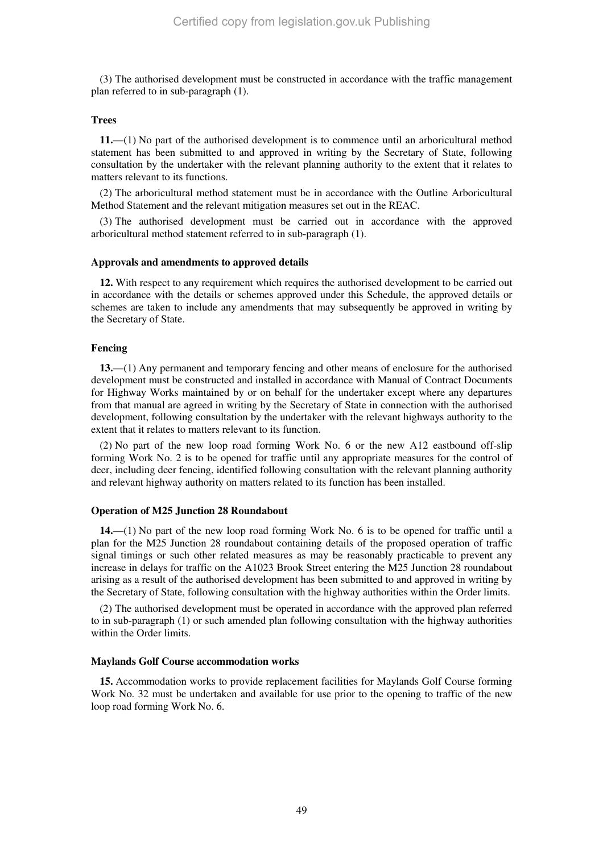(3) The authorised development must be constructed in accordance with the traffic management plan referred to in sub-paragraph (1).

#### **Trees**

**11.**—(1) No part of the authorised development is to commence until an arboricultural method statement has been submitted to and approved in writing by the Secretary of State, following consultation by the undertaker with the relevant planning authority to the extent that it relates to matters relevant to its functions.

(2) The arboricultural method statement must be in accordance with the Outline Arboricultural Method Statement and the relevant mitigation measures set out in the REAC.

(3) The authorised development must be carried out in accordance with the approved arboricultural method statement referred to in sub-paragraph (1).

#### **Approvals and amendments to approved details**

**12.** With respect to any requirement which requires the authorised development to be carried out in accordance with the details or schemes approved under this Schedule, the approved details or schemes are taken to include any amendments that may subsequently be approved in writing by the Secretary of State.

#### **Fencing**

**13.**—(1) Any permanent and temporary fencing and other means of enclosure for the authorised development must be constructed and installed in accordance with Manual of Contract Documents for Highway Works maintained by or on behalf for the undertaker except where any departures from that manual are agreed in writing by the Secretary of State in connection with the authorised development, following consultation by the undertaker with the relevant highways authority to the extent that it relates to matters relevant to its function.

(2) No part of the new loop road forming Work No. 6 or the new A12 eastbound off-slip forming Work No. 2 is to be opened for traffic until any appropriate measures for the control of deer, including deer fencing, identified following consultation with the relevant planning authority and relevant highway authority on matters related to its function has been installed.

#### **Operation of M25 Junction 28 Roundabout**

**14.**—(1) No part of the new loop road forming Work No. 6 is to be opened for traffic until a plan for the M25 Junction 28 roundabout containing details of the proposed operation of traffic signal timings or such other related measures as may be reasonably practicable to prevent any increase in delays for traffic on the A1023 Brook Street entering the M25 Junction 28 roundabout arising as a result of the authorised development has been submitted to and approved in writing by the Secretary of State, following consultation with the highway authorities within the Order limits.

(2) The authorised development must be operated in accordance with the approved plan referred to in sub-paragraph (1) or such amended plan following consultation with the highway authorities within the Order limits.

#### **Maylands Golf Course accommodation works**

**15.** Accommodation works to provide replacement facilities for Maylands Golf Course forming Work No. 32 must be undertaken and available for use prior to the opening to traffic of the new loop road forming Work No. 6.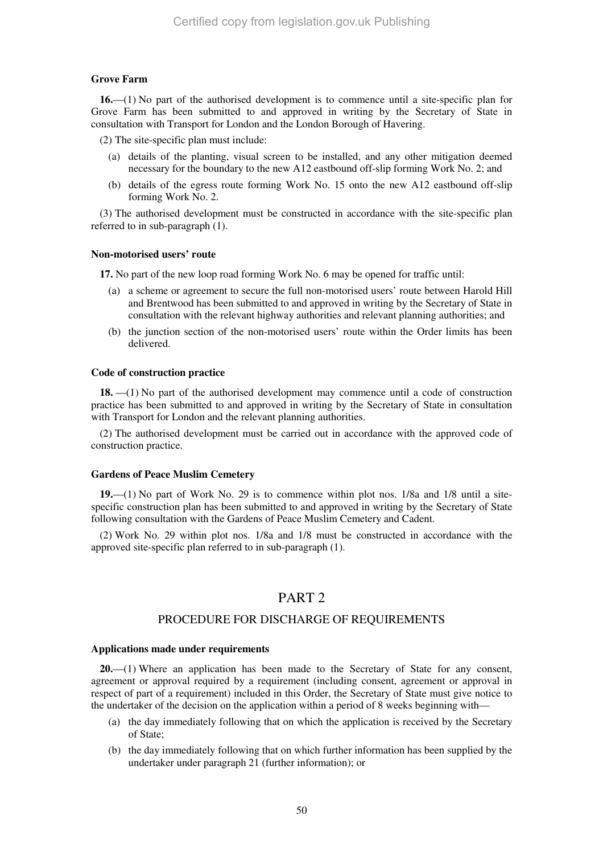#### **Grove Farm**

**16.**—(1) No part of the authorised development is to commence until a site-specific plan for Grove Farm has been submitted to and approved in writing by the Secretary of State in consultation with Transport for London and the London Borough of Havering.

(2) The site-specific plan must include:

- (a) details of the planting, visual screen to be installed, and any other mitigation deemed necessary for the boundary to the new A12 eastbound off-slip forming Work No. 2; and
- (b) details of the egress route forming Work No. 15 onto the new A12 eastbound off-slip forming Work No. 2.

(3) The authorised development must be constructed in accordance with the site-specific plan referred to in sub-paragraph (1).

#### **Non-motorised users' route**

**17.** No part of the new loop road forming Work No. 6 may be opened for traffic until:

- (a) a scheme or agreement to secure the full non-motorised users' route between Harold Hill and Brentwood has been submitted to and approved in writing by the Secretary of State in consultation with the relevant highway authorities and relevant planning authorities; and
- (b) the junction section of the non-motorised users' route within the Order limits has been delivered.

#### **Code of construction practice**

**18.** —(1) No part of the authorised development may commence until a code of construction practice has been submitted to and approved in writing by the Secretary of State in consultation with Transport for London and the relevant planning authorities.

(2) The authorised development must be carried out in accordance with the approved code of construction practice.

#### **Gardens of Peace Muslim Cemetery**

**19.**—(1) No part of Work No. 29 is to commence within plot nos. 1/8a and 1/8 until a sitespecific construction plan has been submitted to and approved in writing by the Secretary of State following consultation with the Gardens of Peace Muslim Cemetery and Cadent.

(2) Work No. 29 within plot nos. 1/8a and 1/8 must be constructed in accordance with the approved site-specific plan referred to in sub-paragraph (1).

### PART 2

#### PROCEDURE FOR DISCHARGE OF REQUIREMENTS

#### **Applications made under requirements**

**20.**—(1) Where an application has been made to the Secretary of State for any consent, agreement or approval required by a requirement (including consent, agreement or approval in respect of part of a requirement) included in this Order, the Secretary of State must give notice to the undertaker of the decision on the application within a period of 8 weeks beginning with—

- (a) the day immediately following that on which the application is received by the Secretary of State;
- (b) the day immediately following that on which further information has been supplied by the undertaker under paragraph 21 (further information); or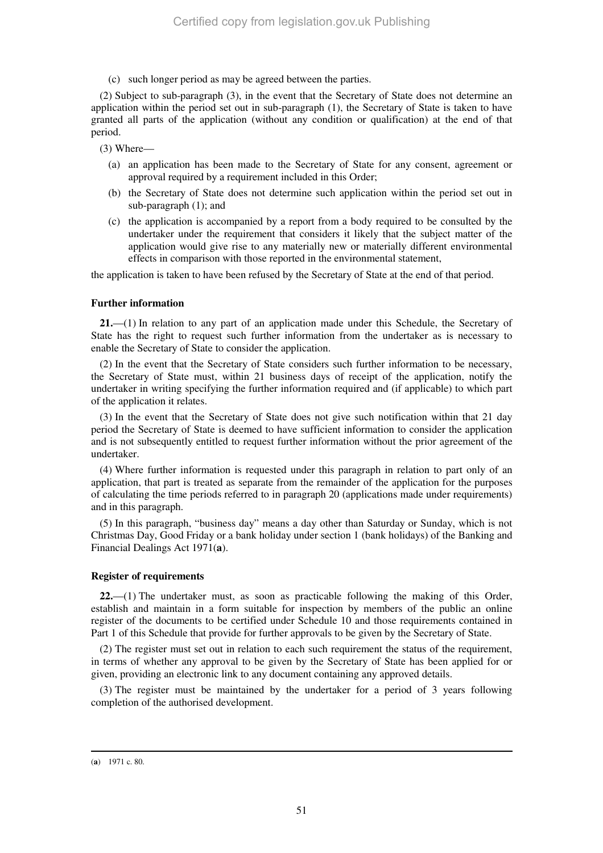(c) such longer period as may be agreed between the parties.

(2) Subject to sub-paragraph (3), in the event that the Secretary of State does not determine an application within the period set out in sub-paragraph (1), the Secretary of State is taken to have granted all parts of the application (without any condition or qualification) at the end of that period.

(3) Where—

- (a) an application has been made to the Secretary of State for any consent, agreement or approval required by a requirement included in this Order;
- (b) the Secretary of State does not determine such application within the period set out in sub-paragraph (1); and
- (c) the application is accompanied by a report from a body required to be consulted by the undertaker under the requirement that considers it likely that the subject matter of the application would give rise to any materially new or materially different environmental effects in comparison with those reported in the environmental statement,

the application is taken to have been refused by the Secretary of State at the end of that period.

#### **Further information**

**21.**—(1) In relation to any part of an application made under this Schedule, the Secretary of State has the right to request such further information from the undertaker as is necessary to enable the Secretary of State to consider the application.

(2) In the event that the Secretary of State considers such further information to be necessary, the Secretary of State must, within 21 business days of receipt of the application, notify the undertaker in writing specifying the further information required and (if applicable) to which part of the application it relates.

(3) In the event that the Secretary of State does not give such notification within that 21 day period the Secretary of State is deemed to have sufficient information to consider the application and is not subsequently entitled to request further information without the prior agreement of the undertaker.

(4) Where further information is requested under this paragraph in relation to part only of an application, that part is treated as separate from the remainder of the application for the purposes of calculating the time periods referred to in paragraph 20 (applications made under requirements) and in this paragraph.

(5) In this paragraph, "business day" means a day other than Saturday or Sunday, which is not Christmas Day, Good Friday or a bank holiday under section 1 (bank holidays) of the Banking and Financial Dealings Act 1971(**a**).

#### **Register of requirements**

**22.**—(1) The undertaker must, as soon as practicable following the making of this Order, establish and maintain in a form suitable for inspection by members of the public an online register of the documents to be certified under Schedule 10 and those requirements contained in Part 1 of this Schedule that provide for further approvals to be given by the Secretary of State.

(2) The register must set out in relation to each such requirement the status of the requirement, in terms of whether any approval to be given by the Secretary of State has been applied for or given, providing an electronic link to any document containing any approved details.

(3) The register must be maintained by the undertaker for a period of 3 years following completion of the authorised development.

-

<sup>(</sup>**a**) 1971 c. 80.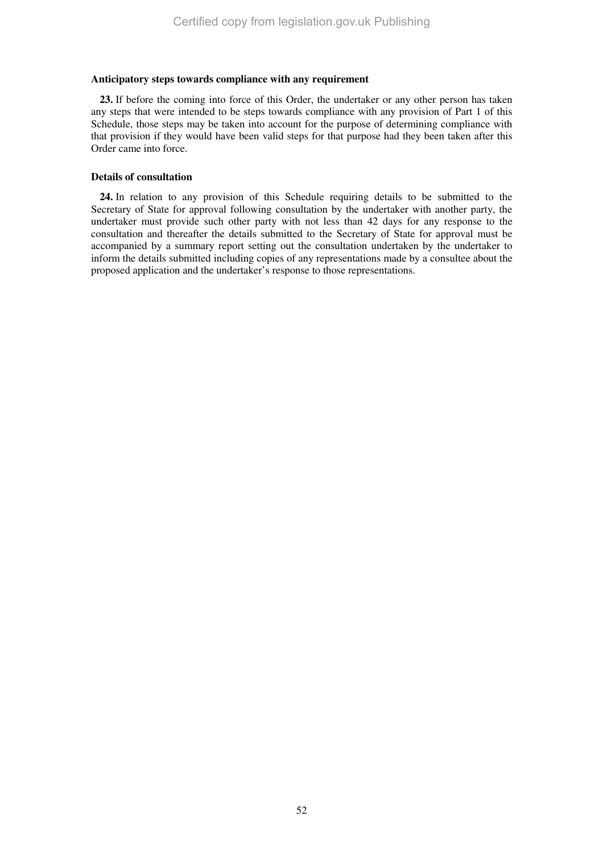#### **Anticipatory steps towards compliance with any requirement**

**23.** If before the coming into force of this Order, the undertaker or any other person has taken any steps that were intended to be steps towards compliance with any provision of Part 1 of this Schedule, those steps may be taken into account for the purpose of determining compliance with that provision if they would have been valid steps for that purpose had they been taken after this Order came into force.

#### **Details of consultation**

**24.** In relation to any provision of this Schedule requiring details to be submitted to the Secretary of State for approval following consultation by the undertaker with another party, the undertaker must provide such other party with not less than 42 days for any response to the consultation and thereafter the details submitted to the Secretary of State for approval must be accompanied by a summary report setting out the consultation undertaken by the undertaker to inform the details submitted including copies of any representations made by a consultee about the proposed application and the undertaker's response to those representations.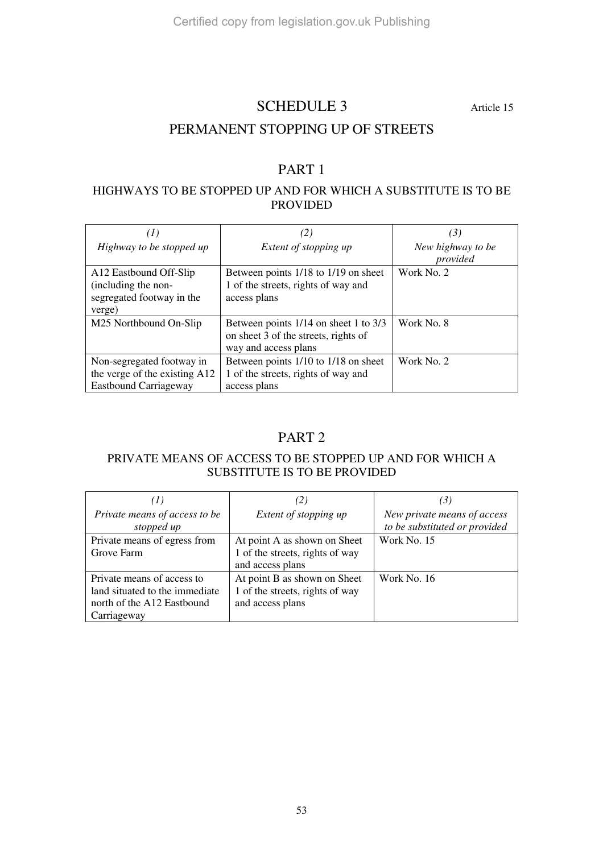### SCHEDULE 3 Article 15

### PERMANENT STOPPING UP OF STREETS

### PART 1

### HIGHWAYS TO BE STOPPED UP AND FOR WHICH A SUBSTITUTE IS TO BE PROVIDED

| (I)                           | (2)                                   | (3)               |
|-------------------------------|---------------------------------------|-------------------|
|                               |                                       |                   |
| Highway to be stopped up      | Extent of stopping up                 | New highway to be |
|                               |                                       | provided          |
| A12 Eastbound Off-Slip        | Between points 1/18 to 1/19 on sheet  | Work No. 2        |
| (including the non-           | 1 of the streets, rights of way and   |                   |
| segregated footway in the     | access plans                          |                   |
| verge)                        |                                       |                   |
| M25 Northbound On-Slip        | Between points 1/14 on sheet 1 to 3/3 | Work No. 8        |
|                               | on sheet 3 of the streets, rights of  |                   |
|                               | way and access plans                  |                   |
| Non-segregated footway in     | Between points 1/10 to 1/18 on sheet  | Work No. 2        |
| the verge of the existing A12 | 1 of the streets, rights of way and   |                   |
| <b>Eastbound Carriageway</b>  | access plans                          |                   |

### PART 2

### PRIVATE MEANS OF ACCESS TO BE STOPPED UP AND FOR WHICH A SUBSTITUTE IS TO BE PROVIDED

| (I)                            | (2)                             | (3)                           |
|--------------------------------|---------------------------------|-------------------------------|
| Private means of access to be  | Extent of stopping up           | New private means of access   |
| stopped up                     |                                 | to be substituted or provided |
| Private means of egress from   | At point A as shown on Sheet    | Work No. 15                   |
| Grove Farm                     | 1 of the streets, rights of way |                               |
|                                | and access plans                |                               |
| Private means of access to     | At point B as shown on Sheet    | Work No. 16                   |
| land situated to the immediate | 1 of the streets, rights of way |                               |
| north of the A12 Eastbound     | and access plans                |                               |
| Carriageway                    |                                 |                               |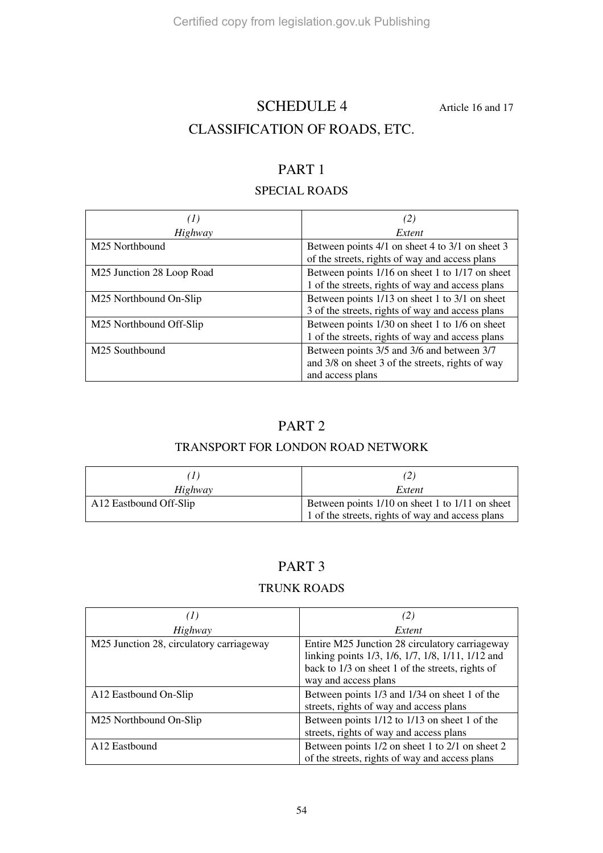# SCHEDULE 4 Article 16 and 17 CLASSIFICATION OF ROADS, ETC.

### PART 1

### SPECIAL ROADS

| (1)                       | (2)                                                                                                                |
|---------------------------|--------------------------------------------------------------------------------------------------------------------|
| Highway                   | Extent                                                                                                             |
| M25 Northbound            | Between points 4/1 on sheet 4 to 3/1 on sheet 3<br>of the streets, rights of way and access plans                  |
| M25 Junction 28 Loop Road | Between points 1/16 on sheet 1 to 1/17 on sheet<br>1 of the streets, rights of way and access plans                |
| M25 Northbound On-Slip    | Between points 1/13 on sheet 1 to 3/1 on sheet<br>3 of the streets, rights of way and access plans                 |
| M25 Northbound Off-Slip   | Between points 1/30 on sheet 1 to 1/6 on sheet<br>1 of the streets, rights of way and access plans                 |
| M25 Southbound            | Between points 3/5 and 3/6 and between 3/7<br>and 3/8 on sheet 3 of the streets, rights of way<br>and access plans |

### PART 2

### TRANSPORT FOR LONDON ROAD NETWORK

| Highway                | Extent                                           |
|------------------------|--------------------------------------------------|
| A12 Eastbound Off-Slip | Between points 1/10 on sheet 1 to 1/11 on sheet  |
|                        | 1 of the streets, rights of way and access plans |

### PART 3

### TRUNK ROADS

| (1)                                      | (2)                                                                                                                                                                             |
|------------------------------------------|---------------------------------------------------------------------------------------------------------------------------------------------------------------------------------|
| Highway                                  | Extent                                                                                                                                                                          |
| M25 Junction 28, circulatory carriageway | Entire M25 Junction 28 circulatory carriageway<br>linking points 1/3, 1/6, 1/7, 1/8, 1/11, 1/12 and<br>back to 1/3 on sheet 1 of the streets, rights of<br>way and access plans |
| A12 Eastbound On-Slip                    | Between points 1/3 and 1/34 on sheet 1 of the<br>streets, rights of way and access plans                                                                                        |
| M25 Northbound On-Slip                   | Between points 1/12 to 1/13 on sheet 1 of the<br>streets, rights of way and access plans                                                                                        |
| A <sub>12</sub> Eastbound                | Between points 1/2 on sheet 1 to 2/1 on sheet 2<br>of the streets, rights of way and access plans                                                                               |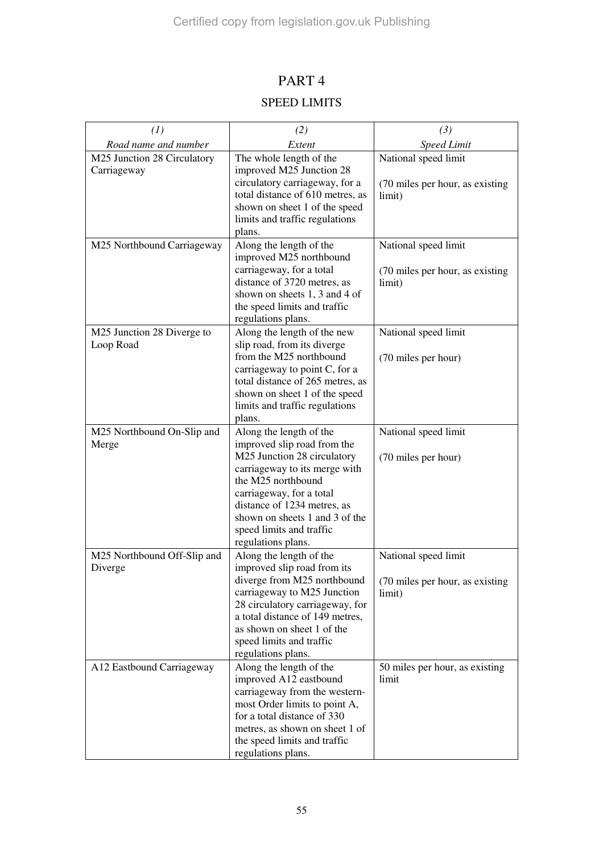# PART 4 SPEED LIMITS

| (1)                                        | (2)                                                                                                                                                                                                                                                                                         | (3)                                                                |
|--------------------------------------------|---------------------------------------------------------------------------------------------------------------------------------------------------------------------------------------------------------------------------------------------------------------------------------------------|--------------------------------------------------------------------|
| Road name and number                       | Extent                                                                                                                                                                                                                                                                                      | <b>Speed Limit</b>                                                 |
| M25 Junction 28 Circulatory<br>Carriageway | The whole length of the<br>improved M25 Junction 28<br>circulatory carriageway, for a<br>total distance of 610 metres, as<br>shown on sheet 1 of the speed<br>limits and traffic regulations<br>plans.                                                                                      | National speed limit<br>(70 miles per hour, as existing)<br>limit) |
| M25 Northbound Carriageway                 | Along the length of the<br>improved M25 northbound<br>carriageway, for a total<br>distance of 3720 metres, as<br>shown on sheets 1, 3 and 4 of<br>the speed limits and traffic<br>regulations plans.                                                                                        | National speed limit<br>(70 miles per hour, as existing<br>limit)  |
| M25 Junction 28 Diverge to<br>Loop Road    | Along the length of the new<br>slip road, from its diverge<br>from the M25 northbound<br>carriageway to point C, for a<br>total distance of 265 metres, as<br>shown on sheet 1 of the speed<br>limits and traffic regulations<br>plans.                                                     | National speed limit<br>(70 miles per hour)                        |
| M25 Northbound On-Slip and<br>Merge        | Along the length of the<br>improved slip road from the<br>M25 Junction 28 circulatory<br>carriageway to its merge with<br>the M25 northbound<br>carriageway, for a total<br>distance of 1234 metres, as<br>shown on sheets 1 and 3 of the<br>speed limits and traffic<br>regulations plans. | National speed limit<br>(70 miles per hour)                        |
| M25 Northbound Off-Slip and<br>Diverge     | Along the length of the<br>improved slip road from its<br>diverge from M25 northbound<br>carriageway to M25 Junction<br>28 circulatory carriageway, for<br>a total distance of 149 metres,<br>as shown on sheet 1 of the<br>speed limits and traffic<br>regulations plans.                  | National speed limit<br>(70 miles per hour, as existing<br>limit)  |
| A12 Eastbound Carriageway                  | Along the length of the<br>improved A12 eastbound<br>carriageway from the western-<br>most Order limits to point A,<br>for a total distance of 330<br>metres, as shown on sheet 1 of<br>the speed limits and traffic<br>regulations plans.                                                  | 50 miles per hour, as existing<br>limit                            |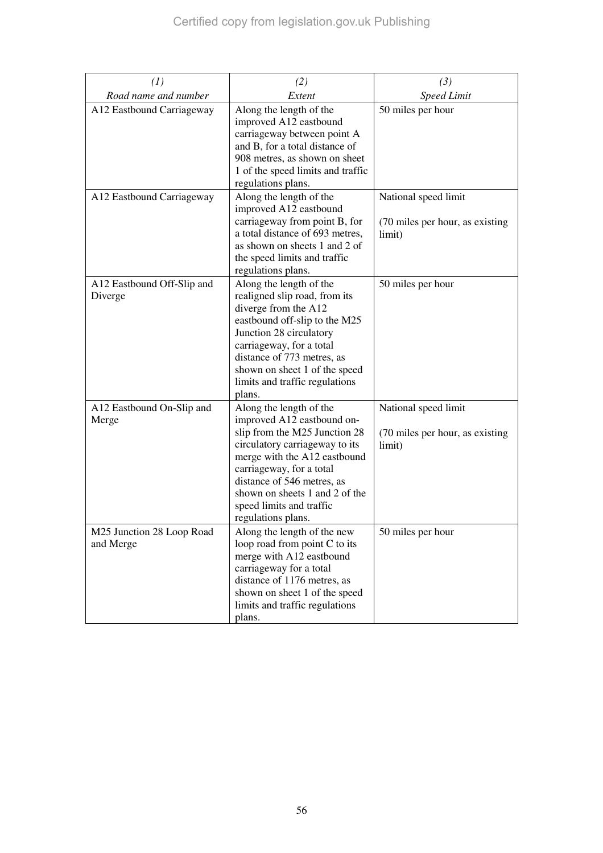| (1)                                    | (2)                                                                                                                                                                                                                                                                                                    | (3)                                                               |
|----------------------------------------|--------------------------------------------------------------------------------------------------------------------------------------------------------------------------------------------------------------------------------------------------------------------------------------------------------|-------------------------------------------------------------------|
| Road name and number                   | Extent                                                                                                                                                                                                                                                                                                 | <b>Speed Limit</b>                                                |
| A12 Eastbound Carriageway              | Along the length of the<br>improved A12 eastbound<br>carriageway between point A<br>and B, for a total distance of<br>908 metres, as shown on sheet<br>1 of the speed limits and traffic<br>regulations plans.                                                                                         | 50 miles per hour                                                 |
| A12 Eastbound Carriageway              | Along the length of the<br>improved A12 eastbound<br>carriageway from point B, for<br>a total distance of 693 metres,<br>as shown on sheets 1 and 2 of<br>the speed limits and traffic<br>regulations plans.                                                                                           | National speed limit<br>(70 miles per hour, as existing<br>limit) |
| A12 Eastbound Off-Slip and<br>Diverge  | Along the length of the<br>realigned slip road, from its<br>diverge from the A12<br>eastbound off-slip to the M25<br>Junction 28 circulatory<br>carriageway, for a total<br>distance of 773 metres, as<br>shown on sheet 1 of the speed<br>limits and traffic regulations<br>plans.                    | 50 miles per hour                                                 |
| A12 Eastbound On-Slip and<br>Merge     | Along the length of the<br>improved A12 eastbound on-<br>slip from the M25 Junction 28<br>circulatory carriageway to its<br>merge with the A12 eastbound<br>carriageway, for a total<br>distance of 546 metres, as<br>shown on sheets 1 and 2 of the<br>speed limits and traffic<br>regulations plans. | National speed limit<br>(70 miles per hour, as existing<br>limit) |
| M25 Junction 28 Loop Road<br>and Merge | Along the length of the new<br>loop road from point C to its<br>merge with A12 eastbound<br>carriageway for a total<br>distance of 1176 metres, as<br>shown on sheet 1 of the speed<br>limits and traffic regulations<br>plans.                                                                        | 50 miles per hour                                                 |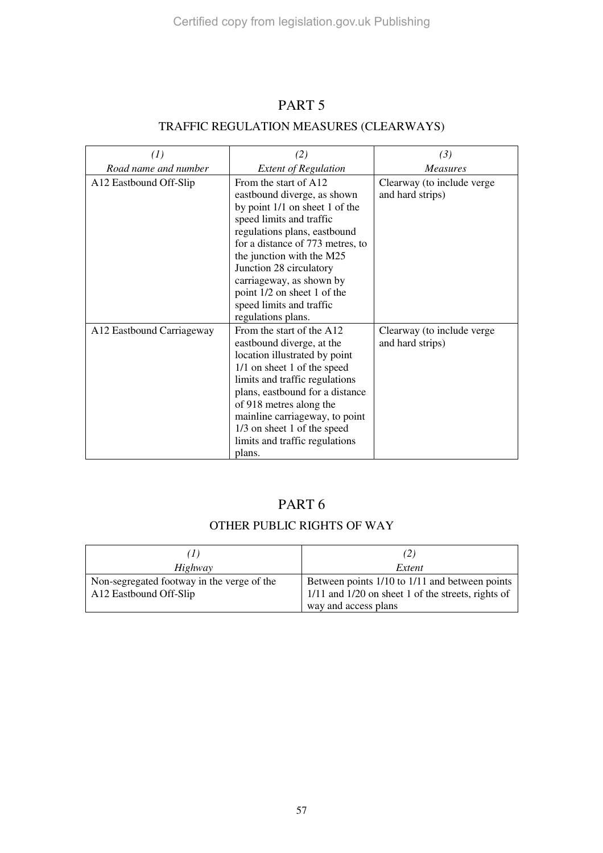### PART 5

### TRAFFIC REGULATION MEASURES (CLEARWAYS)

| (1)                       | (2)                                                                                                                                                                                                                                                                                                                                                         | (3)                                            |
|---------------------------|-------------------------------------------------------------------------------------------------------------------------------------------------------------------------------------------------------------------------------------------------------------------------------------------------------------------------------------------------------------|------------------------------------------------|
| Road name and number      | <b>Extent of Regulation</b>                                                                                                                                                                                                                                                                                                                                 | <b>Measures</b>                                |
| A12 Eastbound Off-Slip    | From the start of A12<br>eastbound diverge, as shown<br>by point 1/1 on sheet 1 of the<br>speed limits and traffic<br>regulations plans, eastbound<br>for a distance of 773 metres, to<br>the junction with the M25<br>Junction 28 circulatory<br>carriageway, as shown by<br>point 1/2 on sheet 1 of the<br>speed limits and traffic<br>regulations plans. | Clearway (to include verge<br>and hard strips) |
| A12 Eastbound Carriageway | From the start of the A12<br>eastbound diverge, at the<br>location illustrated by point<br>1/1 on sheet 1 of the speed<br>limits and traffic regulations<br>plans, eastbound for a distance<br>of 918 metres along the<br>mainline carriageway, to point<br>1/3 on sheet 1 of the speed<br>limits and traffic regulations<br>plans.                         | Clearway (to include verge<br>and hard strips) |

### PART 6

### OTHER PUBLIC RIGHTS OF WAY

|                                                                      | (2)                                                                                                  |
|----------------------------------------------------------------------|------------------------------------------------------------------------------------------------------|
| Highway                                                              | Extent                                                                                               |
| Non-segregated footway in the verge of the<br>A12 Eastbound Off-Slip | Between points 1/10 to 1/11 and between points<br>1/11 and 1/20 on sheet 1 of the streets, rights of |
|                                                                      | way and access plans                                                                                 |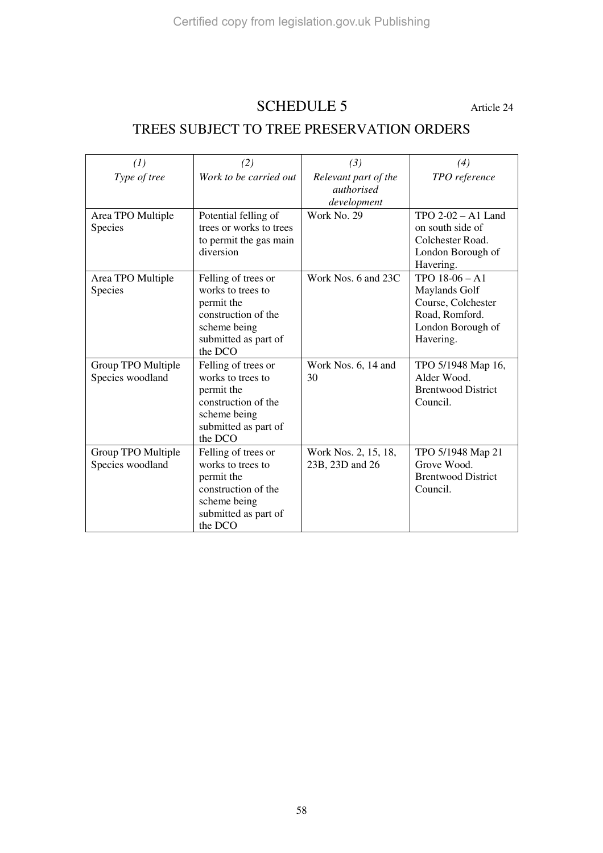# SCHEDULE 5 Article 24

## TREES SUBJECT TO TREE PRESERVATION ORDERS

| (1)                                    | (2)                                                                                                                              | (3)                                                      | (4)                                                                                                         |
|----------------------------------------|----------------------------------------------------------------------------------------------------------------------------------|----------------------------------------------------------|-------------------------------------------------------------------------------------------------------------|
| Type of tree                           | Work to be carried out                                                                                                           | Relevant part of the<br><i>authorised</i><br>development | TPO reference                                                                                               |
| Area TPO Multiple<br>Species           | Potential felling of<br>trees or works to trees<br>to permit the gas main<br>diversion                                           | Work No. 29                                              | TPO $2-02 - A1$ Land<br>on south side of<br>Colchester Road.<br>London Borough of<br>Havering.              |
| Area TPO Multiple<br>Species           | Felling of trees or<br>works to trees to<br>permit the<br>construction of the<br>scheme being<br>submitted as part of<br>the DCO | Work Nos. 6 and 23C                                      | TPO $18-06 - A1$<br>Maylands Golf<br>Course, Colchester<br>Road, Romford.<br>London Borough of<br>Havering. |
| Group TPO Multiple<br>Species woodland | Felling of trees or<br>works to trees to<br>permit the<br>construction of the<br>scheme being<br>submitted as part of<br>the DCO | Work Nos. 6, 14 and<br>30                                | TPO 5/1948 Map 16,<br>Alder Wood.<br><b>Brentwood District</b><br>Council.                                  |
| Group TPO Multiple<br>Species woodland | Felling of trees or<br>works to trees to<br>permit the<br>construction of the<br>scheme being<br>submitted as part of<br>the DCO | Work Nos. 2, 15, 18,<br>23B, 23D and 26                  | TPO 5/1948 Map 21<br>Grove Wood.<br><b>Brentwood District</b><br>Council.                                   |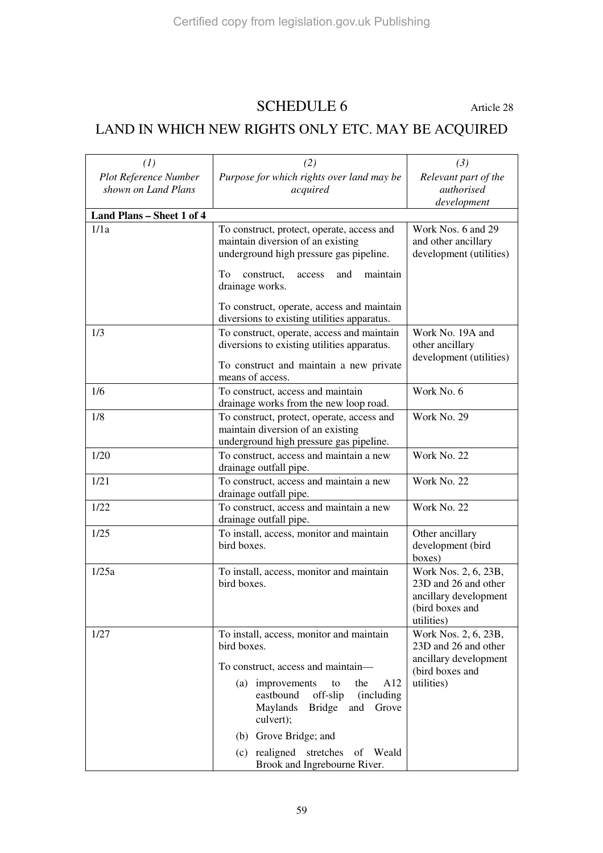### SCHEDULE 6 Article 28

# LAND IN WHICH NEW RIGHTS ONLY ETC. MAY BE ACQUIRED

| (1)                          | (2)                                                                                       | (3)                                           |
|------------------------------|-------------------------------------------------------------------------------------------|-----------------------------------------------|
| <b>Plot Reference Number</b> | Purpose for which rights over land may be                                                 | Relevant part of the                          |
| shown on Land Plans          | acquired                                                                                  | authorised                                    |
|                              |                                                                                           | development                                   |
| Land Plans - Sheet 1 of 4    |                                                                                           |                                               |
| 1/1a                         | To construct, protect, operate, access and<br>maintain diversion of an existing           | Work Nos. 6 and 29<br>and other ancillary     |
|                              | underground high pressure gas pipeline.                                                   | development (utilities)                       |
|                              |                                                                                           |                                               |
|                              | To<br>construct,<br>maintain<br>access<br>and<br>drainage works.                          |                                               |
|                              |                                                                                           |                                               |
|                              | To construct, operate, access and maintain<br>diversions to existing utilities apparatus. |                                               |
| 1/3                          | To construct, operate, access and maintain                                                | Work No. 19A and                              |
|                              | diversions to existing utilities apparatus.                                               | other ancillary                               |
|                              |                                                                                           | development (utilities)                       |
|                              | To construct and maintain a new private<br>means of access.                               |                                               |
| 1/6                          | To construct, access and maintain                                                         | Work No. 6                                    |
|                              | drainage works from the new loop road.                                                    |                                               |
| 1/8                          | To construct, protect, operate, access and                                                | Work No. 29                                   |
|                              | maintain diversion of an existing                                                         |                                               |
|                              | underground high pressure gas pipeline.                                                   |                                               |
| 1/20                         | To construct, access and maintain a new                                                   | Work No. 22                                   |
| 1/21                         | drainage outfall pipe.<br>To construct, access and maintain a new                         | Work No. 22                                   |
|                              | drainage outfall pipe.                                                                    |                                               |
| 1/22                         | To construct, access and maintain a new                                                   | Work No. 22                                   |
|                              | drainage outfall pipe.                                                                    |                                               |
| 1/25                         | To install, access, monitor and maintain                                                  | Other ancillary                               |
|                              | bird boxes.                                                                               | development (bird                             |
| 1/25a                        | To install, access, monitor and maintain                                                  | boxes)<br>Work Nos. 2, 6, 23B,                |
|                              | bird boxes.                                                                               | 23D and 26 and other                          |
|                              |                                                                                           | ancillary development                         |
|                              |                                                                                           | (bird boxes and                               |
|                              |                                                                                           | utilities)                                    |
| 1/27                         | To install, access, monitor and maintain                                                  | Work Nos. 2, 6, 23B,                          |
|                              | bird boxes.                                                                               | 23D and 26 and other<br>ancillary development |
|                              | To construct, access and maintain-                                                        | (bird boxes and                               |
|                              | (a) improvements<br>the<br>A <sub>12</sub><br>to                                          | utilities)                                    |
|                              | off-slip<br>eastbound<br>(including)                                                      |                                               |
|                              | Maylands<br>Bridge and Grove<br>culvert);                                                 |                                               |
|                              | (b) Grove Bridge; and                                                                     |                                               |
|                              |                                                                                           |                                               |
|                              | (c) realigned stretches<br>of Weald<br>Brook and Ingrebourne River.                       |                                               |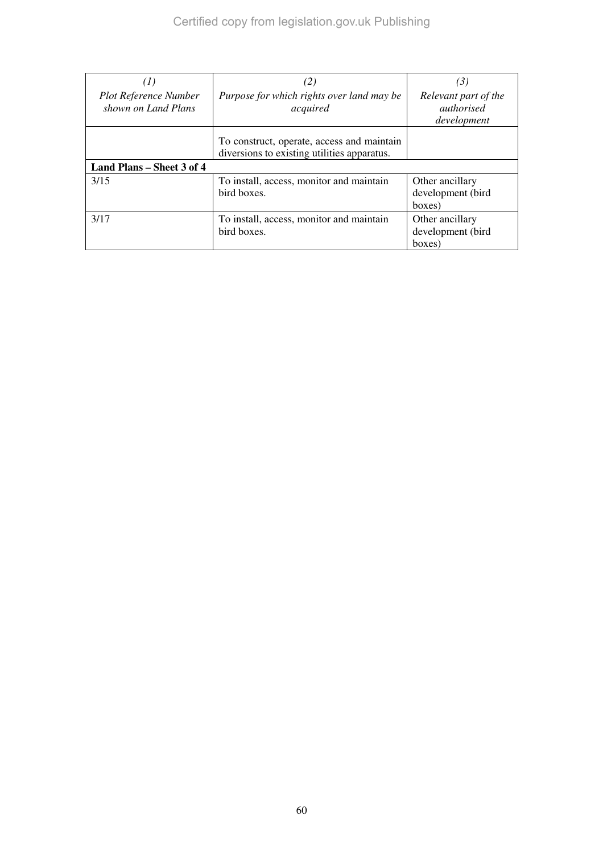| (1)                                                 | (2)                                                                                       | (3)                                                      |
|-----------------------------------------------------|-------------------------------------------------------------------------------------------|----------------------------------------------------------|
| <b>Plot Reference Number</b><br>shown on Land Plans | Purpose for which rights over land may be<br>acquired                                     | Relevant part of the<br><i>authorised</i><br>development |
|                                                     | To construct, operate, access and maintain<br>diversions to existing utilities apparatus. |                                                          |
| Land Plans – Sheet 3 of 4                           |                                                                                           |                                                          |
| 3/15                                                | To install, access, monitor and maintain<br>bird boxes.                                   | Other ancillary<br>development (bird<br>boxes)           |
| 3/17                                                | To install, access, monitor and maintain<br>bird boxes.                                   | Other ancillary<br>development (bird<br>boxes)           |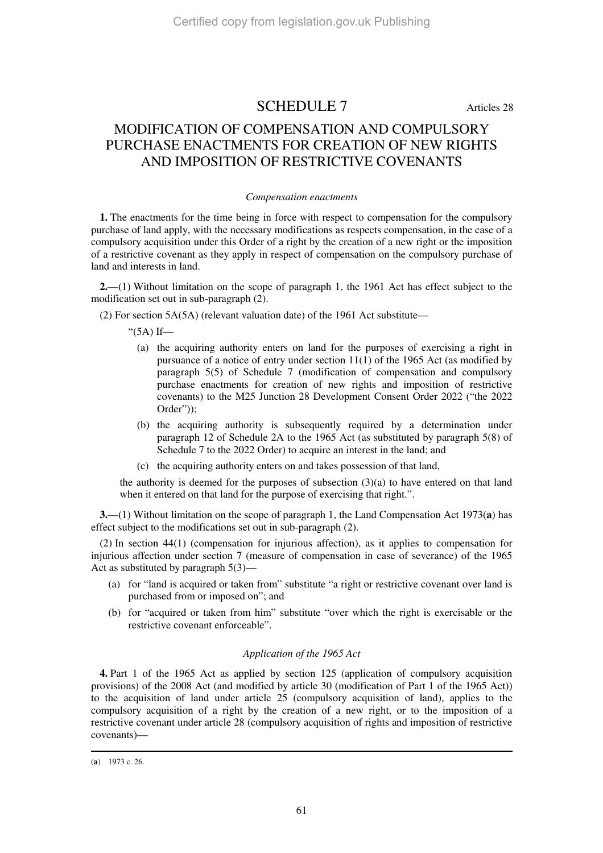### SCHEDULE 7 Articles 28

### MODIFICATION OF COMPENSATION AND COMPULSORY PURCHASE ENACTMENTS FOR CREATION OF NEW RIGHTS AND IMPOSITION OF RESTRICTIVE COVENANTS

#### *Compensation enactments*

**1.** The enactments for the time being in force with respect to compensation for the compulsory purchase of land apply, with the necessary modifications as respects compensation, in the case of a compulsory acquisition under this Order of a right by the creation of a new right or the imposition of a restrictive covenant as they apply in respect of compensation on the compulsory purchase of land and interests in land.

**2.**—(1) Without limitation on the scope of paragraph 1, the 1961 Act has effect subject to the modification set out in sub-paragraph (2).

(2) For section 5A(5A) (relevant valuation date) of the 1961 Act substitute—

" $(5A)$  If—

- (a) the acquiring authority enters on land for the purposes of exercising a right in pursuance of a notice of entry under section 11(1) of the 1965 Act (as modified by paragraph 5(5) of Schedule 7 (modification of compensation and compulsory purchase enactments for creation of new rights and imposition of restrictive covenants) to the M25 Junction 28 Development Consent Order 2022 ("the 2022 Order"));
- (b) the acquiring authority is subsequently required by a determination under paragraph 12 of Schedule 2A to the 1965 Act (as substituted by paragraph 5(8) of Schedule 7 to the 2022 Order) to acquire an interest in the land; and
- (c) the acquiring authority enters on and takes possession of that land,

the authority is deemed for the purposes of subsection  $(3)(a)$  to have entered on that land when it entered on that land for the purpose of exercising that right.".

**3.**—(1) Without limitation on the scope of paragraph 1, the Land Compensation Act 1973(**a**) has effect subject to the modifications set out in sub-paragraph (2).

(2) In section 44(1) (compensation for injurious affection), as it applies to compensation for injurious affection under section 7 (measure of compensation in case of severance) of the 1965 Act as substituted by paragraph 5(3)—

- (a) for "land is acquired or taken from" substitute "a right or restrictive covenant over land is purchased from or imposed on"; and
- (b) for "acquired or taken from him" substitute "over which the right is exercisable or the restrictive covenant enforceable".

#### *Application of the 1965 Act*

**4.** Part 1 of the 1965 Act as applied by section 125 (application of compulsory acquisition provisions) of the 2008 Act (and modified by article 30 (modification of Part 1 of the 1965 Act)) to the acquisition of land under article 25 (compulsory acquisition of land), applies to the compulsory acquisition of a right by the creation of a new right, or to the imposition of a restrictive covenant under article 28 (compulsory acquisition of rights and imposition of restrictive covenants)—

-

<sup>(</sup>**a**) 1973 c. 26.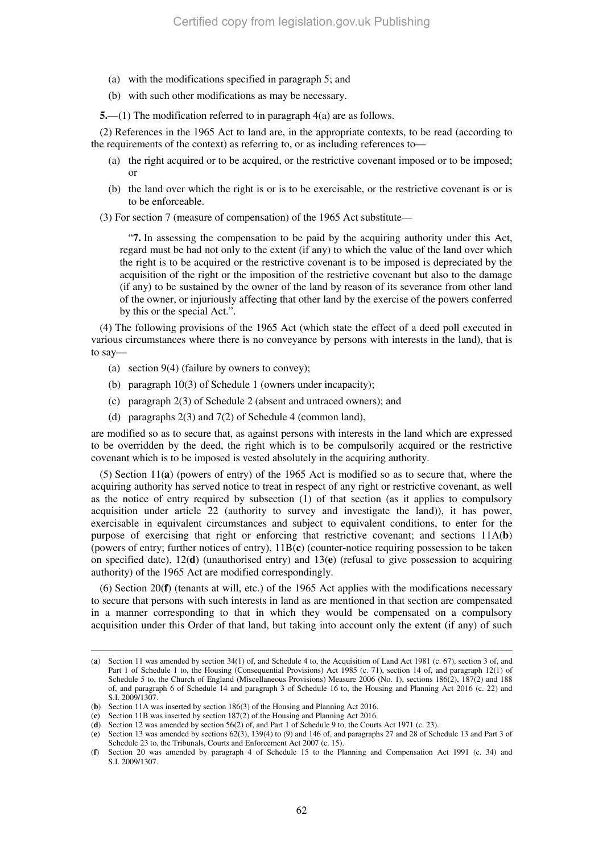- (a) with the modifications specified in paragraph 5; and
- (b) with such other modifications as may be necessary.

**5.**—(1) The modification referred to in paragraph 4(a) are as follows.

(2) References in the 1965 Act to land are, in the appropriate contexts, to be read (according to the requirements of the context) as referring to, or as including references to—

- (a) the right acquired or to be acquired, or the restrictive covenant imposed or to be imposed; or
- (b) the land over which the right is or is to be exercisable, or the restrictive covenant is or is to be enforceable.

(3) For section 7 (measure of compensation) of the 1965 Act substitute—

"**7.** In assessing the compensation to be paid by the acquiring authority under this Act, regard must be had not only to the extent (if any) to which the value of the land over which the right is to be acquired or the restrictive covenant is to be imposed is depreciated by the acquisition of the right or the imposition of the restrictive covenant but also to the damage (if any) to be sustained by the owner of the land by reason of its severance from other land of the owner, or injuriously affecting that other land by the exercise of the powers conferred by this or the special Act.".

(4) The following provisions of the 1965 Act (which state the effect of a deed poll executed in various circumstances where there is no conveyance by persons with interests in the land), that is to say—

- (a) section 9(4) (failure by owners to convey);
- (b) paragraph 10(3) of Schedule 1 (owners under incapacity);
- (c) paragraph 2(3) of Schedule 2 (absent and untraced owners); and
- (d) paragraphs 2(3) and 7(2) of Schedule 4 (common land),

are modified so as to secure that, as against persons with interests in the land which are expressed to be overridden by the deed, the right which is to be compulsorily acquired or the restrictive covenant which is to be imposed is vested absolutely in the acquiring authority.

(5) Section 11(**a**) (powers of entry) of the 1965 Act is modified so as to secure that, where the acquiring authority has served notice to treat in respect of any right or restrictive covenant, as well as the notice of entry required by subsection (1) of that section (as it applies to compulsory acquisition under article 22 (authority to survey and investigate the land)), it has power, exercisable in equivalent circumstances and subject to equivalent conditions, to enter for the purpose of exercising that right or enforcing that restrictive covenant; and sections 11A(**b**) (powers of entry; further notices of entry), 11B(**c**) (counter-notice requiring possession to be taken on specified date), 12(**d**) (unauthorised entry) and 13(**e**) (refusal to give possession to acquiring authority) of the 1965 Act are modified correspondingly.

(6) Section 20(**f**) (tenants at will, etc.) of the 1965 Act applies with the modifications necessary to secure that persons with such interests in land as are mentioned in that section are compensated in a manner corresponding to that in which they would be compensated on a compulsory acquisition under this Order of that land, but taking into account only the extent (if any) of such

<sup>-</sup>(**a**) Section 11 was amended by section 34(1) of, and Schedule 4 to, the Acquisition of Land Act 1981 (c. 67), section 3 of, and Part 1 of Schedule 1 to, the Housing (Consequential Provisions) Act 1985 (c. 71), section 14 of, and paragraph 12(1) of Schedule 5 to, the Church of England (Miscellaneous Provisions) Measure 2006 (No. 1), sections 186(2), 187(2) and 188 of, and paragraph 6 of Schedule 14 and paragraph 3 of Schedule 16 to, the Housing and Planning Act 2016 (c. 22) and S.I. 2009/1307.

<sup>(</sup>**b**) Section 11A was inserted by section 186(3) of the Housing and Planning Act 2016.

<sup>(</sup>**c**) Section 11B was inserted by section 187(2) of the Housing and Planning Act 2016.

<sup>(</sup>**d**) Section 12 was amended by section 56(2) of, and Part 1 of Schedule 9 to, the Courts Act 1971 (c. 23).

<sup>(</sup>**e**) Section 13 was amended by sections 62(3), 139(4) to (9) and 146 of, and paragraphs 27 and 28 of Schedule 13 and Part 3 of Schedule 23 to, the Tribunals, Courts and Enforcement Act 2007 (c. 15).

<sup>(</sup>**f**) Section 20 was amended by paragraph 4 of Schedule 15 to the Planning and Compensation Act 1991 (c. 34) and S.I. 2009/1307.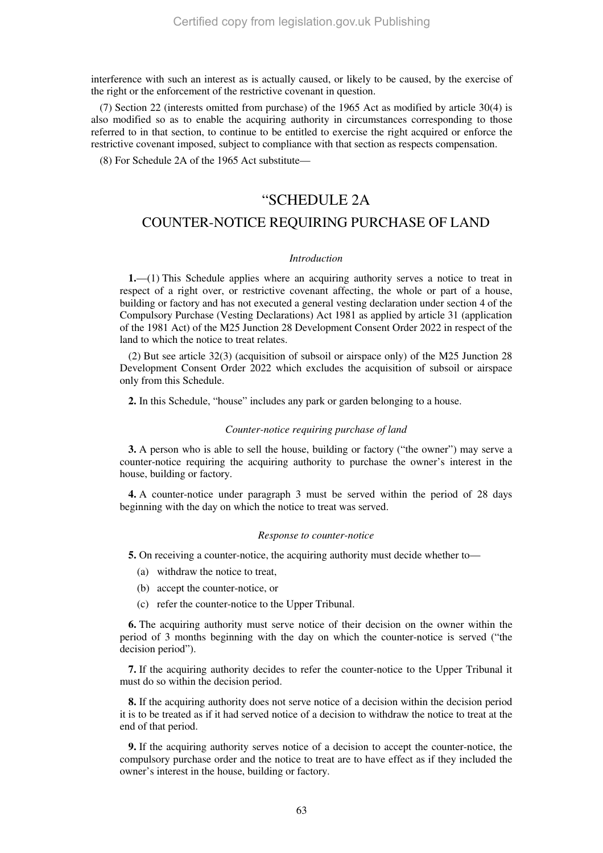interference with such an interest as is actually caused, or likely to be caused, by the exercise of the right or the enforcement of the restrictive covenant in question.

(7) Section 22 (interests omitted from purchase) of the 1965 Act as modified by article 30(4) is also modified so as to enable the acquiring authority in circumstances corresponding to those referred to in that section, to continue to be entitled to exercise the right acquired or enforce the restrictive covenant imposed, subject to compliance with that section as respects compensation.

(8) For Schedule 2A of the 1965 Act substitute—

### "SCHEDULE 2A

### COUNTER-NOTICE REQUIRING PURCHASE OF LAND

#### *Introduction*

**1.**—(1) This Schedule applies where an acquiring authority serves a notice to treat in respect of a right over, or restrictive covenant affecting, the whole or part of a house, building or factory and has not executed a general vesting declaration under section 4 of the Compulsory Purchase (Vesting Declarations) Act 1981 as applied by article 31 (application of the 1981 Act) of the M25 Junction 28 Development Consent Order 2022 in respect of the land to which the notice to treat relates.

(2) But see article 32(3) (acquisition of subsoil or airspace only) of the M25 Junction 28 Development Consent Order 2022 which excludes the acquisition of subsoil or airspace only from this Schedule.

**2.** In this Schedule, "house" includes any park or garden belonging to a house.

#### *Counter-notice requiring purchase of land*

**3.** A person who is able to sell the house, building or factory ("the owner") may serve a counter-notice requiring the acquiring authority to purchase the owner's interest in the house, building or factory.

**4.** A counter-notice under paragraph 3 must be served within the period of 28 days beginning with the day on which the notice to treat was served.

#### *Response to counter-notice*

**5.** On receiving a counter-notice, the acquiring authority must decide whether to—

- (a) withdraw the notice to treat,
- (b) accept the counter-notice, or
- (c) refer the counter-notice to the Upper Tribunal.

**6.** The acquiring authority must serve notice of their decision on the owner within the period of 3 months beginning with the day on which the counter-notice is served ("the decision period").

**7.** If the acquiring authority decides to refer the counter-notice to the Upper Tribunal it must do so within the decision period.

**8.** If the acquiring authority does not serve notice of a decision within the decision period it is to be treated as if it had served notice of a decision to withdraw the notice to treat at the end of that period.

**9.** If the acquiring authority serves notice of a decision to accept the counter-notice, the compulsory purchase order and the notice to treat are to have effect as if they included the owner's interest in the house, building or factory.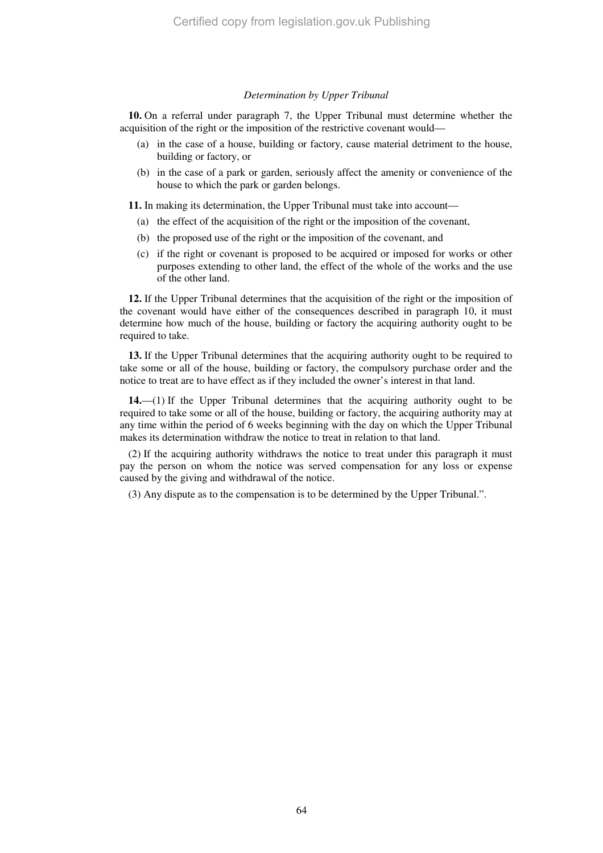#### *Determination by Upper Tribunal*

**10.** On a referral under paragraph 7, the Upper Tribunal must determine whether the acquisition of the right or the imposition of the restrictive covenant would—

- (a) in the case of a house, building or factory, cause material detriment to the house, building or factory, or
- (b) in the case of a park or garden, seriously affect the amenity or convenience of the house to which the park or garden belongs.

**11.** In making its determination, the Upper Tribunal must take into account—

- (a) the effect of the acquisition of the right or the imposition of the covenant,
- (b) the proposed use of the right or the imposition of the covenant, and
- (c) if the right or covenant is proposed to be acquired or imposed for works or other purposes extending to other land, the effect of the whole of the works and the use of the other land.

**12.** If the Upper Tribunal determines that the acquisition of the right or the imposition of the covenant would have either of the consequences described in paragraph 10, it must determine how much of the house, building or factory the acquiring authority ought to be required to take.

**13.** If the Upper Tribunal determines that the acquiring authority ought to be required to take some or all of the house, building or factory, the compulsory purchase order and the notice to treat are to have effect as if they included the owner's interest in that land.

**14.**—(1) If the Upper Tribunal determines that the acquiring authority ought to be required to take some or all of the house, building or factory, the acquiring authority may at any time within the period of 6 weeks beginning with the day on which the Upper Tribunal makes its determination withdraw the notice to treat in relation to that land.

(2) If the acquiring authority withdraws the notice to treat under this paragraph it must pay the person on whom the notice was served compensation for any loss or expense caused by the giving and withdrawal of the notice.

(3) Any dispute as to the compensation is to be determined by the Upper Tribunal.".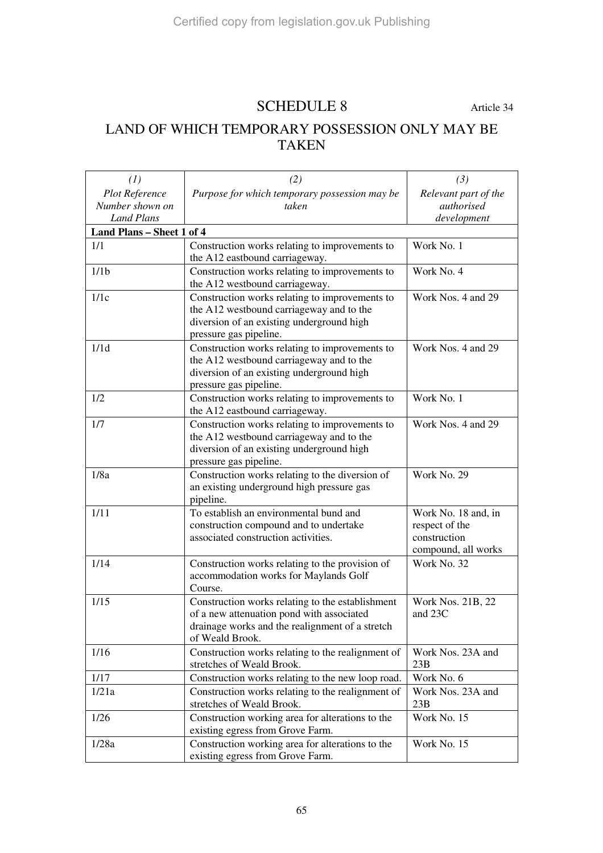## SCHEDULE 8 Article 34

### LAND OF WHICH TEMPORARY POSSESSION ONLY MAY BE TAKEN

| (1)                       | (2)                                               | (3)                  |  |
|---------------------------|---------------------------------------------------|----------------------|--|
| Plot Reference            | Purpose for which temporary possession may be     | Relevant part of the |  |
| Number shown on           | taken                                             | authorised           |  |
| <b>Land Plans</b>         |                                                   | development          |  |
| Land Plans - Sheet 1 of 4 |                                                   |                      |  |
| 1/1                       | Construction works relating to improvements to    | Work No. 1           |  |
|                           | the A12 eastbound carriageway.                    |                      |  |
| 1/1 <sub>b</sub>          | Construction works relating to improvements to    | Work No. 4           |  |
|                           | the A12 westbound carriageway.                    |                      |  |
| 1/1c                      | Construction works relating to improvements to    | Work Nos. 4 and 29   |  |
|                           | the A12 westbound carriageway and to the          |                      |  |
|                           | diversion of an existing underground high         |                      |  |
|                           | pressure gas pipeline.                            |                      |  |
| 1/1d                      | Construction works relating to improvements to    | Work Nos. 4 and 29   |  |
|                           | the A12 westbound carriageway and to the          |                      |  |
|                           | diversion of an existing underground high         |                      |  |
|                           | pressure gas pipeline.                            |                      |  |
| 1/2                       | Construction works relating to improvements to    | Work No. 1           |  |
|                           | the A12 eastbound carriageway.                    |                      |  |
| 1/7                       | Construction works relating to improvements to    | Work Nos. 4 and 29   |  |
|                           | the A12 westbound carriageway and to the          |                      |  |
|                           | diversion of an existing underground high         |                      |  |
|                           | pressure gas pipeline.                            |                      |  |
| 1/8a                      | Construction works relating to the diversion of   | Work No. 29          |  |
|                           | an existing underground high pressure gas         |                      |  |
|                           | pipeline.                                         |                      |  |
| 1/11                      | To establish an environmental bund and            | Work No. 18 and, in  |  |
|                           | construction compound and to undertake            | respect of the       |  |
|                           | associated construction activities.               | construction         |  |
|                           |                                                   | compound, all works  |  |
| 1/14                      | Construction works relating to the provision of   | Work No. 32          |  |
|                           | accommodation works for Maylands Golf             |                      |  |
|                           | Course.                                           |                      |  |
| 1/15                      | Construction works relating to the establishment  | Work Nos. 21B, 22    |  |
|                           | of a new attenuation pond with associated         | and 23C              |  |
|                           | drainage works and the realignment of a stretch   |                      |  |
|                           | of Weald Brook.                                   |                      |  |
| 1/16                      | Construction works relating to the realignment of | Work Nos. 23A and    |  |
|                           | stretches of Weald Brook.                         | 23B                  |  |
| 1/17                      | Construction works relating to the new loop road. | Work No. 6           |  |
| 1/21a                     | Construction works relating to the realignment of | Work Nos. 23A and    |  |
|                           | stretches of Weald Brook.                         | 23B                  |  |
| 1/26                      | Construction working area for alterations to the  | Work No. 15          |  |
|                           | existing egress from Grove Farm.                  |                      |  |
| 1/28a                     | Construction working area for alterations to the  | Work No. 15          |  |
|                           | existing egress from Grove Farm.                  |                      |  |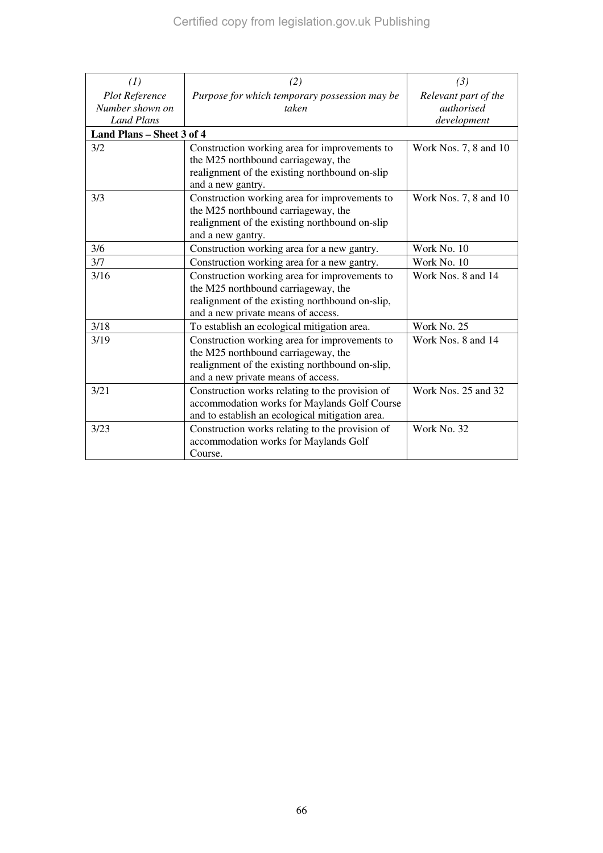| (1)                                                           | (2)                                                                                                                                                                           | (3)                                               |  |
|---------------------------------------------------------------|-------------------------------------------------------------------------------------------------------------------------------------------------------------------------------|---------------------------------------------------|--|
| <b>Plot Reference</b><br>Number shown on<br><b>Land Plans</b> | Purpose for which temporary possession may be<br>taken                                                                                                                        | Relevant part of the<br>authorised<br>development |  |
| Land Plans - Sheet 3 of 4                                     |                                                                                                                                                                               |                                                   |  |
| 3/2                                                           | Construction working area for improvements to<br>the M25 northbound carriageway, the<br>realignment of the existing northbound on-slip<br>and a new gantry.                   | Work Nos. 7, 8 and 10                             |  |
| 3/3                                                           | Construction working area for improvements to<br>the M25 northbound carriageway, the<br>realignment of the existing northbound on-slip<br>and a new gantry.                   | Work Nos. 7, 8 and 10                             |  |
| 3/6                                                           | Construction working area for a new gantry.                                                                                                                                   | Work No. 10                                       |  |
| 3/7                                                           | Construction working area for a new gantry.                                                                                                                                   | Work No. 10                                       |  |
| 3/16                                                          | Construction working area for improvements to<br>the M25 northbound carriageway, the<br>realignment of the existing northbound on-slip,<br>and a new private means of access. | Work Nos. 8 and 14                                |  |
| 3/18                                                          | To establish an ecological mitigation area.                                                                                                                                   | Work No. 25                                       |  |
| 3/19                                                          | Construction working area for improvements to<br>the M25 northbound carriageway, the<br>realignment of the existing northbound on-slip,<br>and a new private means of access. | Work Nos. 8 and 14                                |  |
| 3/21                                                          | Construction works relating to the provision of<br>accommodation works for Maylands Golf Course<br>and to establish an ecological mitigation area.                            | Work Nos. 25 and 32                               |  |
| 3/23                                                          | Construction works relating to the provision of<br>accommodation works for Maylands Golf<br>Course.                                                                           | Work No. 32                                       |  |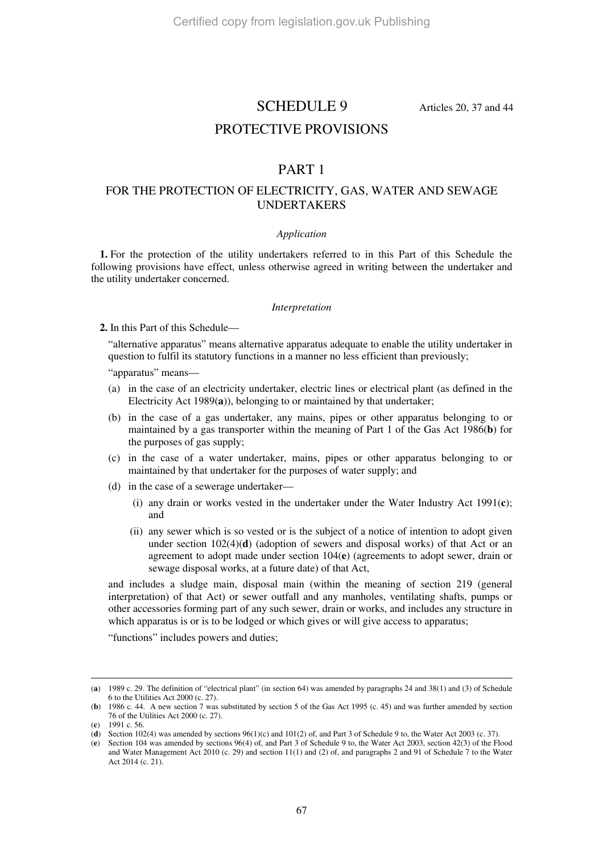### SCHEDULE 9 Articles 20, 37 and 44

### PROTECTIVE PROVISIONS

### PART 1

#### FOR THE PROTECTION OF ELECTRICITY, GAS, WATER AND SEWAGE UNDERTAKERS

#### *Application*

**1.** For the protection of the utility undertakers referred to in this Part of this Schedule the following provisions have effect, unless otherwise agreed in writing between the undertaker and the utility undertaker concerned.

#### *Interpretation*

**2.** In this Part of this Schedule—

"alternative apparatus" means alternative apparatus adequate to enable the utility undertaker in question to fulfil its statutory functions in a manner no less efficient than previously;

"apparatus" means—

- (a) in the case of an electricity undertaker, electric lines or electrical plant (as defined in the Electricity Act 1989(**a**)), belonging to or maintained by that undertaker;
- (b) in the case of a gas undertaker, any mains, pipes or other apparatus belonging to or maintained by a gas transporter within the meaning of Part 1 of the Gas Act 1986(**b**) for the purposes of gas supply;
- (c) in the case of a water undertaker, mains, pipes or other apparatus belonging to or maintained by that undertaker for the purposes of water supply; and
- (d) in the case of a sewerage undertaker—
	- (i) any drain or works vested in the undertaker under the Water Industry Act 1991(**c**); and
	- (ii) any sewer which is so vested or is the subject of a notice of intention to adopt given under section 102(4)(**d**) (adoption of sewers and disposal works) of that Act or an agreement to adopt made under section 104(**e**) (agreements to adopt sewer, drain or sewage disposal works, at a future date) of that Act,

and includes a sludge main, disposal main (within the meaning of section 219 (general interpretation) of that Act) or sewer outfall and any manholes, ventilating shafts, pumps or other accessories forming part of any such sewer, drain or works, and includes any structure in which apparatus is or is to be lodged or which gives or will give access to apparatus;

"functions" includes powers and duties;

-

<sup>(</sup>**a**) 1989 c. 29. The definition of "electrical plant" (in section 64) was amended by paragraphs 24 and 38(1) and (3) of Schedule 6 to the Utilities Act 2000 (c. 27).

<sup>(</sup>**b**) 1986 c. 44. A new section 7 was substituted by section 5 of the Gas Act 1995 (c. 45) and was further amended by section 76 of the Utilities Act 2000 (c. 27).

<sup>(</sup>**c**) 1991 c. 56.

<sup>(</sup>**d**) Section 102(4) was amended by sections 96(1)(c) and 101(2) of, and Part 3 of Schedule 9 to, the Water Act 2003 (c. 37).

<sup>(</sup>**e**) Section 104 was amended by sections 96(4) of, and Part 3 of Schedule 9 to, the Water Act 2003, section 42(3) of the Flood and Water Management Act 2010 (c. 29) and section 11(1) and (2) of, and paragraphs 2 and 91 of Schedule 7 to the Water Act 2014 (c. 21).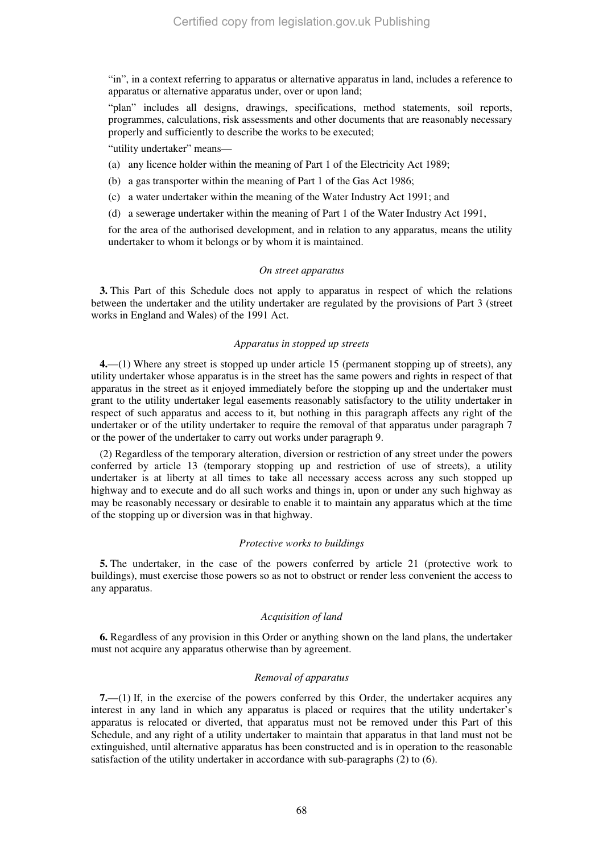"in", in a context referring to apparatus or alternative apparatus in land, includes a reference to apparatus or alternative apparatus under, over or upon land;

"plan" includes all designs, drawings, specifications, method statements, soil reports, programmes, calculations, risk assessments and other documents that are reasonably necessary properly and sufficiently to describe the works to be executed;

"utility undertaker" means—

- (a) any licence holder within the meaning of Part 1 of the Electricity Act 1989;
- (b) a gas transporter within the meaning of Part 1 of the Gas Act 1986;
- (c) a water undertaker within the meaning of the Water Industry Act 1991; and
- (d) a sewerage undertaker within the meaning of Part 1 of the Water Industry Act 1991,

for the area of the authorised development, and in relation to any apparatus, means the utility undertaker to whom it belongs or by whom it is maintained.

#### *On street apparatus*

**3.** This Part of this Schedule does not apply to apparatus in respect of which the relations between the undertaker and the utility undertaker are regulated by the provisions of Part 3 (street works in England and Wales) of the 1991 Act.

#### *Apparatus in stopped up streets*

**4.**—(1) Where any street is stopped up under article 15 (permanent stopping up of streets), any utility undertaker whose apparatus is in the street has the same powers and rights in respect of that apparatus in the street as it enjoyed immediately before the stopping up and the undertaker must grant to the utility undertaker legal easements reasonably satisfactory to the utility undertaker in respect of such apparatus and access to it, but nothing in this paragraph affects any right of the undertaker or of the utility undertaker to require the removal of that apparatus under paragraph 7 or the power of the undertaker to carry out works under paragraph 9.

(2) Regardless of the temporary alteration, diversion or restriction of any street under the powers conferred by article 13 (temporary stopping up and restriction of use of streets), a utility undertaker is at liberty at all times to take all necessary access across any such stopped up highway and to execute and do all such works and things in, upon or under any such highway as may be reasonably necessary or desirable to enable it to maintain any apparatus which at the time of the stopping up or diversion was in that highway.

#### *Protective works to buildings*

**5.** The undertaker, in the case of the powers conferred by article 21 (protective work to buildings), must exercise those powers so as not to obstruct or render less convenient the access to any apparatus.

#### *Acquisition of land*

**6.** Regardless of any provision in this Order or anything shown on the land plans, the undertaker must not acquire any apparatus otherwise than by agreement.

#### *Removal of apparatus*

**7.**—(1) If, in the exercise of the powers conferred by this Order, the undertaker acquires any interest in any land in which any apparatus is placed or requires that the utility undertaker's apparatus is relocated or diverted, that apparatus must not be removed under this Part of this Schedule, and any right of a utility undertaker to maintain that apparatus in that land must not be extinguished, until alternative apparatus has been constructed and is in operation to the reasonable satisfaction of the utility undertaker in accordance with sub-paragraphs (2) to (6).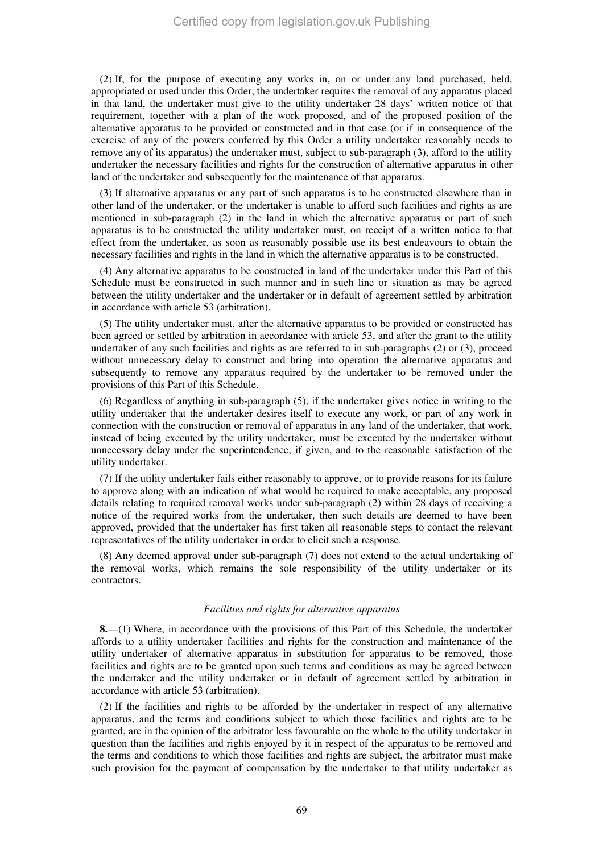(2) If, for the purpose of executing any works in, on or under any land purchased, held, appropriated or used under this Order, the undertaker requires the removal of any apparatus placed in that land, the undertaker must give to the utility undertaker 28 days' written notice of that requirement, together with a plan of the work proposed, and of the proposed position of the alternative apparatus to be provided or constructed and in that case (or if in consequence of the exercise of any of the powers conferred by this Order a utility undertaker reasonably needs to remove any of its apparatus) the undertaker must, subject to sub-paragraph (3), afford to the utility undertaker the necessary facilities and rights for the construction of alternative apparatus in other land of the undertaker and subsequently for the maintenance of that apparatus.

(3) If alternative apparatus or any part of such apparatus is to be constructed elsewhere than in other land of the undertaker, or the undertaker is unable to afford such facilities and rights as are mentioned in sub-paragraph (2) in the land in which the alternative apparatus or part of such apparatus is to be constructed the utility undertaker must, on receipt of a written notice to that effect from the undertaker, as soon as reasonably possible use its best endeavours to obtain the necessary facilities and rights in the land in which the alternative apparatus is to be constructed.

(4) Any alternative apparatus to be constructed in land of the undertaker under this Part of this Schedule must be constructed in such manner and in such line or situation as may be agreed between the utility undertaker and the undertaker or in default of agreement settled by arbitration in accordance with article 53 (arbitration).

(5) The utility undertaker must, after the alternative apparatus to be provided or constructed has been agreed or settled by arbitration in accordance with article 53, and after the grant to the utility undertaker of any such facilities and rights as are referred to in sub-paragraphs (2) or (3), proceed without unnecessary delay to construct and bring into operation the alternative apparatus and subsequently to remove any apparatus required by the undertaker to be removed under the provisions of this Part of this Schedule.

(6) Regardless of anything in sub-paragraph (5), if the undertaker gives notice in writing to the utility undertaker that the undertaker desires itself to execute any work, or part of any work in connection with the construction or removal of apparatus in any land of the undertaker, that work, instead of being executed by the utility undertaker, must be executed by the undertaker without unnecessary delay under the superintendence, if given, and to the reasonable satisfaction of the utility undertaker.

(7) If the utility undertaker fails either reasonably to approve, or to provide reasons for its failure to approve along with an indication of what would be required to make acceptable, any proposed details relating to required removal works under sub-paragraph (2) within 28 days of receiving a notice of the required works from the undertaker, then such details are deemed to have been approved, provided that the undertaker has first taken all reasonable steps to contact the relevant representatives of the utility undertaker in order to elicit such a response.

(8) Any deemed approval under sub-paragraph (7) does not extend to the actual undertaking of the removal works, which remains the sole responsibility of the utility undertaker or its contractors.

#### *Facilities and rights for alternative apparatus*

**8.**—(1) Where, in accordance with the provisions of this Part of this Schedule, the undertaker affords to a utility undertaker facilities and rights for the construction and maintenance of the utility undertaker of alternative apparatus in substitution for apparatus to be removed, those facilities and rights are to be granted upon such terms and conditions as may be agreed between the undertaker and the utility undertaker or in default of agreement settled by arbitration in accordance with article 53 (arbitration).

(2) If the facilities and rights to be afforded by the undertaker in respect of any alternative apparatus, and the terms and conditions subject to which those facilities and rights are to be granted, are in the opinion of the arbitrator less favourable on the whole to the utility undertaker in question than the facilities and rights enjoyed by it in respect of the apparatus to be removed and the terms and conditions to which those facilities and rights are subject, the arbitrator must make such provision for the payment of compensation by the undertaker to that utility undertaker as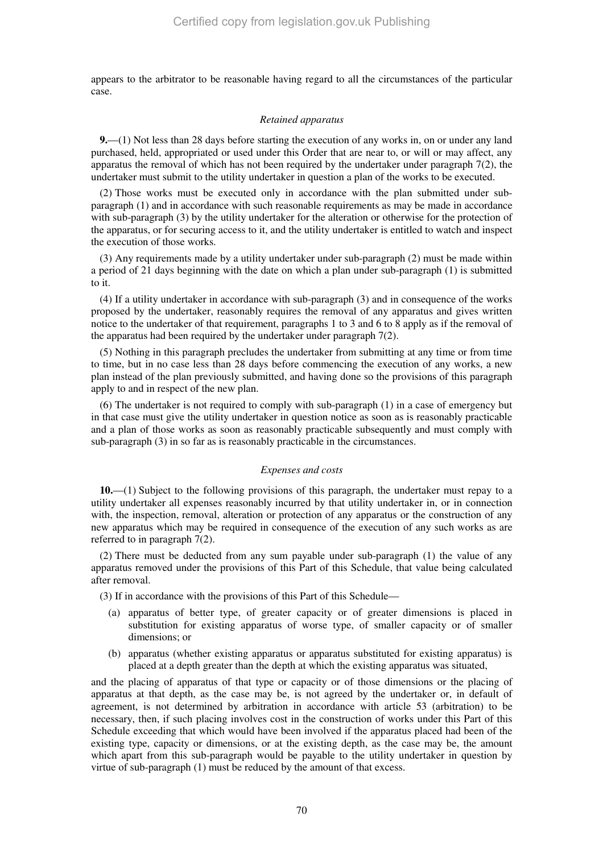appears to the arbitrator to be reasonable having regard to all the circumstances of the particular case.

#### *Retained apparatus*

**9.**—(1) Not less than 28 days before starting the execution of any works in, on or under any land purchased, held, appropriated or used under this Order that are near to, or will or may affect, any apparatus the removal of which has not been required by the undertaker under paragraph 7(2), the undertaker must submit to the utility undertaker in question a plan of the works to be executed.

(2) Those works must be executed only in accordance with the plan submitted under subparagraph (1) and in accordance with such reasonable requirements as may be made in accordance with sub-paragraph (3) by the utility undertaker for the alteration or otherwise for the protection of the apparatus, or for securing access to it, and the utility undertaker is entitled to watch and inspect the execution of those works.

(3) Any requirements made by a utility undertaker under sub-paragraph (2) must be made within a period of 21 days beginning with the date on which a plan under sub-paragraph (1) is submitted to it.

(4) If a utility undertaker in accordance with sub-paragraph (3) and in consequence of the works proposed by the undertaker, reasonably requires the removal of any apparatus and gives written notice to the undertaker of that requirement, paragraphs 1 to 3 and 6 to 8 apply as if the removal of the apparatus had been required by the undertaker under paragraph 7(2).

(5) Nothing in this paragraph precludes the undertaker from submitting at any time or from time to time, but in no case less than 28 days before commencing the execution of any works, a new plan instead of the plan previously submitted, and having done so the provisions of this paragraph apply to and in respect of the new plan.

(6) The undertaker is not required to comply with sub-paragraph (1) in a case of emergency but in that case must give the utility undertaker in question notice as soon as is reasonably practicable and a plan of those works as soon as reasonably practicable subsequently and must comply with sub-paragraph (3) in so far as is reasonably practicable in the circumstances.

#### *Expenses and costs*

**10.**—(1) Subject to the following provisions of this paragraph, the undertaker must repay to a utility undertaker all expenses reasonably incurred by that utility undertaker in, or in connection with, the inspection, removal, alteration or protection of any apparatus or the construction of any new apparatus which may be required in consequence of the execution of any such works as are referred to in paragraph 7(2).

(2) There must be deducted from any sum payable under sub-paragraph (1) the value of any apparatus removed under the provisions of this Part of this Schedule, that value being calculated after removal.

- (3) If in accordance with the provisions of this Part of this Schedule—
	- (a) apparatus of better type, of greater capacity or of greater dimensions is placed in substitution for existing apparatus of worse type, of smaller capacity or of smaller dimensions; or
	- (b) apparatus (whether existing apparatus or apparatus substituted for existing apparatus) is placed at a depth greater than the depth at which the existing apparatus was situated,

and the placing of apparatus of that type or capacity or of those dimensions or the placing of apparatus at that depth, as the case may be, is not agreed by the undertaker or, in default of agreement, is not determined by arbitration in accordance with article 53 (arbitration) to be necessary, then, if such placing involves cost in the construction of works under this Part of this Schedule exceeding that which would have been involved if the apparatus placed had been of the existing type, capacity or dimensions, or at the existing depth, as the case may be, the amount which apart from this sub-paragraph would be payable to the utility undertaker in question by virtue of sub-paragraph (1) must be reduced by the amount of that excess.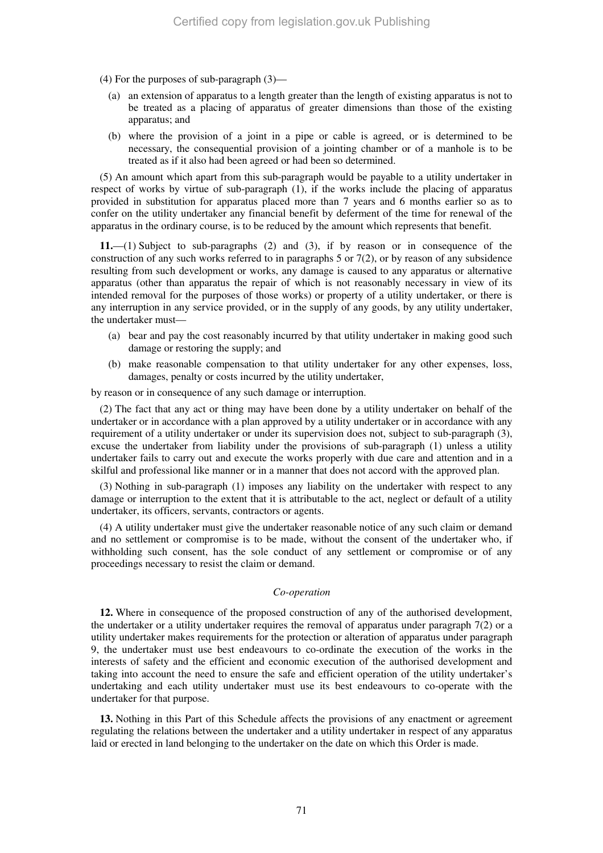- (4) For the purposes of sub-paragraph (3)—
	- (a) an extension of apparatus to a length greater than the length of existing apparatus is not to be treated as a placing of apparatus of greater dimensions than those of the existing apparatus; and
	- (b) where the provision of a joint in a pipe or cable is agreed, or is determined to be necessary, the consequential provision of a jointing chamber or of a manhole is to be treated as if it also had been agreed or had been so determined.

(5) An amount which apart from this sub-paragraph would be payable to a utility undertaker in respect of works by virtue of sub-paragraph (1), if the works include the placing of apparatus provided in substitution for apparatus placed more than 7 years and 6 months earlier so as to confer on the utility undertaker any financial benefit by deferment of the time for renewal of the apparatus in the ordinary course, is to be reduced by the amount which represents that benefit.

**11.**—(1) Subject to sub-paragraphs (2) and (3), if by reason or in consequence of the construction of any such works referred to in paragraphs 5 or  $7(2)$ , or by reason of any subsidence resulting from such development or works, any damage is caused to any apparatus or alternative apparatus (other than apparatus the repair of which is not reasonably necessary in view of its intended removal for the purposes of those works) or property of a utility undertaker, or there is any interruption in any service provided, or in the supply of any goods, by any utility undertaker, the undertaker must—

- (a) bear and pay the cost reasonably incurred by that utility undertaker in making good such damage or restoring the supply; and
- (b) make reasonable compensation to that utility undertaker for any other expenses, loss, damages, penalty or costs incurred by the utility undertaker,

by reason or in consequence of any such damage or interruption.

(2) The fact that any act or thing may have been done by a utility undertaker on behalf of the undertaker or in accordance with a plan approved by a utility undertaker or in accordance with any requirement of a utility undertaker or under its supervision does not, subject to sub-paragraph (3), excuse the undertaker from liability under the provisions of sub-paragraph (1) unless a utility undertaker fails to carry out and execute the works properly with due care and attention and in a skilful and professional like manner or in a manner that does not accord with the approved plan.

(3) Nothing in sub-paragraph (1) imposes any liability on the undertaker with respect to any damage or interruption to the extent that it is attributable to the act, neglect or default of a utility undertaker, its officers, servants, contractors or agents.

(4) A utility undertaker must give the undertaker reasonable notice of any such claim or demand and no settlement or compromise is to be made, without the consent of the undertaker who, if withholding such consent, has the sole conduct of any settlement or compromise or of any proceedings necessary to resist the claim or demand.

#### *Co-operation*

**12.** Where in consequence of the proposed construction of any of the authorised development, the undertaker or a utility undertaker requires the removal of apparatus under paragraph 7(2) or a utility undertaker makes requirements for the protection or alteration of apparatus under paragraph 9, the undertaker must use best endeavours to co-ordinate the execution of the works in the interests of safety and the efficient and economic execution of the authorised development and taking into account the need to ensure the safe and efficient operation of the utility undertaker's undertaking and each utility undertaker must use its best endeavours to co-operate with the undertaker for that purpose.

**13.** Nothing in this Part of this Schedule affects the provisions of any enactment or agreement regulating the relations between the undertaker and a utility undertaker in respect of any apparatus laid or erected in land belonging to the undertaker on the date on which this Order is made.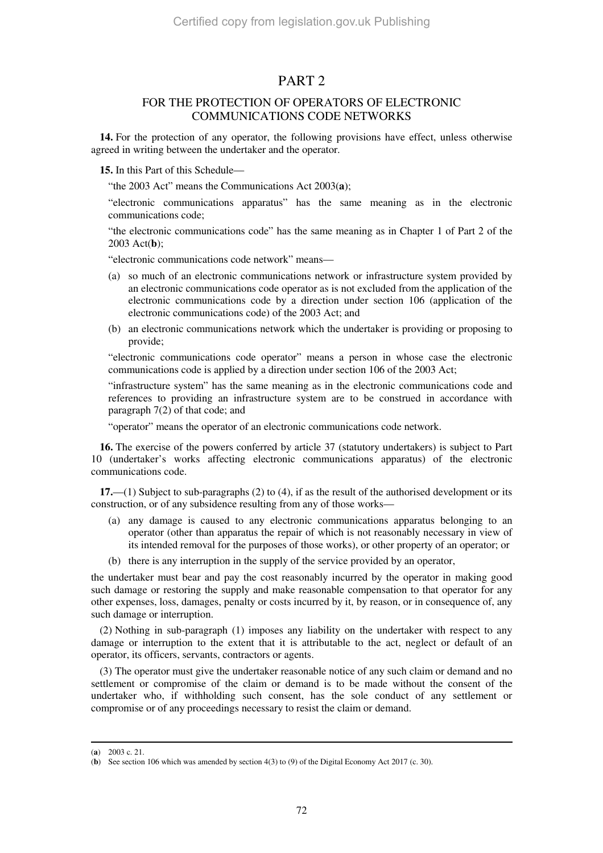### PART 2

### FOR THE PROTECTION OF OPERATORS OF ELECTRONIC COMMUNICATIONS CODE NETWORKS

**14.** For the protection of any operator, the following provisions have effect, unless otherwise agreed in writing between the undertaker and the operator.

**15.** In this Part of this Schedule—

"the 2003 Act" means the Communications Act 2003(**a**);

"electronic communications apparatus" has the same meaning as in the electronic communications code;

"the electronic communications code" has the same meaning as in Chapter 1 of Part 2 of the 2003 Act(**b**);

"electronic communications code network" means—

- (a) so much of an electronic communications network or infrastructure system provided by an electronic communications code operator as is not excluded from the application of the electronic communications code by a direction under section 106 (application of the electronic communications code) of the 2003 Act; and
- (b) an electronic communications network which the undertaker is providing or proposing to provide;

"electronic communications code operator" means a person in whose case the electronic communications code is applied by a direction under section 106 of the 2003 Act;

"infrastructure system" has the same meaning as in the electronic communications code and references to providing an infrastructure system are to be construed in accordance with paragraph 7(2) of that code; and

"operator" means the operator of an electronic communications code network.

**16.** The exercise of the powers conferred by article 37 (statutory undertakers) is subject to Part 10 (undertaker's works affecting electronic communications apparatus) of the electronic communications code.

**17.**—(1) Subject to sub-paragraphs (2) to (4), if as the result of the authorised development or its construction, or of any subsidence resulting from any of those works—

- (a) any damage is caused to any electronic communications apparatus belonging to an operator (other than apparatus the repair of which is not reasonably necessary in view of its intended removal for the purposes of those works), or other property of an operator; or
- (b) there is any interruption in the supply of the service provided by an operator,

the undertaker must bear and pay the cost reasonably incurred by the operator in making good such damage or restoring the supply and make reasonable compensation to that operator for any other expenses, loss, damages, penalty or costs incurred by it, by reason, or in consequence of, any such damage or interruption.

(2) Nothing in sub-paragraph (1) imposes any liability on the undertaker with respect to any damage or interruption to the extent that it is attributable to the act, neglect or default of an operator, its officers, servants, contractors or agents.

(3) The operator must give the undertaker reasonable notice of any such claim or demand and no settlement or compromise of the claim or demand is to be made without the consent of the undertaker who, if withholding such consent, has the sole conduct of any settlement or compromise or of any proceedings necessary to resist the claim or demand.

-

<sup>(</sup>**a**) 2003 c. 21.

<sup>(</sup>**b**) See section 106 which was amended by section 4(3) to (9) of the Digital Economy Act 2017 (c. 30).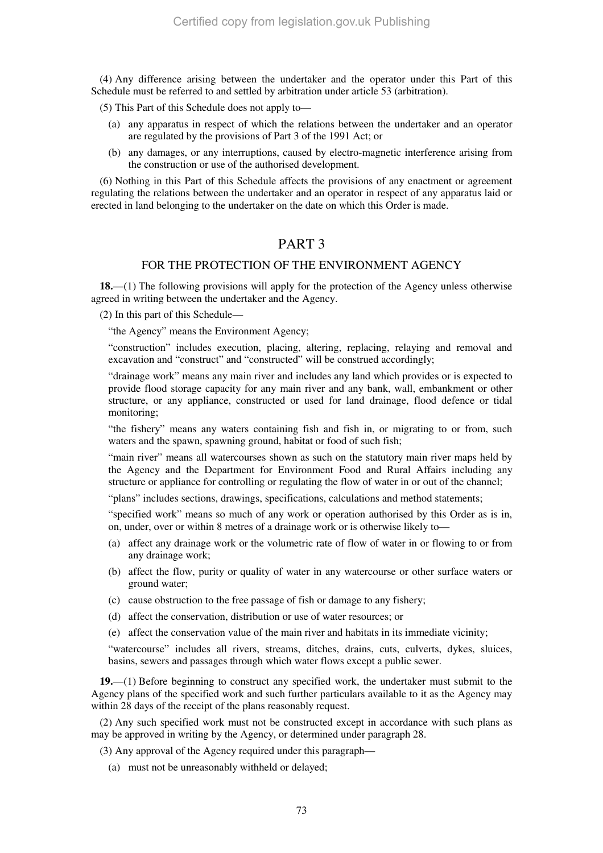(4) Any difference arising between the undertaker and the operator under this Part of this Schedule must be referred to and settled by arbitration under article 53 (arbitration).

(5) This Part of this Schedule does not apply to—

- (a) any apparatus in respect of which the relations between the undertaker and an operator are regulated by the provisions of Part 3 of the 1991 Act; or
- (b) any damages, or any interruptions, caused by electro-magnetic interference arising from the construction or use of the authorised development.

(6) Nothing in this Part of this Schedule affects the provisions of any enactment or agreement regulating the relations between the undertaker and an operator in respect of any apparatus laid or erected in land belonging to the undertaker on the date on which this Order is made.

# PART 3

# FOR THE PROTECTION OF THE ENVIRONMENT AGENCY

**18.**—(1) The following provisions will apply for the protection of the Agency unless otherwise agreed in writing between the undertaker and the Agency.

(2) In this part of this Schedule—

"the Agency" means the Environment Agency;

"construction" includes execution, placing, altering, replacing, relaying and removal and excavation and "construct" and "constructed" will be construed accordingly;

"drainage work" means any main river and includes any land which provides or is expected to provide flood storage capacity for any main river and any bank, wall, embankment or other structure, or any appliance, constructed or used for land drainage, flood defence or tidal monitoring;

"the fishery" means any waters containing fish and fish in, or migrating to or from, such waters and the spawn, spawning ground, habitat or food of such fish;

"main river" means all watercourses shown as such on the statutory main river maps held by the Agency and the Department for Environment Food and Rural Affairs including any structure or appliance for controlling or regulating the flow of water in or out of the channel;

"plans" includes sections, drawings, specifications, calculations and method statements;

"specified work" means so much of any work or operation authorised by this Order as is in, on, under, over or within 8 metres of a drainage work or is otherwise likely to—

- (a) affect any drainage work or the volumetric rate of flow of water in or flowing to or from any drainage work;
- (b) affect the flow, purity or quality of water in any watercourse or other surface waters or ground water;
- (c) cause obstruction to the free passage of fish or damage to any fishery;
- (d) affect the conservation, distribution or use of water resources; or
- (e) affect the conservation value of the main river and habitats in its immediate vicinity;

"watercourse" includes all rivers, streams, ditches, drains, cuts, culverts, dykes, sluices, basins, sewers and passages through which water flows except a public sewer.

**19.**—(1) Before beginning to construct any specified work, the undertaker must submit to the Agency plans of the specified work and such further particulars available to it as the Agency may within 28 days of the receipt of the plans reasonably request.

(2) Any such specified work must not be constructed except in accordance with such plans as may be approved in writing by the Agency, or determined under paragraph 28.

(3) Any approval of the Agency required under this paragraph—

(a) must not be unreasonably withheld or delayed;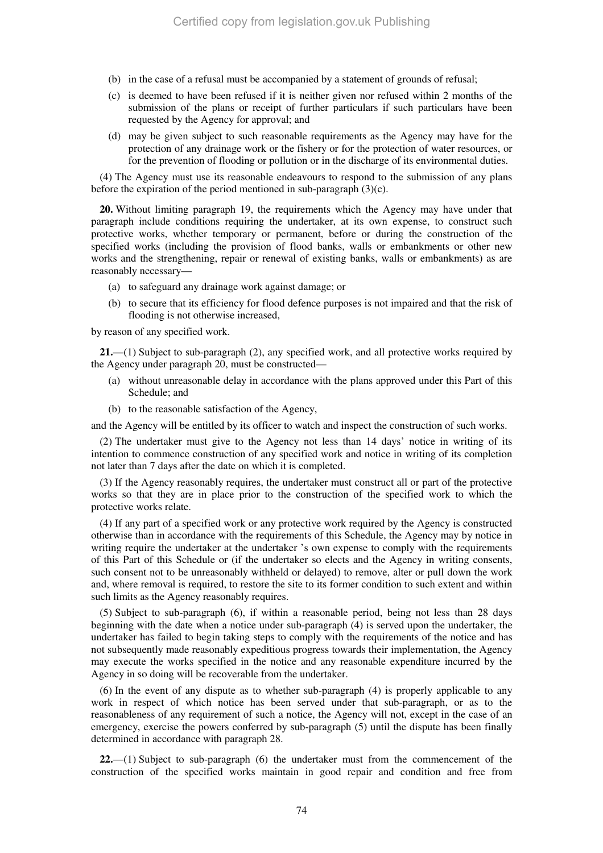- (b) in the case of a refusal must be accompanied by a statement of grounds of refusal;
- (c) is deemed to have been refused if it is neither given nor refused within 2 months of the submission of the plans or receipt of further particulars if such particulars have been requested by the Agency for approval; and
- (d) may be given subject to such reasonable requirements as the Agency may have for the protection of any drainage work or the fishery or for the protection of water resources, or for the prevention of flooding or pollution or in the discharge of its environmental duties.

(4) The Agency must use its reasonable endeavours to respond to the submission of any plans before the expiration of the period mentioned in sub-paragraph (3)(c).

**20.** Without limiting paragraph 19, the requirements which the Agency may have under that paragraph include conditions requiring the undertaker, at its own expense, to construct such protective works, whether temporary or permanent, before or during the construction of the specified works (including the provision of flood banks, walls or embankments or other new works and the strengthening, repair or renewal of existing banks, walls or embankments) as are reasonably necessary—

- (a) to safeguard any drainage work against damage; or
- (b) to secure that its efficiency for flood defence purposes is not impaired and that the risk of flooding is not otherwise increased,

by reason of any specified work.

**21.**—(1) Subject to sub-paragraph (2), any specified work, and all protective works required by the Agency under paragraph 20, must be constructed—

- (a) without unreasonable delay in accordance with the plans approved under this Part of this Schedule; and
- (b) to the reasonable satisfaction of the Agency,

and the Agency will be entitled by its officer to watch and inspect the construction of such works.

(2) The undertaker must give to the Agency not less than 14 days' notice in writing of its intention to commence construction of any specified work and notice in writing of its completion not later than 7 days after the date on which it is completed.

(3) If the Agency reasonably requires, the undertaker must construct all or part of the protective works so that they are in place prior to the construction of the specified work to which the protective works relate.

(4) If any part of a specified work or any protective work required by the Agency is constructed otherwise than in accordance with the requirements of this Schedule, the Agency may by notice in writing require the undertaker at the undertaker 's own expense to comply with the requirements of this Part of this Schedule or (if the undertaker so elects and the Agency in writing consents, such consent not to be unreasonably withheld or delayed) to remove, alter or pull down the work and, where removal is required, to restore the site to its former condition to such extent and within such limits as the Agency reasonably requires.

(5) Subject to sub-paragraph (6), if within a reasonable period, being not less than 28 days beginning with the date when a notice under sub-paragraph (4) is served upon the undertaker, the undertaker has failed to begin taking steps to comply with the requirements of the notice and has not subsequently made reasonably expeditious progress towards their implementation, the Agency may execute the works specified in the notice and any reasonable expenditure incurred by the Agency in so doing will be recoverable from the undertaker.

(6) In the event of any dispute as to whether sub-paragraph (4) is properly applicable to any work in respect of which notice has been served under that sub-paragraph, or as to the reasonableness of any requirement of such a notice, the Agency will not, except in the case of an emergency, exercise the powers conferred by sub-paragraph (5) until the dispute has been finally determined in accordance with paragraph 28.

**22.**—(1) Subject to sub-paragraph (6) the undertaker must from the commencement of the construction of the specified works maintain in good repair and condition and free from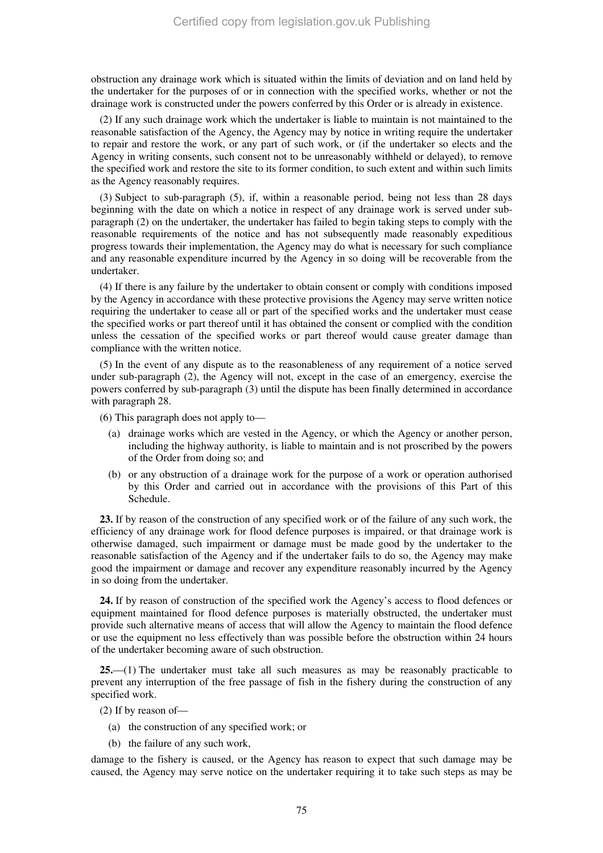obstruction any drainage work which is situated within the limits of deviation and on land held by the undertaker for the purposes of or in connection with the specified works, whether or not the drainage work is constructed under the powers conferred by this Order or is already in existence.

(2) If any such drainage work which the undertaker is liable to maintain is not maintained to the reasonable satisfaction of the Agency, the Agency may by notice in writing require the undertaker to repair and restore the work, or any part of such work, or (if the undertaker so elects and the Agency in writing consents, such consent not to be unreasonably withheld or delayed), to remove the specified work and restore the site to its former condition, to such extent and within such limits as the Agency reasonably requires.

(3) Subject to sub-paragraph (5), if, within a reasonable period, being not less than 28 days beginning with the date on which a notice in respect of any drainage work is served under subparagraph (2) on the undertaker, the undertaker has failed to begin taking steps to comply with the reasonable requirements of the notice and has not subsequently made reasonably expeditious progress towards their implementation, the Agency may do what is necessary for such compliance and any reasonable expenditure incurred by the Agency in so doing will be recoverable from the undertaker.

(4) If there is any failure by the undertaker to obtain consent or comply with conditions imposed by the Agency in accordance with these protective provisions the Agency may serve written notice requiring the undertaker to cease all or part of the specified works and the undertaker must cease the specified works or part thereof until it has obtained the consent or complied with the condition unless the cessation of the specified works or part thereof would cause greater damage than compliance with the written notice.

(5) In the event of any dispute as to the reasonableness of any requirement of a notice served under sub-paragraph (2), the Agency will not, except in the case of an emergency, exercise the powers conferred by sub-paragraph (3) until the dispute has been finally determined in accordance with paragraph 28.

(6) This paragraph does not apply to—

- (a) drainage works which are vested in the Agency, or which the Agency or another person, including the highway authority, is liable to maintain and is not proscribed by the powers of the Order from doing so; and
- (b) or any obstruction of a drainage work for the purpose of a work or operation authorised by this Order and carried out in accordance with the provisions of this Part of this Schedule.

**23.** If by reason of the construction of any specified work or of the failure of any such work, the efficiency of any drainage work for flood defence purposes is impaired, or that drainage work is otherwise damaged, such impairment or damage must be made good by the undertaker to the reasonable satisfaction of the Agency and if the undertaker fails to do so, the Agency may make good the impairment or damage and recover any expenditure reasonably incurred by the Agency in so doing from the undertaker.

**24.** If by reason of construction of the specified work the Agency's access to flood defences or equipment maintained for flood defence purposes is materially obstructed, the undertaker must provide such alternative means of access that will allow the Agency to maintain the flood defence or use the equipment no less effectively than was possible before the obstruction within 24 hours of the undertaker becoming aware of such obstruction.

**25.**—(1) The undertaker must take all such measures as may be reasonably practicable to prevent any interruption of the free passage of fish in the fishery during the construction of any specified work.

(2) If by reason of—

- (a) the construction of any specified work; or
- (b) the failure of any such work,

damage to the fishery is caused, or the Agency has reason to expect that such damage may be caused, the Agency may serve notice on the undertaker requiring it to take such steps as may be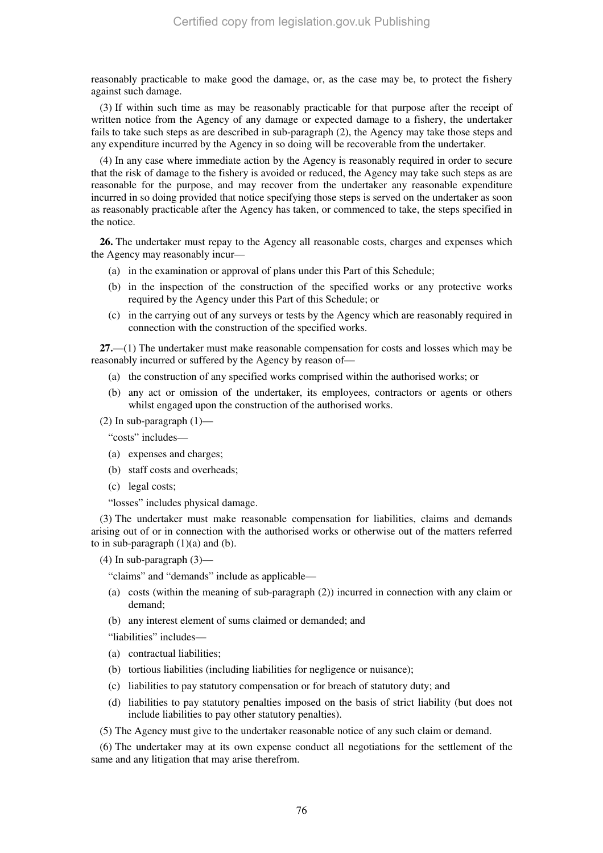reasonably practicable to make good the damage, or, as the case may be, to protect the fishery against such damage.

(3) If within such time as may be reasonably practicable for that purpose after the receipt of written notice from the Agency of any damage or expected damage to a fishery, the undertaker fails to take such steps as are described in sub-paragraph (2), the Agency may take those steps and any expenditure incurred by the Agency in so doing will be recoverable from the undertaker.

(4) In any case where immediate action by the Agency is reasonably required in order to secure that the risk of damage to the fishery is avoided or reduced, the Agency may take such steps as are reasonable for the purpose, and may recover from the undertaker any reasonable expenditure incurred in so doing provided that notice specifying those steps is served on the undertaker as soon as reasonably practicable after the Agency has taken, or commenced to take, the steps specified in the notice.

**26.** The undertaker must repay to the Agency all reasonable costs, charges and expenses which the Agency may reasonably incur—

- (a) in the examination or approval of plans under this Part of this Schedule;
- (b) in the inspection of the construction of the specified works or any protective works required by the Agency under this Part of this Schedule; or
- (c) in the carrying out of any surveys or tests by the Agency which are reasonably required in connection with the construction of the specified works.

**27.**—(1) The undertaker must make reasonable compensation for costs and losses which may be reasonably incurred or suffered by the Agency by reason of—

- (a) the construction of any specified works comprised within the authorised works; or
- (b) any act or omission of the undertaker, its employees, contractors or agents or others whilst engaged upon the construction of the authorised works.

## (2) In sub-paragraph  $(1)$ —

"costs" includes—

- (a) expenses and charges;
- (b) staff costs and overheads;
- (c) legal costs;

"losses" includes physical damage.

(3) The undertaker must make reasonable compensation for liabilities, claims and demands arising out of or in connection with the authorised works or otherwise out of the matters referred to in sub-paragraph  $(1)(a)$  and  $(b)$ .

 $(4)$  In sub-paragraph  $(3)$ —

"claims" and "demands" include as applicable—

- (a) costs (within the meaning of sub-paragraph (2)) incurred in connection with any claim or demand;
- (b) any interest element of sums claimed or demanded; and
- "liabilities" includes—
- (a) contractual liabilities;
- (b) tortious liabilities (including liabilities for negligence or nuisance);
- (c) liabilities to pay statutory compensation or for breach of statutory duty; and
- (d) liabilities to pay statutory penalties imposed on the basis of strict liability (but does not include liabilities to pay other statutory penalties).
- (5) The Agency must give to the undertaker reasonable notice of any such claim or demand.

(6) The undertaker may at its own expense conduct all negotiations for the settlement of the same and any litigation that may arise therefrom.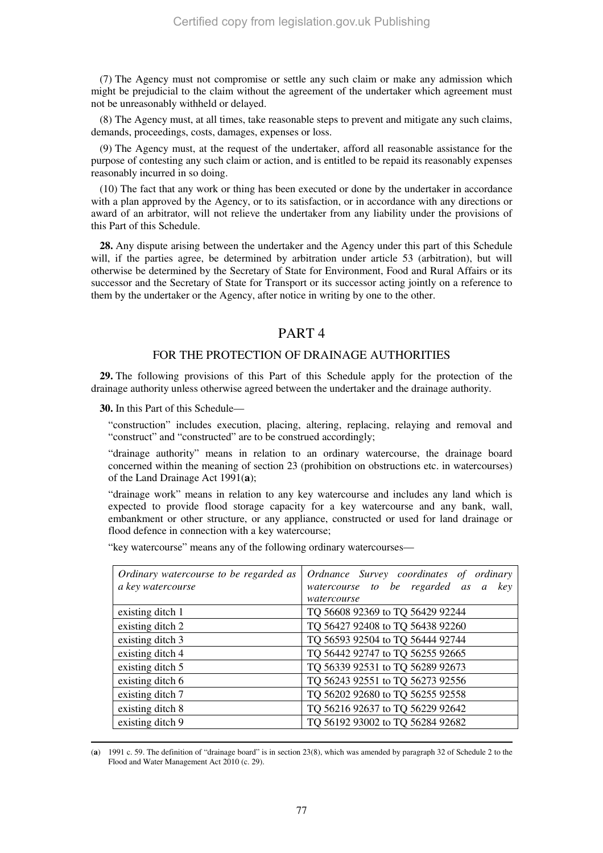(7) The Agency must not compromise or settle any such claim or make any admission which might be prejudicial to the claim without the agreement of the undertaker which agreement must not be unreasonably withheld or delayed.

(8) The Agency must, at all times, take reasonable steps to prevent and mitigate any such claims, demands, proceedings, costs, damages, expenses or loss.

(9) The Agency must, at the request of the undertaker, afford all reasonable assistance for the purpose of contesting any such claim or action, and is entitled to be repaid its reasonably expenses reasonably incurred in so doing.

(10) The fact that any work or thing has been executed or done by the undertaker in accordance with a plan approved by the Agency, or to its satisfaction, or in accordance with any directions or award of an arbitrator, will not relieve the undertaker from any liability under the provisions of this Part of this Schedule.

**28.** Any dispute arising between the undertaker and the Agency under this part of this Schedule will, if the parties agree, be determined by arbitration under article 53 (arbitration), but will otherwise be determined by the Secretary of State for Environment, Food and Rural Affairs or its successor and the Secretary of State for Transport or its successor acting jointly on a reference to them by the undertaker or the Agency, after notice in writing by one to the other.

# PART 4

# FOR THE PROTECTION OF DRAINAGE AUTHORITIES

**29.** The following provisions of this Part of this Schedule apply for the protection of the drainage authority unless otherwise agreed between the undertaker and the drainage authority.

**30.** In this Part of this Schedule—

-

"construction" includes execution, placing, altering, replacing, relaying and removal and "construct" and "constructed" are to be construed accordingly;

"drainage authority" means in relation to an ordinary watercourse, the drainage board concerned within the meaning of section 23 (prohibition on obstructions etc. in watercourses) of the Land Drainage Act 1991(**a**);

"drainage work" means in relation to any key watercourse and includes any land which is expected to provide flood storage capacity for a key watercourse and any bank, wall, embankment or other structure, or any appliance, constructed or used for land drainage or flood defence in connection with a key watercourse;

"key watercourse" means any of the following ordinary watercourses—

| Ordinary watercourse to be regarded as<br>a key watercourse | Ordnance Survey coordinates of ordinary<br>watercourse to be regarded as a<br>kev |
|-------------------------------------------------------------|-----------------------------------------------------------------------------------|
|                                                             | watercourse                                                                       |
| existing ditch 1                                            | TQ 56608 92369 to TQ 56429 92244                                                  |
| existing ditch 2                                            | TQ 56427 92408 to TQ 56438 92260                                                  |
| existing ditch 3                                            | TQ 56593 92504 to TQ 56444 92744                                                  |
| existing ditch 4                                            | TQ 56442 92747 to TQ 56255 92665                                                  |
| existing ditch 5                                            | TQ 56339 92531 to TQ 56289 92673                                                  |
| existing ditch 6                                            | TQ 56243 92551 to TQ 56273 92556                                                  |
| existing ditch 7                                            | TQ 56202 92680 to TQ 56255 92558                                                  |
| existing ditch 8                                            | TQ 56216 92637 to TQ 56229 92642                                                  |
| existing ditch 9                                            | TQ 56192 93002 to TQ 56284 92682                                                  |

<sup>(</sup>**a**) 1991 c. 59. The definition of "drainage board" is in section 23(8), which was amended by paragraph 32 of Schedule 2 to the Flood and Water Management Act 2010 (c. 29).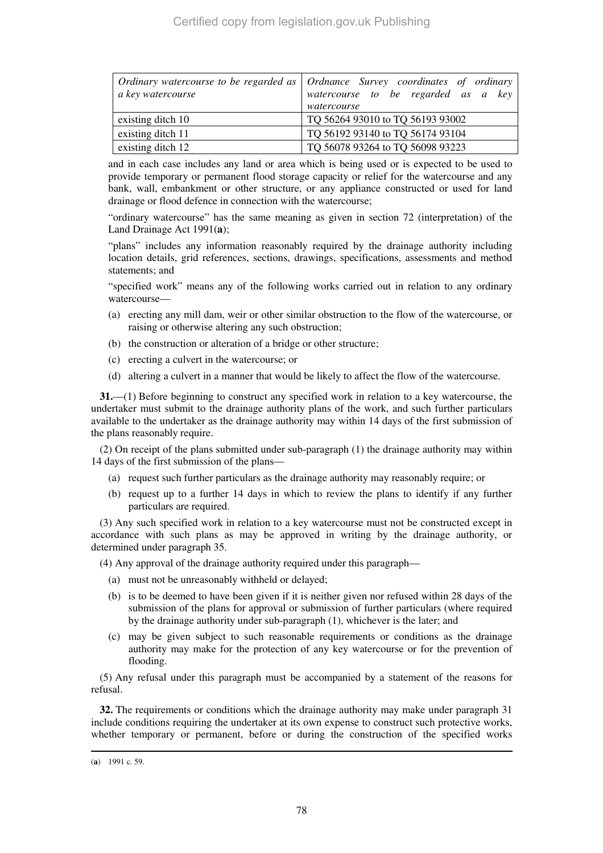| a key watercourse | Ordinary watercourse to be regarded as   Ordnance Survey coordinates of ordinary<br>watercourse to be regarded as a key<br>watercourse |  |
|-------------------|----------------------------------------------------------------------------------------------------------------------------------------|--|
| existing ditch 10 | TQ 56264 93010 to TQ 56193 93002                                                                                                       |  |
| existing ditch 11 | TQ 56192 93140 to TQ 56174 93104                                                                                                       |  |
| existing ditch 12 | TQ 56078 93264 to TQ 56098 93223                                                                                                       |  |

and in each case includes any land or area which is being used or is expected to be used to provide temporary or permanent flood storage capacity or relief for the watercourse and any bank, wall, embankment or other structure, or any appliance constructed or used for land drainage or flood defence in connection with the watercourse;

"ordinary watercourse" has the same meaning as given in section 72 (interpretation) of the Land Drainage Act 1991(**a**);

"plans" includes any information reasonably required by the drainage authority including location details, grid references, sections, drawings, specifications, assessments and method statements; and

"specified work" means any of the following works carried out in relation to any ordinary watercourse—

- (a) erecting any mill dam, weir or other similar obstruction to the flow of the watercourse, or raising or otherwise altering any such obstruction;
- (b) the construction or alteration of a bridge or other structure;
- (c) erecting a culvert in the watercourse; or
- (d) altering a culvert in a manner that would be likely to affect the flow of the watercourse.

**31.**—(1) Before beginning to construct any specified work in relation to a key watercourse, the undertaker must submit to the drainage authority plans of the work, and such further particulars available to the undertaker as the drainage authority may within 14 days of the first submission of the plans reasonably require.

(2) On receipt of the plans submitted under sub-paragraph (1) the drainage authority may within 14 days of the first submission of the plans—

- (a) request such further particulars as the drainage authority may reasonably require; or
- (b) request up to a further 14 days in which to review the plans to identify if any further particulars are required.

(3) Any such specified work in relation to a key watercourse must not be constructed except in accordance with such plans as may be approved in writing by the drainage authority, or determined under paragraph 35.

- (4) Any approval of the drainage authority required under this paragraph—
	- (a) must not be unreasonably withheld or delayed;
	- (b) is to be deemed to have been given if it is neither given nor refused within 28 days of the submission of the plans for approval or submission of further particulars (where required by the drainage authority under sub-paragraph (1), whichever is the later; and
	- (c) may be given subject to such reasonable requirements or conditions as the drainage authority may make for the protection of any key watercourse or for the prevention of flooding.

(5) Any refusal under this paragraph must be accompanied by a statement of the reasons for refusal.

**32.** The requirements or conditions which the drainage authority may make under paragraph 31 include conditions requiring the undertaker at its own expense to construct such protective works, whether temporary or permanent, before or during the construction of the specified works

-

<sup>(</sup>**a**) 1991 c. 59.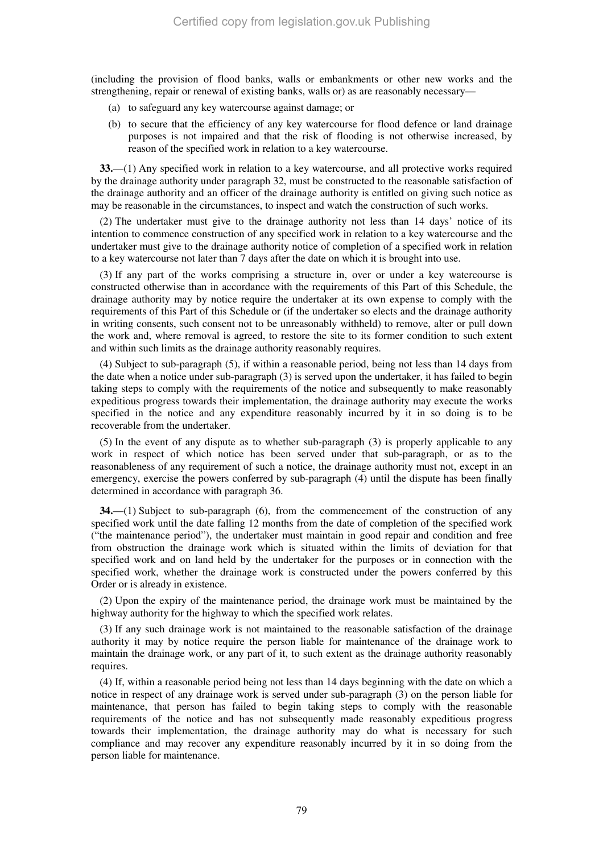(including the provision of flood banks, walls or embankments or other new works and the strengthening, repair or renewal of existing banks, walls or) as are reasonably necessary—

- (a) to safeguard any key watercourse against damage; or
- (b) to secure that the efficiency of any key watercourse for flood defence or land drainage purposes is not impaired and that the risk of flooding is not otherwise increased, by reason of the specified work in relation to a key watercourse.

**33.**—(1) Any specified work in relation to a key watercourse, and all protective works required by the drainage authority under paragraph 32, must be constructed to the reasonable satisfaction of the drainage authority and an officer of the drainage authority is entitled on giving such notice as may be reasonable in the circumstances, to inspect and watch the construction of such works.

(2) The undertaker must give to the drainage authority not less than 14 days' notice of its intention to commence construction of any specified work in relation to a key watercourse and the undertaker must give to the drainage authority notice of completion of a specified work in relation to a key watercourse not later than 7 days after the date on which it is brought into use.

(3) If any part of the works comprising a structure in, over or under a key watercourse is constructed otherwise than in accordance with the requirements of this Part of this Schedule, the drainage authority may by notice require the undertaker at its own expense to comply with the requirements of this Part of this Schedule or (if the undertaker so elects and the drainage authority in writing consents, such consent not to be unreasonably withheld) to remove, alter or pull down the work and, where removal is agreed, to restore the site to its former condition to such extent and within such limits as the drainage authority reasonably requires.

(4) Subject to sub-paragraph (5), if within a reasonable period, being not less than 14 days from the date when a notice under sub-paragraph (3) is served upon the undertaker, it has failed to begin taking steps to comply with the requirements of the notice and subsequently to make reasonably expeditious progress towards their implementation, the drainage authority may execute the works specified in the notice and any expenditure reasonably incurred by it in so doing is to be recoverable from the undertaker.

(5) In the event of any dispute as to whether sub-paragraph (3) is properly applicable to any work in respect of which notice has been served under that sub-paragraph, or as to the reasonableness of any requirement of such a notice, the drainage authority must not, except in an emergency, exercise the powers conferred by sub-paragraph (4) until the dispute has been finally determined in accordance with paragraph 36.

**34.**—(1) Subject to sub-paragraph (6), from the commencement of the construction of any specified work until the date falling 12 months from the date of completion of the specified work ("the maintenance period"), the undertaker must maintain in good repair and condition and free from obstruction the drainage work which is situated within the limits of deviation for that specified work and on land held by the undertaker for the purposes or in connection with the specified work, whether the drainage work is constructed under the powers conferred by this Order or is already in existence.

(2) Upon the expiry of the maintenance period, the drainage work must be maintained by the highway authority for the highway to which the specified work relates.

(3) If any such drainage work is not maintained to the reasonable satisfaction of the drainage authority it may by notice require the person liable for maintenance of the drainage work to maintain the drainage work, or any part of it, to such extent as the drainage authority reasonably requires.

(4) If, within a reasonable period being not less than 14 days beginning with the date on which a notice in respect of any drainage work is served under sub-paragraph (3) on the person liable for maintenance, that person has failed to begin taking steps to comply with the reasonable requirements of the notice and has not subsequently made reasonably expeditious progress towards their implementation, the drainage authority may do what is necessary for such compliance and may recover any expenditure reasonably incurred by it in so doing from the person liable for maintenance.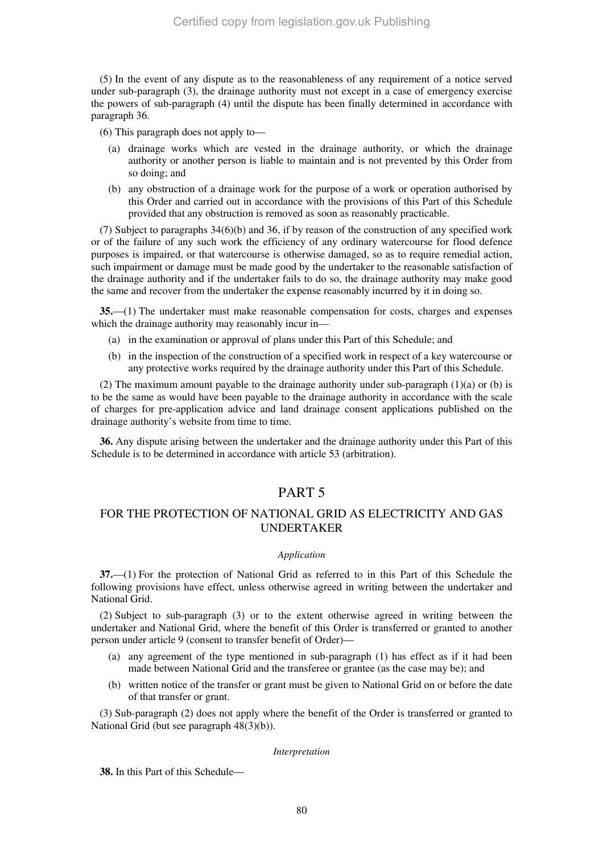(5) In the event of any dispute as to the reasonableness of any requirement of a notice served under sub-paragraph (3), the drainage authority must not except in a case of emergency exercise the powers of sub-paragraph (4) until the dispute has been finally determined in accordance with paragraph 36.

(6) This paragraph does not apply to—

- (a) drainage works which are vested in the drainage authority, or which the drainage authority or another person is liable to maintain and is not prevented by this Order from so doing; and
- (b) any obstruction of a drainage work for the purpose of a work or operation authorised by this Order and carried out in accordance with the provisions of this Part of this Schedule provided that any obstruction is removed as soon as reasonably practicable.

(7) Subject to paragraphs 34(6)(b) and 36, if by reason of the construction of any specified work or of the failure of any such work the efficiency of any ordinary watercourse for flood defence purposes is impaired, or that watercourse is otherwise damaged, so as to require remedial action, such impairment or damage must be made good by the undertaker to the reasonable satisfaction of the drainage authority and if the undertaker fails to do so, the drainage authority may make good the same and recover from the undertaker the expense reasonably incurred by it in doing so.

**35.**—(1) The undertaker must make reasonable compensation for costs, charges and expenses which the drainage authority may reasonably incur in—

- (a) in the examination or approval of plans under this Part of this Schedule; and
- (b) in the inspection of the construction of a specified work in respect of a key watercourse or any protective works required by the drainage authority under this Part of this Schedule.

(2) The maximum amount payable to the drainage authority under sub-paragraph  $(1)(a)$  or (b) is to be the same as would have been payable to the drainage authority in accordance with the scale of charges for pre-application advice and land drainage consent applications published on the drainage authority's website from time to time.

**36.** Any dispute arising between the undertaker and the drainage authority under this Part of this Schedule is to be determined in accordance with article 53 (arbitration).

# PART 5

# FOR THE PROTECTION OF NATIONAL GRID AS ELECTRICITY AND GAS UNDERTAKER

#### *Application*

**37.**—(1) For the protection of National Grid as referred to in this Part of this Schedule the following provisions have effect, unless otherwise agreed in writing between the undertaker and National Grid.

(2) Subject to sub-paragraph (3) or to the extent otherwise agreed in writing between the undertaker and National Grid, where the benefit of this Order is transferred or granted to another person under article 9 (consent to transfer benefit of Order)—

- (a) any agreement of the type mentioned in sub-paragraph (1) has effect as if it had been made between National Grid and the transferee or grantee (as the case may be); and
- (b) written notice of the transfer or grant must be given to National Grid on or before the date of that transfer or grant.

(3) Sub-paragraph (2) does not apply where the benefit of the Order is transferred or granted to National Grid (but see paragraph 48(3)(b)).

#### *Interpretation*

**38.** In this Part of this Schedule—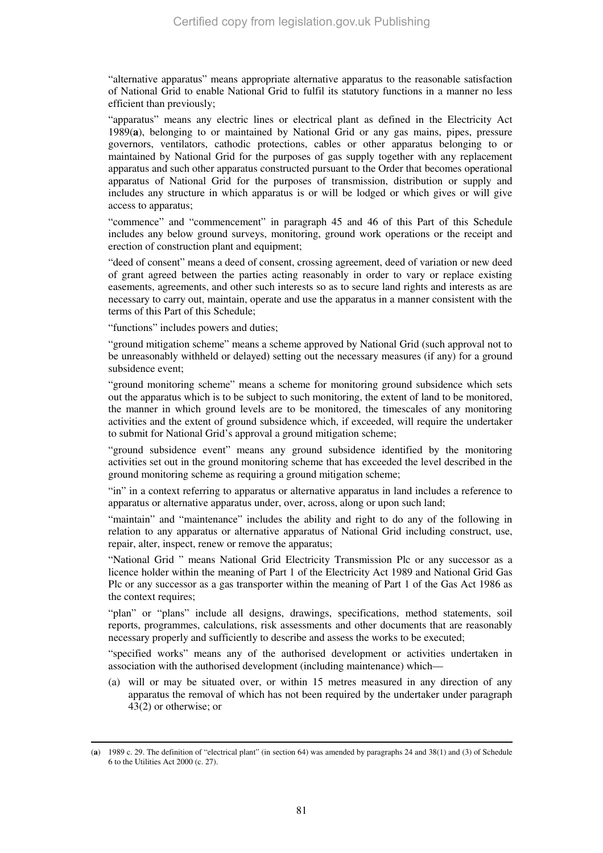"alternative apparatus" means appropriate alternative apparatus to the reasonable satisfaction of National Grid to enable National Grid to fulfil its statutory functions in a manner no less efficient than previously;

"apparatus" means any electric lines or electrical plant as defined in the Electricity Act 1989(**a**), belonging to or maintained by National Grid or any gas mains, pipes, pressure governors, ventilators, cathodic protections, cables or other apparatus belonging to or maintained by National Grid for the purposes of gas supply together with any replacement apparatus and such other apparatus constructed pursuant to the Order that becomes operational apparatus of National Grid for the purposes of transmission, distribution or supply and includes any structure in which apparatus is or will be lodged or which gives or will give access to apparatus;

"commence" and "commencement" in paragraph 45 and 46 of this Part of this Schedule includes any below ground surveys, monitoring, ground work operations or the receipt and erection of construction plant and equipment;

"deed of consent" means a deed of consent, crossing agreement, deed of variation or new deed of grant agreed between the parties acting reasonably in order to vary or replace existing easements, agreements, and other such interests so as to secure land rights and interests as are necessary to carry out, maintain, operate and use the apparatus in a manner consistent with the terms of this Part of this Schedule;

"functions" includes powers and duties;

-

"ground mitigation scheme" means a scheme approved by National Grid (such approval not to be unreasonably withheld or delayed) setting out the necessary measures (if any) for a ground subsidence event;

"ground monitoring scheme" means a scheme for monitoring ground subsidence which sets out the apparatus which is to be subject to such monitoring, the extent of land to be monitored, the manner in which ground levels are to be monitored, the timescales of any monitoring activities and the extent of ground subsidence which, if exceeded, will require the undertaker to submit for National Grid's approval a ground mitigation scheme;

"ground subsidence event" means any ground subsidence identified by the monitoring activities set out in the ground monitoring scheme that has exceeded the level described in the ground monitoring scheme as requiring a ground mitigation scheme;

"in" in a context referring to apparatus or alternative apparatus in land includes a reference to apparatus or alternative apparatus under, over, across, along or upon such land;

"maintain" and "maintenance" includes the ability and right to do any of the following in relation to any apparatus or alternative apparatus of National Grid including construct, use, repair, alter, inspect, renew or remove the apparatus;

"National Grid " means National Grid Electricity Transmission Plc or any successor as a licence holder within the meaning of Part 1 of the Electricity Act 1989 and National Grid Gas Plc or any successor as a gas transporter within the meaning of Part 1 of the Gas Act 1986 as the context requires;

"plan" or "plans" include all designs, drawings, specifications, method statements, soil reports, programmes, calculations, risk assessments and other documents that are reasonably necessary properly and sufficiently to describe and assess the works to be executed;

"specified works" means any of the authorised development or activities undertaken in association with the authorised development (including maintenance) which—

(a) will or may be situated over, or within 15 metres measured in any direction of any apparatus the removal of which has not been required by the undertaker under paragraph 43(2) or otherwise; or

<sup>(</sup>**a**) 1989 c. 29. The definition of "electrical plant" (in section 64) was amended by paragraphs 24 and 38(1) and (3) of Schedule 6 to the Utilities Act 2000 (c. 27).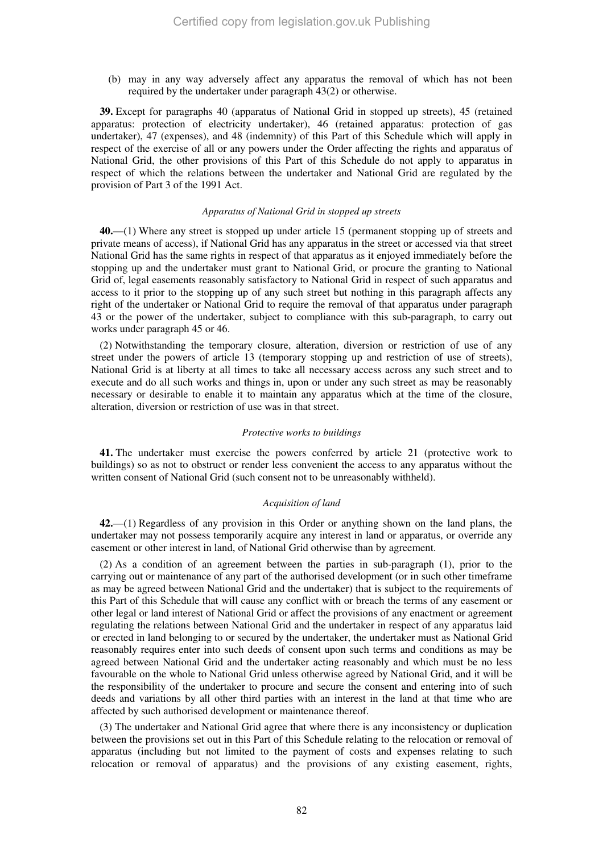(b) may in any way adversely affect any apparatus the removal of which has not been required by the undertaker under paragraph 43(2) or otherwise.

**39.** Except for paragraphs 40 (apparatus of National Grid in stopped up streets), 45 (retained apparatus: protection of electricity undertaker), 46 (retained apparatus: protection of gas undertaker), 47 (expenses), and 48 (indemnity) of this Part of this Schedule which will apply in respect of the exercise of all or any powers under the Order affecting the rights and apparatus of National Grid, the other provisions of this Part of this Schedule do not apply to apparatus in respect of which the relations between the undertaker and National Grid are regulated by the provision of Part 3 of the 1991 Act.

# *Apparatus of National Grid in stopped up streets*

**40.**—(1) Where any street is stopped up under article 15 (permanent stopping up of streets and private means of access), if National Grid has any apparatus in the street or accessed via that street National Grid has the same rights in respect of that apparatus as it enjoyed immediately before the stopping up and the undertaker must grant to National Grid, or procure the granting to National Grid of, legal easements reasonably satisfactory to National Grid in respect of such apparatus and access to it prior to the stopping up of any such street but nothing in this paragraph affects any right of the undertaker or National Grid to require the removal of that apparatus under paragraph 43 or the power of the undertaker, subject to compliance with this sub-paragraph, to carry out works under paragraph 45 or 46.

(2) Notwithstanding the temporary closure, alteration, diversion or restriction of use of any street under the powers of article 13 (temporary stopping up and restriction of use of streets), National Grid is at liberty at all times to take all necessary access across any such street and to execute and do all such works and things in, upon or under any such street as may be reasonably necessary or desirable to enable it to maintain any apparatus which at the time of the closure, alteration, diversion or restriction of use was in that street.

## *Protective works to buildings*

**41.** The undertaker must exercise the powers conferred by article 21 (protective work to buildings) so as not to obstruct or render less convenient the access to any apparatus without the written consent of National Grid (such consent not to be unreasonably withheld).

#### *Acquisition of land*

**42.**—(1) Regardless of any provision in this Order or anything shown on the land plans, the undertaker may not possess temporarily acquire any interest in land or apparatus, or override any easement or other interest in land, of National Grid otherwise than by agreement.

(2) As a condition of an agreement between the parties in sub-paragraph (1), prior to the carrying out or maintenance of any part of the authorised development (or in such other timeframe as may be agreed between National Grid and the undertaker) that is subject to the requirements of this Part of this Schedule that will cause any conflict with or breach the terms of any easement or other legal or land interest of National Grid or affect the provisions of any enactment or agreement regulating the relations between National Grid and the undertaker in respect of any apparatus laid or erected in land belonging to or secured by the undertaker, the undertaker must as National Grid reasonably requires enter into such deeds of consent upon such terms and conditions as may be agreed between National Grid and the undertaker acting reasonably and which must be no less favourable on the whole to National Grid unless otherwise agreed by National Grid, and it will be the responsibility of the undertaker to procure and secure the consent and entering into of such deeds and variations by all other third parties with an interest in the land at that time who are affected by such authorised development or maintenance thereof.

(3) The undertaker and National Grid agree that where there is any inconsistency or duplication between the provisions set out in this Part of this Schedule relating to the relocation or removal of apparatus (including but not limited to the payment of costs and expenses relating to such relocation or removal of apparatus) and the provisions of any existing easement, rights,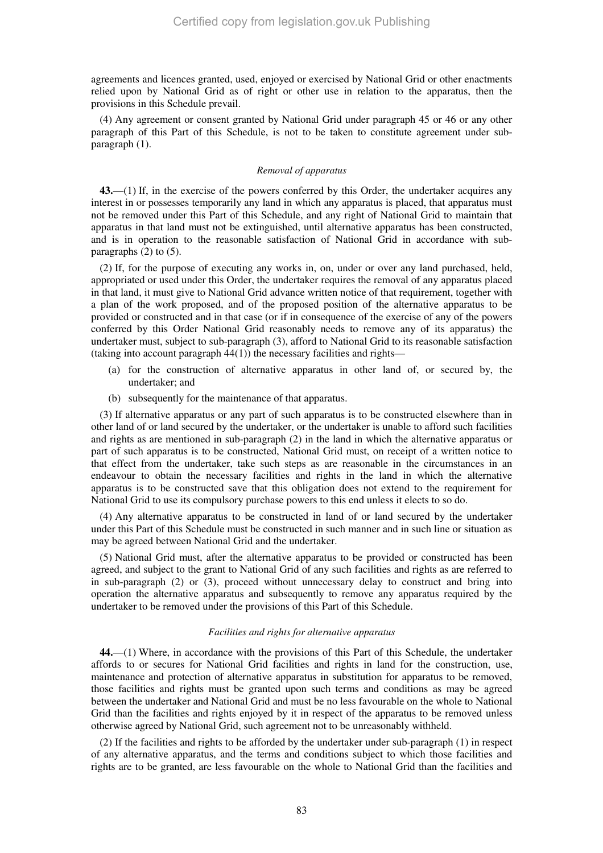agreements and licences granted, used, enjoyed or exercised by National Grid or other enactments relied upon by National Grid as of right or other use in relation to the apparatus, then the provisions in this Schedule prevail.

(4) Any agreement or consent granted by National Grid under paragraph 45 or 46 or any other paragraph of this Part of this Schedule, is not to be taken to constitute agreement under subparagraph (1).

## *Removal of apparatus*

**43.**—(1) If, in the exercise of the powers conferred by this Order, the undertaker acquires any interest in or possesses temporarily any land in which any apparatus is placed, that apparatus must not be removed under this Part of this Schedule, and any right of National Grid to maintain that apparatus in that land must not be extinguished, until alternative apparatus has been constructed, and is in operation to the reasonable satisfaction of National Grid in accordance with subparagraphs (2) to (5).

(2) If, for the purpose of executing any works in, on, under or over any land purchased, held, appropriated or used under this Order, the undertaker requires the removal of any apparatus placed in that land, it must give to National Grid advance written notice of that requirement, together with a plan of the work proposed, and of the proposed position of the alternative apparatus to be provided or constructed and in that case (or if in consequence of the exercise of any of the powers conferred by this Order National Grid reasonably needs to remove any of its apparatus) the undertaker must, subject to sub-paragraph (3), afford to National Grid to its reasonable satisfaction (taking into account paragraph  $44(1)$ ) the necessary facilities and rights—

- (a) for the construction of alternative apparatus in other land of, or secured by, the undertaker; and
- (b) subsequently for the maintenance of that apparatus.

(3) If alternative apparatus or any part of such apparatus is to be constructed elsewhere than in other land of or land secured by the undertaker, or the undertaker is unable to afford such facilities and rights as are mentioned in sub-paragraph (2) in the land in which the alternative apparatus or part of such apparatus is to be constructed, National Grid must, on receipt of a written notice to that effect from the undertaker, take such steps as are reasonable in the circumstances in an endeavour to obtain the necessary facilities and rights in the land in which the alternative apparatus is to be constructed save that this obligation does not extend to the requirement for National Grid to use its compulsory purchase powers to this end unless it elects to so do.

(4) Any alternative apparatus to be constructed in land of or land secured by the undertaker under this Part of this Schedule must be constructed in such manner and in such line or situation as may be agreed between National Grid and the undertaker.

(5) National Grid must, after the alternative apparatus to be provided or constructed has been agreed, and subject to the grant to National Grid of any such facilities and rights as are referred to in sub-paragraph (2) or (3), proceed without unnecessary delay to construct and bring into operation the alternative apparatus and subsequently to remove any apparatus required by the undertaker to be removed under the provisions of this Part of this Schedule.

## *Facilities and rights for alternative apparatus*

**44.**—(1) Where, in accordance with the provisions of this Part of this Schedule, the undertaker affords to or secures for National Grid facilities and rights in land for the construction, use, maintenance and protection of alternative apparatus in substitution for apparatus to be removed, those facilities and rights must be granted upon such terms and conditions as may be agreed between the undertaker and National Grid and must be no less favourable on the whole to National Grid than the facilities and rights enjoyed by it in respect of the apparatus to be removed unless otherwise agreed by National Grid, such agreement not to be unreasonably withheld.

(2) If the facilities and rights to be afforded by the undertaker under sub-paragraph (1) in respect of any alternative apparatus, and the terms and conditions subject to which those facilities and rights are to be granted, are less favourable on the whole to National Grid than the facilities and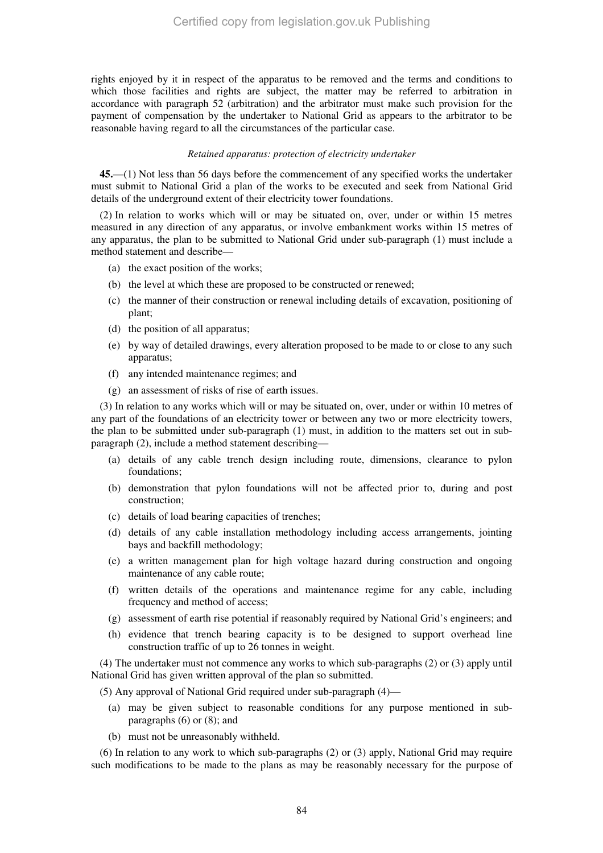rights enjoyed by it in respect of the apparatus to be removed and the terms and conditions to which those facilities and rights are subject, the matter may be referred to arbitration in accordance with paragraph 52 (arbitration) and the arbitrator must make such provision for the payment of compensation by the undertaker to National Grid as appears to the arbitrator to be reasonable having regard to all the circumstances of the particular case.

## *Retained apparatus: protection of electricity undertaker*

**45.**—(1) Not less than 56 days before the commencement of any specified works the undertaker must submit to National Grid a plan of the works to be executed and seek from National Grid details of the underground extent of their electricity tower foundations.

(2) In relation to works which will or may be situated on, over, under or within 15 metres measured in any direction of any apparatus, or involve embankment works within 15 metres of any apparatus, the plan to be submitted to National Grid under sub-paragraph (1) must include a method statement and describe—

- (a) the exact position of the works;
- (b) the level at which these are proposed to be constructed or renewed;
- (c) the manner of their construction or renewal including details of excavation, positioning of plant;
- (d) the position of all apparatus;
- (e) by way of detailed drawings, every alteration proposed to be made to or close to any such apparatus;
- (f) any intended maintenance regimes; and
- (g) an assessment of risks of rise of earth issues.

(3) In relation to any works which will or may be situated on, over, under or within 10 metres of any part of the foundations of an electricity tower or between any two or more electricity towers, the plan to be submitted under sub-paragraph (1) must, in addition to the matters set out in subparagraph (2), include a method statement describing—

- (a) details of any cable trench design including route, dimensions, clearance to pylon foundations;
- (b) demonstration that pylon foundations will not be affected prior to, during and post construction;
- (c) details of load bearing capacities of trenches;
- (d) details of any cable installation methodology including access arrangements, jointing bays and backfill methodology;
- (e) a written management plan for high voltage hazard during construction and ongoing maintenance of any cable route;
- (f) written details of the operations and maintenance regime for any cable, including frequency and method of access;
- (g) assessment of earth rise potential if reasonably required by National Grid's engineers; and
- (h) evidence that trench bearing capacity is to be designed to support overhead line construction traffic of up to 26 tonnes in weight.

(4) The undertaker must not commence any works to which sub-paragraphs (2) or (3) apply until National Grid has given written approval of the plan so submitted.

(5) Any approval of National Grid required under sub-paragraph (4)—

- (a) may be given subject to reasonable conditions for any purpose mentioned in subparagraphs (6) or (8); and
- (b) must not be unreasonably withheld.

(6) In relation to any work to which sub-paragraphs (2) or (3) apply, National Grid may require such modifications to be made to the plans as may be reasonably necessary for the purpose of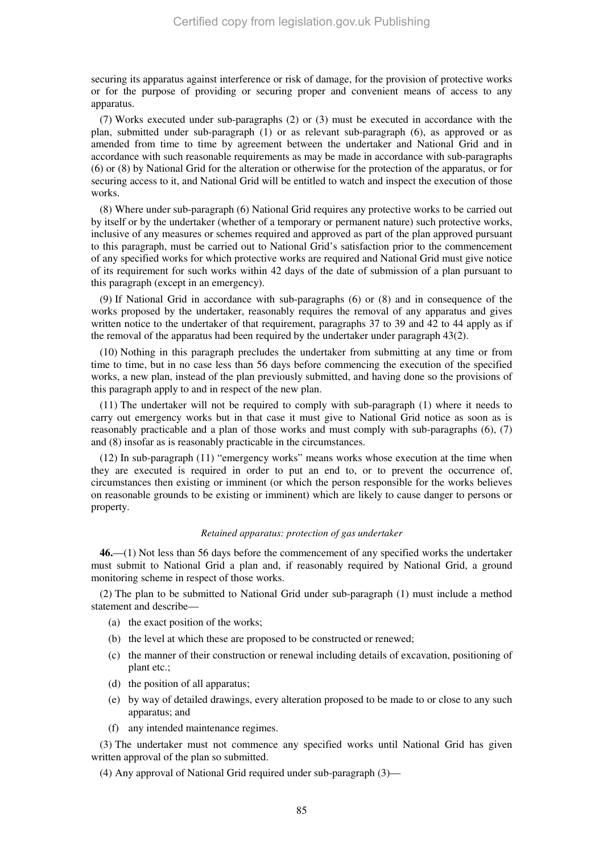securing its apparatus against interference or risk of damage, for the provision of protective works or for the purpose of providing or securing proper and convenient means of access to any apparatus.

(7) Works executed under sub-paragraphs (2) or (3) must be executed in accordance with the plan, submitted under sub-paragraph (1) or as relevant sub-paragraph (6), as approved or as amended from time to time by agreement between the undertaker and National Grid and in accordance with such reasonable requirements as may be made in accordance with sub-paragraphs (6) or (8) by National Grid for the alteration or otherwise for the protection of the apparatus, or for securing access to it, and National Grid will be entitled to watch and inspect the execution of those works.

(8) Where under sub-paragraph (6) National Grid requires any protective works to be carried out by itself or by the undertaker (whether of a temporary or permanent nature) such protective works, inclusive of any measures or schemes required and approved as part of the plan approved pursuant to this paragraph, must be carried out to National Grid's satisfaction prior to the commencement of any specified works for which protective works are required and National Grid must give notice of its requirement for such works within 42 days of the date of submission of a plan pursuant to this paragraph (except in an emergency).

(9) If National Grid in accordance with sub-paragraphs (6) or (8) and in consequence of the works proposed by the undertaker, reasonably requires the removal of any apparatus and gives written notice to the undertaker of that requirement, paragraphs 37 to 39 and 42 to 44 apply as if the removal of the apparatus had been required by the undertaker under paragraph 43(2).

(10) Nothing in this paragraph precludes the undertaker from submitting at any time or from time to time, but in no case less than 56 days before commencing the execution of the specified works, a new plan, instead of the plan previously submitted, and having done so the provisions of this paragraph apply to and in respect of the new plan.

(11) The undertaker will not be required to comply with sub-paragraph (1) where it needs to carry out emergency works but in that case it must give to National Grid notice as soon as is reasonably practicable and a plan of those works and must comply with sub-paragraphs (6), (7) and (8) insofar as is reasonably practicable in the circumstances.

(12) In sub-paragraph (11) "emergency works" means works whose execution at the time when they are executed is required in order to put an end to, or to prevent the occurrence of, circumstances then existing or imminent (or which the person responsible for the works believes on reasonable grounds to be existing or imminent) which are likely to cause danger to persons or property.

#### *Retained apparatus: protection of gas undertaker*

**46.**—(1) Not less than 56 days before the commencement of any specified works the undertaker must submit to National Grid a plan and, if reasonably required by National Grid, a ground monitoring scheme in respect of those works.

(2) The plan to be submitted to National Grid under sub-paragraph (1) must include a method statement and describe—

- (a) the exact position of the works;
- (b) the level at which these are proposed to be constructed or renewed;
- (c) the manner of their construction or renewal including details of excavation, positioning of plant etc.;
- (d) the position of all apparatus;
- (e) by way of detailed drawings, every alteration proposed to be made to or close to any such apparatus; and
- (f) any intended maintenance regimes.

(3) The undertaker must not commence any specified works until National Grid has given written approval of the plan so submitted.

(4) Any approval of National Grid required under sub-paragraph (3)—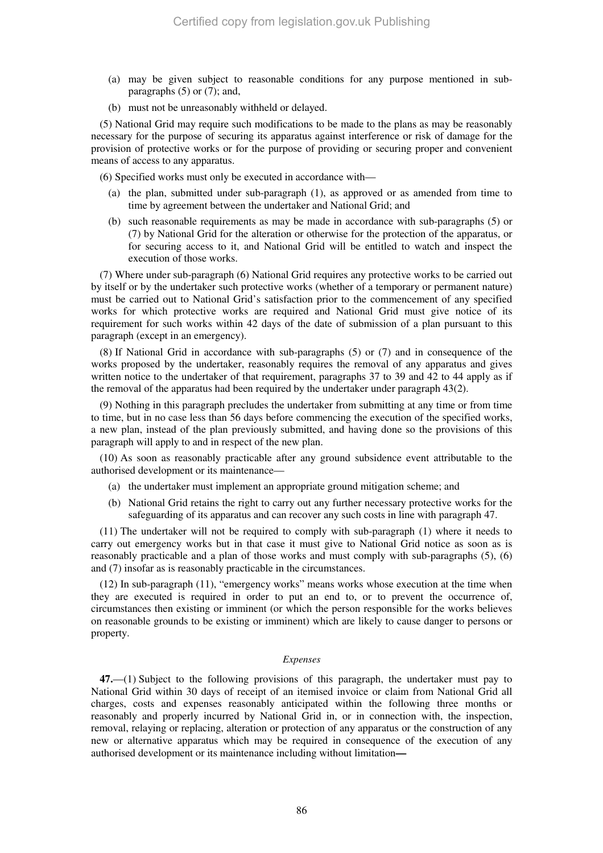- (a) may be given subject to reasonable conditions for any purpose mentioned in subparagraphs (5) or (7); and,
- (b) must not be unreasonably withheld or delayed.

(5) National Grid may require such modifications to be made to the plans as may be reasonably necessary for the purpose of securing its apparatus against interference or risk of damage for the provision of protective works or for the purpose of providing or securing proper and convenient means of access to any apparatus.

(6) Specified works must only be executed in accordance with—

- (a) the plan, submitted under sub-paragraph (1), as approved or as amended from time to time by agreement between the undertaker and National Grid; and
- (b) such reasonable requirements as may be made in accordance with sub-paragraphs (5) or (7) by National Grid for the alteration or otherwise for the protection of the apparatus, or for securing access to it, and National Grid will be entitled to watch and inspect the execution of those works.

(7) Where under sub-paragraph (6) National Grid requires any protective works to be carried out by itself or by the undertaker such protective works (whether of a temporary or permanent nature) must be carried out to National Grid's satisfaction prior to the commencement of any specified works for which protective works are required and National Grid must give notice of its requirement for such works within 42 days of the date of submission of a plan pursuant to this paragraph (except in an emergency).

(8) If National Grid in accordance with sub-paragraphs (5) or (7) and in consequence of the works proposed by the undertaker, reasonably requires the removal of any apparatus and gives written notice to the undertaker of that requirement, paragraphs 37 to 39 and 42 to 44 apply as if the removal of the apparatus had been required by the undertaker under paragraph 43(2).

(9) Nothing in this paragraph precludes the undertaker from submitting at any time or from time to time, but in no case less than 56 days before commencing the execution of the specified works, a new plan, instead of the plan previously submitted, and having done so the provisions of this paragraph will apply to and in respect of the new plan.

(10) As soon as reasonably practicable after any ground subsidence event attributable to the authorised development or its maintenance—

- (a) the undertaker must implement an appropriate ground mitigation scheme; and
- (b) National Grid retains the right to carry out any further necessary protective works for the safeguarding of its apparatus and can recover any such costs in line with paragraph 47.

(11) The undertaker will not be required to comply with sub-paragraph (1) where it needs to carry out emergency works but in that case it must give to National Grid notice as soon as is reasonably practicable and a plan of those works and must comply with sub-paragraphs (5), (6) and (7) insofar as is reasonably practicable in the circumstances.

(12) In sub-paragraph (11), "emergency works" means works whose execution at the time when they are executed is required in order to put an end to, or to prevent the occurrence of, circumstances then existing or imminent (or which the person responsible for the works believes on reasonable grounds to be existing or imminent) which are likely to cause danger to persons or property.

#### *Expenses*

**47.**—(1) Subject to the following provisions of this paragraph, the undertaker must pay to National Grid within 30 days of receipt of an itemised invoice or claim from National Grid all charges, costs and expenses reasonably anticipated within the following three months or reasonably and properly incurred by National Grid in, or in connection with, the inspection, removal, relaying or replacing, alteration or protection of any apparatus or the construction of any new or alternative apparatus which may be required in consequence of the execution of any authorised development or its maintenance including without limitation**—**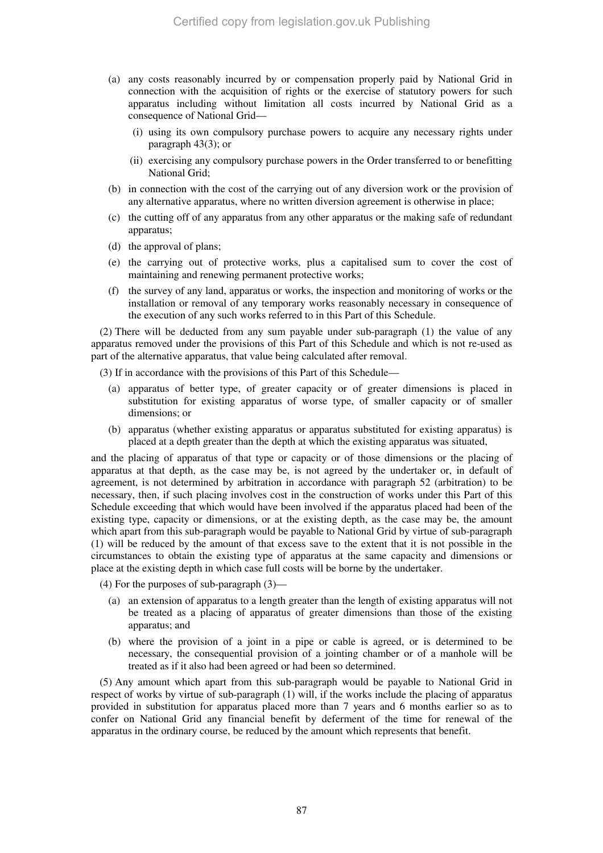- (a) any costs reasonably incurred by or compensation properly paid by National Grid in connection with the acquisition of rights or the exercise of statutory powers for such apparatus including without limitation all costs incurred by National Grid as a consequence of National Grid—
	- (i) using its own compulsory purchase powers to acquire any necessary rights under paragraph 43(3); or
	- (ii) exercising any compulsory purchase powers in the Order transferred to or benefitting National Grid;
- (b) in connection with the cost of the carrying out of any diversion work or the provision of any alternative apparatus, where no written diversion agreement is otherwise in place;
- (c) the cutting off of any apparatus from any other apparatus or the making safe of redundant apparatus;
- (d) the approval of plans;
- (e) the carrying out of protective works, plus a capitalised sum to cover the cost of maintaining and renewing permanent protective works;
- (f) the survey of any land, apparatus or works, the inspection and monitoring of works or the installation or removal of any temporary works reasonably necessary in consequence of the execution of any such works referred to in this Part of this Schedule.

(2) There will be deducted from any sum payable under sub-paragraph (1) the value of any apparatus removed under the provisions of this Part of this Schedule and which is not re-used as part of the alternative apparatus, that value being calculated after removal.

(3) If in accordance with the provisions of this Part of this Schedule—

- (a) apparatus of better type, of greater capacity or of greater dimensions is placed in substitution for existing apparatus of worse type, of smaller capacity or of smaller dimensions; or
- (b) apparatus (whether existing apparatus or apparatus substituted for existing apparatus) is placed at a depth greater than the depth at which the existing apparatus was situated,

and the placing of apparatus of that type or capacity or of those dimensions or the placing of apparatus at that depth, as the case may be, is not agreed by the undertaker or, in default of agreement, is not determined by arbitration in accordance with paragraph 52 (arbitration) to be necessary, then, if such placing involves cost in the construction of works under this Part of this Schedule exceeding that which would have been involved if the apparatus placed had been of the existing type, capacity or dimensions, or at the existing depth, as the case may be, the amount which apart from this sub-paragraph would be payable to National Grid by virtue of sub-paragraph (1) will be reduced by the amount of that excess save to the extent that it is not possible in the circumstances to obtain the existing type of apparatus at the same capacity and dimensions or place at the existing depth in which case full costs will be borne by the undertaker.

(4) For the purposes of sub-paragraph (3)—

- (a) an extension of apparatus to a length greater than the length of existing apparatus will not be treated as a placing of apparatus of greater dimensions than those of the existing apparatus; and
- (b) where the provision of a joint in a pipe or cable is agreed, or is determined to be necessary, the consequential provision of a jointing chamber or of a manhole will be treated as if it also had been agreed or had been so determined.

(5) Any amount which apart from this sub-paragraph would be payable to National Grid in respect of works by virtue of sub-paragraph (1) will, if the works include the placing of apparatus provided in substitution for apparatus placed more than 7 years and 6 months earlier so as to confer on National Grid any financial benefit by deferment of the time for renewal of the apparatus in the ordinary course, be reduced by the amount which represents that benefit.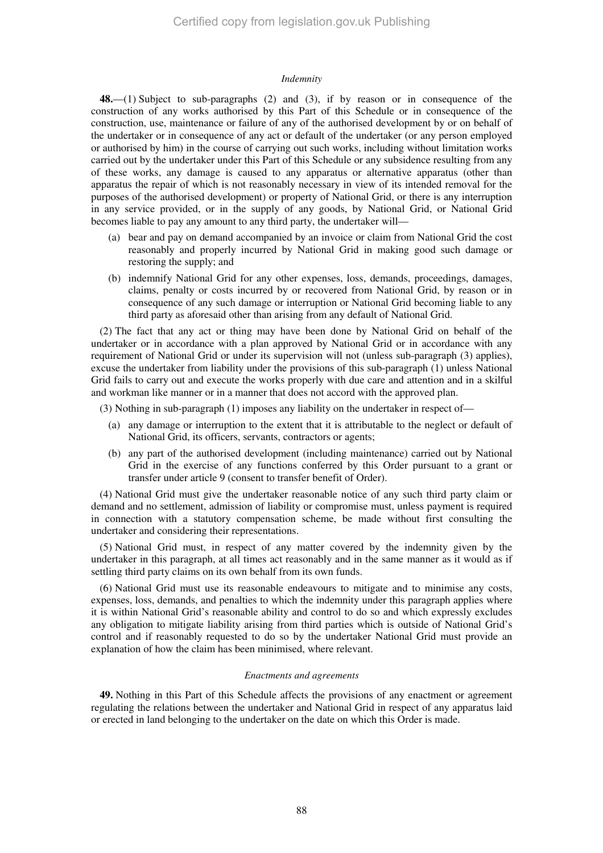#### *Indemnity*

**48.**—(1) Subject to sub-paragraphs (2) and (3), if by reason or in consequence of the construction of any works authorised by this Part of this Schedule or in consequence of the construction, use, maintenance or failure of any of the authorised development by or on behalf of the undertaker or in consequence of any act or default of the undertaker (or any person employed or authorised by him) in the course of carrying out such works, including without limitation works carried out by the undertaker under this Part of this Schedule or any subsidence resulting from any of these works, any damage is caused to any apparatus or alternative apparatus (other than apparatus the repair of which is not reasonably necessary in view of its intended removal for the purposes of the authorised development) or property of National Grid, or there is any interruption in any service provided, or in the supply of any goods, by National Grid, or National Grid becomes liable to pay any amount to any third party, the undertaker will—

- (a) bear and pay on demand accompanied by an invoice or claim from National Grid the cost reasonably and properly incurred by National Grid in making good such damage or restoring the supply; and
- (b) indemnify National Grid for any other expenses, loss, demands, proceedings, damages, claims, penalty or costs incurred by or recovered from National Grid, by reason or in consequence of any such damage or interruption or National Grid becoming liable to any third party as aforesaid other than arising from any default of National Grid.

(2) The fact that any act or thing may have been done by National Grid on behalf of the undertaker or in accordance with a plan approved by National Grid or in accordance with any requirement of National Grid or under its supervision will not (unless sub-paragraph (3) applies), excuse the undertaker from liability under the provisions of this sub-paragraph (1) unless National Grid fails to carry out and execute the works properly with due care and attention and in a skilful and workman like manner or in a manner that does not accord with the approved plan.

(3) Nothing in sub-paragraph (1) imposes any liability on the undertaker in respect of—

- (a) any damage or interruption to the extent that it is attributable to the neglect or default of National Grid, its officers, servants, contractors or agents;
- (b) any part of the authorised development (including maintenance) carried out by National Grid in the exercise of any functions conferred by this Order pursuant to a grant or transfer under article 9 (consent to transfer benefit of Order).

(4) National Grid must give the undertaker reasonable notice of any such third party claim or demand and no settlement, admission of liability or compromise must, unless payment is required in connection with a statutory compensation scheme, be made without first consulting the undertaker and considering their representations.

(5) National Grid must, in respect of any matter covered by the indemnity given by the undertaker in this paragraph, at all times act reasonably and in the same manner as it would as if settling third party claims on its own behalf from its own funds.

(6) National Grid must use its reasonable endeavours to mitigate and to minimise any costs, expenses, loss, demands, and penalties to which the indemnity under this paragraph applies where it is within National Grid's reasonable ability and control to do so and which expressly excludes any obligation to mitigate liability arising from third parties which is outside of National Grid's control and if reasonably requested to do so by the undertaker National Grid must provide an explanation of how the claim has been minimised, where relevant.

#### *Enactments and agreements*

**49.** Nothing in this Part of this Schedule affects the provisions of any enactment or agreement regulating the relations between the undertaker and National Grid in respect of any apparatus laid or erected in land belonging to the undertaker on the date on which this Order is made.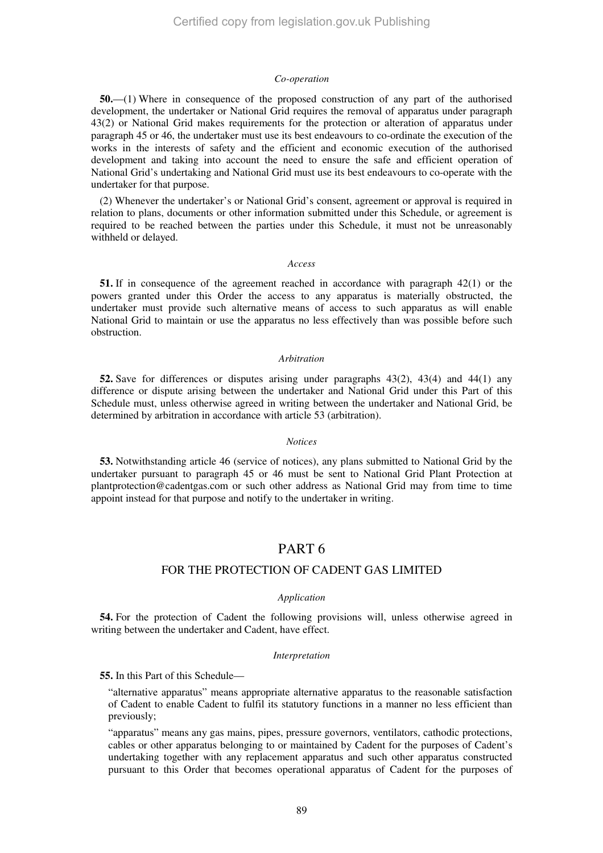#### *Co-operation*

**50.**—(1) Where in consequence of the proposed construction of any part of the authorised development, the undertaker or National Grid requires the removal of apparatus under paragraph 43(2) or National Grid makes requirements for the protection or alteration of apparatus under paragraph 45 or 46, the undertaker must use its best endeavours to co-ordinate the execution of the works in the interests of safety and the efficient and economic execution of the authorised development and taking into account the need to ensure the safe and efficient operation of National Grid's undertaking and National Grid must use its best endeavours to co-operate with the undertaker for that purpose.

(2) Whenever the undertaker's or National Grid's consent, agreement or approval is required in relation to plans, documents or other information submitted under this Schedule, or agreement is required to be reached between the parties under this Schedule, it must not be unreasonably withheld or delayed.

#### *Access*

**51.** If in consequence of the agreement reached in accordance with paragraph 42(1) or the powers granted under this Order the access to any apparatus is materially obstructed, the undertaker must provide such alternative means of access to such apparatus as will enable National Grid to maintain or use the apparatus no less effectively than was possible before such obstruction.

#### *Arbitration*

**52.** Save for differences or disputes arising under paragraphs 43(2), 43(4) and 44(1) any difference or dispute arising between the undertaker and National Grid under this Part of this Schedule must, unless otherwise agreed in writing between the undertaker and National Grid, be determined by arbitration in accordance with article 53 (arbitration).

## *Notices*

**53.** Notwithstanding article 46 (service of notices), any plans submitted to National Grid by the undertaker pursuant to paragraph 45 or 46 must be sent to National Grid Plant Protection at plantprotection@cadentgas.com or such other address as National Grid may from time to time appoint instead for that purpose and notify to the undertaker in writing.

# PART 6

# FOR THE PROTECTION OF CADENT GAS LIMITED

#### *Application*

**54.** For the protection of Cadent the following provisions will, unless otherwise agreed in writing between the undertaker and Cadent, have effect.

#### *Interpretation*

**55.** In this Part of this Schedule—

"alternative apparatus" means appropriate alternative apparatus to the reasonable satisfaction of Cadent to enable Cadent to fulfil its statutory functions in a manner no less efficient than previously;

"apparatus" means any gas mains, pipes, pressure governors, ventilators, cathodic protections, cables or other apparatus belonging to or maintained by Cadent for the purposes of Cadent's undertaking together with any replacement apparatus and such other apparatus constructed pursuant to this Order that becomes operational apparatus of Cadent for the purposes of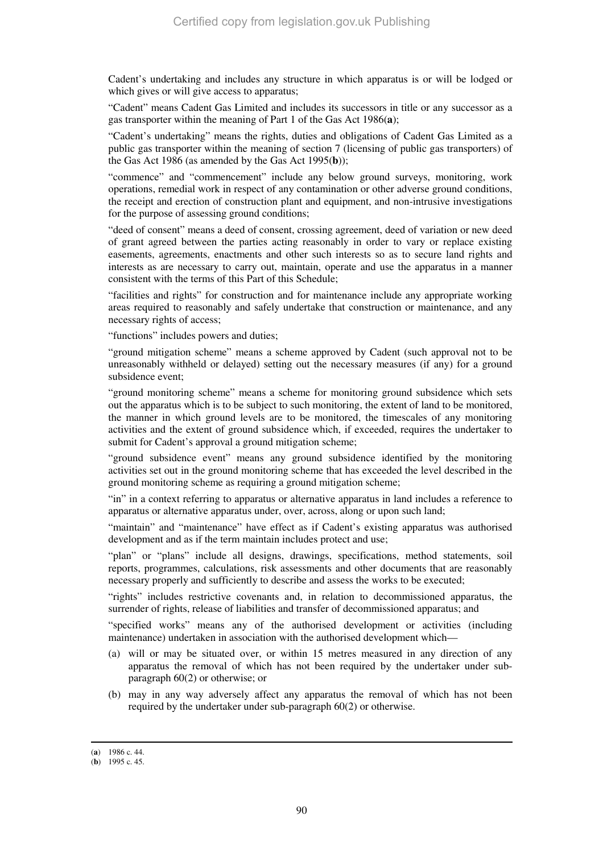Cadent's undertaking and includes any structure in which apparatus is or will be lodged or which gives or will give access to apparatus;

"Cadent" means Cadent Gas Limited and includes its successors in title or any successor as a gas transporter within the meaning of Part 1 of the Gas Act 1986(**a**);

"Cadent's undertaking" means the rights, duties and obligations of Cadent Gas Limited as a public gas transporter within the meaning of section 7 (licensing of public gas transporters) of the Gas Act 1986 (as amended by the Gas Act 1995(**b**));

"commence" and "commencement" include any below ground surveys, monitoring, work operations, remedial work in respect of any contamination or other adverse ground conditions, the receipt and erection of construction plant and equipment, and non-intrusive investigations for the purpose of assessing ground conditions;

"deed of consent" means a deed of consent, crossing agreement, deed of variation or new deed of grant agreed between the parties acting reasonably in order to vary or replace existing easements, agreements, enactments and other such interests so as to secure land rights and interests as are necessary to carry out, maintain, operate and use the apparatus in a manner consistent with the terms of this Part of this Schedule;

"facilities and rights" for construction and for maintenance include any appropriate working areas required to reasonably and safely undertake that construction or maintenance, and any necessary rights of access;

"functions" includes powers and duties;

"ground mitigation scheme" means a scheme approved by Cadent (such approval not to be unreasonably withheld or delayed) setting out the necessary measures (if any) for a ground subsidence event;

"ground monitoring scheme" means a scheme for monitoring ground subsidence which sets out the apparatus which is to be subject to such monitoring, the extent of land to be monitored, the manner in which ground levels are to be monitored, the timescales of any monitoring activities and the extent of ground subsidence which, if exceeded, requires the undertaker to submit for Cadent's approval a ground mitigation scheme;

"ground subsidence event" means any ground subsidence identified by the monitoring activities set out in the ground monitoring scheme that has exceeded the level described in the ground monitoring scheme as requiring a ground mitigation scheme;

"in" in a context referring to apparatus or alternative apparatus in land includes a reference to apparatus or alternative apparatus under, over, across, along or upon such land;

"maintain" and "maintenance" have effect as if Cadent's existing apparatus was authorised development and as if the term maintain includes protect and use;

"plan" or "plans" include all designs, drawings, specifications, method statements, soil reports, programmes, calculations, risk assessments and other documents that are reasonably necessary properly and sufficiently to describe and assess the works to be executed;

"rights" includes restrictive covenants and, in relation to decommissioned apparatus, the surrender of rights, release of liabilities and transfer of decommissioned apparatus; and

"specified works" means any of the authorised development or activities (including maintenance) undertaken in association with the authorised development which—

- (a) will or may be situated over, or within 15 metres measured in any direction of any apparatus the removal of which has not been required by the undertaker under subparagraph 60(2) or otherwise; or
- (b) may in any way adversely affect any apparatus the removal of which has not been required by the undertaker under sub-paragraph 60(2) or otherwise.

-

<sup>(</sup>**a**) 1986 c. 44.

<sup>(</sup>**b**) 1995 c. 45.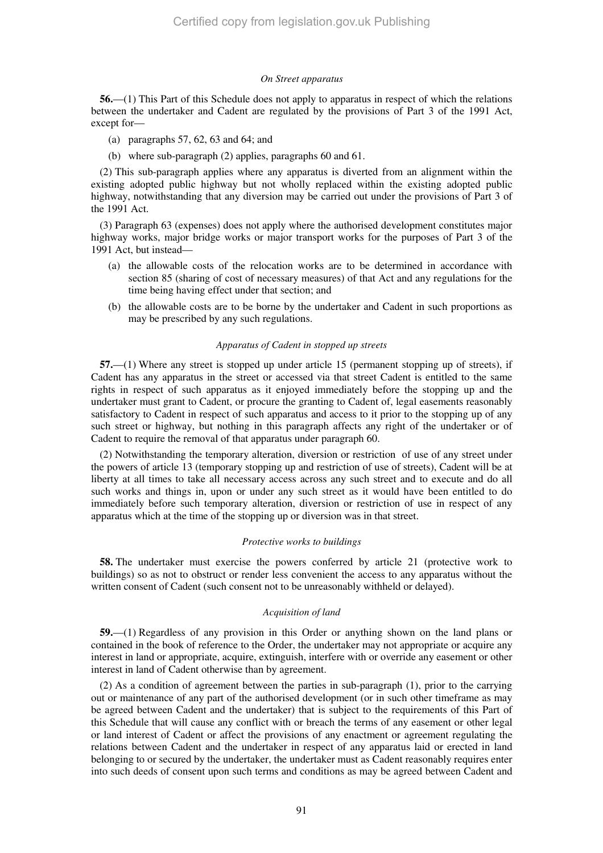#### *On Street apparatus*

**56.**—(1) This Part of this Schedule does not apply to apparatus in respect of which the relations between the undertaker and Cadent are regulated by the provisions of Part 3 of the 1991 Act, except for—

- (a) paragraphs 57, 62, 63 and 64; and
- (b) where sub-paragraph (2) applies, paragraphs 60 and 61.

(2) This sub-paragraph applies where any apparatus is diverted from an alignment within the existing adopted public highway but not wholly replaced within the existing adopted public highway, notwithstanding that any diversion may be carried out under the provisions of Part 3 of the 1991 Act.

(3) Paragraph 63 (expenses) does not apply where the authorised development constitutes major highway works, major bridge works or major transport works for the purposes of Part 3 of the 1991 Act, but instead—

- (a) the allowable costs of the relocation works are to be determined in accordance with section 85 (sharing of cost of necessary measures) of that Act and any regulations for the time being having effect under that section; and
- (b) the allowable costs are to be borne by the undertaker and Cadent in such proportions as may be prescribed by any such regulations.

#### *Apparatus of Cadent in stopped up streets*

**57.**—(1) Where any street is stopped up under article 15 (permanent stopping up of streets), if Cadent has any apparatus in the street or accessed via that street Cadent is entitled to the same rights in respect of such apparatus as it enjoyed immediately before the stopping up and the undertaker must grant to Cadent, or procure the granting to Cadent of, legal easements reasonably satisfactory to Cadent in respect of such apparatus and access to it prior to the stopping up of any such street or highway, but nothing in this paragraph affects any right of the undertaker or of Cadent to require the removal of that apparatus under paragraph 60.

(2) Notwithstanding the temporary alteration, diversion or restriction of use of any street under the powers of article 13 (temporary stopping up and restriction of use of streets), Cadent will be at liberty at all times to take all necessary access across any such street and to execute and do all such works and things in, upon or under any such street as it would have been entitled to do immediately before such temporary alteration, diversion or restriction of use in respect of any apparatus which at the time of the stopping up or diversion was in that street.

#### *Protective works to buildings*

**58.** The undertaker must exercise the powers conferred by article 21 (protective work to buildings) so as not to obstruct or render less convenient the access to any apparatus without the written consent of Cadent (such consent not to be unreasonably withheld or delayed).

# *Acquisition of land*

**59.**—(1) Regardless of any provision in this Order or anything shown on the land plans or contained in the book of reference to the Order, the undertaker may not appropriate or acquire any interest in land or appropriate, acquire, extinguish, interfere with or override any easement or other interest in land of Cadent otherwise than by agreement.

(2) As a condition of agreement between the parties in sub-paragraph (1), prior to the carrying out or maintenance of any part of the authorised development (or in such other timeframe as may be agreed between Cadent and the undertaker) that is subject to the requirements of this Part of this Schedule that will cause any conflict with or breach the terms of any easement or other legal or land interest of Cadent or affect the provisions of any enactment or agreement regulating the relations between Cadent and the undertaker in respect of any apparatus laid or erected in land belonging to or secured by the undertaker, the undertaker must as Cadent reasonably requires enter into such deeds of consent upon such terms and conditions as may be agreed between Cadent and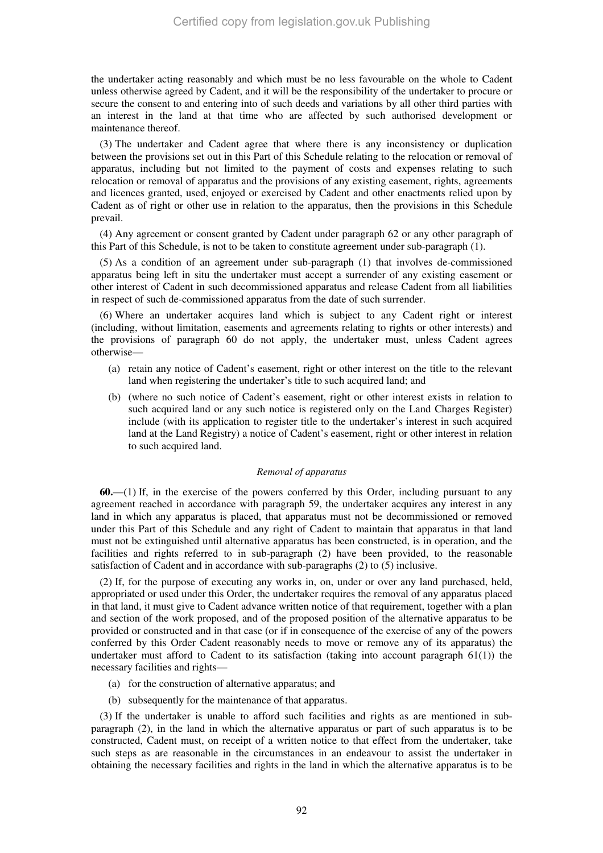the undertaker acting reasonably and which must be no less favourable on the whole to Cadent unless otherwise agreed by Cadent, and it will be the responsibility of the undertaker to procure or secure the consent to and entering into of such deeds and variations by all other third parties with an interest in the land at that time who are affected by such authorised development or maintenance thereof.

(3) The undertaker and Cadent agree that where there is any inconsistency or duplication between the provisions set out in this Part of this Schedule relating to the relocation or removal of apparatus, including but not limited to the payment of costs and expenses relating to such relocation or removal of apparatus and the provisions of any existing easement, rights, agreements and licences granted, used, enjoyed or exercised by Cadent and other enactments relied upon by Cadent as of right or other use in relation to the apparatus, then the provisions in this Schedule prevail.

(4) Any agreement or consent granted by Cadent under paragraph 62 or any other paragraph of this Part of this Schedule, is not to be taken to constitute agreement under sub-paragraph (1).

(5) As a condition of an agreement under sub-paragraph (1) that involves de-commissioned apparatus being left in situ the undertaker must accept a surrender of any existing easement or other interest of Cadent in such decommissioned apparatus and release Cadent from all liabilities in respect of such de-commissioned apparatus from the date of such surrender.

(6) Where an undertaker acquires land which is subject to any Cadent right or interest (including, without limitation, easements and agreements relating to rights or other interests) and the provisions of paragraph 60 do not apply, the undertaker must, unless Cadent agrees otherwise—

- (a) retain any notice of Cadent's easement, right or other interest on the title to the relevant land when registering the undertaker's title to such acquired land; and
- (b) (where no such notice of Cadent's easement, right or other interest exists in relation to such acquired land or any such notice is registered only on the Land Charges Register) include (with its application to register title to the undertaker's interest in such acquired land at the Land Registry) a notice of Cadent's easement, right or other interest in relation to such acquired land.

## *Removal of apparatus*

**60.**—(1) If, in the exercise of the powers conferred by this Order, including pursuant to any agreement reached in accordance with paragraph 59, the undertaker acquires any interest in any land in which any apparatus is placed, that apparatus must not be decommissioned or removed under this Part of this Schedule and any right of Cadent to maintain that apparatus in that land must not be extinguished until alternative apparatus has been constructed, is in operation, and the facilities and rights referred to in sub-paragraph (2) have been provided, to the reasonable satisfaction of Cadent and in accordance with sub-paragraphs (2) to (5) inclusive.

(2) If, for the purpose of executing any works in, on, under or over any land purchased, held, appropriated or used under this Order, the undertaker requires the removal of any apparatus placed in that land, it must give to Cadent advance written notice of that requirement, together with a plan and section of the work proposed, and of the proposed position of the alternative apparatus to be provided or constructed and in that case (or if in consequence of the exercise of any of the powers conferred by this Order Cadent reasonably needs to move or remove any of its apparatus) the undertaker must afford to Cadent to its satisfaction (taking into account paragraph  $61(1)$ ) the necessary facilities and rights—

- (a) for the construction of alternative apparatus; and
- (b) subsequently for the maintenance of that apparatus.

(3) If the undertaker is unable to afford such facilities and rights as are mentioned in subparagraph (2), in the land in which the alternative apparatus or part of such apparatus is to be constructed, Cadent must, on receipt of a written notice to that effect from the undertaker, take such steps as are reasonable in the circumstances in an endeavour to assist the undertaker in obtaining the necessary facilities and rights in the land in which the alternative apparatus is to be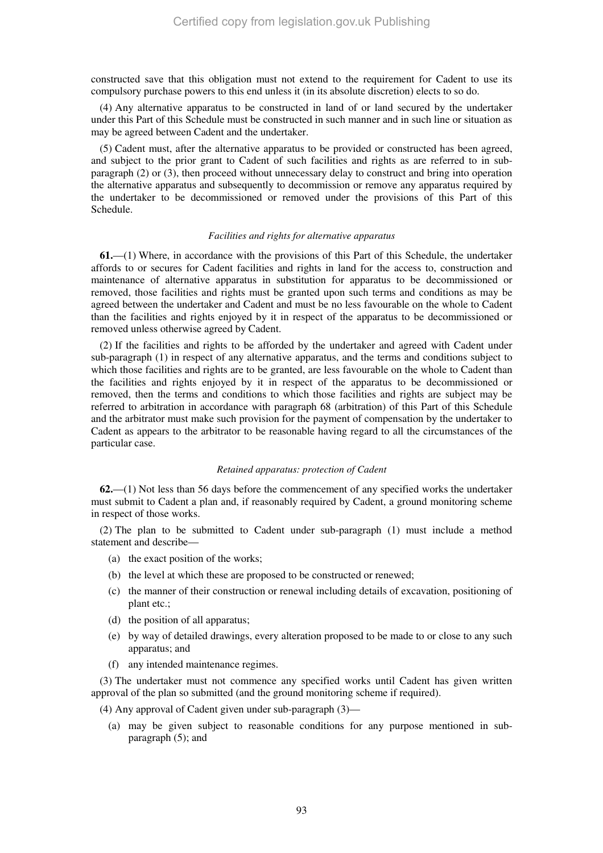constructed save that this obligation must not extend to the requirement for Cadent to use its compulsory purchase powers to this end unless it (in its absolute discretion) elects to so do.

(4) Any alternative apparatus to be constructed in land of or land secured by the undertaker under this Part of this Schedule must be constructed in such manner and in such line or situation as may be agreed between Cadent and the undertaker.

(5) Cadent must, after the alternative apparatus to be provided or constructed has been agreed, and subject to the prior grant to Cadent of such facilities and rights as are referred to in subparagraph (2) or (3), then proceed without unnecessary delay to construct and bring into operation the alternative apparatus and subsequently to decommission or remove any apparatus required by the undertaker to be decommissioned or removed under the provisions of this Part of this Schedule.

#### *Facilities and rights for alternative apparatus*

**61.**—(1) Where, in accordance with the provisions of this Part of this Schedule, the undertaker affords to or secures for Cadent facilities and rights in land for the access to, construction and maintenance of alternative apparatus in substitution for apparatus to be decommissioned or removed, those facilities and rights must be granted upon such terms and conditions as may be agreed between the undertaker and Cadent and must be no less favourable on the whole to Cadent than the facilities and rights enjoyed by it in respect of the apparatus to be decommissioned or removed unless otherwise agreed by Cadent.

(2) If the facilities and rights to be afforded by the undertaker and agreed with Cadent under sub-paragraph (1) in respect of any alternative apparatus, and the terms and conditions subject to which those facilities and rights are to be granted, are less favourable on the whole to Cadent than the facilities and rights enjoyed by it in respect of the apparatus to be decommissioned or removed, then the terms and conditions to which those facilities and rights are subject may be referred to arbitration in accordance with paragraph 68 (arbitration) of this Part of this Schedule and the arbitrator must make such provision for the payment of compensation by the undertaker to Cadent as appears to the arbitrator to be reasonable having regard to all the circumstances of the particular case.

#### *Retained apparatus: protection of Cadent*

**62.**—(1) Not less than 56 days before the commencement of any specified works the undertaker must submit to Cadent a plan and, if reasonably required by Cadent, a ground monitoring scheme in respect of those works.

(2) The plan to be submitted to Cadent under sub-paragraph (1) must include a method statement and describe—

- (a) the exact position of the works;
- (b) the level at which these are proposed to be constructed or renewed;
- (c) the manner of their construction or renewal including details of excavation, positioning of plant etc.;
- (d) the position of all apparatus;
- (e) by way of detailed drawings, every alteration proposed to be made to or close to any such apparatus; and
- (f) any intended maintenance regimes.

(3) The undertaker must not commence any specified works until Cadent has given written approval of the plan so submitted (and the ground monitoring scheme if required).

(4) Any approval of Cadent given under sub-paragraph (3)—

(a) may be given subject to reasonable conditions for any purpose mentioned in subparagraph (5); and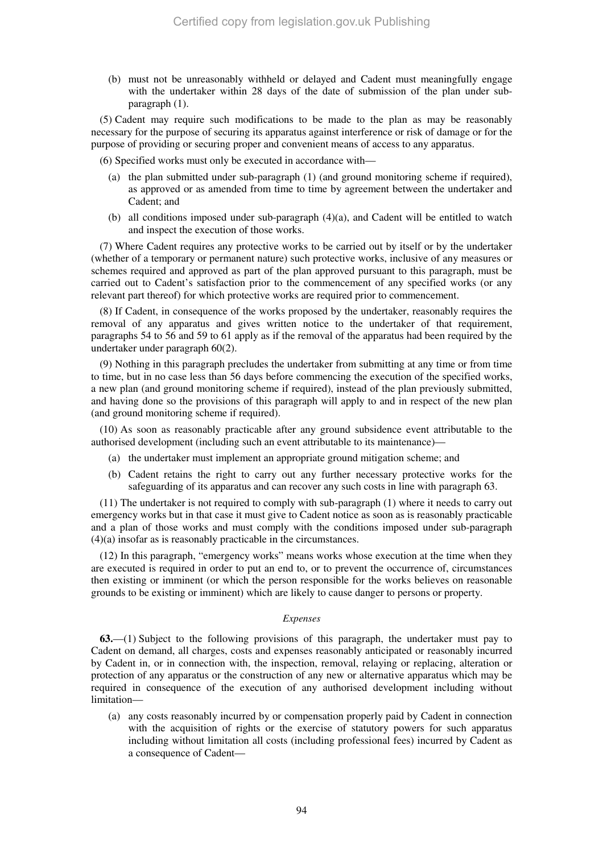(b) must not be unreasonably withheld or delayed and Cadent must meaningfully engage with the undertaker within 28 days of the date of submission of the plan under subparagraph (1).

(5) Cadent may require such modifications to be made to the plan as may be reasonably necessary for the purpose of securing its apparatus against interference or risk of damage or for the purpose of providing or securing proper and convenient means of access to any apparatus.

(6) Specified works must only be executed in accordance with—

- (a) the plan submitted under sub-paragraph (1) (and ground monitoring scheme if required), as approved or as amended from time to time by agreement between the undertaker and Cadent; and
- (b) all conditions imposed under sub-paragraph (4)(a), and Cadent will be entitled to watch and inspect the execution of those works.

(7) Where Cadent requires any protective works to be carried out by itself or by the undertaker (whether of a temporary or permanent nature) such protective works, inclusive of any measures or schemes required and approved as part of the plan approved pursuant to this paragraph, must be carried out to Cadent's satisfaction prior to the commencement of any specified works (or any relevant part thereof) for which protective works are required prior to commencement.

(8) If Cadent, in consequence of the works proposed by the undertaker, reasonably requires the removal of any apparatus and gives written notice to the undertaker of that requirement, paragraphs 54 to 56 and 59 to 61 apply as if the removal of the apparatus had been required by the undertaker under paragraph 60(2).

(9) Nothing in this paragraph precludes the undertaker from submitting at any time or from time to time, but in no case less than 56 days before commencing the execution of the specified works, a new plan (and ground monitoring scheme if required), instead of the plan previously submitted, and having done so the provisions of this paragraph will apply to and in respect of the new plan (and ground monitoring scheme if required).

(10) As soon as reasonably practicable after any ground subsidence event attributable to the authorised development (including such an event attributable to its maintenance)—

- (a) the undertaker must implement an appropriate ground mitigation scheme; and
- (b) Cadent retains the right to carry out any further necessary protective works for the safeguarding of its apparatus and can recover any such costs in line with paragraph 63.

(11) The undertaker is not required to comply with sub-paragraph (1) where it needs to carry out emergency works but in that case it must give to Cadent notice as soon as is reasonably practicable and a plan of those works and must comply with the conditions imposed under sub-paragraph (4)(a) insofar as is reasonably practicable in the circumstances.

(12) In this paragraph, "emergency works" means works whose execution at the time when they are executed is required in order to put an end to, or to prevent the occurrence of, circumstances then existing or imminent (or which the person responsible for the works believes on reasonable grounds to be existing or imminent) which are likely to cause danger to persons or property.

#### *Expenses*

**63.**—(1) Subject to the following provisions of this paragraph, the undertaker must pay to Cadent on demand, all charges, costs and expenses reasonably anticipated or reasonably incurred by Cadent in, or in connection with, the inspection, removal, relaying or replacing, alteration or protection of any apparatus or the construction of any new or alternative apparatus which may be required in consequence of the execution of any authorised development including without limitation—

(a) any costs reasonably incurred by or compensation properly paid by Cadent in connection with the acquisition of rights or the exercise of statutory powers for such apparatus including without limitation all costs (including professional fees) incurred by Cadent as a consequence of Cadent—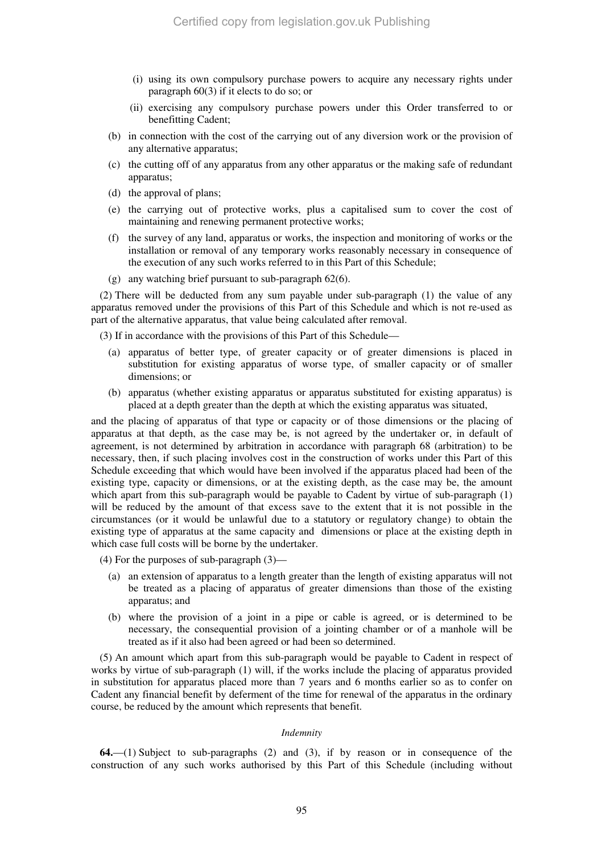- (i) using its own compulsory purchase powers to acquire any necessary rights under paragraph 60(3) if it elects to do so; or
- (ii) exercising any compulsory purchase powers under this Order transferred to or benefitting Cadent;
- (b) in connection with the cost of the carrying out of any diversion work or the provision of any alternative apparatus;
- (c) the cutting off of any apparatus from any other apparatus or the making safe of redundant apparatus;
- (d) the approval of plans;
- (e) the carrying out of protective works, plus a capitalised sum to cover the cost of maintaining and renewing permanent protective works;
- (f) the survey of any land, apparatus or works, the inspection and monitoring of works or the installation or removal of any temporary works reasonably necessary in consequence of the execution of any such works referred to in this Part of this Schedule;
- (g) any watching brief pursuant to sub-paragraph 62(6).

(2) There will be deducted from any sum payable under sub-paragraph (1) the value of any apparatus removed under the provisions of this Part of this Schedule and which is not re-used as part of the alternative apparatus, that value being calculated after removal.

(3) If in accordance with the provisions of this Part of this Schedule—

- (a) apparatus of better type, of greater capacity or of greater dimensions is placed in substitution for existing apparatus of worse type, of smaller capacity or of smaller dimensions; or
- (b) apparatus (whether existing apparatus or apparatus substituted for existing apparatus) is placed at a depth greater than the depth at which the existing apparatus was situated,

and the placing of apparatus of that type or capacity or of those dimensions or the placing of apparatus at that depth, as the case may be, is not agreed by the undertaker or, in default of agreement, is not determined by arbitration in accordance with paragraph 68 (arbitration) to be necessary, then, if such placing involves cost in the construction of works under this Part of this Schedule exceeding that which would have been involved if the apparatus placed had been of the existing type, capacity or dimensions, or at the existing depth, as the case may be, the amount which apart from this sub-paragraph would be payable to Cadent by virtue of sub-paragraph (1) will be reduced by the amount of that excess save to the extent that it is not possible in the circumstances (or it would be unlawful due to a statutory or regulatory change) to obtain the existing type of apparatus at the same capacity and dimensions or place at the existing depth in which case full costs will be borne by the undertaker.

- (4) For the purposes of sub-paragraph (3)—
	- (a) an extension of apparatus to a length greater than the length of existing apparatus will not be treated as a placing of apparatus of greater dimensions than those of the existing apparatus; and
	- (b) where the provision of a joint in a pipe or cable is agreed, or is determined to be necessary, the consequential provision of a jointing chamber or of a manhole will be treated as if it also had been agreed or had been so determined.

(5) An amount which apart from this sub-paragraph would be payable to Cadent in respect of works by virtue of sub-paragraph (1) will, if the works include the placing of apparatus provided in substitution for apparatus placed more than 7 years and 6 months earlier so as to confer on Cadent any financial benefit by deferment of the time for renewal of the apparatus in the ordinary course, be reduced by the amount which represents that benefit.

## *Indemnity*

**64.**—(1) Subject to sub-paragraphs (2) and (3), if by reason or in consequence of the construction of any such works authorised by this Part of this Schedule (including without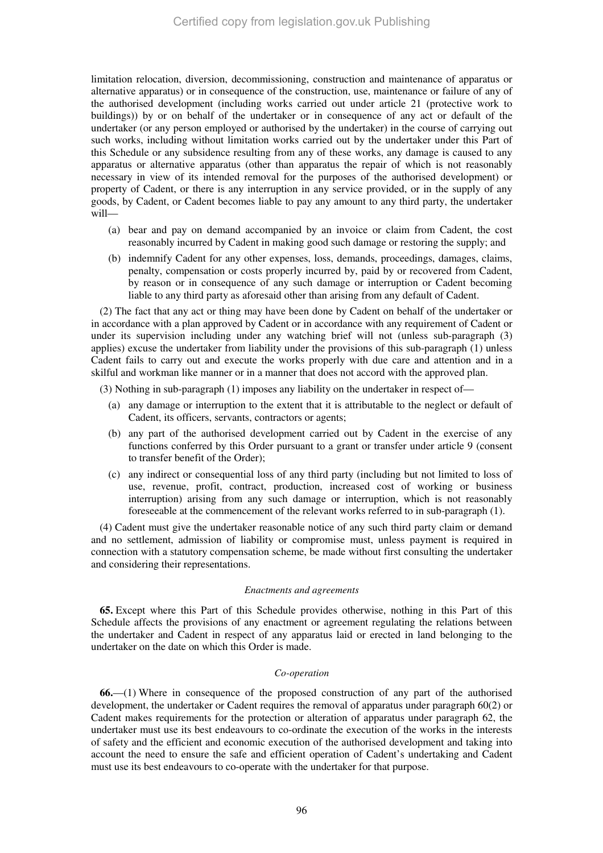limitation relocation, diversion, decommissioning, construction and maintenance of apparatus or alternative apparatus) or in consequence of the construction, use, maintenance or failure of any of the authorised development (including works carried out under article 21 (protective work to buildings)) by or on behalf of the undertaker or in consequence of any act or default of the undertaker (or any person employed or authorised by the undertaker) in the course of carrying out such works, including without limitation works carried out by the undertaker under this Part of this Schedule or any subsidence resulting from any of these works, any damage is caused to any apparatus or alternative apparatus (other than apparatus the repair of which is not reasonably necessary in view of its intended removal for the purposes of the authorised development) or property of Cadent, or there is any interruption in any service provided, or in the supply of any goods, by Cadent, or Cadent becomes liable to pay any amount to any third party, the undertaker will—

- (a) bear and pay on demand accompanied by an invoice or claim from Cadent, the cost reasonably incurred by Cadent in making good such damage or restoring the supply; and
- (b) indemnify Cadent for any other expenses, loss, demands, proceedings, damages, claims, penalty, compensation or costs properly incurred by, paid by or recovered from Cadent, by reason or in consequence of any such damage or interruption or Cadent becoming liable to any third party as aforesaid other than arising from any default of Cadent.

(2) The fact that any act or thing may have been done by Cadent on behalf of the undertaker or in accordance with a plan approved by Cadent or in accordance with any requirement of Cadent or under its supervision including under any watching brief will not (unless sub-paragraph (3) applies) excuse the undertaker from liability under the provisions of this sub-paragraph (1) unless Cadent fails to carry out and execute the works properly with due care and attention and in a skilful and workman like manner or in a manner that does not accord with the approved plan.

(3) Nothing in sub-paragraph (1) imposes any liability on the undertaker in respect of—

- (a) any damage or interruption to the extent that it is attributable to the neglect or default of Cadent, its officers, servants, contractors or agents;
- (b) any part of the authorised development carried out by Cadent in the exercise of any functions conferred by this Order pursuant to a grant or transfer under article 9 (consent to transfer benefit of the Order);
- (c) any indirect or consequential loss of any third party (including but not limited to loss of use, revenue, profit, contract, production, increased cost of working or business interruption) arising from any such damage or interruption, which is not reasonably foreseeable at the commencement of the relevant works referred to in sub-paragraph (1).

(4) Cadent must give the undertaker reasonable notice of any such third party claim or demand and no settlement, admission of liability or compromise must, unless payment is required in connection with a statutory compensation scheme, be made without first consulting the undertaker and considering their representations.

#### *Enactments and agreements*

**65.** Except where this Part of this Schedule provides otherwise, nothing in this Part of this Schedule affects the provisions of any enactment or agreement regulating the relations between the undertaker and Cadent in respect of any apparatus laid or erected in land belonging to the undertaker on the date on which this Order is made.

#### *Co-operation*

**66.**—(1) Where in consequence of the proposed construction of any part of the authorised development, the undertaker or Cadent requires the removal of apparatus under paragraph 60(2) or Cadent makes requirements for the protection or alteration of apparatus under paragraph 62, the undertaker must use its best endeavours to co-ordinate the execution of the works in the interests of safety and the efficient and economic execution of the authorised development and taking into account the need to ensure the safe and efficient operation of Cadent's undertaking and Cadent must use its best endeavours to co-operate with the undertaker for that purpose.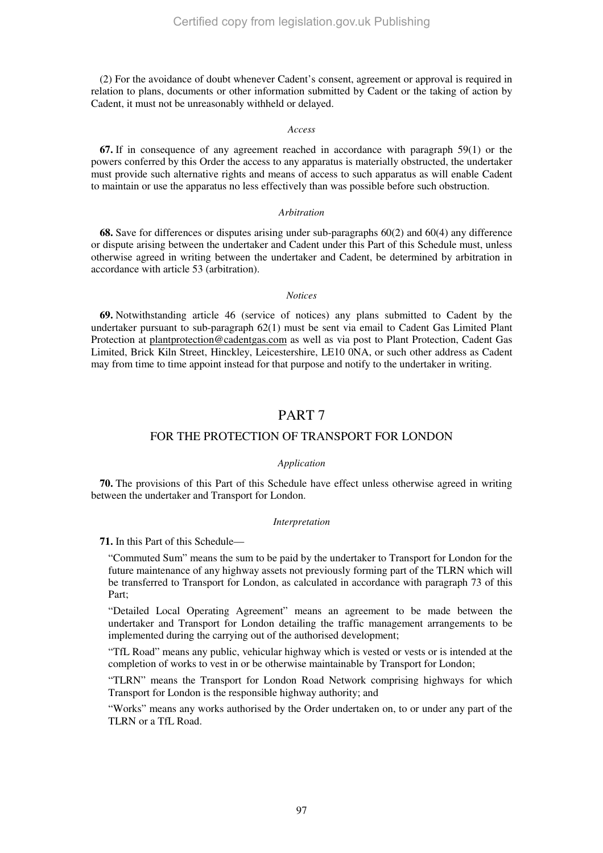(2) For the avoidance of doubt whenever Cadent's consent, agreement or approval is required in relation to plans, documents or other information submitted by Cadent or the taking of action by Cadent, it must not be unreasonably withheld or delayed.

#### *Access*

**67.** If in consequence of any agreement reached in accordance with paragraph 59(1) or the powers conferred by this Order the access to any apparatus is materially obstructed, the undertaker must provide such alternative rights and means of access to such apparatus as will enable Cadent to maintain or use the apparatus no less effectively than was possible before such obstruction.

#### *Arbitration*

**68.** Save for differences or disputes arising under sub-paragraphs 60(2) and 60(4) any difference or dispute arising between the undertaker and Cadent under this Part of this Schedule must, unless otherwise agreed in writing between the undertaker and Cadent, be determined by arbitration in accordance with article 53 (arbitration).

## *Notices*

**69.** Notwithstanding article 46 (service of notices) any plans submitted to Cadent by the undertaker pursuant to sub-paragraph 62(1) must be sent via email to Cadent Gas Limited Plant Protection at plantprotection@cadentgas.com as well as via post to Plant Protection, Cadent Gas Limited, Brick Kiln Street, Hinckley, Leicestershire, LE10 0NA, or such other address as Cadent may from time to time appoint instead for that purpose and notify to the undertaker in writing.

# PART 7

# FOR THE PROTECTION OF TRANSPORT FOR LONDON

# *Application*

**70.** The provisions of this Part of this Schedule have effect unless otherwise agreed in writing between the undertaker and Transport for London.

#### *Interpretation*

**71.** In this Part of this Schedule—

"Commuted Sum" means the sum to be paid by the undertaker to Transport for London for the future maintenance of any highway assets not previously forming part of the TLRN which will be transferred to Transport for London, as calculated in accordance with paragraph 73 of this Part;

"Detailed Local Operating Agreement" means an agreement to be made between the undertaker and Transport for London detailing the traffic management arrangements to be implemented during the carrying out of the authorised development;

"TfL Road" means any public, vehicular highway which is vested or vests or is intended at the completion of works to vest in or be otherwise maintainable by Transport for London;

"TLRN" means the Transport for London Road Network comprising highways for which Transport for London is the responsible highway authority; and

"Works" means any works authorised by the Order undertaken on, to or under any part of the TLRN or a TfL Road.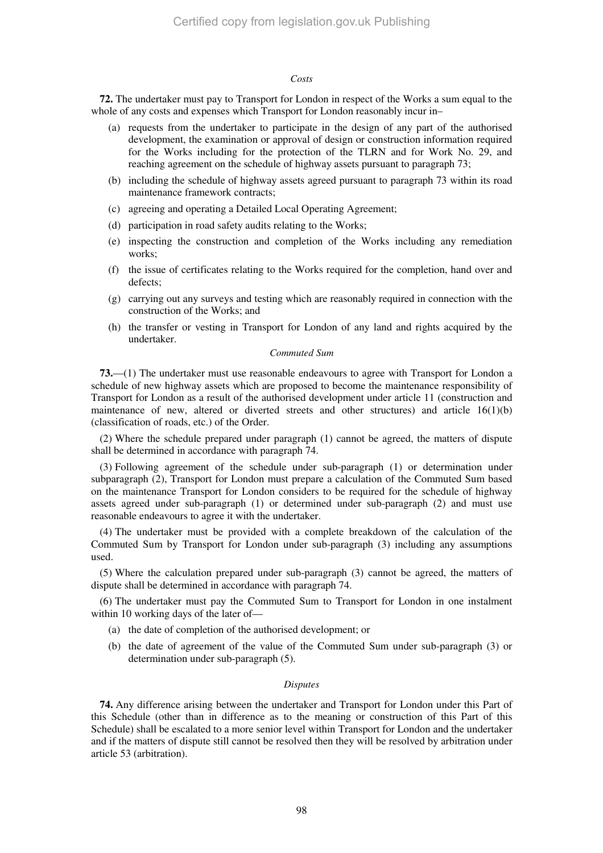#### *Costs*

**72.** The undertaker must pay to Transport for London in respect of the Works a sum equal to the whole of any costs and expenses which Transport for London reasonably incur in–

- (a) requests from the undertaker to participate in the design of any part of the authorised development, the examination or approval of design or construction information required for the Works including for the protection of the TLRN and for Work No. 29, and reaching agreement on the schedule of highway assets pursuant to paragraph 73;
- (b) including the schedule of highway assets agreed pursuant to paragraph 73 within its road maintenance framework contracts;
- (c) agreeing and operating a Detailed Local Operating Agreement;
- (d) participation in road safety audits relating to the Works;
- (e) inspecting the construction and completion of the Works including any remediation works;
- (f) the issue of certificates relating to the Works required for the completion, hand over and defects;
- (g) carrying out any surveys and testing which are reasonably required in connection with the construction of the Works; and
- (h) the transfer or vesting in Transport for London of any land and rights acquired by the undertaker.

# *Commuted Sum*

**73.**—(1) The undertaker must use reasonable endeavours to agree with Transport for London a schedule of new highway assets which are proposed to become the maintenance responsibility of Transport for London as a result of the authorised development under article 11 (construction and maintenance of new, altered or diverted streets and other structures) and article  $16(1)(b)$ (classification of roads, etc.) of the Order.

(2) Where the schedule prepared under paragraph (1) cannot be agreed, the matters of dispute shall be determined in accordance with paragraph 74.

(3) Following agreement of the schedule under sub-paragraph (1) or determination under subparagraph (2), Transport for London must prepare a calculation of the Commuted Sum based on the maintenance Transport for London considers to be required for the schedule of highway assets agreed under sub-paragraph (1) or determined under sub-paragraph (2) and must use reasonable endeavours to agree it with the undertaker.

(4) The undertaker must be provided with a complete breakdown of the calculation of the Commuted Sum by Transport for London under sub-paragraph (3) including any assumptions used.

(5) Where the calculation prepared under sub-paragraph (3) cannot be agreed, the matters of dispute shall be determined in accordance with paragraph 74.

(6) The undertaker must pay the Commuted Sum to Transport for London in one instalment within 10 working days of the later of—

- (a) the date of completion of the authorised development; or
- (b) the date of agreement of the value of the Commuted Sum under sub-paragraph (3) or determination under sub-paragraph (5).

#### *Disputes*

**74.** Any difference arising between the undertaker and Transport for London under this Part of this Schedule (other than in difference as to the meaning or construction of this Part of this Schedule) shall be escalated to a more senior level within Transport for London and the undertaker and if the matters of dispute still cannot be resolved then they will be resolved by arbitration under article 53 (arbitration).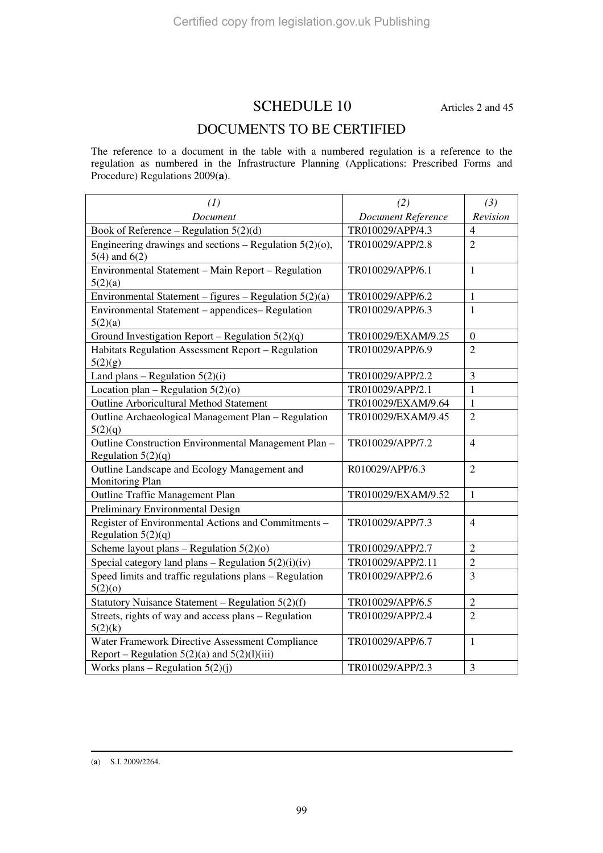# SCHEDULE 10 Articles 2 and 45

# DOCUMENTS TO BE CERTIFIED

The reference to a document in the table with a numbered regulation is a reference to the regulation as numbered in the Infrastructure Planning (Applications: Prescribed Forms and Procedure) Regulations 2009(**a**).

| (1)                                                                                                 | (2)                       | (3)            |
|-----------------------------------------------------------------------------------------------------|---------------------------|----------------|
| Document                                                                                            | <b>Document Reference</b> | Revision       |
| Book of Reference – Regulation $5(2)(d)$                                                            | TR010029/APP/4.3          | $\overline{4}$ |
| Engineering drawings and sections – Regulation $5(2)(0)$ ,<br>$5(4)$ and $6(2)$                     | TR010029/APP/2.8          | $\overline{2}$ |
| Environmental Statement - Main Report - Regulation<br>5(2)(a)                                       | TR010029/APP/6.1          | $\mathbf{1}$   |
| Environmental Statement - figures - Regulation $5(2)(a)$                                            | TR010029/APP/6.2          | $\mathbf{1}$   |
| Environmental Statement - appendices- Regulation<br>5(2)(a)                                         | TR010029/APP/6.3          | $\mathbf{1}$   |
| Ground Investigation Report - Regulation $5(2)(q)$                                                  | TR010029/EXAM/9.25        | $\overline{0}$ |
| Habitats Regulation Assessment Report - Regulation<br>5(2)(g)                                       | TR010029/APP/6.9          | $\overline{2}$ |
| Land plans - Regulation $5(2)(i)$                                                                   | TR010029/APP/2.2          | 3              |
| Location plan – Regulation $5(2)(o)$                                                                | TR010029/APP/2.1          | $\mathbf{1}$   |
| <b>Outline Arboricultural Method Statement</b>                                                      | TR010029/EXAM/9.64        | $\mathbf{1}$   |
| Outline Archaeological Management Plan - Regulation<br>5(2)(q)                                      | TR010029/EXAM/9.45        | $\overline{2}$ |
| Outline Construction Environmental Management Plan -<br>Regulation $5(2)(q)$                        | TR010029/APP/7.2          | $\overline{4}$ |
| Outline Landscape and Ecology Management and<br><b>Monitoring Plan</b>                              | R010029/APP/6.3           | $\overline{2}$ |
| <b>Outline Traffic Management Plan</b>                                                              | TR010029/EXAM/9.52        | $\mathbf{1}$   |
| Preliminary Environmental Design                                                                    |                           |                |
| Register of Environmental Actions and Commitments -<br>Regulation $5(2)(q)$                         | TR010029/APP/7.3          | $\overline{4}$ |
| Scheme layout plans – Regulation $5(2)(o)$                                                          | TR010029/APP/2.7          | $\overline{2}$ |
| Special category land plans – Regulation $5(2)(i)(iv)$                                              | TR010029/APP/2.11         | $\overline{2}$ |
| Speed limits and traffic regulations plans - Regulation<br>5(2)(0)                                  | TR010029/APP/2.6          | 3              |
| Statutory Nuisance Statement - Regulation 5(2)(f)                                                   | TR010029/APP/6.5          | $\overline{2}$ |
| Streets, rights of way and access plans – Regulation<br>5(2)(k)                                     | TR010029/APP/2.4          | $\overline{2}$ |
| Water Framework Directive Assessment Compliance<br>Report – Regulation $5(2)(a)$ and $5(2)(1)(iii)$ | TR010029/APP/6.7          | $\mathbf{1}$   |
| Works plans – Regulation $5(2)(j)$                                                                  | TR010029/APP/2.3          | $\overline{3}$ |